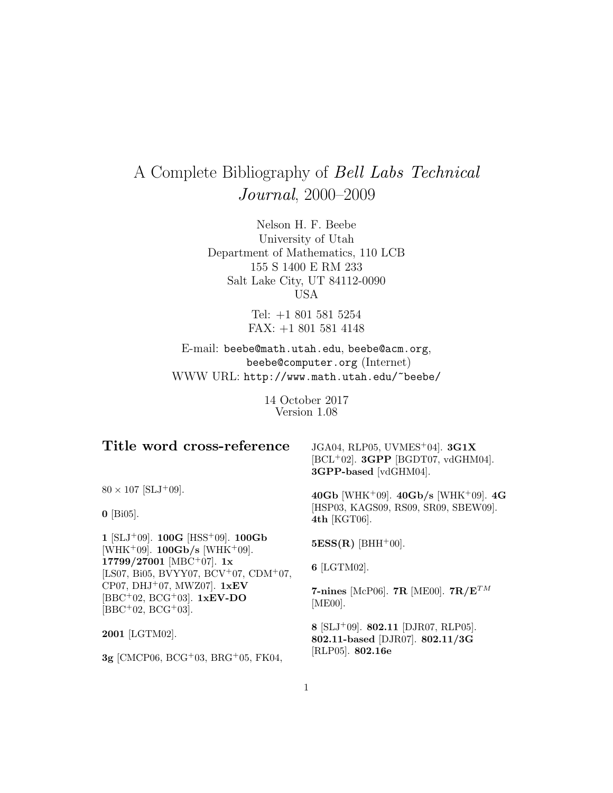# A Complete Bibliography of Bell Labs Technical Journal, 2000–2009

Nelson H. F. Beebe University of Utah Department of Mathematics, 110 LCB 155 S 1400 E RM 233 Salt Lake City, UT 84112-0090 USA

> Tel: +1 801 581 5254 FAX: +1 801 581 4148

E-mail: beebe@math.utah.edu, beebe@acm.org, beebe@computer.org (Internet) WWW URL: http://www.math.utah.edu/~beebe/

> 14 October 2017 Version 1.08

# **Title word cross-reference**

JGA04, RLP05, UVMES<sup>+</sup>04]. **3G1X** [BCL<sup>+</sup>02]. **3GPP** [BGDT07, vdGHM04]. **3GPP-based** [vdGHM04].

 $80 \times 107$  [SLJ<sup>+</sup>09].

**0** [Bi05].

**1** [SLJ<sup>+</sup>09]. **100G** [HSS<sup>+</sup>09]. **100Gb** [WHK<sup>+</sup>09]. **100Gb/s** [WHK<sup>+</sup>09]. **17799/27001** [MBC<sup>+</sup>07]. **1x** [LS07, Bi05, BVYY07, BCV<sup>+</sup>07, CDM<sup>+</sup>07, CP07, DHJ<sup>+</sup>07, MWZ07]. **1xEV** [BBC<sup>+</sup>02, BCG<sup>+</sup>03]. **1xEV-DO**  $[BBC<sup>+</sup>02, BCG<sup>+</sup>03].$ 

**2001** [LGTM02].

**3g** [CMCP06, BCG<sup>+</sup>03, BRG<sup>+</sup>05, FK04,

**40Gb** [WHK<sup>+</sup>09]. **40Gb/s** [WHK<sup>+</sup>09]. **4G** [HSP03, KAGS09, RS09, SR09, SBEW09]. **4th** [KGT06].

 $5ESS(R)$  [BHH<sup>+</sup>00].

**6** [LGTM02].

**7-nines** [McP06]. **7R** [ME00]. **7R/E**TM [ME00].

**8** [SLJ<sup>+</sup>09]. **802.11** [DJR07, RLP05]. **802.11-based** [DJR07]. **802.11/3G** [RLP05]. **802.16e**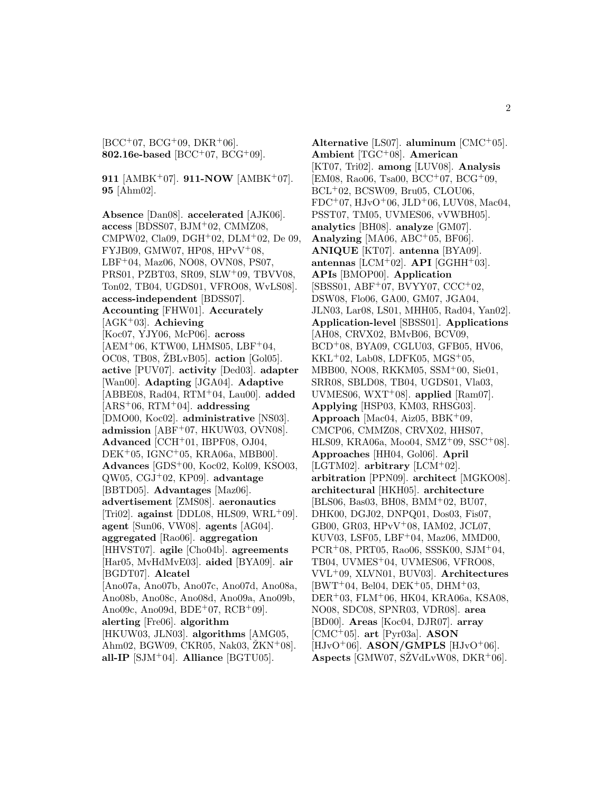$[BCC^{+}07, BCG^{+}09, DKR^{+}06].$ **802.16e-based** [BCC<sup>+</sup>07, BCG<sup>+</sup>09].

**911** [AMBK<sup>+</sup>07]. **911-NOW** [AMBK<sup>+</sup>07]. **95** [Ahm02].

**Absence** [Dan08]. **accelerated** [AJK06]. **access** [BDSS07, BJM<sup>+</sup>02, CMMZ08, CMPW02, Cla09, DGH<sup>+</sup>02, DLM<sup>+</sup>02, De 09, FYJB09, GMW07, HP08, HPvV<sup>+</sup>08, LBF<sup>+</sup>04, Maz06, NO08, OVN08, PS07, PRS01, PZBT03, SR09, SLW<sup>+</sup>09, TBVV08, Ton02, TB04, UGDS01, VFRO08, WvLS08]. **access-independent** [BDSS07]. **Accounting** [FHW01]. **Accurately** [AGK<sup>+</sup>03]. **Achieving** [Koc07, YJY06, McP06]. **across**  $[AEM<sup>+</sup>06, KTW00, LHMS05, LBF<sup>+</sup>04,$  $OC08$ , TB08,  $ZBLvB05$ .  $action$  [Gol05]. **active** [PUV07]. **activity** [Ded03]. **adapter** [Wan00]. **Adapting** [JGA04]. **Adaptive** [ABBE08, Rad04, RTM<sup>+</sup>04, Lau00]. **added** [ARS<sup>+</sup>06, RTM<sup>+</sup>04]. **addressing** [DMO00, Koc02]. **administrative** [NS03]. **admission** [ABF<sup>+</sup>07, HKUW03, OVN08]. **Advanced** [CCH<sup>+</sup>01, IBPF08, OJ04, DEK<sup>+</sup>05, IGNC<sup>+</sup>05, KRA06a, MBB00]. **Advances** [GDS<sup>+</sup>00, Koc02, Kol09, KSO03, QW05, CGJ<sup>+</sup>02, KP09]. **advantage** [BBTD05]. **Advantages** [Maz06]. **advertisement** [ZMS08]. **aeronautics** [Tri02]. **against** [DDL08, HLS09, WRL<sup>+</sup>09]. **agent** [Sun06, VW08]. **agents** [AG04]. **aggregated** [Rao06]. **aggregation** [HHVST07]. **agile** [Cho04b]. **agreements** [Har05, MvHdMvE03]. **aided** [BYA09]. **air** [BGDT07]. **Alcatel** [Ano07a, Ano07b, Ano07c, Ano07d, Ano08a, Ano08b, Ano08c, Ano08d, Ano09a, Ano09b, Ano09c, Ano09d,  $BDE+07$ ,  $RCB+09$ . **alerting** [Fre06]. **algorithm** [HKUW03, JLN03]. **algorithms** [AMG05, Ahm02, BGW09, CKR05, Nak03,  $\text{ZKN}^{+}08$ . **all-IP** [SJM<sup>+</sup>04]. **Alliance** [BGTU05].

**Alternative** [LS07]. **aluminum** [CMC<sup>+</sup>05]. **Ambient** [TGC<sup>+</sup>08]. **American** [KT07, Tri02]. **among** [LUV08]. **Analysis**  $[EM08, Ra006, Tsa00, BCC<sup>+</sup>07, BCG<sup>+</sup>09,$ BCL<sup>+</sup>02, BCSW09, Bru05, CLOU06,  $FDC+07$ ,  $HJvO+06$ ,  $JLD+06$ ,  $LUV08$ ,  $Mac04$ , PSST07, TM05, UVMES06, vVWBH05]. **analytics** [BH08]. **analyze** [GM07]. **Analyzing** [MA06, ABC<sup>+</sup>05, BF06]. **ANIQUE** [KT07]. **antenna** [BYA09]. **antennas** [LCM+02]. **API** [GGHH+03]. **APIs** [BMOP00]. **Application** [SBSS01, ABF<sup>+</sup>07, BVYY07, CCC<sup>+</sup>02, DSW08, Flo06, GA00, GM07, JGA04, JLN03, Lar08, LS01, MHH05, Rad04, Yan02]. **Application-level** [SBSS01]. **Applications** [AH08, CRVX02, BMvB06, BCV09, BCD<sup>+</sup>08, BYA09, CGLU03, GFB05, HV06,  $KKL+02$ , Lab08, LDFK05, MGS+05, MBB00, NO08, RKKM05, SSM<sup>+</sup>00, Sie01, SRR08, SBLD08, TB04, UGDS01, Vla03, UVMES06, WXT<sup>+</sup>08]. **applied** [Ram07]. **Applying** [HSP03, KM03, RHSG03]. **Approach** [Mac04, Aiz05, BBK<sup>+</sup>09, CMCP06, CMMZ08, CRVX02, HHS07, HLS09, KRA06a, Moo04, SMZ<sup>+</sup>09, SSC<sup>+</sup>08]. **Approaches** [HH04, Gol06]. **April** [LGTM02]. **arbitrary** [LCM<sup>+</sup>02]. **arbitration** [PPN09]. **architect** [MGKO08]. **architectural** [HKH05]. **architecture** [BLS06, Bas03, BH08, BMM<sup>+</sup>02, BU07, DHK00, DGJ02, DNPQ01, Dos03, Fis07, GB00, GR03, HPvV<sup>+</sup>08, IAM02, JCL07, KUV03, LSF05, LBF<sup>+</sup>04, Maz06, MMD00, PCR<sup>+</sup>08, PRT05, Rao06, SSSK00, SJM<sup>+</sup>04, TB04, UVMES<sup>+</sup>04, UVMES06, VFRO08, VVL<sup>+</sup>09, XLVN01, BUV03]. **Architectures**  $[BWT^+04, Bel04, DEK^+05, DHM^+03,$ DER<sup>+</sup>03, FLM<sup>+</sup>06, HK04, KRA06a, KSA08, NO08, SDC08, SPNR03, VDR08]. **area** [BD00]. **Areas** [Koc04, DJR07]. **array** [CMC<sup>+</sup>05]. **art** [Pyr03a]. **ASON** [HJvO<sup>+</sup>06]. **ASON/GMPLS** [HJvO<sup>+</sup>06]. **Aspects** [GMW07, SZVdLvW08, DKR<sup>+</sup>06].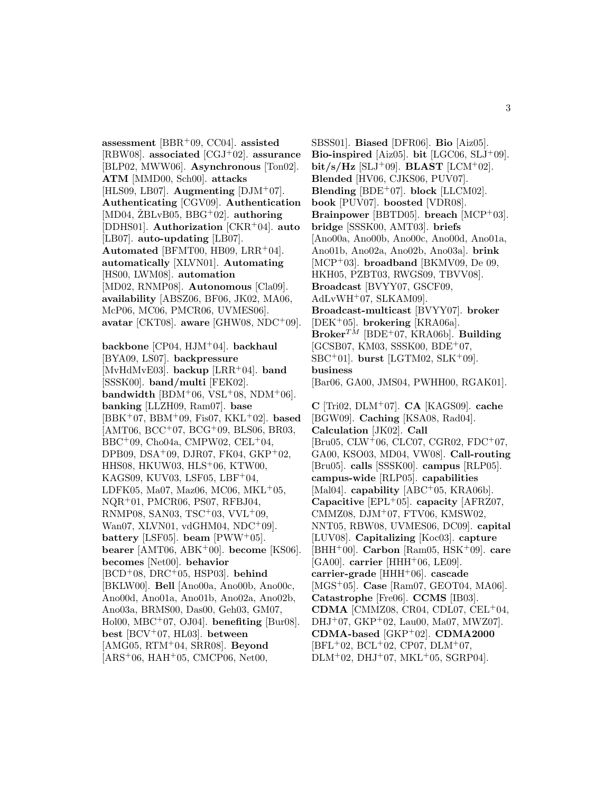**assessment** [BBR<sup>+</sup>09, CC04]. **assisted** [RBW08]. **associated** [CGJ<sup>+</sup>02]. **assurance** [BLP02, MWW06]. **Asynchronous** [Ton02]. **ATM** [MMD00, Sch00]. **attacks**  $[HLS09, LB07]$ . **Augmenting**  $[DJM^+07]$ . **Authenticating** [CGV09]. **Authentication**  $[MD04, \angle ZBLvB05, BBG^+02]$ . **authoring** [DDHS01]. **Authorization** [CKR<sup>+</sup>04]. **auto** [LB07]. **auto-updating** [LB07]. **Automated** [BFMT00, HB09, LRR<sup>+</sup>04]. **automatically** [XLVN01]. **Automating** [HS00, LWM08]. **automation** [MD02, RNMP08]. **Autonomous** [Cla09]. **availability** [ABSZ06, BF06, JK02, MA06, McP06, MC06, PMCR06, UVMES06]. **avatar** [CKT08]. **aware** [GHW08, NDC<sup>+</sup>09].

**backbone** [CP04, HJM<sup>+</sup>04]. **backhaul** [BYA09, LS07]. **backpressure** [MvHdMvE03]. **backup** [LRR<sup>+</sup>04]. **band** [SSSK00]. **band/multi** [FEK02]. **bandwidth** [BDM<sup>+</sup>06, VSL<sup>+</sup>08, NDM<sup>+</sup>06]. **banking** [LLZH09, Ram07]. **base** [BBK<sup>+</sup>07, BBM<sup>+</sup>09, Fis07, KKL<sup>+</sup>02]. **based**  $[AMT06, BCC<sup>+</sup>07, BCG<sup>+</sup>09, BLS06, BR03,$  $BBC^+09$ , Cho04a, CMPW02, CEL<sup>+</sup>04, DPB09, DSA<sup>+</sup>09, DJR07, FK04, GKP<sup>+</sup>02, HHS08, HKUW03, HLS<sup>+</sup>06, KTW00, KAGS09, KUV03, LSF05, LBF<sup>+</sup>04, LDFK05, Ma07, Maz06, MC06, MKL+05, NQR<sup>+</sup>01, PMCR06, PS07, RFBJ04, RNMP08, SAN03, TSC<sup>+</sup>03, VVL<sup>+</sup>09, Wan07, XLVN01, vdGHM04, NDC<sup>+</sup>09. **battery** [LSF05]. **beam** [PWW<sup>+</sup>05]. **bearer** [AMT06, ABK<sup>+</sup>00]. **become** [KS06]. **becomes** [Net00]. **behavior** [BCD<sup>+</sup>08, DRC<sup>+</sup>05, HSP03]. **behind** [BKLW00]. **Bell** [Ano00a, Ano00b, Ano00c, Ano00d, Ano01a, Ano01b, Ano02a, Ano02b, Ano03a, BRMS00, Das00, Geh03, GM07, Hol00, MBC<sup>+</sup>07, OJ04]. **benefiting** [Bur08]. **best** [BCV<sup>+</sup>07, HL03]. **between** [AMG05, RTM<sup>+</sup>04, SRR08]. **Beyond**  $[ARS<sup>+</sup>06, HAH<sup>+</sup>05, CMCP06, Net00,$ 

SBSS01]. **Biased** [DFR06]. **Bio** [Aiz05]. **Bio-inspired** [Aiz05]. **bit** [LGC06, SLJ<sup>+</sup>09].  $bit/s/Hz$  [SLJ<sup>+</sup>09]. **BLAST** [LCM<sup>+</sup>02]. **Blended** [HV06, CJKS06, PUV07]. **Blending**  $[BDE^+07]$ . **block**  $[LLCM02]$ . **book** [PUV07]. **boosted** [VDR08]. **Brainpower** [BBTD05]. **breach** [MCP<sup>+</sup>03]. **bridge** [SSSK00, AMT03]. **briefs** [Ano00a, Ano00b, Ano00c, Ano00d, Ano01a, Ano01b, Ano02a, Ano02b, Ano03a]. **brink** [MCP<sup>+</sup>03]. **broadband** [BKMV09, De 09, HKH05, PZBT03, RWGS09, TBVV08]. **Broadcast** [BVYY07, GSCF09,  $AdLvWH<sup>+</sup>07, SLKAM09$ . **Broadcast-multicast** [BVYY07]. **broker** [DEK<sup>+</sup>05]. **brokering** [KRA06a].  $B$ roker<sup>TM</sup> [BDE<sup>+</sup>07, KRA06b]. **Building** [GCSB07, KM03, SSSK00, BDE<sup>+</sup>07, SBC<sup>+</sup>01]. **burst** [LGTM02, SLK<sup>+</sup>09]. **business** [Bar06, GA00, JMS04, PWHH00, RGAK01].

**C** [Tri02, DLM<sup>+</sup>07]. **CA** [KAGS09]. **cache** [BGW09]. **Caching** [KSA08, Rad04]. **Calculation** [JK02]. **Call** [Bru05, CLW<sup>+</sup>06, CLC07, CGR02, FDC<sup>+</sup>07, GA00, KSO03, MD04, VW08]. **Call-routing** [Bru05]. **calls** [SSSK00]. **campus** [RLP05]. **campus-wide** [RLP05]. **capabilities** [Mal04]. **capability** [ABC<sup>+</sup>05, KRA06b]. **Capacitive** [EPL<sup>+</sup>05]. **capacity** [AFRZ07, CMMZ08, DJM<sup>+</sup>07, FTV06, KMSW02, NNT05, RBW08, UVMES06, DC09]. **capital** [LUV08]. **Capitalizing** [Koc03]. **capture** [BHH<sup>+</sup>00]. **Carbon** [Ram05, HSK<sup>+</sup>09]. **care** [GA00]. **carrier** [HHH<sup>+</sup>06, LE09]. **carrier-grade** [HHH<sup>+</sup>06]. **cascade** [MGS<sup>+</sup>05]. **Case** [Ram07, GEOT04, MA06]. **Catastrophe** [Fre06]. **CCMS** [IB03]. **CDMA** [CMMZ08, CR04, CDL07, CEL<sup>+</sup>04, DHJ<sup>+</sup>07, GKP<sup>+</sup>02, Lau00, Ma07, MWZ07]. **CDMA-based** [GKP<sup>+</sup>02]. **CDMA2000**  $[BFL+02, BCL+02, CP07, DLM+07,$  $DLM+02$ ,  $DHJ+07$ ,  $MKL+05$ ,  $SGRP04$ .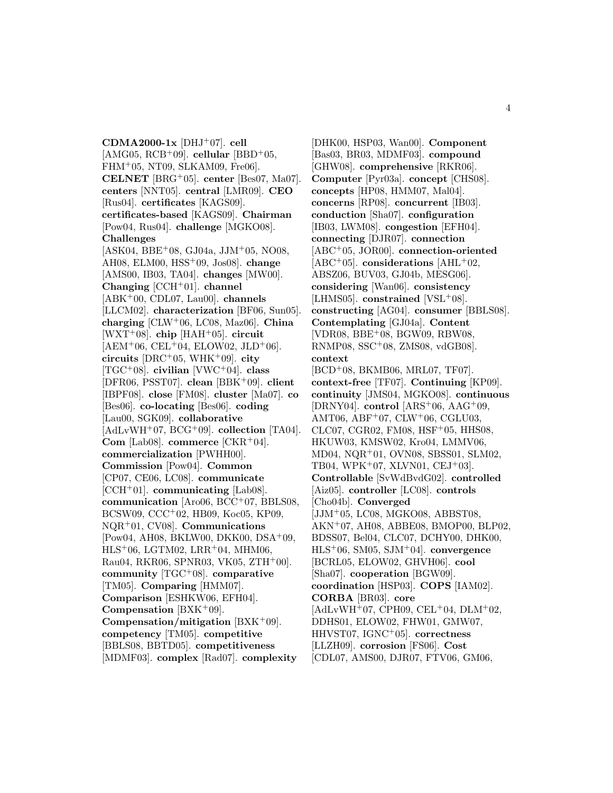**CDMA2000-1x** [DHJ<sup>+</sup>07]. **cell** [AMG05,  $RCB+09$ ]. **cellular** [BBD<sup>+</sup>05,  $FHM<sup>+</sup>05$ , NT09, SLKAM09, Fre06. **CELNET** [BRG<sup>+</sup>05]. **center** [Bes07, Ma07]. **centers** [NNT05]. **central** [LMR09]. **CEO** [Rus04]. **certificates** [KAGS09]. **certificates-based** [KAGS09]. **Chairman** [Pow04, Rus04]. **challenge** [MGKO08]. **Challenges** [ASK04, BBE<sup>+</sup>08, GJ04a, JJM<sup>+</sup>05, NO08, AH08, ELM00, HSS<sup>+</sup>09, Jos08]. **change** [AMS00, IB03, TA04]. **changes** [MW00]. **Changing** [CCH<sup>+</sup>01]. **channel** [ABK<sup>+</sup>00, CDL07, Lau00]. **channels** [LLCM02]. **characterization** [BF06, Sun05]. **charging** [CLW<sup>+</sup>06, LC08, Maz06]. **China** [WXT<sup>+</sup>08]. **chip** [HAH<sup>+</sup>05]. **circuit**  $[AEM<sup>+</sup>06, CEL<sup>+</sup>04, ELOW02, JLD<sup>+</sup>06].$ **circuits** [DRC<sup>+</sup>05, WHK<sup>+</sup>09]. **city** [TGC<sup>+</sup>08]. **civilian** [VWC<sup>+</sup>04]. **class** [DFR06, PSST07]. **clean** [BBK<sup>+</sup>09]. **client** [IBPF08]. **close** [FM08]. **cluster** [Ma07]. **co** [Bes06]. **co-locating** [Bes06]. **coding** [Lau00, SGK09]. **collaborative** [AdLvWH<sup>+</sup>07, BCG<sup>+</sup>09]. **collection** [TA04]. **Com** [Lab08]. **commerce** [CKR<sup>+</sup>04]. **commercialization** [PWHH00]. **Commission** [Pow04]. **Common** [CP07, CE06, LC08]. **communicate** [CCH<sup>+</sup>01]. **communicating** [Lab08]. **communication** [Aro06, BCC<sup>+</sup>07, BBLS08, BCSW09, CCC<sup>+</sup>02, HB09, Koc05, KP09, NQR<sup>+</sup>01, CV08]. **Communications** [Pow04, AH08, BKLW00, DKK00, DSA<sup>+</sup>09,  $HLS<sup>+</sup>06, LGTM02, LRR<sup>+</sup>04, MHM06,$ Rau04, RKR06, SPNR03, VK05, ZTH<sup>+</sup>00]. **community** [TGC<sup>+</sup>08]. **comparative** [TM05]. **Comparing** [HMM07]. **Comparison** [ESHKW06, EFH04]. **Compensation** [BXK<sup>+</sup>09]. **Compensation/mitigation** [BXK<sup>+</sup>09]. **competency** [TM05]. **competitive** [BBLS08, BBTD05]. **competitiveness** [MDMF03]. **complex** [Rad07]. **complexity**

[DHK00, HSP03, Wan00]. **Component** [Bas03, BR03, MDMF03]. **compound** [GHW08]. **comprehensive** [RKR06]. **Computer** [Pyr03a]. **concept** [CHS08]. **concepts** [HP08, HMM07, Mal04]. **concerns** [RP08]. **concurrent** [IB03]. **conduction** [Sha07]. **configuration** [IB03, LWM08]. **congestion** [EFH04]. **connecting** [DJR07]. **connection** [ABC<sup>+</sup>05, JOR00]. **connection-oriented** [ABC<sup>+</sup>05]. **considerations** [AHL<sup>+</sup>02, ABSZ06, BUV03, GJ04b, MESG06]. **considering** [Wan06]. **consistency** [LHMS05]. **constrained** [VSL<sup>+</sup>08]. **constructing** [AG04]. **consumer** [BBLS08]. **Contemplating** [GJ04a]. **Content** [VDR08, BBE<sup>+</sup>08, BGW09, RBW08, RNMP08, SSC<sup>+</sup>08, ZMS08, vdGB08]. **context** [BCD<sup>+</sup>08, BKMB06, MRL07, TF07]. **context-free** [TF07]. **Continuing** [KP09]. **continuity** [JMS04, MGKO08]. **continuous** [DRNY04]. **control** [ARS<sup>+</sup>06, AAG<sup>+</sup>09, AMT06, ABF<sup>+</sup>07, CLW<sup>+</sup>06, CGLU03, CLC07, CGR02, FM08, HSF<sup>+</sup>05, HHS08, HKUW03, KMSW02, Kro04, LMMV06, MD04, NQR<sup>+</sup>01, OVN08, SBSS01, SLM02, TB04, WPK<sup>+</sup>07, XLVN01, CEJ<sup>+</sup>03]. **Controllable** [SvWdBvdG02]. **controlled** [Aiz05]. **controller** [LC08]. **controls** [Cho04b]. **Converged** [JJM<sup>+</sup>05, LC08, MGKO08, ABBST08, AKN<sup>+</sup>07, AH08, ABBE08, BMOP00, BLP02, BDSS07, Bel04, CLC07, DCHY00, DHK00, HLS<sup>+</sup>06, SM05, SJM<sup>+</sup>04]. **convergence** [BCRL05, ELOW02, GHVH06]. **cool** [Sha07]. **cooperation** [BGW09]. **coordination** [HSP03]. **COPS** [IAM02]. **CORBA** [BR03]. **core**  $[AdLvWH<sup>+</sup>07, CPH09, CEL<sup>+</sup>04, DLM<sup>+</sup>02,$ DDHS01, ELOW02, FHW01, GMW07, HHVST07, IGNC<sup>+</sup>05]. **correctness** [LLZH09]. **corrosion** [FS06]. **Cost** [CDL07, AMS00, DJR07, FTV06, GM06,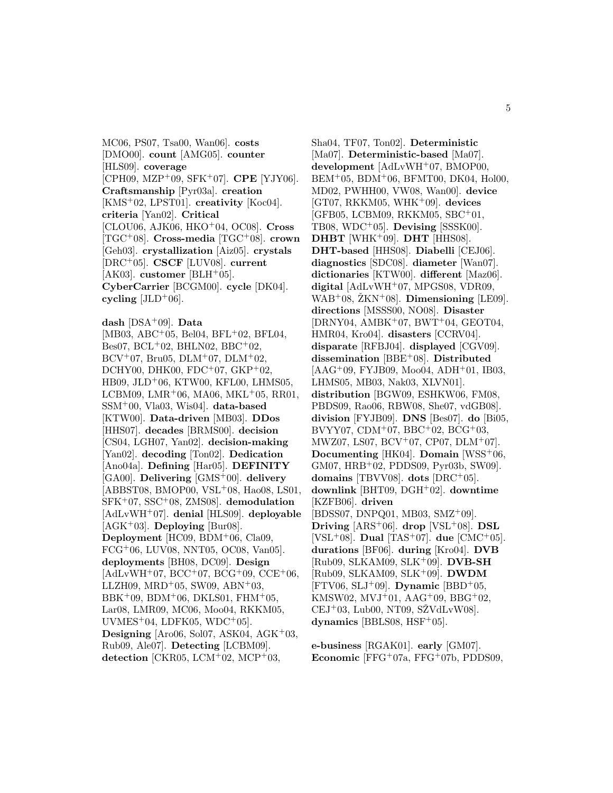MC06, PS07, Tsa00, Wan06]. **costs** [DMO00]. **count** [AMG05]. **counter** [HLS09]. **coverage** [CPH09, MZP<sup>+</sup>09, SFK<sup>+</sup>07]. **CPE** [YJY06]. **Craftsmanship** [Pyr03a]. **creation** [KMS<sup>+</sup>02, LPST01]. **creativity** [Koc04]. **criteria** [Yan02]. **Critical** [CLOU06, AJK06, HKO<sup>+</sup>04, OC08]. **Cross** [TGC<sup>+</sup>08]. **Cross-media** [TGC<sup>+</sup>08]. **crown** [Geh03]. **crystallization** [Aiz05]. **crystals** [DRC<sup>+</sup>05]. **CSCF** [LUV08]. **current** [AK03]. **customer** [BLH<sup>+</sup>05]. **CyberCarrier** [BCGM00]. **cycle** [DK04]. cycling  $[JLD+06]$ .

**dash** [DSA<sup>+</sup>09]. **Data** [MB03, ABC<sup>+</sup>05, Bel04, BFL<sup>+</sup>02, BFL04,  $Bes07, BCL+02, BHLN02, BBC+02,$  $\rm BCV^{+}07$ , Bru05, DLM<sup>+</sup>07, DLM<sup>+</sup>02, DCHY00, DHK00, FDC+07,  $GKP+02$ , HB09, JLD<sup>+</sup>06, KTW00, KFL00, LHMS05, LCBM09, LMR<sup>+</sup>06, MA06, MKL<sup>+</sup>05, RR01, SSM<sup>+</sup>00, Vla03, Wis04]. **data-based** [KTW00]. **Data-driven** [MB03]. **DDos** [HHS07]. **decades** [BRMS00]. **decision** [CS04, LGH07, Yan02]. **decision-making** [Yan02]. **decoding** [Ton02]. **Dedication** [Ano04a]. **Defining** [Har05]. **DEFINITY** [GA00]. **Delivering** [GMS<sup>+</sup>00]. **delivery** [ABBST08, BMOP00, VSL<sup>+</sup>08, Hao08, LS01, SFK<sup>+</sup>07, SSC<sup>+</sup>08, ZMS08]. **demodulation** [AdLvWH<sup>+</sup>07]. **denial** [HLS09]. **deployable** [AGK<sup>+</sup>03]. **Deploying** [Bur08]. **Deployment** [HC09, BDM<sup>+</sup>06, Cla09, FCG<sup>+</sup>06, LUV08, NNT05, OC08, Van05]. **deployments** [BH08, DC09]. **Design**  $[AdLvWH<sup>+</sup>07, BCC<sup>+</sup>07, BCG<sup>+</sup>09, CCE<sup>+</sup>06,$  $LLZH09, \, \text{MRD}^+05, \, \text{SW09}, \, \text{ABN}^+03,$  $BBK+09$ ,  $BDM+06$ ,  $DKLS01$ ,  $FHM+05$ , Lar08, LMR09, MC06, Moo04, RKKM05,  $UVMES<sup>+</sup>04$ , LDFK05, WDC<sup>+</sup>05]. **Designing** [Aro06, Sol07, ASK04, AGK<sup>+</sup>03, Rub09, Ale07]. **Detecting** [LCBM09]. **detection** [CKR05, LCM<sup>+</sup>02, MCP<sup>+</sup>03,

Sha04, TF07, Ton02]. **Deterministic** [Ma07]. **Deterministic-based** [Ma07]. **development** [AdLvWH<sup>+</sup>07, BMOP00,  $BEM<sup>+</sup>05$ ,  $BDM<sup>+</sup>06$ ,  $BFMT00$ ,  $DK04$ ,  $Hol00$ , MD02, PWHH00, VW08, Wan00]. **device** [GT07, RKKM05, WHK<sup>+</sup>09]. **devices** [GFB05, LCBM09, RKKM05, SBC<sup>+</sup>01, TB08, WDC<sup>+</sup>05]. **Devising** [SSSK00]. **DHBT** [WHK<sup>+</sup>09]. **DHT** [HHS08]. **DHT-based** [HHS08]. **Diabelli** [CEJ06]. **diagnostics** [SDC08]. **diameter** [Wan07]. **dictionaries** [KTW00]. **different** [Maz06]. **digital** [AdLvWH<sup>+</sup>07, MPGS08, VDR09,  $WAB<sup>+</sup>08$ ,  $ZKN<sup>+</sup>08$ . **Dimensioning** [LE09]. **directions** [MSSS00, NO08]. **Disaster**  $[DRNY04, AMBK<sup>+</sup>07, BWT<sup>+</sup>04, GEOT04,$ HMR04, Kro04]. **disasters** [CCRV04]. **disparate** [RFBJ04]. **displayed** [CGV09]. **dissemination** [BBE<sup>+</sup>08]. **Distributed** [AAG<sup>+</sup>09, FYJB09, Moo04, ADH<sup>+</sup>01, IB03, LHMS05, MB03, Nak03, XLVN01]. **distribution** [BGW09, ESHKW06, FM08, PBDS09, Rao06, RBW08, She07, vdGB08]. **division** [FYJB09]. **DNS** [Bes07]. **do** [Bi05, BVYY07, CDM<sup>+</sup>07, BBC<sup>+</sup>02, BCG<sup>+</sup>03, MWZ07, LS07, BCV<sup>+</sup>07, CP07, DLM<sup>+</sup>07]. **Documenting** [HK04]. **Domain** [WSS<sup>+</sup>06, GM07, HRB<sup>+</sup>02, PDDS09, Pyr03b, SW09]. **domains** [TBVV08]. **dots** [DRC<sup>+</sup>05]. **downlink** [BHT09, DGH<sup>+</sup>02]. **downtime** [KZFB06]. **driven** [BDSS07, DNPQ01, MB03, SMZ<sup>+</sup>09]. **Driving**  $[ARS^+06]$ . **drop**  $[VSL^+08]$ . **DSL** [VSL<sup>+</sup>08]. **Dual** [TAS<sup>+</sup>07]. **due** [CMC<sup>+</sup>05]. **durations** [BF06]. **during** [Kro04]. **DVB** [Rub09, SLKAM09, SLK<sup>+</sup>09]. **DVB-SH** [Rub09, SLKAM09, SLK<sup>+</sup>09]. **DWDM** [FTV06, SLJ<sup>+</sup>09]. **Dynamic** [BBD<sup>+</sup>05, KMSW02,  $MVI^+01$ ,  $AAG^+09$ ,  $BBG^+02$ ,  $CEJ<sup>+</sup>03$ , Lub00, NT09, SŽVdLvW08]. **dynamics** [BBLS08, HSF<sup>+</sup>05].

**e-business** [RGAK01]. **early** [GM07]. **Economic** [FFG<sup>+</sup>07a, FFG<sup>+</sup>07b, PDDS09,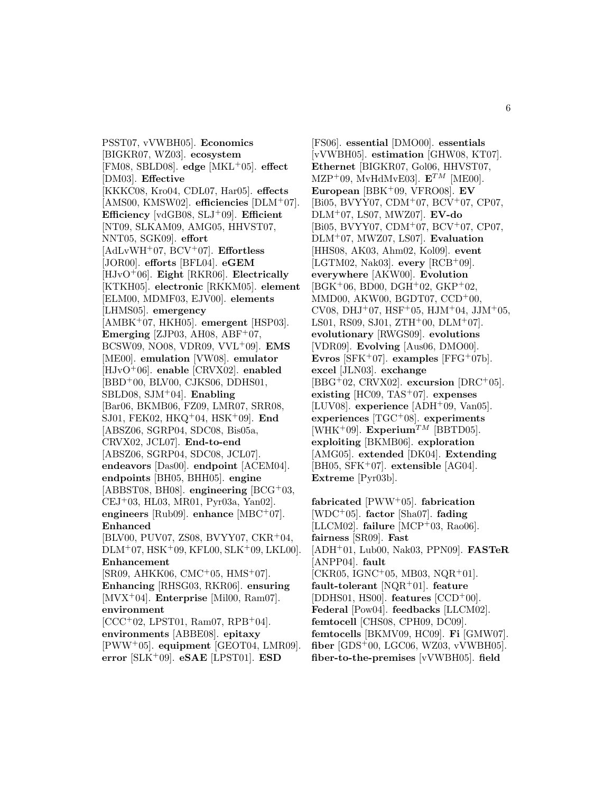PSST07, vVWBH05]. **Economics** [BIGKR07, WZ03]. **ecosystem** [FM08, SBLD08]. **edge** [MKL<sup>+</sup>05]. **effect** [DM03]. **Effective** [KKKC08, Kro04, CDL07, Har05]. **effects** [AMS00, KMSW02]. **efficiencies** [DLM<sup>+</sup>07]. **Efficiency** [vdGB08, SLJ<sup>+</sup>09]. **Efficient** [NT09, SLKAM09, AMG05, HHVST07, NNT05, SGK09]. **effort** [AdLvWH<sup>+</sup>07, BCV<sup>+</sup>07]. **Effortless** [JOR00]. **efforts** [BFL04]. **eGEM** [HJvO<sup>+</sup>06]. **Eight** [RKR06]. **Electrically** [KTKH05]. **electronic** [RKKM05]. **element** [ELM00, MDMF03, EJV00]. **elements** [LHMS05]. **emergency** [AMBK<sup>+</sup>07, HKH05]. **emergent** [HSP03]. **Emerging** [ZJP03, AH08, ABF<sup>+</sup>07, BCSW09, NO08, VDR09, VVL<sup>+</sup>09]. **EMS** [ME00]. **emulation** [VW08]. **emulator** [HJvO<sup>+</sup>06]. **enable** [CRVX02]. **enabled** [BBD<sup>+</sup>00, BLV00, CJKS06, DDHS01, SBLD08, SJM<sup>+</sup>04]. **Enabling** [Bar06, BKMB06, FZ09, LMR07, SRR08, SJ01, FEK02, HKQ<sup>+</sup>04, HSK<sup>+</sup>09]. **End** [ABSZ06, SGRP04, SDC08, Bis05a, CRVX02, JCL07]. **End-to-end** [ABSZ06, SGRP04, SDC08, JCL07]. **endeavors** [Das00]. **endpoint** [ACEM04]. **endpoints** [BH05, BHH05]. **engine** [ABBST08, BH08]. **engineering** [BCG<sup>+</sup>03, CEJ<sup>+</sup>03, HL03, MR01, Pyr03a, Yan02]. **engineers** [Rub09]. **enhance** [MBC<sup>+</sup>07]. **Enhanced** [BLV00, PUV07, ZS08, BVYY07, CKR<sup>+</sup>04,  $DLM+07, HSK+09, KFL00, SLK+09, LKL00$ . **Enhancement** [SR09, AHKK06, CMC<sup>+</sup>05, HMS<sup>+</sup>07]. **Enhancing** [RHSG03, RKR06]. **ensuring** [MVX<sup>+</sup>04]. **Enterprise** [Mil00, Ram07]. **environment**  $[CCC+02, LPST01, Ram07, RPB+04].$ **environments** [ABBE08]. **epitaxy** [PWW<sup>+</sup>05]. **equipment** [GEOT04, LMR09]. **error** [SLK<sup>+</sup>09]. **eSAE** [LPST01]. **ESD**

[FS06]. **essential** [DMO00]. **essentials** [vVWBH05]. **estimation** [GHW08, KT07]. **Ethernet** [BIGKR07, Gol06, HHVST07, MZP<sup>+</sup>09, MvHdMvE03].  $\mathbf{E}^{TM}$  [ME00]. **European** [BBK<sup>+</sup>09, VFRO08]. **EV** [Bi05, BVYY07, CDM<sup>+</sup>07, BCV<sup>+</sup>07, CP07, DLM<sup>+</sup>07, LS07, MWZ07]. **EV-do** [Bi05, BVYY07, CDM<sup>+</sup>07, BCV<sup>+</sup>07, CP07, DLM<sup>+</sup>07, MWZ07, LS07]. **Evaluation** [HHS08, AK03, Ahm02, Kol09]. **event** [LGTM02, Nak03]. **every** [RCB<sup>+</sup>09]. **everywhere** [AKW00]. **Evolution** [BGK<sup>+</sup>06, BD00, DGH<sup>+</sup>02, GKP<sup>+</sup>02, MMD00, AKW00, BGDT07, CCD<sup>+</sup>00, CV08, DHJ<sup>+</sup>07, HSF<sup>+</sup>05, HJM<sup>+</sup>04, JJM<sup>+</sup>05, LS01, RS09, SJ01, ZTH+00, DLM+07. **evolutionary** [RWGS09]. **evolutions** [VDR09]. **Evolving** [Aus06, DMO00]. **Evros** [SFK<sup>+</sup>07]. **examples** [FFG<sup>+</sup>07b]. **excel** [JLN03]. **exchange** [BBG<sup>+</sup>02, CRVX02]. **excursion** [DRC<sup>+</sup>05]. **existing** [HC09, TAS<sup>+</sup>07]. **expenses** [LUV08]. **experience** [ADH<sup>+</sup>09, Van05]. **experiences** [TGC<sup>+</sup>08]. **experiments** [WHK<sup>+</sup>09]. **Experium**<sup>TM</sup> [BBTD05]. **exploiting** [BKMB06]. **exploration** [AMG05]. **extended** [DK04]. **Extending** [BH05, SFK<sup>+</sup>07]. **extensible** [AG04]. **Extreme** [Pyr03b].

**fabricated** [PWW<sup>+</sup>05]. **fabrication** [WDC<sup>+</sup>05]. **factor** [Sha07]. **fading** [LLCM02]. **failure** [MCP<sup>+</sup>03, Rao06]. **fairness** [SR09]. **Fast** [ADH<sup>+</sup>01, Lub00, Nak03, PPN09]. **FASTeR** [ANPP04]. **fault**  $[CKR05, \, \text{IGNC}^+05, \, \text{MB}03, \, \text{NQR}^+01].$ **fault-tolerant** [NQR<sup>+</sup>01]. **feature** [DDHS01, HS00]. **features** [CCD<sup>+</sup>00]. **Federal** [Pow04]. **feedbacks** [LLCM02]. **femtocell** [CHS08, CPH09, DC09]. **femtocells** [BKMV09, HC09]. **Fi** [GMW07]. **fiber** [GDS<sup>+</sup>00, LGC06, WZ03, vVWBH05]. **fiber-to-the-premises** [vVWBH05]. **field**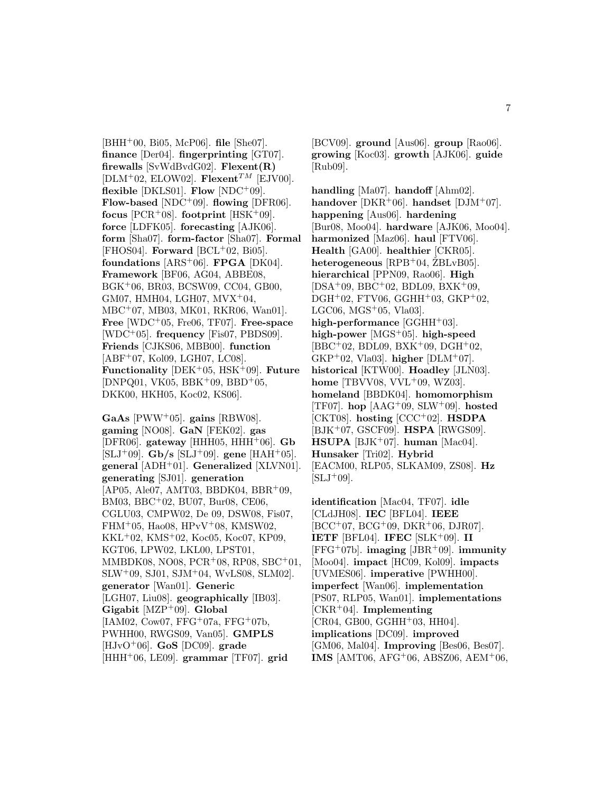[BHH<sup>+</sup>00, Bi05, McP06]. **file** [She07]. **finance** [Der04]. **fingerprinting** [GT07]. **firewalls** [SvWdBvdG02]. **Flexent(R)**  $[DLM^+02, ELOW02]$ . **Flexent**<sup>TM</sup>  $[EJVO0]$ . **flexible** [DKLS01]. **Flow** [NDC<sup>+</sup>09]. **Flow-based** [NDC<sup>+</sup>09]. **flowing** [DFR06]. **focus**  $[PCR+08]$ . **footprint**  $[HSK+09]$ . **force** [LDFK05]. **forecasting** [AJK06]. **form** [Sha07]. **form-factor** [Sha07]. **Formal** [FHOS04]. **Forward** [BCL<sup>+</sup>02, Bi05]. **foundations** [ARS<sup>+</sup>06]. **FPGA** [DK04]. **Framework** [BF06, AG04, ABBE08, BGK<sup>+</sup>06, BR03, BCSW09, CC04, GB00,  $GM07, HMH04, LGH07, MVX^{+}04,$ MBC<sup>+</sup>07, MB03, MK01, RKR06, Wan01]. **Free** [WDC<sup>+</sup>05, Fre06, TF07]. **Free-space** [WDC<sup>+</sup>05]. **frequency** [Fis07, PBDS09]. **Friends** [CJKS06, MBB00]. **function**  $[ABF<sup>+</sup>07, Kol09, LGH07, LC08].$ **Functionality** [DEK<sup>+</sup>05, HSK<sup>+</sup>09]. **Future**  $[DNPQ01, VK05, BBK<sup>+</sup>09, BBD<sup>+</sup>05,$ DKK00, HKH05, Koc02, KS06].

**GaAs** [PWW<sup>+</sup>05]. **gains** [RBW08]. **gaming** [NO08]. **GaN** [FEK02]. **gas**  $[DFR06]$ . gateway  $[HHH05, HHH^+06]$ . **Gb**  $[SLJ^+09]$ . **Gb/s**  $[SLJ^+09]$ . **gene**  $[HAH^+05]$ . **general** [ADH<sup>+</sup>01]. **Generalized** [XLVN01]. **generating** [SJ01]. **generation** [AP05, Ale07, AMT03, BBDK04, BBR<sup>+</sup>09, BM03, BBC<sup>+</sup>02, BU07, Bur08, CE06, CGLU03, CMPW02, De 09, DSW08, Fis07,  $FHM+05$ , Hao08,  $HPvV+08$ , KMSW02, KKL<sup>+</sup>02, KMS<sup>+</sup>02, Koc05, Koc07, KP09, KGT06, LPW02, LKL00, LPST01, MMBDK08, NO08, PCR<sup>+</sup>08, RP08, SBC<sup>+</sup>01, SLW<sup>+</sup>09, SJ01, SJM<sup>+</sup>04, WvLS08, SLM02]. **generator** [Wan01]. **Generic** [LGH07, Liu08]. **geographically** [IB03]. **Gigabit** [MZP<sup>+</sup>09]. **Global**  $[IAM02, Cow07, FFG<sup>+</sup>07a, FFG<sup>+</sup>07b,$ PWHH00, RWGS09, Van05]. **GMPLS** [HJvO<sup>+</sup>06]. **GoS** [DC09]. **grade** [HHH<sup>+</sup>06, LE09]. **grammar** [TF07]. **grid**

[BCV09]. **ground** [Aus06]. **group** [Rao06]. **growing** [Koc03]. **growth** [AJK06]. **guide** [Rub09].

**handling** [Ma07]. **handoff** [Ahm02]. **handover** [DKR<sup>+</sup>06]. **handset** [DJM<sup>+</sup>07]. **happening** [Aus06]. **hardening** [Bur08, Moo04]. **hardware** [AJK06, Moo04]. **harmonized** [Maz06]. **haul** [FTV06]. **Health** [GA00]. **healthier** [CKR05].  $heterogeneous$  [RPB<sup>+</sup>04,  $ZBLvB05$ ]. **hierarchical** [PPN09, Rao06]. **High** [DSA<sup>+</sup>09, BBC<sup>+</sup>02, BDL09, BXK<sup>+</sup>09,  $DGH<sup>+</sup>02$ , FTV06, GGHH<sup>+</sup>03, GKP<sup>+</sup>02, LGC06,  $MGS^+05$ , Vla03. high-performance [GGHH<sup>+</sup>03]. **high-power** [MGS<sup>+</sup>05]. **high-speed**  $[BBC + 02, BDL09, BXK + 09, DGH + 02,$ GKP<sup>+</sup>02, Vla03]. **higher** [DLM<sup>+</sup>07]. **historical** [KTW00]. **Hoadley** [JLN03]. **home** [TBVV08, VVL<sup>+</sup>09, WZ03]. **homeland** [BBDK04]. **homomorphism** [TF07]. **hop** [AAG<sup>+</sup>09, SLW<sup>+</sup>09]. **hosted** [CKT08]. **hosting** [CCC<sup>+</sup>02]. **HSDPA** [BJK<sup>+</sup>07, GSCF09]. **HSPA** [RWGS09]. **HSUPA** [BJK<sup>+</sup>07]. **human** [Mac04]. **Hunsaker** [Tri02]. **Hybrid** [EACM00, RLP05, SLKAM09, ZS08]. **Hz**  $[SLJ+09]$ .

**identification** [Mac04, TF07]. **idle** [CLdJH08]. **IEC** [BFL04]. **IEEE**  $[BCC<sup>+</sup>07, BCG<sup>+</sup>09, DKR<sup>+</sup>06, DJR07].$ **IETF** [BFL04]. **IFEC** [SLK+09]. **II** [FFG<sup>+</sup>07b]. **imaging** [JBR<sup>+</sup>09]. **immunity** [Moo04]. **impact** [HC09, Kol09]. **impacts** [UVMES06]. **imperative** [PWHH00]. **imperfect** [Wan06]. **implementation** [PS07, RLP05, Wan01]. **implementations** [CKR<sup>+</sup>04]. **Implementing**  $[CR04, GB00, GGHH<sup>+</sup>03, HH04].$ **implications** [DC09]. **improved** [GM06, Mal04]. **Improving** [Bes06, Bes07]. **IMS** [AMT06, AFG<sup>+</sup>06, ABSZ06, AEM<sup>+</sup>06,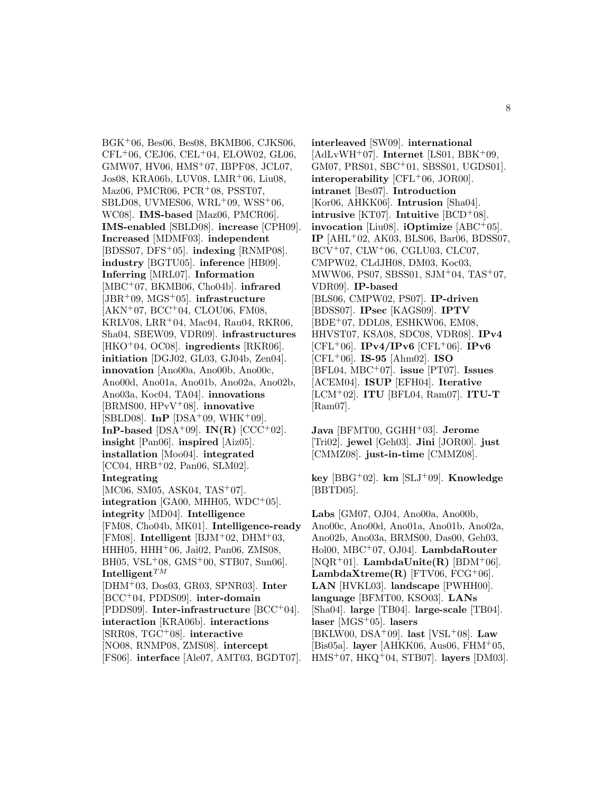BGK<sup>+</sup>06, Bes06, Bes08, BKMB06, CJKS06,  $CFL+06$ , CEJ06, CEL $+04$ , ELOW02, GL06, GMW07, HV06, HMS<sup>+</sup>07, IBPF08, JCL07, Jos08, KRA06b, LUV08, LMR<sup>+</sup>06, Liu08, Maz06, PMCR06, PCR<sup>+</sup>08, PSST07, SBLD08, UVMES06, WRL+09, WSS+06, WC08]. **IMS-based** [Maz06, PMCR06]. **IMS-enabled** [SBLD08]. **increase** [CPH09]. **Increased** [MDMF03]. **independent** [BDSS07, DFS<sup>+</sup>05]. **indexing** [RNMP08]. **industry** [BGTU05]. **inference** [HB09]. **Inferring** [MRL07]. **Information** [MBC<sup>+</sup>07, BKMB06, Cho04b]. **infrared** [JBR<sup>+</sup>09, MGS<sup>+</sup>05]. **infrastructure**  $[AKN<sup>+</sup>07, BCC<sup>+</sup>04, CLOU06, FM08,$ KRLV08, LRR<sup>+</sup>04, Mac04, Rau04, RKR06, Sha04, SBEW09, VDR09]. **infrastructures** [HKO<sup>+</sup>04, OC08]. **ingredients** [RKR06]. **initiation** [DGJ02, GL03, GJ04b, Zen04]. **innovation** [Ano00a, Ano00b, Ano00c, Ano00d, Ano01a, Ano01b, Ano02a, Ano02b, Ano03a, Koc04, TA04]. **innovations** [BRMS00, HPvV<sup>+</sup>08]. **innovative** [SBLD08]. **InP** [DSA<sup>+</sup>09, WHK<sup>+</sup>09]. **InP-based** [DSA<sup>+</sup>09]. **IN(R)** [CCC<sup>+</sup>02]. **insight** [Pan06]. **inspired** [Aiz05]. **installation** [Moo04]. **integrated** [CC04, HRB<sup>+</sup>02, Pan06, SLM02]. **Integrating** [MC06, SM05, ASK04, TAS<sup>+</sup>07]. **integration** [GA00, MHH05, WDC<sup>+</sup>05]. **integrity** [MD04]. **Intelligence** [FM08, Cho04b, MK01]. **Intelligence-ready** [FM08]. **Intelligent** [BJM<sup>+</sup>02, DHM<sup>+</sup>03, HHH05, HHH<sup>+</sup>06, Jai02, Pan06, ZMS08, BH05, VSL<sup>+</sup>08, GMS<sup>+</sup>00, STB07, Sun06].  $\mathbf{Intelligent}^{TM}$ [DHM<sup>+</sup>03, Dos03, GR03, SPNR03]. **Inter** [BCC<sup>+</sup>04, PDDS09]. **inter-domain** [PDDS09]. **Inter-infrastructure** [BCC<sup>+</sup>04]. **interaction** [KRA06b]. **interactions** [SRR08, TGC<sup>+</sup>08]. **interactive** [NO08, RNMP08, ZMS08]. **intercept** [FS06]. **interface** [Ale07, AMT03, BGDT07].

**interleaved** [SW09]. **international** [AdLvWH<sup>+</sup>07]. **Internet** [LS01, BBK<sup>+</sup>09, GM07, PRS01, SBC<sup>+</sup>01, SBSS01, UGDS01]. **interoperability** [CFL<sup>+</sup>06, JOR00]. **intranet** [Bes07]. **Introduction** [Kor06, AHKK06]. **Intrusion** [Sha04]. **intrusive** [KT07]. **Intuitive** [BCD<sup>+</sup>08]. **invocation** [Liu08]. **iOptimize** [ABC<sup>+</sup>05]. **IP** [AHL<sup>+</sup>02, AK03, BLS06, Bar06, BDSS07, BCV<sup>+</sup>07, CLW<sup>+</sup>06, CGLU03, CLC07, CMPW02, CLdJH08, DM03, Koc03, MWW06, PS07, SBSS01, SJM<sup>+</sup>04, TAS<sup>+</sup>07, VDR09]. **IP-based** [BLS06, CMPW02, PS07]. **IP-driven** [BDSS07]. **IPsec** [KAGS09]. **IPTV** [BDE<sup>+</sup>07, DDL08, ESHKW06, EM08, HHVST07, KSA08, SDC08, VDR08]. **IPv4** [CFL<sup>+</sup>06]. **IPv4/IPv6** [CFL<sup>+</sup>06]. **IPv6** [CFL<sup>+</sup>06]. **IS-95** [Ahm02]. **ISO** [BFL04, MBC<sup>+</sup>07]. **issue** [PT07]. **Issues** [ACEM04]. **ISUP** [EFH04]. **Iterative** [LCM<sup>+</sup>02]. **ITU** [BFL04, Ram07]. **ITU-T** [Ram07].

**Java** [BFMT00, GGHH<sup>+</sup>03]. **Jerome** [Tri02]. **jewel** [Geh03]. **Jini** [JOR00]. **just** [CMMZ08]. **just-in-time** [CMMZ08].

**key** [BBG<sup>+</sup>02]. **km** [SLJ<sup>+</sup>09]. **Knowledge** [BBTD05].

**Labs** [GM07, OJ04, Ano00a, Ano00b, Ano00c, Ano00d, Ano01a, Ano01b, Ano02a, Ano02b, Ano03a, BRMS00, Das00, Geh03, Hol00, MBC<sup>+</sup>07, OJ04]. **LambdaRouter**  $[NQR+01]$ . **LambdaUnite(R)**  $[BDM+06]$ . **LambdaXtreme** $(R)$  [FTV06, FCG+06]. **LAN** [HVKL03]. **landscape** [PWHH00]. **language** [BFMT00, KSO03]. **LANs** [Sha04]. **large** [TB04]. **large-scale** [TB04]. **laser** [MGS<sup>+</sup>05]. **lasers** [BKLW00, DSA<sup>+</sup>09]. **last** [VSL<sup>+</sup>08]. **Law** [Bis05a]. **layer** [AHKK06, Aus06, FHM<sup>+</sup>05, HMS<sup>+</sup>07, HKQ<sup>+</sup>04, STB07]. **layers** [DM03].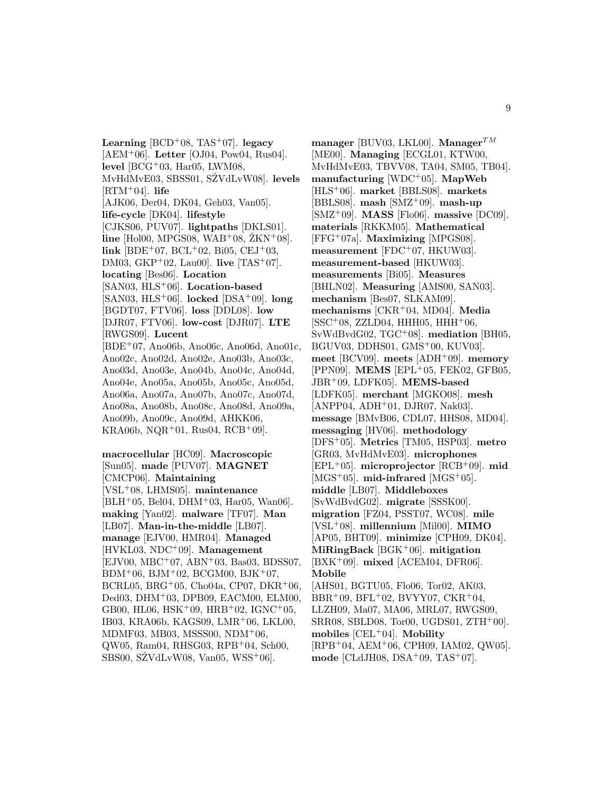**Learning** [BCD<sup>+</sup>08, TAS<sup>+</sup>07]. **legacy** [AEM<sup>+</sup>06]. **Letter** [OJ04, Pow04, Rus04]. **level** [BCG<sup>+</sup>03, Har05, LWM08, MvHdMvE03, SBSS01, SŽVdLvW08<sup>[1]</sup>. **levels**  $[RTM+04]$ . **life** [AJK06, Der04, DK04, Geh03, Van05]. **life-cycle** [DK04]. **lifestyle** [CJKS06, PUV07]. **lightpaths** [DKLS01].  $\text{line } [\text{Hol}00, \text{MPGS}08, \text{WAB}^+08, \text{ZKN}^+08].$ **link** [BDE<sup>+</sup>07, BCL<sup>+</sup>02, Bi05, CEJ<sup>+</sup>03, DM03, GKP<sup>+</sup>02, Lau00]. **live** [TAS<sup>+</sup>07]. **locating** [Bes06]. **Location** [SAN03, HLS<sup>+</sup>06]. **Location-based** [SAN03, HLS<sup>+</sup>06]. **locked** [DSA<sup>+</sup>09]. **long** [BGDT07, FTV06]. **loss** [DDL08]. **low** [DJR07, FTV06]. **low-cost** [DJR07]. **LTE** [RWGS09]. **Lucent** [BDE<sup>+</sup>07, Ano06b, Ano06c, Ano06d, Ano01c, Ano02c, Ano02d, Ano02e, Ano03b, Ano03c, Ano03d, Ano03e, Ano04b, Ano04c, Ano04d, Ano04e, Ano05a, Ano05b, Ano05c, Ano05d, Ano06a, Ano07a, Ano07b, Ano07c, Ano07d, Ano08a, Ano08b, Ano08c, Ano08d, Ano09a, Ano09b, Ano09c, Ano09d, AHKK06,  $KRA06b, NQR+01, Rus04, RCB+09$ . **macrocellular** [HC09]. **Macroscopic** [Sun05]. **made** [PUV07]. **MAGNET**

[CMCP06]. **Maintaining** [VSL<sup>+</sup>08, LHMS05]. **maintenance**  $[BLH<sup>+</sup>05, Bel04, DHM<sup>+</sup>03, Har05, Wan06].$ **making** [Yan02]. **malware** [TF07]. **Man** [LB07]. **Man-in-the-middle** [LB07]. **manage** [EJV00, HMR04]. **Managed** [HVKL03, NDC<sup>+</sup>09]. **Management** [EJV00, MBC<sup>+</sup>07, ABN<sup>+</sup>03, Bas03, BDSS07,  $BDM^{+}06$ ,  $BJM^{+}02$ ,  $BCGM00$ ,  $BJK^{+}07$ , BCRL05, BRG<sup>+</sup>05, Cho04a, CP07, DKR<sup>+</sup>06, Ded03, DHM<sup>+</sup>03, DPB09, EACM00, ELM00, GB00, HL06,  $HSK^{+}09$ ,  $HRB^{+}02$ ,  $IGNC^{+}05$ , IB03, KRA06b, KAGS09, LMR<sup>+</sup>06, LKL00, MDMF03, MB03, MSSS00, NDM<sup>+</sup>06, QW05, Ram04, RHSG03, RPB<sup>+</sup>04, Sch00, SBS00, SŽVdLvW08, Van05, WSS<sup>+</sup>06.

**manager** [BUV03, LKL00]. **Manager**<sup>TM</sup> [ME00]. **Managing** [ECGL01, KTW00, MvHdMvE03, TBVV08, TA04, SM05, TB04]. **manufacturing** [WDC<sup>+</sup>05]. **MapWeb** [HLS<sup>+</sup>06]. **market** [BBLS08]. **markets** [BBLS08]. **mash** [SMZ<sup>+</sup>09]. **mash-up** [SMZ<sup>+</sup>09]. **MASS** [Flo06]. **massive** [DC09]. **materials** [RKKM05]. **Mathematical** [FFG<sup>+</sup>07a]. **Maximizing** [MPGS08]. **measurement** [FDC<sup>+</sup>07, HKUW03]. **measurement-based** [HKUW03]. **measurements** [Bi05]. **Measures** [BHLN02]. **Measuring** [AMS00, SAN03]. **mechanism** [Bes07, SLKAM09]. **mechanisms** [CKR<sup>+</sup>04, MD04]. **Media**  $[SSC<sup>+</sup>08, ZZLD04, HHH05, HHH<sup>+</sup>06,$ SvWdBvdG02, TGC<sup>+</sup>08]. **mediation** [BH05, BGUV03, DDHS01, GMS<sup>+</sup>00, KUV03]. **meet** [BCV09]. **meets** [ADH<sup>+</sup>09]. **memory** [PPN09]. **MEMS** [EPL<sup>+</sup>05, FEK02, GFB05, JBR<sup>+</sup>09, LDFK05]. **MEMS-based** [LDFK05]. **merchant** [MGKO08]. **mesh**  $[AMPP04, ADH<sup>+</sup>01, DJR07, Nak03].$ **message** [BMvB06, CDL07, HHS08, MD04]. **messaging** [HV06]. **methodology** [DFS<sup>+</sup>05]. **Metrics** [TM05, HSP03]. **metro** [GR03, MvHdMvE03]. **microphones** [EPL<sup>+</sup>05]. **microprojector** [RCB<sup>+</sup>09]. **mid**  $[MGS^+05]$ . **mid-infrared**  $[MGS^+05]$ . **middle** [LB07]. **Middleboxes** [SvWdBvdG02]. **migrate** [SSSK00]. **migration** [FZ04, PSST07, WC08]. **mile** [VSL<sup>+</sup>08]. **millennium** [Mil00]. **MIMO** [AP05, BHT09]. **minimize** [CPH09, DK04]. **MiRingBack** [BGK<sup>+</sup>06]. **mitigation** [BXK<sup>+</sup>09]. **mixed** [ACEM04, DFR06]. **Mobile** [AHS01, BGTU05, Flo06, Tor02, AK03,  $BBR+09$ ,  $BFL+02$ ,  $BVYY07$ ,  $CKR+04$ , LLZH09, Ma07, MA06, MRL07, RWGS09, SRR08, SBLD08, Tor00, UGDS01, ZTH<sup>+</sup>00]. **mobiles** [CEL<sup>+</sup>04]. **Mobility** [RPB<sup>+</sup>04, AEM<sup>+</sup>06, CPH09, IAM02, QW05]. **mode** [CLdJH08, DSA<sup>+</sup>09, TAS<sup>+</sup>07].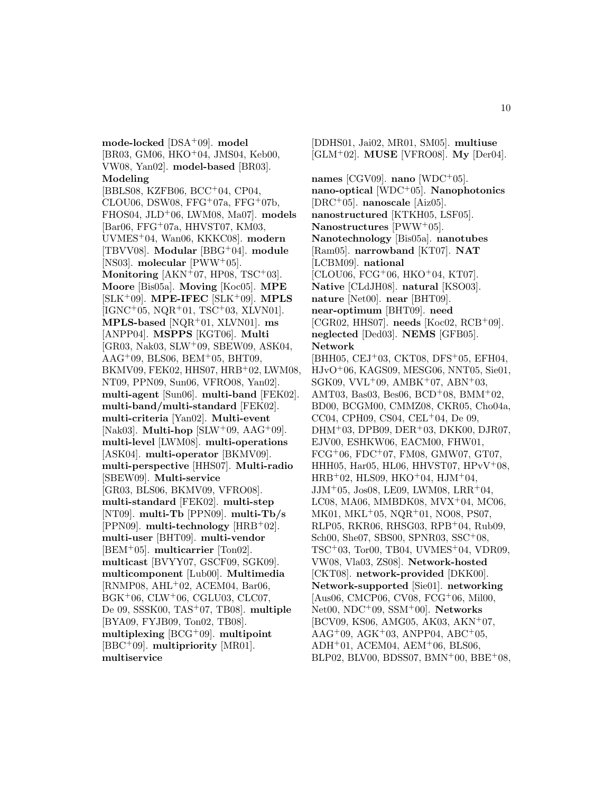**mode-locked** [DSA<sup>+</sup>09]. **model** [BR03, GM06, HKO<sup>+</sup>04, JMS04, Keb00, VW08, Yan02]. **model-based** [BR03]. **Modeling** [BBLS08, KZFB06, BCC<sup>+</sup>04, CP04, CLOU06, DSW08, FFG<sup>+</sup>07a, FFG<sup>+</sup>07b, FHOS04, JLD<sup>+</sup>06, LWM08, Ma07]. **models** [Bar06, FFG<sup>+</sup>07a, HHVST07, KM03, UVMES<sup>+</sup>04, Wan06, KKKC08]. **modern** [TBVV08]. **Modular** [BBG<sup>+</sup>04]. **module** [NS03]. **molecular** [PWW<sup>+</sup>05]. **Monitoring**  $[AKN+07, HP08, TSC+03]$ . **Moore** [Bis05a]. **Moving** [Koc05]. **MPE** [SLK<sup>+</sup>09]. **MPE-IFEC** [SLK<sup>+</sup>09]. **MPLS**  $[IGNC<sup>+</sup>05, NQR<sup>+</sup>01, TSC<sup>+</sup>03, XLVN01].$ **MPLS-based** [NQR<sup>+</sup>01, XLVN01]. **ms** [ANPP04]. **MSPPS** [KGT06]. **Multi** [GR03, Nak03, SLW<sup>+</sup>09, SBEW09, ASK04,  $AAG^+09$ , BLS06, BEM<sup>+</sup>05, BHT09, BKMV09, FEK02, HHS07, HRB<sup>+</sup>02, LWM08, NT09, PPN09, Sun06, VFRO08, Yan02]. **multi-agent** [Sun06]. **multi-band** [FEK02]. **multi-band/multi-standard** [FEK02]. **multi-criteria** [Yan02]. **Multi-event** [Nak03]. **Multi-hop** [SLW<sup>+</sup>09, AAG<sup>+</sup>09]. **multi-level** [LWM08]. **multi-operations** [ASK04]. **multi-operator** [BKMV09]. **multi-perspective** [HHS07]. **Multi-radio** [SBEW09]. **Multi-service** [GR03, BLS06, BKMV09, VFRO08]. **multi-standard** [FEK02]. **multi-step** [NT09]. **multi-Tb** [PPN09]. **multi-Tb/s** [PPN09]. **multi-technology** [HRB<sup>+</sup>02]. **multi-user** [BHT09]. **multi-vendor** [BEM<sup>+</sup>05]. **multicarrier** [Ton02]. **multicast** [BVYY07, GSCF09, SGK09]. **multicomponent** [Lub00]. **Multimedia** [RNMP08, AHL<sup>+</sup>02, ACEM04, Bar06, BGK<sup>+</sup>06, CLW<sup>+</sup>06, CGLU03, CLC07, De 09, SSSK00, TAS<sup>+</sup>07, TB08]. **multiple** [BYA09, FYJB09, Ton02, TB08]. **multiplexing** [BCG<sup>+</sup>09]. **multipoint** [BBC<sup>+</sup>09]. **multipriority** [MR01]. **multiservice**

[GLM<sup>+</sup>02]. **MUSE** [VFRO08]. **My** [Der04]. **names** [CGV09]. **nano** [WDC<sup>+</sup>05]. **nano-optical** [WDC<sup>+</sup>05]. **Nanophotonics** [DRC<sup>+</sup>05]. **nanoscale** [Aiz05]. **nanostructured** [KTKH05, LSF05]. **Nanostructures** [PWW<sup>+</sup>05]. **Nanotechnology** [Bis05a]. **nanotubes** [Ram05]. **narrowband** [KT07]. **NAT** [LCBM09]. **national** [CLOU06, FCG<sup>+</sup>06, HKO<sup>+</sup>04, KT07]. **Native** [CLdJH08]. **natural** [KSO03]. **nature** [Net00]. **near** [BHT09]. **near-optimum** [BHT09]. **need** [CGR02, HHS07]. **needs** [Koc02, RCB<sup>+</sup>09]. **neglected** [Ded03]. **NEMS** [GFB05]. **Network** [BHH05, CEJ<sup>+</sup>03, CKT08, DFS<sup>+</sup>05, EFH04, HJvO<sup>+</sup>06, KAGS09, MESG06, NNT05, Sie01, SGK09, VVL<sup>+</sup>09, AMBK<sup>+</sup>07, ABN<sup>+</sup>03, AMT03, Bas03, Bes06, BCD<sup>+</sup>08, BMM<sup>+</sup>02, BD00, BCGM00, CMMZ08, CKR05, Cho04a, CC04, CPH09, CS04, CEL<sup>+</sup>04, De 09, DHM+03, DPB09, DER+03, DKK00, DJR07, EJV00, ESHKW06, EACM00, FHW01, FCG<sup>+</sup>06, FDC<sup>+</sup>07, FM08, GMW07, GT07, HHH05, Har05, HL06, HHVST07, HPvV<sup>+</sup>08, HRB<sup>+</sup>02, HLS09, HKO<sup>+</sup>04, HJM<sup>+</sup>04, JJM<sup>+</sup>05, Jos08, LE09, LWM08, LRR<sup>+</sup>04, LC08, MA06, MMBDK08, MVX<sup>+</sup>04, MC06, MK01, MKL<sup>+</sup>05, NQR<sup>+</sup>01, NO08, PS07, RLP05, RKR06, RHSG03, RPB<sup>+</sup>04, Rub09, Sch00, She07, SBS00, SPNR03, SSC<sup>+</sup>08, TSC<sup>+</sup>03, Tor00, TB04, UVMES<sup>+</sup>04, VDR09, VW08, Vla03, ZS08]. **Network-hosted** [CKT08]. **network-provided** [DKK00]. **Network-supported** [Sie01]. **networking** [Aus06, CMCP06, CV08, FCG<sup>+</sup>06, Mil00, Net00, NDC<sup>+</sup>09, SSM<sup>+</sup>00]. **Networks** [BCV09, KS06, AMG05, AK03, AKN<sup>+</sup>07,  $AAG^+09, AGK^+03, ANPP04, ABC^+05,$ ADH<sup>+</sup>01, ACEM04, AEM<sup>+</sup>06, BLS06, BLP02, BLV00, BDSS07, BMN+00, BBE+08,

[DDHS01, Jai02, MR01, SM05]. **multiuse**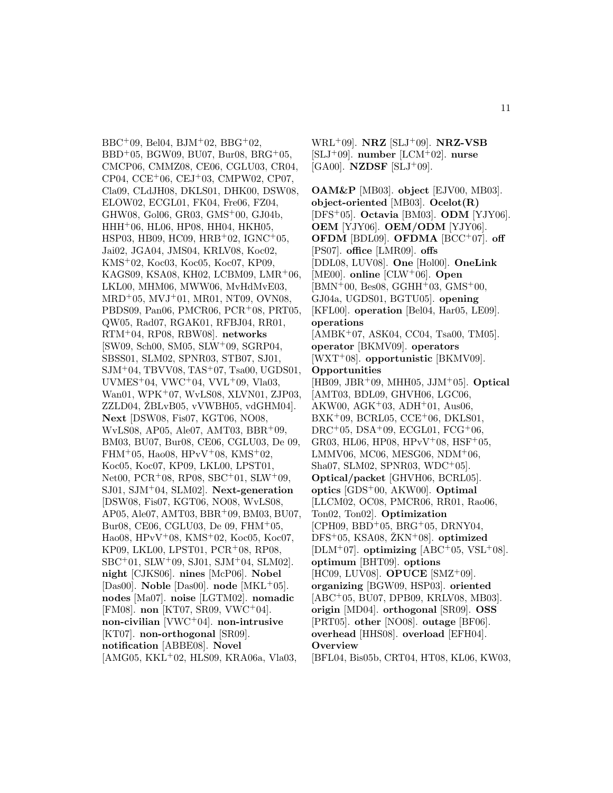$BBC+09$ , Bel04, BJM<sup>+</sup>02, BBG<sup>+</sup>02,  $BBD+05$ , BGW09, BU07, Bur08, BRG+05, CMCP06, CMMZ08, CE06, CGLU03, CR04, CP04, CCE<sup>+</sup>06, CEJ<sup>+</sup>03, CMPW02, CP07, Cla09, CLdJH08, DKLS01, DHK00, DSW08, ELOW02, ECGL01, FK04, Fre06, FZ04, GHW08, Gol06, GR03, GMS<sup>+</sup>00, GJ04b, HHH<sup>+</sup>06, HL06, HP08, HH04, HKH05, HSP03, HB09, HC09, HRB<sup>+</sup>02, IGNC<sup>+</sup>05, Jai02, JGA04, JMS04, KRLV08, Koc02, KMS<sup>+</sup>02, Koc03, Koc05, Koc07, KP09, KAGS09, KSA08, KH02, LCBM09, LMR<sup>+</sup>06, LKL00, MHM06, MWW06, MvHdMvE03, MRD<sup>+</sup>05, MVJ<sup>+</sup>01, MR01, NT09, OVN08, PBDS09, Pan06, PMCR06, PCR<sup>+</sup>08, PRT05, QW05, Rad07, RGAK01, RFBJ04, RR01, RTM<sup>+</sup>04, RP08, RBW08]. **networks** [SW09, Sch00, SM05, SLW<sup>+</sup>09, SGRP04, SBSS01, SLM02, SPNR03, STB07, SJ01, SJM<sup>+</sup>04, TBVV08, TAS<sup>+</sup>07, Tsa00, UGDS01, UVMES<sup>+</sup>04, VWC<sup>+</sup>04, VVL<sup>+</sup>09, Vla03, Wan01, WPK<sup>+</sup>07, WvLS08, XLVN01, ZJP03,  $ZZLDO4, ZBLvB05, vVWBH05, vdGHM04$ . **Next** [DSW08, Fis07, KGT06, NO08, WvLS08, AP05, Ale07, AMT03, BBR<sup>+</sup>09, BM03, BU07, Bur08, CE06, CGLU03, De 09, FHM<sup>+</sup>05, Hao08, HPvV<sup>+</sup>08, KMS<sup>+</sup>02, Koc05, Koc07, KP09, LKL00, LPST01, Net00, PCR<sup>+</sup>08, RP08, SBC<sup>+</sup>01, SLW<sup>+</sup>09, SJ01, SJM<sup>+</sup>04, SLM02]. **Next-generation** [DSW08, Fis07, KGT06, NO08, WvLS08, AP05, Ale07, AMT03, BBR<sup>+</sup>09, BM03, BU07, Bur08, CE06, CGLU03, De 09, FHM<sup>+</sup>05, Hao08, HPvV<sup>+</sup>08, KMS<sup>+</sup>02, Koc05, Koc07, KP09, LKL00, LPST01, PCR<sup>+</sup>08, RP08, SBC<sup>+</sup>01, SLW<sup>+</sup>09, SJ01, SJM<sup>+</sup>04, SLM02]. **night** [CJKS06]. **nines** [McP06]. **Nobel** [Das00]. **Noble** [Das00]. **node** [MKL<sup>+</sup>05]. **nodes** [Ma07]. **noise** [LGTM02]. **nomadic** [FM08]. **non** [KT07, SR09, VWC<sup>+</sup>04]. **non-civilian** [VWC<sup>+</sup>04]. **non-intrusive** [KT07]. **non-orthogonal** [SR09]. **notification** [ABBE08]. **Novel** [AMG05, KKL<sup>+</sup>02, HLS09, KRA06a, Vla03,

WRL<sup>+</sup>09]. **NRZ** [SLJ<sup>+</sup>09]. **NRZ-VSB** [SLJ<sup>+</sup>09]. **number** [LCM<sup>+</sup>02]. **nurse**  $[GA00]$ . **NZDSF**  $[SLJ^+09]$ .

**OAM&P** [MB03]. **object** [EJV00, MB03]. **object-oriented** [MB03]. **Ocelot(R)** [DFS<sup>+</sup>05]. **Octavia** [BM03]. **ODM** [YJY06]. **OEM** [YJY06]. **OEM/ODM** [YJY06]. **OFDM** [BDL09]. **OFDMA** [BCC<sup>+</sup>07]. **off** [PS07]. **office** [LMR09]. **offs** [DDL08, LUV08]. **One** [Hol00]. **OneLink** [ME00]. **online** [CLW<sup>+</sup>06]. **Open** [BMN<sup>+</sup>00, Bes08, GGHH<sup>+</sup>03, GMS<sup>+</sup>00, GJ04a, UGDS01, BGTU05]. **opening** [KFL00]. **operation** [Bel04, Har05, LE09]. **operations** [AMBK+07, ASK04, CC04, Tsa00, TM05]. **operator** [BKMV09]. **operators** [WXT<sup>+</sup>08]. **opportunistic** [BKMV09]. **Opportunities** [HB09, JBR<sup>+</sup>09, MHH05, JJM<sup>+</sup>05]. **Optical** [AMT03, BDL09, GHVH06, LGC06, AKW00, AGK<sup>+</sup>03, ADH<sup>+</sup>01, Aus06,  $BXX<sup>+</sup>09$ , BCRL05, CCE<sup>+</sup>06, DKLS01, DRC+05, DSA+09, ECGL01,  $FCG+06$ , GR03, HL06, HP08, HP $vV^+$ 08, HSF<sup>+</sup>05, LMMV06, MC06, MESG06, NDM $+06$ , Sha07, SLM02, SPNR03, WDC<sup>+</sup>05]. **Optical/packet** [GHVH06, BCRL05]. **optics** [GDS<sup>+</sup>00, AKW00]. **Optimal** [LLCM02, OC08, PMCR06, RR01, Rao06, Ton02, Ton02]. **Optimization**  $[CPH09, BBD<sup>+</sup>05, BRG<sup>+</sup>05, DRNY04,$  $DFS+05$ , KSA08,  $ZKN+08$ . **optimized** [DLM<sup>+</sup>07]. **optimizing** [ABC<sup>+</sup>05, VSL<sup>+</sup>08]. **optimum** [BHT09]. **options** [HC09, LUV08]. **OPUCE** [SMZ<sup>+</sup>09]. **organizing** [BGW09, HSP03]. **oriented** [ABC<sup>+</sup>05, BU07, DPB09, KRLV08, MB03]. **origin** [MD04]. **orthogonal** [SR09]. **OSS** [PRT05]. **other** [NO08]. **outage** [BF06]. **overhead** [HHS08]. **overload** [EFH04]. **Overview**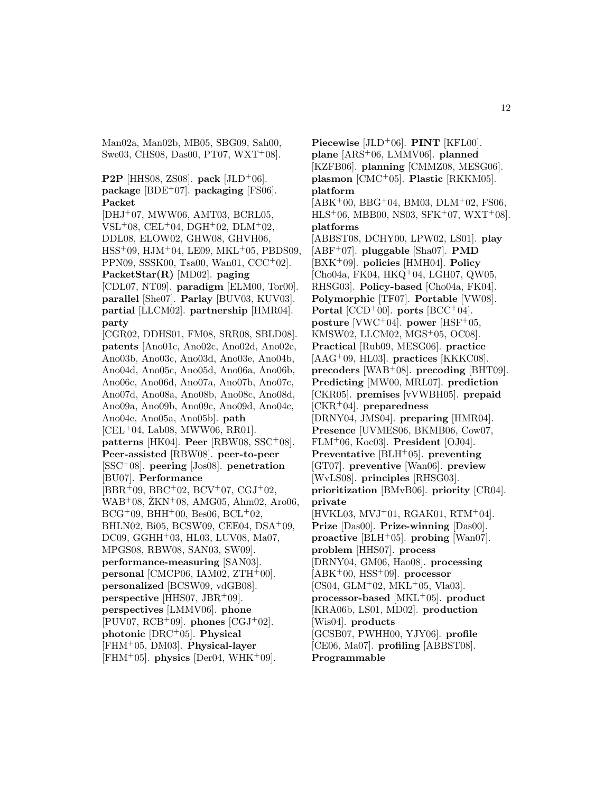Man02a, Man02b, MB05, SBG09, Sah00, Swe03, CHS08, Das00, PT07, WXT<sup>+</sup>08].

**P2P** [HHS08, ZS08]. **pack** [JLD<sup>+</sup>06]. **package** [BDE<sup>+</sup>07]. **packaging** [FS06]. **Packet** [DHJ<sup>+</sup>07, MWW06, AMT03, BCRL05, VSL<sup>+</sup>08, CEL<sup>+</sup>04, DGH<sup>+</sup>02, DLM<sup>+</sup>02, DDL08, ELOW02, GHW08, GHVH06, HSS<sup>+</sup>09, HJM<sup>+</sup>04, LE09, MKL<sup>+</sup>05, PBDS09, PPN09, SSSK00, Tsa00, Wan01, CCC<sup>+</sup>02]. **PacketStar(R)** [MD02]. **paging** [CDL07, NT09]. **paradigm** [ELM00, Tor00]. **parallel** [She07]. **Parlay** [BUV03, KUV03]. **partial** [LLCM02]. **partnership** [HMR04]. **party** [CGR02, DDHS01, FM08, SRR08, SBLD08]. **patents** [Ano01c, Ano02c, Ano02d, Ano02e, Ano03b, Ano03c, Ano03d, Ano03e, Ano04b, Ano04d, Ano05c, Ano05d, Ano06a, Ano06b, Ano06c, Ano06d, Ano07a, Ano07b, Ano07c, Ano07d, Ano08a, Ano08b, Ano08c, Ano08d, Ano09a, Ano09b, Ano09c, Ano09d, Ano04c, Ano04e, Ano05a, Ano05b]. **path** [CEL<sup>+</sup>04, Lab08, MWW06, RR01]. **patterns** [HK04]. **Peer** [RBW08, SSC<sup>+</sup>08]. **Peer-assisted** [RBW08]. **peer-to-peer** [SSC<sup>+</sup>08]. **peering** [Jos08]. **penetration** [BU07]. **Performance**  $[BBR+09, BBC+02, BCV+07, CGJ+02,$  $WAB<sup>+</sup>08$ ,  $ZKN<sup>+</sup>08$ , AMG05, Ahm02, Aro06,  $BCG+09$ , BHH $+00$ , Bes06, BCL $+02$ , BHLN02, Bi05, BCSW09, CEE04, DSA<sup>+</sup>09, DC09, GGHH<sup>+</sup>03, HL03, LUV08, Ma07, MPGS08, RBW08, SAN03, SW09]. **performance-measuring** [SAN03]. **personal** [CMCP06, IAM02, ZTH+00]. **personalized** [BCSW09, vdGB08]. **perspective** [HHS07, JBR<sup>+</sup>09]. **perspectives** [LMMV06]. **phone** [PUV07, RCB<sup>+</sup>09]. **phones** [CGJ<sup>+</sup>02]. **photonic** [DRC<sup>+</sup>05]. **Physical** [FHM<sup>+</sup>05, DM03]. **Physical-layer**  $[FHM+05]$ . **physics**  $[Der04, WHK+09]$ .

**Piecewise** [JLD<sup>+</sup>06]. **PINT** [KFL00]. **plane** [ARS<sup>+</sup>06, LMMV06]. **planned** [KZFB06]. **planning** [CMMZ08, MESG06]. **plasmon** [CMC<sup>+</sup>05]. **Plastic** [RKKM05]. **platform**  $[ABK<sup>+</sup>00, BBG<sup>+</sup>04, BM03, DLM<sup>+</sup>02, FS06,$  $HLS<sup>+</sup>06$ , MBB00, NS03, SFK<sup>+</sup>07, WXT<sup>+</sup>08]. **platforms** [ABBST08, DCHY00, LPW02, LS01]. **play** [ABF<sup>+</sup>07]. **pluggable** [Sha07]. **PMD** [BXK<sup>+</sup>09]. **policies** [HMH04]. **Policy** [Cho04a, FK04, HKQ<sup>+</sup>04, LGH07, QW05, RHSG03]. **Policy-based** [Cho04a, FK04]. **Polymorphic** [TF07]. **Portable** [VW08]. **Portal**  $[CCD+00]$ . **ports**  $[BCC+04]$ . **posture** [VWC<sup>+</sup>04]. **power** [HSF<sup>+</sup>05, KMSW02, LLCM02, MGS<sup>+</sup>05, OC08]. **Practical** [Rub09, MESG06]. **practice** [AAG<sup>+</sup>09, HL03]. **practices** [KKKC08]. **precoders** [WAB<sup>+</sup>08]. **precoding** [BHT09]. **Predicting** [MW00, MRL07]. **prediction** [CKR05]. **premises** [vVWBH05]. **prepaid** [CKR<sup>+</sup>04]. **preparedness** [DRNY04, JMS04]. **preparing** [HMR04]. **Presence** [UVMES06, BKMB06, Cow07, FLM<sup>+</sup>06, Koc03]. **President** [OJ04]. **Preventative** [BLH<sup>+</sup>05]. **preventing** [GT07]. **preventive** [Wan06]. **preview** [WvLS08]. **principles** [RHSG03]. **prioritization** [BMvB06]. **priority** [CR04]. **private**  $[HVKL03, MVJ<sup>+</sup>01, RGAK01, RTM<sup>+</sup>04].$ **Prize** [Das00]. **Prize-winning** [Das00]. **proactive** [BLH<sup>+</sup>05]. **probing** [Wan07]. **problem** [HHS07]. **process** [DRNY04, GM06, Hao08]. **processing** [ABK<sup>+</sup>00, HSS<sup>+</sup>09]. **processor**  $[CS04, GLM^{+}02, MKL^{+}05, Vla03].$ **processor-based** [MKL<sup>+</sup>05]. **product** [KRA06b, LS01, MD02]. **production** [Wis04]. **products** [GCSB07, PWHH00, YJY06]. **profile** [CE06, Ma07]. **profiling** [ABBST08]. **Programmable**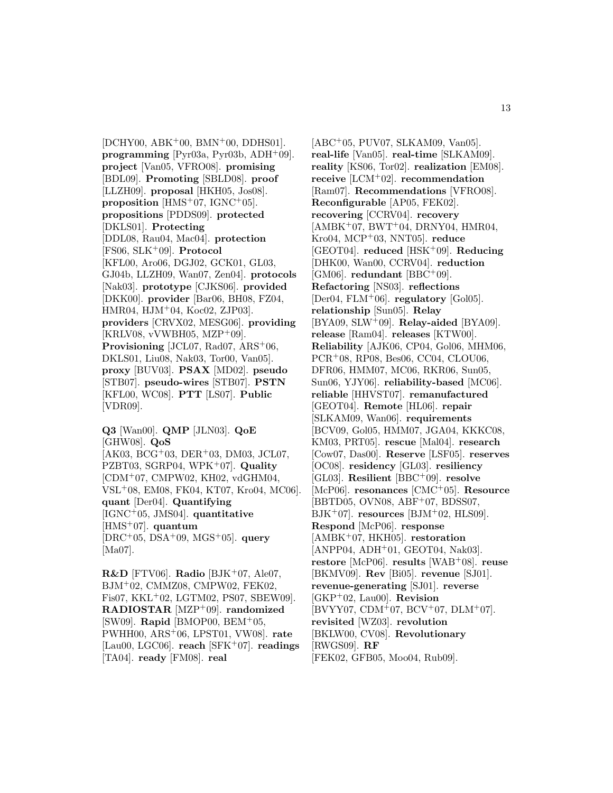$[DEHY00, ABK<sup>+</sup>00, BMN<sup>+</sup>00, DDHS01].$ **programming** [Pyr03a, Pyr03b, ADH<sup>+</sup>09]. **project** [Van05, VFRO08]. **promising** [BDL09]. **Promoting** [SBLD08]. **proof** [LLZH09]. **proposal** [HKH05, Jos08]. **proposition** [HMS<sup>+</sup>07, IGNC<sup>+</sup>05]. **propositions** [PDDS09]. **protected** [DKLS01]. **Protecting** [DDL08, Rau04, Mac04]. **protection** [FS06, SLK<sup>+</sup>09]. **Protocol** [KFL00, Aro06, DGJ02, GCK01, GL03, GJ04b, LLZH09, Wan07, Zen04]. **protocols** [Nak03]. **prototype** [CJKS06]. **provided** [DKK00]. **provider** [Bar06, BH08, FZ04, HMR04, HJM<sup>+</sup>04, Koc02, ZJP03]. **providers** [CRVX02, MESG06]. **providing** [KRLV08, vVWBH05, MZP<sup>+</sup>09]. **Provisioning** [JCL07, Rad07, ARS<sup>+</sup>06, DKLS01, Liu08, Nak03, Tor00, Van05]. **proxy** [BUV03]. **PSAX** [MD02]. **pseudo** [STB07]. **pseudo-wires** [STB07]. **PSTN** [KFL00, WC08]. **PTT** [LS07]. **Public** [VDR09].

**Q3** [Wan00]. **QMP** [JLN03]. **QoE** [GHW08]. **QoS** [AK03, BCG<sup>+</sup>03, DER<sup>+</sup>03, DM03, JCL07, PZBT03, SGRP04, WPK<sup>+</sup>07]. **Quality** [CDM<sup>+</sup>07, CMPW02, KH02, vdGHM04, VSL<sup>+</sup>08, EM08, FK04, KT07, Kro04, MC06]. **quant** [Der04]. **Quantifying** [IGNC<sup>+</sup>05, JMS04]. **quantitative** [HMS<sup>+</sup>07]. **quantum** [DRC<sup>+</sup>05, DSA<sup>+</sup>09, MGS<sup>+</sup>05]. **query** [Ma07].

**R&D** [FTV06]. **Radio** [BJK<sup>+</sup>07, Ale07, BJM<sup>+</sup>02, CMMZ08, CMPW02, FEK02, Fis07, KKL<sup>+</sup>02, LGTM02, PS07, SBEW09]. **RADIOSTAR** [MZP<sup>+</sup>09]. **randomized** [SW09]. **Rapid** [BMOP00, BEM<sup>+</sup>05, PWHH00, ARS<sup>+</sup>06, LPST01, VW08]. **rate** [Lau00, LGC06]. **reach** [SFK<sup>+</sup>07]. **readings** [TA04]. **ready** [FM08]. **real**

[ABC<sup>+</sup>05, PUV07, SLKAM09, Van05]. **real-life** [Van05]. **real-time** [SLKAM09]. **reality** [KS06, Tor02]. **realization** [EM08]. **receive** [LCM<sup>+</sup>02]. **recommendation** [Ram07]. **Recommendations** [VFRO08]. **Reconfigurable** [AP05, FEK02]. **recovering** [CCRV04]. **recovery**  $[AMBK<sup>+</sup>07, BWT<sup>+</sup>04, DRNY04, HMR04,$ Kro04, MCP<sup>+</sup>03, NNT05]. **reduce** [GEOT04]. **reduced** [HSK<sup>+</sup>09]. **Reducing** [DHK00, Wan00, CCRV04]. **reduction** [GM06]. **redundant** [BBC<sup>+</sup>09]. **Refactoring** [NS03]. **reflections** [Der04, FLM<sup>+</sup>06]. **regulatory** [Gol05]. **relationship** [Sun05]. **Relay** [BYA09, SLW<sup>+</sup>09]. **Relay-aided** [BYA09]. **release** [Ram04]. **releases** [KTW00]. **Reliability** [AJK06, CP04, Gol06, MHM06, PCR<sup>+</sup>08, RP08, Bes06, CC04, CLOU06, DFR06, HMM07, MC06, RKR06, Sun05, Sun06, YJY06]. **reliability-based** [MC06]. **reliable** [HHVST07]. **remanufactured** [GEOT04]. **Remote** [HL06]. **repair** [SLKAM09, Wan06]. **requirements** [BCV09, Gol05, HMM07, JGA04, KKKC08, KM03, PRT05]. **rescue** [Mal04]. **research** [Cow07, Das00]. **Reserve** [LSF05]. **reserves** [OC08]. **residency** [GL03]. **resiliency** [GL03]. **Resilient** [BBC<sup>+</sup>09]. **resolve** [McP06]. **resonances** [CMC<sup>+</sup>05]. **Resource** [BBTD05, OVN08, ABF<sup>+</sup>07, BDSS07,  $BJK^+07$ . **resources** [BJM<sup>+</sup>02, HLS09]. **Respond** [McP06]. **response** [AMBK<sup>+</sup>07, HKH05]. **restoration** [ANPP04, ADH<sup>+</sup>01, GEOT04, Nak03]. **restore** [McP06]. **results** [WAB<sup>+</sup>08]. **reuse** [BKMV09]. **Rev** [Bi05]. **revenue** [SJ01]. **revenue-generating** [SJ01]. **reverse** [GKP<sup>+</sup>02, Lau00]. **Revision** [BVYY07, CDM<sup>+</sup>07, BCV<sup>+</sup>07, DLM<sup>+</sup>07]. **revisited** [WZ03]. **revolution** [BKLW00, CV08]. **Revolutionary** [RWGS09]. **RF** [FEK02, GFB05, Moo04, Rub09].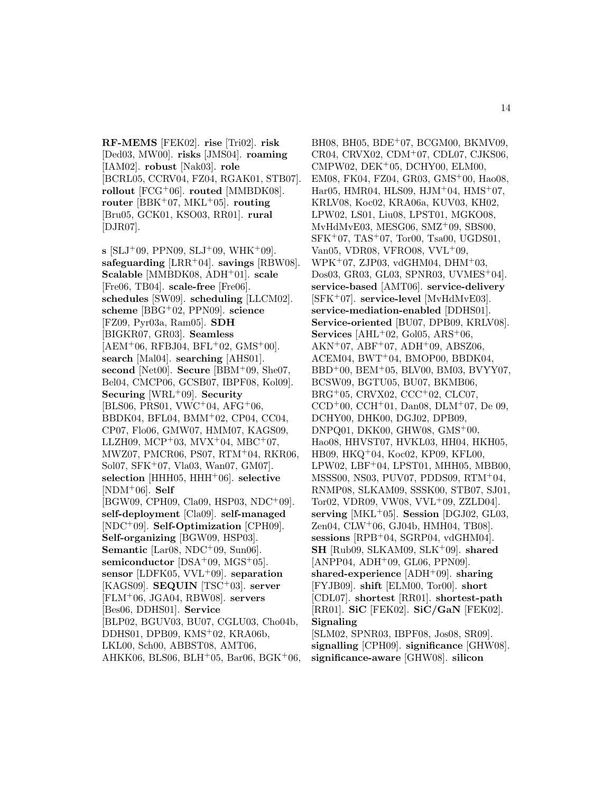**RF-MEMS** [FEK02]. **rise** [Tri02]. **risk** [Ded03, MW00]. **risks** [JMS04]. **roaming** [IAM02]. **robust** [Nak03]. **role** [BCRL05, CCRV04, FZ04, RGAK01, STB07]. **rollout** [FCG<sup>+</sup>06]. **routed** [MMBDK08]. **router** [BBK<sup>+</sup>07, MKL<sup>+</sup>05]. **routing** [Bru05, GCK01, KSO03, RR01]. **rural** [DJR07].

 $s$  [SLJ<sup>+</sup>09, PPN09, SLJ<sup>+</sup>09, WHK<sup>+</sup>09]. **safeguarding** [LRR<sup>+</sup>04]. **savings** [RBW08]. **Scalable** [MMBDK08, ADH<sup>+</sup>01]. **scale** [Fre06, TB04]. **scale-free** [Fre06]. **schedules** [SW09]. **scheduling** [LLCM02]. **scheme** [BBG<sup>+</sup>02, PPN09]. **science** [FZ09, Pyr03a, Ram05]. **SDH** [BIGKR07, GR03]. **Seamless**  $[AEM<sup>+</sup>06, RFBJ04, BFL<sup>+</sup>02, GMS<sup>+</sup>00].$ **search** [Mal04]. **searching** [AHS01]. **second** [Net00]. **Secure** [BBM<sup>+</sup>09, She07, Bel04, CMCP06, GCSB07, IBPF08, Kol09]. **Securing** [WRL<sup>+</sup>09]. **Security**  $[BLS06, PRS01, VWC^+04, AFG^+06,$ BBDK04, BFL04, BMM<sup>+</sup>02, CP04, CC04, CP07, Flo06, GMW07, HMM07, KAGS09, LLZH09, MCP+03, MVX+04, MBC+07, MWZ07, PMCR06, PS07, RTM<sup>+</sup>04, RKR06, Sol07, SFK<sup>+</sup>07, Vla03, Wan07, GM07]. **selection** [HHH05, HHH<sup>+</sup>06]. **selective** [NDM<sup>+</sup>06]. **Self** [BGW09, CPH09, Cla09, HSP03, NDC<sup>+</sup>09]. **self-deployment** [Cla09]. **self-managed** [NDC<sup>+</sup>09]. **Self-Optimization** [CPH09]. **Self-organizing** [BGW09, HSP03]. **Semantic** [Lar08, NDC<sup>+</sup>09, Sun06]. **semiconductor** [DSA<sup>+</sup>09, MGS<sup>+</sup>05]. **sensor** [LDFK05, VVL<sup>+</sup>09]. **separation** [KAGS09]. **SEQUIN** [TSC<sup>+</sup>03]. **server** [FLM<sup>+</sup>06, JGA04, RBW08]. **servers** [Bes06, DDHS01]. **Service** [BLP02, BGUV03, BU07, CGLU03, Cho04b, DDHS01, DPB09, KMS<sup>+</sup>02, KRA06b, LKL00, Sch00, ABBST08, AMT06, AHKK06, BLS06, BLH<sup>+</sup>05, Bar06, BGK<sup>+</sup>06,

BH08, BH05, BDE<sup>+</sup>07, BCGM00, BKMV09, CR04, CRVX02, CDM<sup>+</sup>07, CDL07, CJKS06, CMPW02, DEK<sup>+</sup>05, DCHY00, ELM00, EM08, FK04, FZ04, GR03, GMS<sup>+</sup>00, Hao08, Har05, HMR04, HLS09, HJM<sup>+</sup>04, HMS<sup>+</sup>07, KRLV08, Koc02, KRA06a, KUV03, KH02, LPW02, LS01, Liu08, LPST01, MGKO08, MvHdMvE03, MESG06, SMZ<sup>+</sup>09, SBS00, SFK<sup>+</sup>07, TAS<sup>+</sup>07, Tor00, Tsa00, UGDS01, Van05, VDR08, VFRO08, VVL<sup>+</sup>09, WPK<sup>+</sup>07, ZJP03, vdGHM04, DHM<sup>+</sup>03, Dos03, GR03, GL03, SPNR03, UVMES<sup>+</sup>04]. **service-based** [AMT06]. **service-delivery** [SFK<sup>+</sup>07]. **service-level** [MvHdMvE03]. **service-mediation-enabled** [DDHS01]. **Service-oriented** [BU07, DPB09, KRLV08]. **Services** [AHL<sup>+</sup>02, Gol05, ARS<sup>+</sup>06,  $AKN+07$ ,  $ABF+07$ ,  $ADH+09$ ,  $ABSZ06$ , ACEM04, BWT<sup>+</sup>04, BMOP00, BBDK04, BBD<sup>+</sup>00, BEM<sup>+</sup>05, BLV00, BM03, BVYY07, BCSW09, BGTU05, BU07, BKMB06, BRG<sup>+</sup>05, CRVX02, CCC<sup>+</sup>02, CLC07,  $CCD<sup>+</sup>00$ ,  $CCH<sup>+</sup>01$ , Dan08, DLM<sup>+</sup>07, De 09, DCHY00, DHK00, DGJ02, DPB09, DNPQ01, DKK00, GHW08, GMS<sup>+</sup>00, Hao08, HHVST07, HVKL03, HH04, HKH05, HB09, HKQ<sup>+</sup>04, Koc02, KP09, KFL00, LPW02, LBF<sup>+</sup>04, LPST01, MHH05, MBB00, MSSS00, NS03, PUV07, PDDS09, RTM<sup>+</sup>04, RNMP08, SLKAM09, SSSK00, STB07, SJ01, Tor02, VDR09, VW08, VVL<sup>+</sup>09, ZZLD04]. serving  $[MKL^+05]$ . **Session**  $[DGJ02, GL03]$ , Zen04, CLW<sup>+</sup>06, GJ04b, HMH04, TB08]. **sessions** [RPB<sup>+</sup>04, SGRP04, vdGHM04]. **SH** [Rub09, SLKAM09, SLK<sup>+</sup>09]. **shared** [ANPP04, ADH<sup>+</sup>09, GL06, PPN09]. **shared-experience** [ADH<sup>+</sup>09]. **sharing** [FYJB09]. **shift** [ELM00, Tor00]. **short** [CDL07]. **shortest** [RR01]. **shortest-path** [RR01]. **SiC** [FEK02]. **SiC/GaN** [FEK02]. **Signaling** [SLM02, SPNR03, IBPF08, Jos08, SR09]. **signalling** [CPH09]. **significance** [GHW08].

**significance-aware** [GHW08]. **silicon**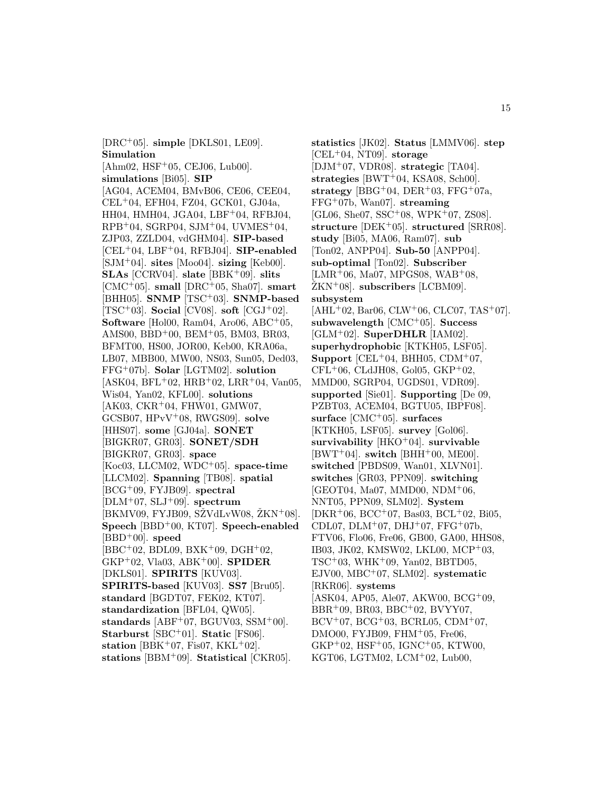[DRC<sup>+</sup>05]. **simple** [DKLS01, LE09]. **Simulation**  $[Ahm02, HSF<sup>+</sup>05, CEJ06, Lub00].$ **simulations** [Bi05]. **SIP** [AG04, ACEM04, BMvB06, CE06, CEE04, CEL<sup>+</sup>04, EFH04, FZ04, GCK01, GJ04a, HH04, HMH04, JGA04, LBF+04, RFBJ04,  $RPB<sup>+</sup>04$ , SGRP04, SJM<sup>+</sup>04, UVMES<sup>+</sup>04, ZJP03, ZZLD04, vdGHM04]. **SIP-based** [CEL<sup>+</sup>04, LBF<sup>+</sup>04, RFBJ04]. **SIP-enabled** [SJM<sup>+</sup>04]. **sites** [Moo04]. **sizing** [Keb00]. **SLAs** [CCRV04]. **slate** [BBK<sup>+</sup>09]. **slits** [CMC<sup>+</sup>05]. **small** [DRC<sup>+</sup>05, Sha07]. **smart** [BHH05]. **SNMP** [TSC<sup>+</sup>03]. **SNMP-based** [TSC<sup>+</sup>03]. **Social** [CV08]. **soft** [CGJ<sup>+</sup>02]. **Software** [Hol00, Ram04, Aro06, ABC<sup>+</sup>05, AMS00, BBD<sup>+</sup>00, BEM<sup>+</sup>05, BM03, BR03, BFMT00, HS00, JOR00, Keb00, KRA06a, LB07, MBB00, MW00, NS03, Sun05, Ded03, FFG<sup>+</sup>07b]. **Solar** [LGTM02]. **solution**  $[ASK04, BFL+02, HRB+02, LRR+04, Van05,$ Wis04, Yan02, KFL00]. **solutions**  $[AK03, CKR<sup>+</sup>04, FHW01, GMW07,$ GCSB07, HPvV<sup>+</sup>08, RWGS09]. **solve** [HHS07]. **some** [GJ04a]. **SONET** [BIGKR07, GR03]. **SONET/SDH** [BIGKR07, GR03]. **space** [Koc03, LLCM02, WDC<sup>+</sup>05]. **space-time** [LLCM02]. **Spanning** [TB08]. **spatial** [BCG<sup>+</sup>09, FYJB09]. **spectral**  $[DLM^+07, SLJ^+09]$ . **spectrum**  $[BKMV09, FYJB09, SZVdLvW08, ZKN<sup>+</sup>08].$ **Speech** [BBD<sup>+</sup>00, KT07]. **Speech-enabled** [BBD<sup>+</sup>00]. **speed**  $[BBC + 02, BDL09, BXK + 09, DGH + 02,$ GKP<sup>+</sup>02, Vla03, ABK<sup>+</sup>00]. **SPIDER** [DKLS01]. **SPIRITS** [KUV03]. **SPIRITS-based** [KUV03]. **SS7** [Bru05]. **standard** [BGDT07, FEK02, KT07]. **standardization** [BFL04, QW05]. **standards** [ABF<sup>+</sup>07, BGUV03, SSM<sup>+</sup>00]. **Starburst** [SBC<sup>+</sup>01]. **Static** [FS06]. **station** [BBK<sup>+</sup>07, Fis07, KKL<sup>+</sup>02]. **stations** [BBM<sup>+</sup>09]. **Statistical** [CKR05].

**statistics** [JK02]. **Status** [LMMV06]. **step** [CEL<sup>+</sup>04, NT09]. **storage** [DJM<sup>+</sup>07, VDR08]. **strategic** [TA04]. **strategies** [BWT<sup>+</sup>04, KSA08, Sch00]. **strategy** [BBG<sup>+</sup>04, DER<sup>+</sup>03, FFG<sup>+</sup>07a, FFG<sup>+</sup>07b, Wan07]. **streaming**  $[GL06, She07, SSC^+08, WPK^+07, ZS08].$ **structure** [DEK<sup>+</sup>05]. **structured** [SRR08]. **study** [Bi05, MA06, Ram07]. **sub** [Ton02, ANPP04]. **Sub-50** [ANPP04]. **sub-optimal** [Ton02]. **Subscriber**  $[LMR+06, Ma07, MPGS08, WAB+08,$  $\text{ZKN+08}$ . **subscribers** [LCBM09]. **subsystem**  $[AHL<sup>+</sup>02, Bar06, CLW<sup>+</sup>06, CLCO7, TAS<sup>+</sup>07].$ **subwavelength** [CMC<sup>+</sup>05]. **Success** [GLM<sup>+</sup>02]. **SuperDHLR** [IAM02]. **superhydrophobic** [KTKH05, LSF05]. **Support** [CEL<sup>+</sup>04, BHH05, CDM<sup>+</sup>07,  $CFL+06$ , CLdJH08, Gol05, GKP+02, MMD00, SGRP04, UGDS01, VDR09]. **supported** [Sie01]. **Supporting** [De 09, PZBT03, ACEM04, BGTU05, IBPF08]. **surface** [CMC<sup>+</sup>05]. **surfaces** [KTKH05, LSF05]. **survey** [Gol06]. **survivability** [HKO<sup>+</sup>04]. **survivable**  $[BWT^+04]$ . **switch**  $[BHH^+00, ME00]$ . **switched** [PBDS09, Wan01, XLVN01]. **switches** [GR03, PPN09]. **switching** [GEOT04, Ma07, MMD00, NDM<sup>+</sup>06, NNT05, PPN09, SLM02]. **System**  $[DKR + 06, BCC + 07, Bas03, BCL + 02, Bi05,$ CDL07, DLM<sup>+</sup>07, DHJ<sup>+</sup>07, FFG<sup>+</sup>07b, FTV06, Flo06, Fre06, GB00, GA00, HHS08, IB03, JK02, KMSW02, LKL00, MCP<sup>+</sup>03, TSC<sup>+</sup>03, WHK<sup>+</sup>09, Yan02, BBTD05, EJV00, MBC<sup>+</sup>07, SLM02]. **systematic** [RKR06]. **systems** [ASK04, AP05, Ale07, AKW00, BCG<sup>+</sup>09, BBR<sup>+</sup>09, BR03, BBC<sup>+</sup>02, BVYY07,  $BCV^{+}07$ ,  $BCG^{+}03$ ,  $BCRL05$ ,  $CDM^{+}07$ , DMO00, FYJB09, FHM $+05$ , Fre06,  $GKP<sup>+</sup>02$ ,  $HSF<sup>+</sup>05$ ,  $IGNC<sup>+</sup>05$ ,  $KTW00$ , KGT06, LGTM02, LCM<sup>+</sup>02, Lub00,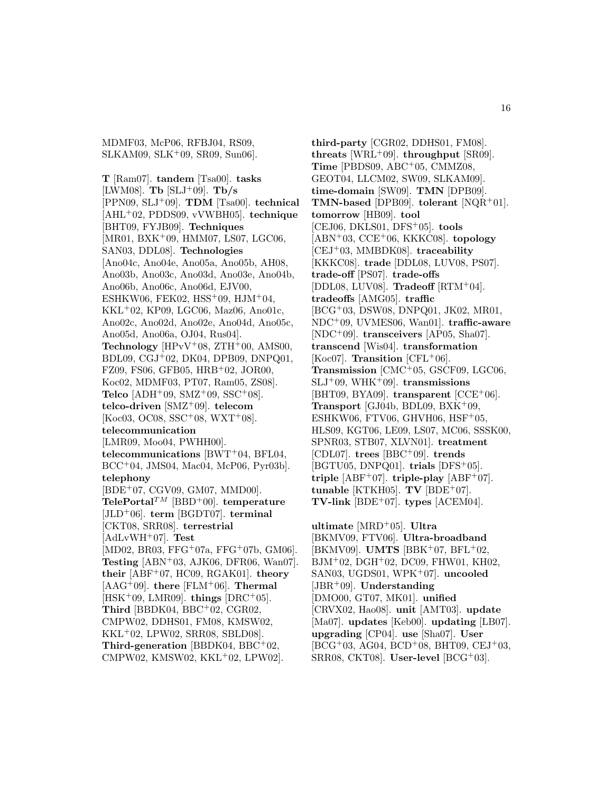MDMF03, McP06, RFBJ04, RS09, SLKAM09, SLK<sup>+</sup>09, SR09, Sun06].

**T** [Ram07]. **tandem** [Tsa00]. **tasks** [LWM08]. **Tb** [SLJ<sup>+</sup>09]. **Tb/s** [PPN09, SLJ<sup>+</sup>09]. **TDM** [Tsa00]. **technical** [AHL<sup>+</sup>02, PDDS09, vVWBH05]. **technique** [BHT09, FYJB09]. **Techniques** [MR01, BXK<sup>+</sup>09, HMM07, LS07, LGC06, SAN03, DDL08]. **Technologies** [Ano04c, Ano04e, Ano05a, Ano05b, AH08, Ano03b, Ano03c, Ano03d, Ano03e, Ano04b, Ano06b, Ano06c, Ano06d, EJV00, ESHKW06, FEK02, HSS<sup>+</sup>09, HJM<sup>+</sup>04, KKL<sup>+</sup>02, KP09, LGC06, Maz06, Ano01c, Ano02c, Ano02d, Ano02e, Ano04d, Ano05c, Ano05d, Ano06a, OJ04, Rus04]. **Technology** [HPvV+08,  $ZTH+00$ , AMS00, BDL09, CGJ<sup>+</sup>02, DK04, DPB09, DNPQ01, FZ09, FS06, GFB05, HRB<sup>+</sup>02, JOR00, Koc02, MDMF03, PT07, Ram05, ZS08]. **Telco** [ADH<sup>+</sup>09, SMZ<sup>+</sup>09, SSC<sup>+</sup>08]. **telco-driven** [SMZ<sup>+</sup>09]. **telecom**  $[Koc03, OC08, SSC^+08, WXT^+08].$ **telecommunication** [LMR09, Moo04, PWHH00]. **telecommunications** [BWT<sup>+</sup>04, BFL04, BCC<sup>+</sup>04, JMS04, Mac04, McP06, Pyr03b]. **telephony** [BDE<sup>+</sup>07, CGV09, GM07, MMD00]. **TelePortal**TM [BBD<sup>+</sup>00]. **temperature** [JLD<sup>+</sup>06]. **term** [BGDT07]. **terminal** [CKT08, SRR08]. **terrestrial** [AdLvWH<sup>+</sup>07]. **Test** [MD02, BR03, FFG<sup>+</sup>07a, FFG<sup>+</sup>07b, GM06]. **Testing** [ABN<sup>+</sup>03, AJK06, DFR06, Wan07]. **their** [ABF<sup>+</sup>07, HC09, RGAK01]. **theory** [AAG<sup>+</sup>09]. **there** [FLM<sup>+</sup>06]. **Thermal** [HSK<sup>+</sup>09, LMR09]. **things** [DRC<sup>+</sup>05]. **Third** [BBDK04, BBC<sup>+</sup>02, CGR02, CMPW02, DDHS01, FM08, KMSW02, KKL<sup>+</sup>02, LPW02, SRR08, SBLD08]. **Third-generation** [BBDK04, BBC<sup>+</sup>02, CMPW02, KMSW02, KKL<sup>+</sup>02, LPW02].

**third-party** [CGR02, DDHS01, FM08]. **threats** [WRL<sup>+</sup>09]. **throughput** [SR09]. **Time** [PBDS09, ABC<sup>+</sup>05, CMMZ08, GEOT04, LLCM02, SW09, SLKAM09]. **time-domain** [SW09]. **TMN** [DPB09]. **TMN-based** [DPB09]. **tolerant** [NQR<sup>+</sup>01]. **tomorrow** [HB09]. **tool** [CEJ06, DKLS01, DFS<sup>+</sup>05]. **tools** [ABN<sup>+</sup>03, CCE<sup>+</sup>06, KKKC08]. **topology** [CEJ<sup>+</sup>03, MMBDK08]. **traceability** [KKKC08]. **trade** [DDL08, LUV08, PS07]. **trade-off** [PS07]. **trade-offs** [DDL08, LUV08]. **Tradeoff** [RTM<sup>+</sup>04]. **tradeoffs** [AMG05]. **traffic** [BCG<sup>+</sup>03, DSW08, DNPQ01, JK02, MR01, NDC<sup>+</sup>09, UVMES06, Wan01]. **traffic-aware** [NDC<sup>+</sup>09]. **transceivers** [AP05, Sha07]. **transcend** [Wis04]. **transformation** [Koc07]. **Transition** [CFL+06]. **Transmission** [CMC<sup>+</sup>05, GSCF09, LGC06, SLJ<sup>+</sup>09, WHK<sup>+</sup>09]. **transmissions** [BHT09, BYA09]. **transparent** [CCE<sup>+</sup>06]. **Transport** [GJ04b, BDL09, BXK<sup>+</sup>09, ESHKW06, FTV06, GHVH06,  $HSF+05$ , HLS09, KGT06, LE09, LS07, MC06, SSSK00, SPNR03, STB07, XLVN01]. **treatment** [CDL07]. **trees** [BBC<sup>+</sup>09]. **trends** [BGTU05, DNPQ01]. **trials** [DFS<sup>+</sup>05]. **triple**  $[ABF^+07]$ . **triple-play**  $[ABF^+07]$ . **tunable** [KTKH05]. **TV** [BDE<sup>+</sup>07]. **TV-link** [BDE<sup>+</sup>07]. **types** [ACEM04].

**ultimate** [MRD<sup>+</sup>05]. **Ultra** [BKMV09, FTV06]. **Ultra-broadband** [BKMV09]. **UMTS** [BBK<sup>+</sup>07, BFL<sup>+</sup>02, BJM<sup>+</sup>02, DGH<sup>+</sup>02, DC09, FHW01, KH02, SAN03, UGDS01, WPK<sup>+</sup>07]. **uncooled** [JBR<sup>+</sup>09]. **Understanding** [DMO00, GT07, MK01]. **unified** [CRVX02, Hao08]. **unit** [AMT03]. **update** [Ma07]. **updates** [Keb00]. **updating** [LB07]. **upgrading** [CP04]. **use** [Sha07]. **User**  $[BCG^+03, AG04, BCD^+08, BHT09, CEJ^+03,$ SRR08, CKT08]. **User-level** [BCG<sup>+</sup>03].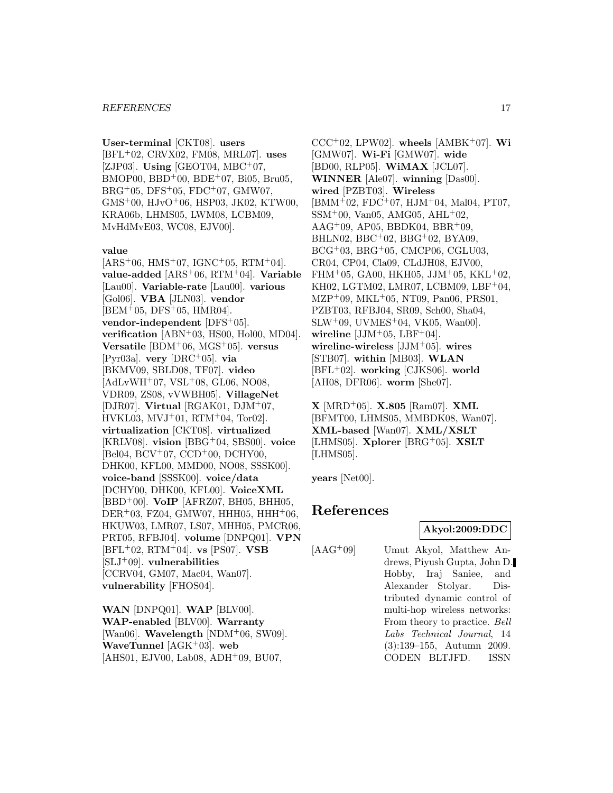**User-terminal** [CKT08]. **users** [BFL<sup>+</sup>02, CRVX02, FM08, MRL07]. **uses** [ZJP03]. **Using** [GEOT04, MBC<sup>+</sup>07,  $BMOPO0, BBD+00, BDE+07, Bi05, Bru05,$  $BRG+05, DFS+05, FDC+07, GMW07,$ GMS<sup>+</sup>00, HJvO<sup>+</sup>06, HSP03, JK02, KTW00, KRA06b, LHMS05, LWM08, LCBM09, MvHdMvE03, WC08, EJV00].

#### **value**

 $[ARS<sup>+</sup>06, HMS<sup>+</sup>07, IGNC<sup>+</sup>05, RTM<sup>+</sup>04].$ **value-added** [ARS<sup>+</sup>06, RTM<sup>+</sup>04]. **Variable** [Lau00]. **Variable-rate** [Lau00]. **various** [Gol06]. **VBA** [JLN03]. **vendor**  $[BEM<sup>+</sup>05, DFS<sup>+</sup>05, HMR04].$ **vendor-independent** [DFS<sup>+</sup>05]. **verification** [ABN<sup>+</sup>03, HS00, Hol00, MD04]. **Versatile** [BDM<sup>+</sup>06, MGS<sup>+</sup>05]. **versus** [Pyr03a]. **very** [DRC<sup>+</sup>05]. **via** [BKMV09, SBLD08, TF07]. **video** [AdLvWH<sup>+</sup>07, VSL<sup>+</sup>08, GL06, NO08, VDR09, ZS08, vVWBH05]. **VillageNet** [DJR07]. **Virtual** [RGAK01, DJM<sup>+</sup>07,  $HVKL03, MVJ+01, RTM+04, Tor02$ . **virtualization** [CKT08]. **virtualized** [KRLV08]. **vision** [BBG<sup>+</sup>04, SBS00]. **voice**  $[Bel04, BCV^+07, CCD^+00, DCHY00,]$ DHK00, KFL00, MMD00, NO08, SSSK00]. **voice-band** [SSSK00]. **voice/data** [DCHY00, DHK00, KFL00]. **VoiceXML** [BBD<sup>+</sup>00]. **VoIP** [AFRZ07, BH05, BHH05,  $DER<sup>+</sup>03, FZ04, GMW07, HHH05, HHH<sup>+</sup>06,$ HKUW03, LMR07, LS07, MHH05, PMCR06, PRT05, RFBJ04]. **volume** [DNPQ01]. **VPN** [BFL<sup>+</sup>02, RTM<sup>+</sup>04]. **vs** [PS07]. **VSB** [SLJ<sup>+</sup>09]. **vulnerabilities** [CCRV04, GM07, Mac04, Wan07]. **vulnerability** [FHOS04].

**WAN** [DNPQ01]. **WAP** [BLV00]. **WAP-enabled** [BLV00]. **Warranty** [Wan06]. **Wavelength** [NDM<sup>+</sup>06, SW09]. **WaveTunnel** [AGK<sup>+</sup>03]. **web** [AHS01, EJV00, Lab08, ADH<sup>+</sup>09, BU07,

 $CCC+02$ , LPW02]. **wheels** [AMBK+07]. **Wi** [GMW07]. **Wi-Fi** [GMW07]. **wide** [BD00, RLP05]. **WiMAX** [JCL07]. **WINNER** [Ale07]. **winning** [Das00]. **wired** [PZBT03]. **Wireless**  $[BMM<sup>+</sup>02, FDC<sup>+</sup>07, HJM<sup>+</sup>04, Mal04, PT07,$  $SSM<sup>+</sup>00$ , Van05, AMG05, AHL<sup>+</sup>02,  $AAG^+09$ , AP05, BBDK04, BBR<sup>+</sup>09, BHLN02, BBC<sup>+</sup>02, BBG<sup>+</sup>02, BYA09, BCG<sup>+</sup>03, BRG<sup>+</sup>05, CMCP06, CGLU03, CR04, CP04, Cla09, CLdJH08, EJV00, FHM+05, GA00, HKH05, JJM+05, KKL+02, KH02, LGTM02, LMR07, LCBM09, LBF<sup>+</sup>04, MZP<sup>+</sup>09, MKL<sup>+</sup>05, NT09, Pan06, PRS01, PZBT03, RFBJ04, SR09, Sch00, Sha04,  $SLW^+09$ , UVMES<sup>+</sup>04, VK05, Wan00. wireline  $[JJM^+05, LBF^+04]$ . **wireline-wireless** [JJM<sup>+</sup>05]. **wires** [STB07]. **within** [MB03]. **WLAN** [BFL<sup>+</sup>02]. **working** [CJKS06]. **world** [AH08, DFR06]. **worm** [She07].

**X** [MRD<sup>+</sup>05]. **X.805** [Ram07]. **XML** [BFMT00, LHMS05, MMBDK08, Wan07]. **XML-based** [Wan07]. **XML/XSLT** [LHMS05]. **Xplorer** [BRG<sup>+</sup>05]. **XSLT** [LHMS05].

**years** [Net00].

# **References**

#### **Akyol:2009:DDC**

[AAG<sup>+</sup>09] Umut Akyol, Matthew Andrews, Piyush Gupta, John D. Hobby, Iraj Saniee, and Alexander Stolyar. Distributed dynamic control of multi-hop wireless networks: From theory to practice. Bell Labs Technical Journal, 14 (3):139–155, Autumn 2009. CODEN BLTJFD. ISSN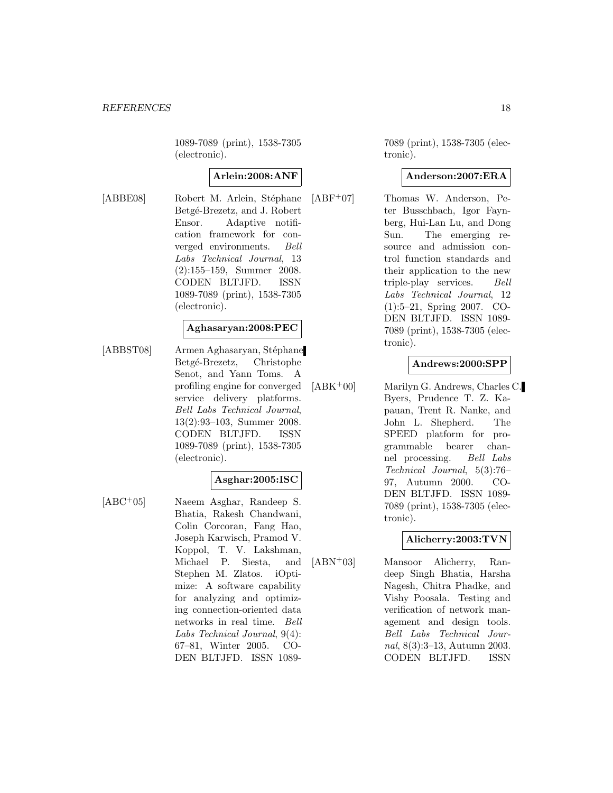1089-7089 (print), 1538-7305 (electronic).

# **Arlein:2008:ANF**

[ABBE08] Robert M. Arlein, Stéphane Betgé-Brezetz, and J. Robert Ensor. Adaptive notification framework for converged environments. Bell Labs Technical Journal, 13 (2):155–159, Summer 2008. CODEN BLTJFD. ISSN 1089-7089 (print), 1538-7305 (electronic).

#### **Aghasaryan:2008:PEC**

[ABBST08] Armen Aghasaryan, Stéphane Betgé-Brezetz, Christophe Senot, and Yann Toms. A profiling engine for converged service delivery platforms. Bell Labs Technical Journal, 13(2):93–103, Summer 2008. CODEN BLTJFD. ISSN 1089-7089 (print), 1538-7305 (electronic).

## **Asghar:2005:ISC**

[ABC<sup>+</sup>05] Naeem Asghar, Randeep S. Bhatia, Rakesh Chandwani, Colin Corcoran, Fang Hao, Joseph Karwisch, Pramod V. Koppol, T. V. Lakshman, Michael P. Siesta, and Stephen M. Zlatos. iOptimize: A software capability for analyzing and optimizing connection-oriented data networks in real time. Bell Labs Technical Journal, 9(4): 67–81, Winter 2005. CO-DEN BLTJFD. ISSN 10897089 (print), 1538-7305 (electronic).

## **Anderson:2007:ERA**

[ABF<sup>+</sup>07] Thomas W. Anderson, Peter Busschbach, Igor Faynberg, Hui-Lan Lu, and Dong Sun. The emerging resource and admission control function standards and their application to the new triple-play services. Bell Labs Technical Journal, 12 (1):5–21, Spring 2007. CO-DEN BLTJFD. ISSN 1089- 7089 (print), 1538-7305 (electronic).

# **Andrews:2000:SPP**

[ABK<sup>+</sup>00] Marilyn G. Andrews, Charles C. Byers, Prudence T. Z. Kapauan, Trent R. Nanke, and John L. Shepherd. The SPEED platform for programmable bearer channel processing. Bell Labs Technical Journal, 5(3):76– 97, Autumn 2000. CO-DEN BLTJFD. ISSN 1089- 7089 (print), 1538-7305 (electronic).

## **Alicherry:2003:TVN**

[ABN<sup>+</sup>03] Mansoor Alicherry, Randeep Singh Bhatia, Harsha Nagesh, Chitra Phadke, and Vishy Poosala. Testing and verification of network management and design tools. Bell Labs Technical Journal, 8(3):3–13, Autumn 2003. CODEN BLTJFD. ISSN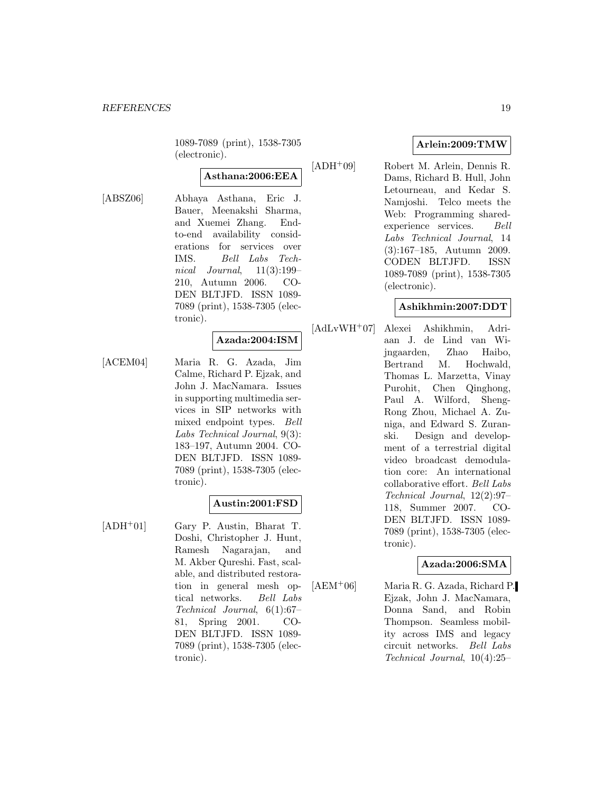1089-7089 (print), 1538-7305 (electronic).

# **Asthana:2006:EEA**

[ABSZ06] Abhaya Asthana, Eric J. Bauer, Meenakshi Sharma, and Xuemei Zhang. Endto-end availability considerations for services over IMS. Bell Labs Technical Journal,  $11(3):199-$ 210, Autumn 2006. CO-DEN BLTJFD. ISSN 1089- 7089 (print), 1538-7305 (electronic).

# **Azada:2004:ISM**

[ACEM04] Maria R. G. Azada, Jim Calme, Richard P. Ejzak, and John J. MacNamara. Issues in supporting multimedia services in SIP networks with mixed endpoint types. Bell Labs Technical Journal, 9(3): 183–197, Autumn 2004. CO-DEN BLTJFD. ISSN 1089- 7089 (print), 1538-7305 (electronic).

#### **Austin:2001:FSD**

[ADH<sup>+</sup>01] Gary P. Austin, Bharat T. Doshi, Christopher J. Hunt, Ramesh Nagarajan, and M. Akber Qureshi. Fast, scalable, and distributed restoration in general mesh optical networks. Bell Labs Technical Journal, 6(1):67– 81, Spring 2001. CO-DEN BLTJFD. ISSN 1089- 7089 (print), 1538-7305 (electronic).

# **Arlein:2009:TMW**

[ADH<sup>+</sup>09] Robert M. Arlein, Dennis R. Dams, Richard B. Hull, John Letourneau, and Kedar S. Namjoshi. Telco meets the Web: Programming sharedexperience services. Bell Labs Technical Journal, 14 (3):167–185, Autumn 2009. CODEN BLTJFD. ISSN 1089-7089 (print), 1538-7305 (electronic).

#### **Ashikhmin:2007:DDT**

[AdLvWH<sup>+</sup>07] Alexei Ashikhmin, Adriaan J. de Lind van Wijngaarden, Zhao Haibo, Bertrand M. Hochwald, Thomas L. Marzetta, Vinay Purohit, Chen Qinghong, Paul A. Wilford, Sheng-Rong Zhou, Michael A. Zuniga, and Edward S. Zuranski. Design and development of a terrestrial digital video broadcast demodulation core: An international collaborative effort. Bell Labs Technical Journal, 12(2):97– 118, Summer 2007. CO-DEN BLTJFD. ISSN 1089- 7089 (print), 1538-7305 (electronic).

#### **Azada:2006:SMA**

[AEM<sup>+</sup>06] Maria R. G. Azada, Richard P. Ejzak, John J. MacNamara, Donna Sand, and Robin Thompson. Seamless mobility across IMS and legacy circuit networks. Bell Labs Technical Journal, 10(4):25–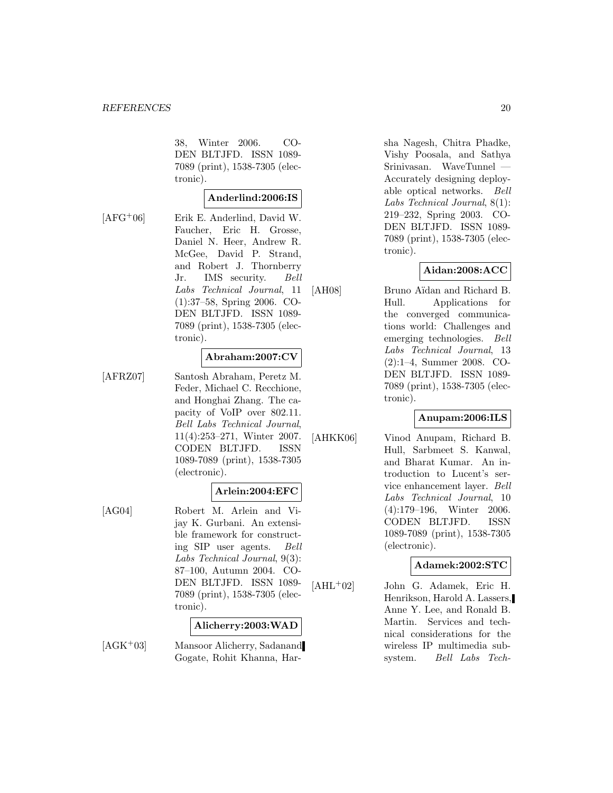38, Winter 2006. CO-DEN BLTJFD. ISSN 1089- 7089 (print), 1538-7305 (electronic).

#### **Anderlind:2006:IS**

[AFG<sup>+</sup>06] Erik E. Anderlind, David W. Faucher, Eric H. Grosse, Daniel N. Heer, Andrew R. McGee, David P. Strand, and Robert J. Thornberry Jr. IMS security. Bell Labs Technical Journal, 11 (1):37–58, Spring 2006. CO-DEN BLTJFD. ISSN 1089- 7089 (print), 1538-7305 (electronic).

#### **Abraham:2007:CV**

[AFRZ07] Santosh Abraham, Peretz M. Feder, Michael C. Recchione, and Honghai Zhang. The capacity of VoIP over 802.11. Bell Labs Technical Journal, 11(4):253–271, Winter 2007. CODEN BLTJFD. ISSN 1089-7089 (print), 1538-7305 (electronic).

# **Arlein:2004:EFC**

[AG04] Robert M. Arlein and Vijay K. Gurbani. An extensible framework for constructing SIP user agents. Bell Labs Technical Journal, 9(3): 87–100, Autumn 2004. CO-DEN BLTJFD. ISSN 1089- 7089 (print), 1538-7305 (electronic).

#### **Alicherry:2003:WAD**

[AGK<sup>+</sup>03] Mansoor Alicherry, Sadanand Gogate, Rohit Khanna, Harsha Nagesh, Chitra Phadke, Vishy Poosala, and Sathya Srinivasan. WaveTunnel Accurately designing deployable optical networks. Bell Labs Technical Journal, 8(1): 219–232, Spring 2003. CO-DEN BLTJFD. ISSN 1089- 7089 (print), 1538-7305 (electronic).

## **Aidan:2008:ACC**

[AH08] Bruno Aïdan and Richard B. Hull. Applications for the converged communications world: Challenges and emerging technologies. Bell Labs Technical Journal, 13 (2):1–4, Summer 2008. CO-DEN BLTJFD. ISSN 1089- 7089 (print), 1538-7305 (electronic).

# **Anupam:2006:ILS**

[AHKK06] Vinod Anupam, Richard B. Hull, Sarbmeet S. Kanwal, and Bharat Kumar. An introduction to Lucent's service enhancement layer. Bell Labs Technical Journal, 10 (4):179–196, Winter 2006. CODEN BLTJFD. ISSN 1089-7089 (print), 1538-7305 (electronic).

#### **Adamek:2002:STC**

 $[AHL<sup>+</sup>02]$  John G. Adamek, Eric H. Henrikson, Harold A. Lassers, Anne Y. Lee, and Ronald B. Martin. Services and technical considerations for the wireless IP multimedia subsystem. Bell Labs Tech-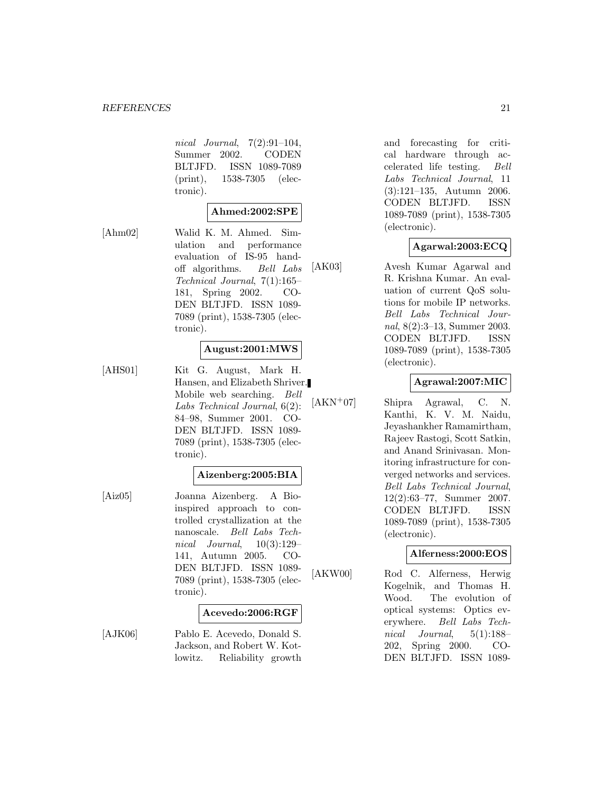#### *REFERENCES* 21

nical Journal, 7(2):91–104, Summer 2002. CODEN BLTJFD. ISSN 1089-7089 (print), 1538-7305 (electronic).

# **Ahmed:2002:SPE**

[Ahm02] Walid K. M. Ahmed. Simulation and performance evaluation of IS-95 handoff algorithms. Bell Labs Technical Journal, 7(1):165– 181, Spring 2002. CO-DEN BLTJFD. ISSN 1089- 7089 (print), 1538-7305 (electronic).

#### **August:2001:MWS**

[AHS01] Kit G. August, Mark H. Hansen, and Elizabeth Shriver. Mobile web searching. Bell Labs Technical Journal, 6(2): 84–98, Summer 2001. CO-DEN BLTJFD. ISSN 1089- 7089 (print), 1538-7305 (electronic).

#### **Aizenberg:2005:BIA**

[Aiz05] Joanna Aizenberg. A Bioinspired approach to controlled crystallization at the nanoscale. Bell Labs Technical Journal, 10(3):129– 141, Autumn 2005. CO-DEN BLTJFD. ISSN 1089- 7089 (print), 1538-7305 (electronic).

#### **Acevedo:2006:RGF**

[AJK06] Pablo E. Acevedo, Donald S. Jackson, and Robert W. Kotlowitz. Reliability growth and forecasting for critical hardware through accelerated life testing. Bell Labs Technical Journal, 11 (3):121–135, Autumn 2006. CODEN BLTJFD. ISSN 1089-7089 (print), 1538-7305 (electronic).

# **Agarwal:2003:ECQ**

[AK03] Avesh Kumar Agarwal and R. Krishna Kumar. An evaluation of current QoS solutions for mobile IP networks. Bell Labs Technical Journal, 8(2):3–13, Summer 2003. CODEN BLTJFD. ISSN 1089-7089 (print), 1538-7305 (electronic).

#### **Agrawal:2007:MIC**

[AKN<sup>+</sup>07] Shipra Agrawal, C. N. Kanthi, K. V. M. Naidu, Jeyashankher Ramamirtham, Rajeev Rastogi, Scott Satkin, and Anand Srinivasan. Monitoring infrastructure for converged networks and services. Bell Labs Technical Journal, 12(2):63–77, Summer 2007. CODEN BLTJFD. ISSN 1089-7089 (print), 1538-7305 (electronic).

#### **Alferness:2000:EOS**

[AKW00] Rod C. Alferness, Herwig Kogelnik, and Thomas H. Wood. The evolution of optical systems: Optics everywhere. Bell Labs Technical Journal, 5(1):188– 202, Spring 2000. CO-DEN BLTJFD. ISSN 1089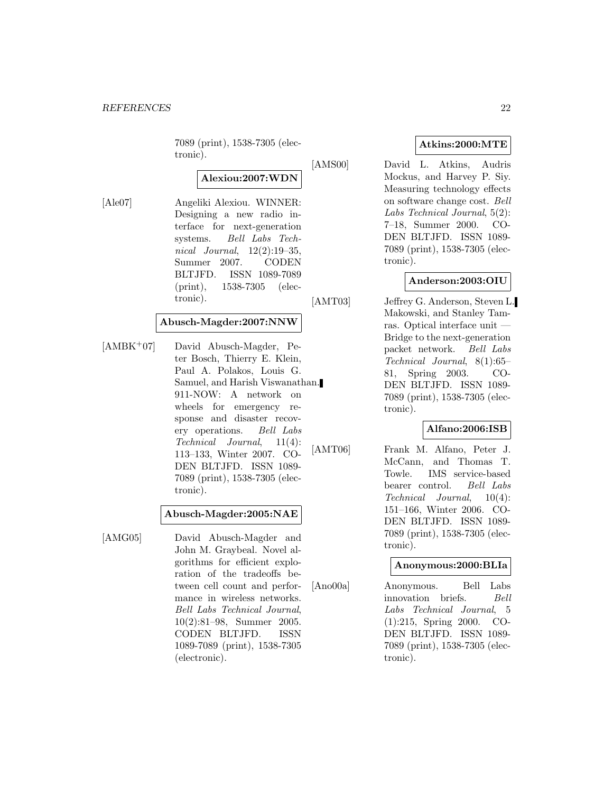7089 (print), 1538-7305 (electronic).

# **Alexiou:2007:WDN**

[Ale07] Angeliki Alexiou. WINNER: Designing a new radio interface for next-generation systems. Bell Labs Technical Journal,  $12(2):19-35$ , Summer 2007. CODEN BLTJFD. ISSN 1089-7089 (print), 1538-7305 (electronic).

#### **Abusch-Magder:2007:NNW**

[AMBK<sup>+</sup>07] David Abusch-Magder, Peter Bosch, Thierry E. Klein, Paul A. Polakos, Louis G. Samuel, and Harish Viswanathan. 911-NOW: A network on wheels for emergency response and disaster recovery operations. Bell Labs Technical Journal, 11(4): 113–133, Winter 2007. CO-DEN BLTJFD. ISSN 1089- 7089 (print), 1538-7305 (electronic).

#### **Abusch-Magder:2005:NAE**

[AMG05] David Abusch-Magder and John M. Graybeal. Novel algorithms for efficient exploration of the tradeoffs between cell count and performance in wireless networks. Bell Labs Technical Journal, 10(2):81–98, Summer 2005. CODEN BLTJFD. ISSN 1089-7089 (print), 1538-7305 (electronic).

# **Atkins:2000:MTE**

[AMS00] David L. Atkins, Audris Mockus, and Harvey P. Siy. Measuring technology effects on software change cost. Bell Labs Technical Journal, 5(2): 7–18, Summer 2000. CO-DEN BLTJFD. ISSN 1089- 7089 (print), 1538-7305 (electronic).

## **Anderson:2003:OIU**

[AMT03] Jeffrey G. Anderson, Steven L. Makowski, and Stanley Tamras. Optical interface unit — Bridge to the next-generation packet network. Bell Labs Technical Journal, 8(1):65– 81, Spring 2003. CO-DEN BLTJFD. ISSN 1089- 7089 (print), 1538-7305 (electronic).

# **Alfano:2006:ISB**

[AMT06] Frank M. Alfano, Peter J. McCann, and Thomas T. Towle. IMS service-based bearer control. Bell Labs Technical Journal, 10(4): 151–166, Winter 2006. CO-DEN BLTJFD. ISSN 1089- 7089 (print), 1538-7305 (electronic).

#### **Anonymous:2000:BLIa**

[Ano00a] Anonymous. Bell Labs innovation briefs. Bell Labs Technical Journal, 5 (1):215, Spring 2000. CO-DEN BLTJFD. ISSN 1089- 7089 (print), 1538-7305 (electronic).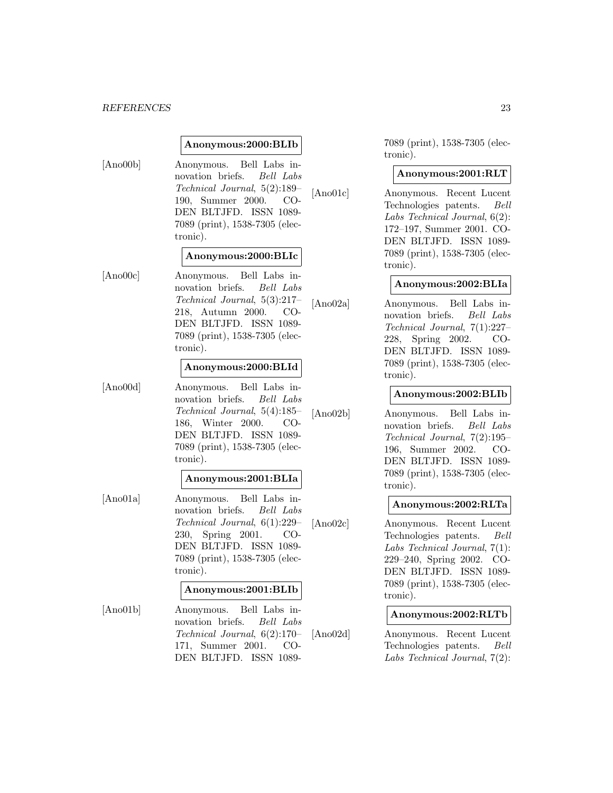#### *REFERENCES* 23

#### **Anonymous:2000:BLIb**

[Ano00b] Anonymous. Bell Labs innovation briefs. Bell Labs Technical Journal, 5(2):189– 190, Summer 2000. CO-DEN BLTJFD. ISSN 1089- 7089 (print), 1538-7305 (electronic).

#### **Anonymous:2000:BLIc**

[Ano00c] Anonymous. Bell Labs innovation briefs. Bell Labs Technical Journal, 5(3):217– 218, Autumn 2000. CO-DEN BLTJFD. ISSN 1089- 7089 (print), 1538-7305 (electronic).

#### **Anonymous:2000:BLId**

[Ano00d] Anonymous. Bell Labs innovation briefs. Bell Labs Technical Journal, 5(4):185– 186, Winter 2000. CO-DEN BLTJFD. ISSN 1089- 7089 (print), 1538-7305 (electronic).

#### **Anonymous:2001:BLIa**

[Ano01a] Anonymous. Bell Labs innovation briefs. Bell Labs Technical Journal, 6(1):229– 230, Spring 2001. CO-DEN BLTJFD. ISSN 1089- 7089 (print), 1538-7305 (electronic).

#### **Anonymous:2001:BLIb**

[Ano01b] Anonymous. Bell Labs innovation briefs. Bell Labs Technical Journal, 6(2):170– 171, Summer 2001. CO-DEN BLTJFD. ISSN 10897089 (print), 1538-7305 (electronic).

#### **Anonymous:2001:RLT**

[Ano01c] Anonymous. Recent Lucent Technologies patents. Bell Labs Technical Journal, 6(2): 172–197, Summer 2001. CO-DEN BLTJFD. ISSN 1089- 7089 (print), 1538-7305 (electronic).

#### **Anonymous:2002:BLIa**

[Ano02a] Anonymous. Bell Labs innovation briefs. Bell Labs Technical Journal, 7(1):227– 228, Spring 2002. CO-DEN BLTJFD. ISSN 1089- 7089 (print), 1538-7305 (electronic).

## **Anonymous:2002:BLIb**

[Ano02b] Anonymous. Bell Labs innovation briefs. Bell Labs Technical Journal, 7(2):195– 196, Summer 2002. CO-DEN BLTJFD. ISSN 1089- 7089 (print), 1538-7305 (electronic).

#### **Anonymous:2002:RLTa**

[Ano02c] Anonymous. Recent Lucent Technologies patents. Bell Labs Technical Journal, 7(1): 229–240, Spring 2002. CO-DEN BLTJFD. ISSN 1089- 7089 (print), 1538-7305 (electronic).

#### **Anonymous:2002:RLTb**

[Ano02d] Anonymous. Recent Lucent Technologies patents. Bell Labs Technical Journal, 7(2):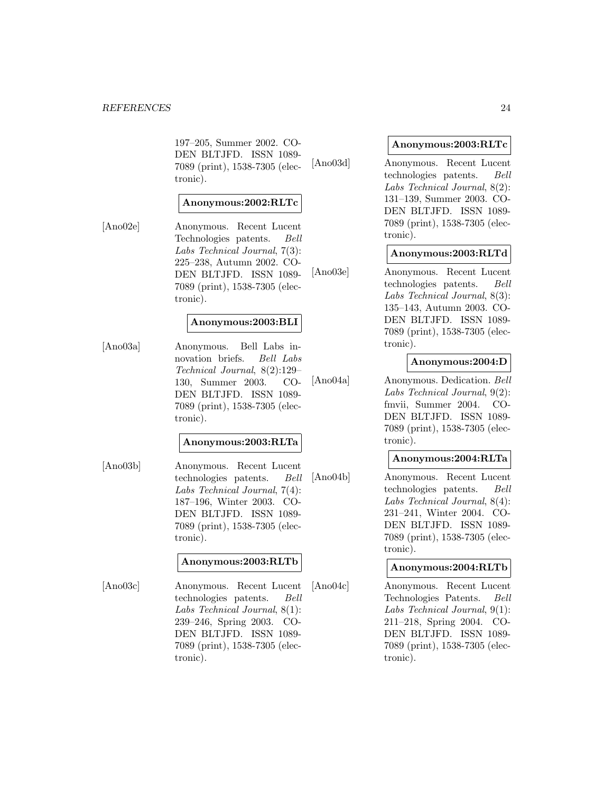197–205, Summer 2002. CO-DEN BLTJFD. ISSN 1089- 7089 (print), 1538-7305 (electronic).

## **Anonymous:2002:RLTc**

[Ano02e] Anonymous. Recent Lucent Technologies patents. Bell Labs Technical Journal, 7(3): 225–238, Autumn 2002. CO-DEN BLTJFD. ISSN 1089- 7089 (print), 1538-7305 (electronic).

#### **Anonymous:2003:BLI**

[Ano03a] Anonymous. Bell Labs innovation briefs. Bell Labs Technical Journal, 8(2):129– 130, Summer 2003. CO-DEN BLTJFD. ISSN 1089- 7089 (print), 1538-7305 (electronic).

#### **Anonymous:2003:RLTa**

[Ano03b] Anonymous. Recent Lucent technologies patents. Bell Labs Technical Journal, 7(4): 187–196, Winter 2003. CO-DEN BLTJFD. ISSN 1089- 7089 (print), 1538-7305 (electronic).

#### **Anonymous:2003:RLTb**

[Ano03c] Anonymous. Recent Lucent technologies patents. Bell Labs Technical Journal, 8(1): 239–246, Spring 2003. CO-DEN BLTJFD. ISSN 1089- 7089 (print), 1538-7305 (electronic).

#### **Anonymous:2003:RLTc**

[Ano03d] Anonymous. Recent Lucent technologies patents. Bell Labs Technical Journal, 8(2): 131–139, Summer 2003. CO-DEN BLTJFD. ISSN 1089- 7089 (print), 1538-7305 (electronic).

#### **Anonymous:2003:RLTd**

[Ano03e] Anonymous. Recent Lucent technologies patents. Bell Labs Technical Journal, 8(3): 135–143, Autumn 2003. CO-DEN BLTJFD. ISSN 1089- 7089 (print), 1538-7305 (electronic).

# **Anonymous:2004:D**

[Ano04a] Anonymous. Dedication. Bell Labs Technical Journal, 9(2): fmvii, Summer 2004. CO-DEN BLTJFD. ISSN 1089- 7089 (print), 1538-7305 (electronic).

#### **Anonymous:2004:RLTa**

[Ano04b] Anonymous. Recent Lucent technologies patents. Bell Labs Technical Journal, 8(4): 231–241, Winter 2004. CO-DEN BLTJFD. ISSN 1089- 7089 (print), 1538-7305 (electronic).

#### **Anonymous:2004:RLTb**

[Ano04c] Anonymous. Recent Lucent Technologies Patents. Bell Labs Technical Journal, 9(1): 211–218, Spring 2004. CO-DEN BLTJFD. ISSN 1089- 7089 (print), 1538-7305 (electronic).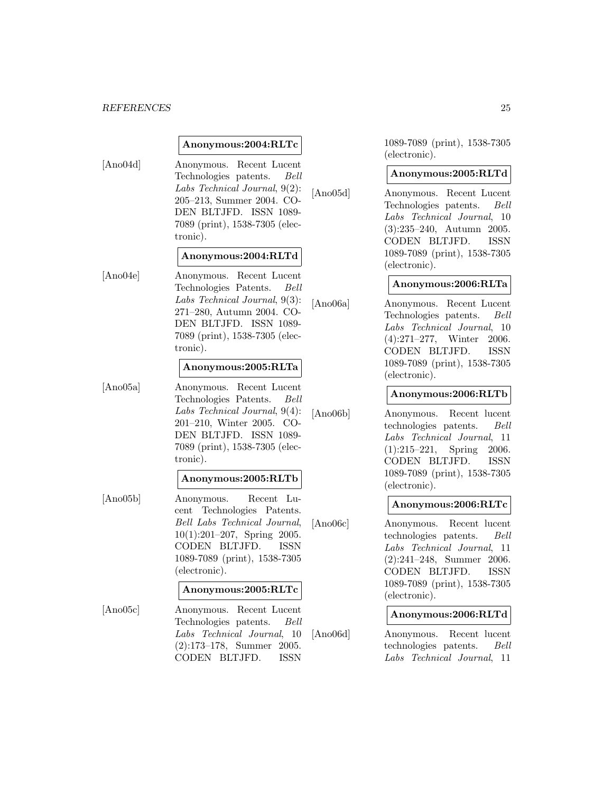#### *REFERENCES* 25

#### **Anonymous:2004:RLTc**

- [Ano04d] Anonymous. Recent Lucent Technologies patents. Bell Labs Technical Journal, 9(2): 205–213, Summer 2004. CO-DEN BLTJFD. ISSN 1089- 7089 (print), 1538-7305 (electronic). **Anonymous:2004:RLTd**
- [Ano04e] Anonymous. Recent Lucent Technologies Patents. Bell Labs Technical Journal, 9(3): 271–280, Autumn 2004. CO-DEN BLTJFD. ISSN 1089- 7089 (print), 1538-7305 (electronic).

#### **Anonymous:2005:RLTa**

[Ano05a] Anonymous. Recent Lucent Technologies Patents. Bell Labs Technical Journal, 9(4): 201–210, Winter 2005. CO-DEN BLTJFD. ISSN 1089- 7089 (print), 1538-7305 (electronic).

#### **Anonymous:2005:RLTb**

[Ano05b] Anonymous. Recent Lucent Technologies Patents. Bell Labs Technical Journal, 10(1):201–207, Spring 2005. CODEN BLTJFD. ISSN 1089-7089 (print), 1538-7305 (electronic).

#### **Anonymous:2005:RLTc**

[Ano05c] Anonymous. Recent Lucent Technologies patents. Bell Labs Technical Journal, 10 (2):173–178, Summer 2005. CODEN BLTJFD. ISSN

1089-7089 (print), 1538-7305 (electronic).

#### **Anonymous:2005:RLTd**

[Ano05d] Anonymous. Recent Lucent Technologies patents. Bell Labs Technical Journal, 10 (3):235–240, Autumn 2005. CODEN BLTJFD. ISSN 1089-7089 (print), 1538-7305 (electronic).

#### **Anonymous:2006:RLTa**

[Ano06a] Anonymous. Recent Lucent Technologies patents. Bell Labs Technical Journal, 10 (4):271–277, Winter 2006. CODEN BLTJFD. ISSN 1089-7089 (print), 1538-7305 (electronic).

#### **Anonymous:2006:RLTb**

[Ano06b] Anonymous. Recent lucent technologies patents. Bell Labs Technical Journal, 11 (1):215–221, Spring 2006. CODEN BLTJFD. ISSN 1089-7089 (print), 1538-7305 (electronic).

#### **Anonymous:2006:RLTc**

[Ano06c] Anonymous. Recent lucent technologies patents. Bell Labs Technical Journal, 11 (2):241–248, Summer 2006. CODEN BLTJFD. ISSN 1089-7089 (print), 1538-7305 (electronic).

#### **Anonymous:2006:RLTd**

[Ano06d] Anonymous. Recent lucent technologies patents. Bell Labs Technical Journal, 11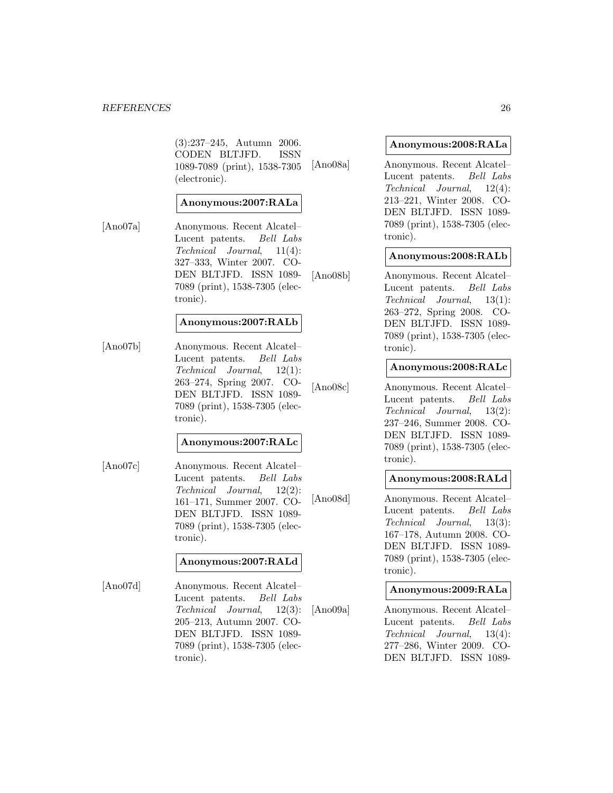#### *REFERENCES* 26

(3):237–245, Autumn 2006. CODEN BLTJFD. ISSN 1089-7089 (print), 1538-7305 (electronic).

## **Anonymous:2007:RALa**

[Ano07a] Anonymous. Recent Alcatel– Lucent patents. Bell Labs Technical Journal, 11(4): 327–333, Winter 2007. CO-DEN BLTJFD. ISSN 1089- 7089 (print), 1538-7305 (electronic).

#### **Anonymous:2007:RALb**

[Ano07b] Anonymous. Recent Alcatel– Lucent patents. Bell Labs Technical Journal, 12(1): 263–274, Spring 2007. CO-DEN BLTJFD. ISSN 1089- 7089 (print), 1538-7305 (electronic).

#### **Anonymous:2007:RALc**

[Ano07c] Anonymous. Recent Alcatel– Lucent patents. Bell Labs Technical Journal, 12(2): 161–171, Summer 2007. CO-DEN BLTJFD. ISSN 1089- 7089 (print), 1538-7305 (electronic).

#### **Anonymous:2007:RALd**

[Ano07d] Anonymous. Recent Alcatel– Lucent patents. Bell Labs Technical Journal, 12(3): 205–213, Autumn 2007. CO-DEN BLTJFD. ISSN 1089- 7089 (print), 1538-7305 (electronic).

#### **Anonymous:2008:RALa**

[Ano08a] Anonymous. Recent Alcatel– Lucent patents. Bell Labs Technical Journal, 12(4): 213–221, Winter 2008. CO-DEN BLTJFD. ISSN 1089- 7089 (print), 1538-7305 (electronic).

#### **Anonymous:2008:RALb**

[Ano08b] Anonymous. Recent Alcatel– Lucent patents. Bell Labs Technical Journal, 13(1): 263–272, Spring 2008. CO-DEN BLTJFD. ISSN 1089- 7089 (print), 1538-7305 (electronic).

#### **Anonymous:2008:RALc**

[Ano08c] Anonymous. Recent Alcatel– Lucent patents. Bell Labs Technical Journal, 13(2): 237–246, Summer 2008. CO-DEN BLTJFD. ISSN 1089- 7089 (print), 1538-7305 (electronic).

## **Anonymous:2008:RALd**

[Ano08d] Anonymous. Recent Alcatel– Lucent patents. Bell Labs Technical Journal, 13(3): 167–178, Autumn 2008. CO-DEN BLTJFD. ISSN 1089- 7089 (print), 1538-7305 (electronic).

#### **Anonymous:2009:RALa**

[Ano09a] Anonymous. Recent Alcatel– Lucent patents. Bell Labs Technical Journal, 13(4): 277–286, Winter 2009. CO-DEN BLTJFD. ISSN 1089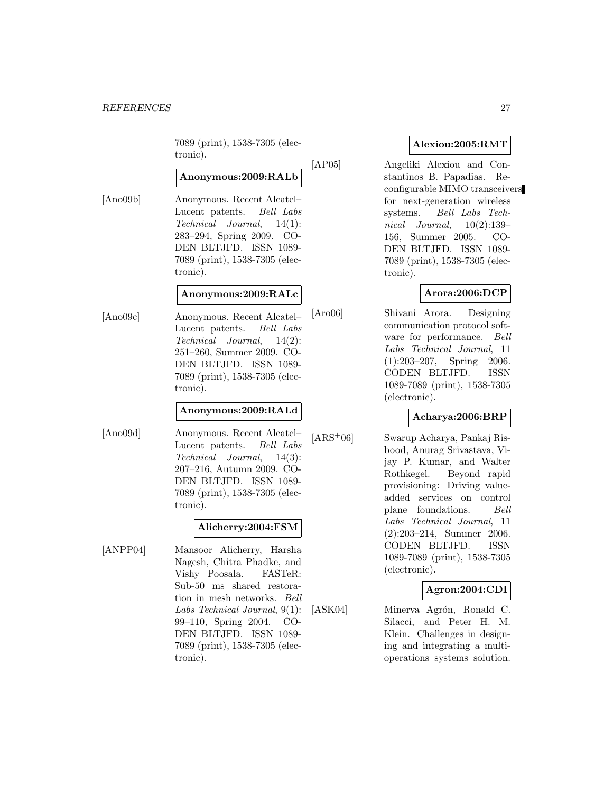7089 (print), 1538-7305 (electronic).

# **Anonymous:2009:RALb**

[Ano09b] Anonymous. Recent Alcatel– Lucent patents. Bell Labs Technical Journal, 14(1): 283–294, Spring 2009. CO-DEN BLTJFD. ISSN 1089- 7089 (print), 1538-7305 (electronic).

# **Anonymous:2009:RALc**

[Ano09c] Anonymous. Recent Alcatel– Lucent patents. Bell Labs Technical Journal, 14(2): 251–260, Summer 2009. CO-DEN BLTJFD. ISSN 1089- 7089 (print), 1538-7305 (electronic).

## **Anonymous:2009:RALd**

[Ano09d] Anonymous. Recent Alcatel– Lucent patents. Bell Labs Technical Journal, 14(3): 207–216, Autumn 2009. CO-DEN BLTJFD. ISSN 1089- 7089 (print), 1538-7305 (electronic).

# **Alicherry:2004:FSM**

[ANPP04] Mansoor Alicherry, Harsha Nagesh, Chitra Phadke, and Vishy Poosala. FASTeR: Sub-50 ms shared restoration in mesh networks. Bell Labs Technical Journal, 9(1): 99–110, Spring 2004. CO-DEN BLTJFD. ISSN 1089- 7089 (print), 1538-7305 (electronic).

# **Alexiou:2005:RMT**

[AP05] Angeliki Alexiou and Constantinos B. Papadias. Reconfigurable MIMO transceivers for next-generation wireless systems. Bell Labs Technical Journal,  $10(2):139-$ 156, Summer 2005. CO-DEN BLTJFD. ISSN 1089- 7089 (print), 1538-7305 (electronic).

# **Arora:2006:DCP**

[Aro06] Shivani Arora. Designing communication protocol software for performance. Bell Labs Technical Journal, 11 (1):203–207, Spring 2006. CODEN BLTJFD. ISSN 1089-7089 (print), 1538-7305 (electronic).

# **Acharya:2006:BRP**

[ARS<sup>+</sup>06] Swarup Acharya, Pankaj Risbood, Anurag Srivastava, Vijay P. Kumar, and Walter Rothkegel. Beyond rapid provisioning: Driving valueadded services on control plane foundations. Bell Labs Technical Journal, 11 (2):203–214, Summer 2006. CODEN BLTJFD. ISSN 1089-7089 (print), 1538-7305 (electronic).

# **Agron:2004:CDI**

[ASK04] Minerva Agrón, Ronald C. Silacci, and Peter H. M. Klein. Challenges in designing and integrating a multioperations systems solution.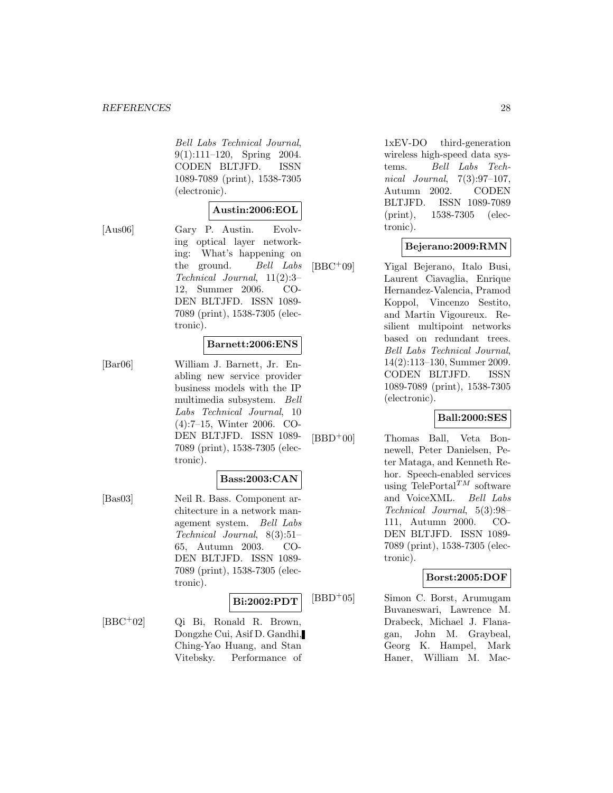Bell Labs Technical Journal, 9(1):111–120, Spring 2004. CODEN BLTJFD. ISSN 1089-7089 (print), 1538-7305 (electronic).

## **Austin:2006:EOL**

[Aus06] Gary P. Austin. Evolving optical layer networking: What's happening on the ground. Bell Labs Technical Journal, 11(2):3– 12, Summer 2006. CO-DEN BLTJFD. ISSN 1089- 7089 (print), 1538-7305 (elec-

tronic).

#### **Barnett:2006:ENS**

[Bar06] William J. Barnett, Jr. Enabling new service provider business models with the IP multimedia subsystem. Bell Labs Technical Journal, 10 (4):7–15, Winter 2006. CO-DEN BLTJFD. ISSN 1089- 7089 (print), 1538-7305 (electronic).

#### **Bass:2003:CAN**

[Bas03] Neil R. Bass. Component architecture in a network management system. Bell Labs Technical Journal, 8(3):51– 65, Autumn 2003. CO-DEN BLTJFD. ISSN 1089- 7089 (print), 1538-7305 (electronic).

## **Bi:2002:PDT**

[BBC<sup>+</sup>02] Qi Bi, Ronald R. Brown, Dongzhe Cui, Asif D. Gandhi, Ching-Yao Huang, and Stan Vitebsky. Performance of

1xEV-DO third-generation wireless high-speed data systems. Bell Labs Technical Journal, 7(3):97–107, Autumn 2002. CODEN BLTJFD. ISSN 1089-7089 (print), 1538-7305 (electronic).

## **Bejerano:2009:RMN**

[BBC<sup>+</sup>09] Yigal Bejerano, Italo Busi, Laurent Ciavaglia, Enrique Hernandez-Valencia, Pramod Koppol, Vincenzo Sestito, and Martin Vigoureux. Resilient multipoint networks based on redundant trees. Bell Labs Technical Journal, 14(2):113–130, Summer 2009. CODEN BLTJFD. ISSN 1089-7089 (print), 1538-7305 (electronic).

## **Ball:2000:SES**

[BBD<sup>+</sup>00] Thomas Ball, Veta Bonnewell, Peter Danielsen, Peter Mataga, and Kenneth Rehor. Speech-enabled services using  $\text{TelePortal}^{TM}$  software and VoiceXML. Bell Labs Technical Journal, 5(3):98– 111, Autumn 2000. CO-DEN BLTJFD. ISSN 1089- 7089 (print), 1538-7305 (electronic).

# **Borst:2005:DOF**

[BBD<sup>+</sup>05] Simon C. Borst, Arumugam Buvaneswari, Lawrence M. Drabeck, Michael J. Flanagan, John M. Graybeal, Georg K. Hampel, Mark Haner, William M. Mac-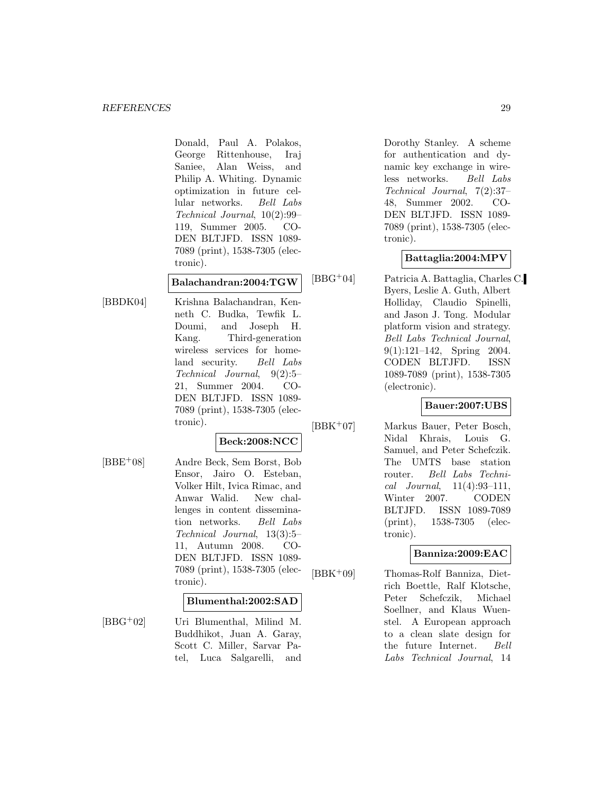Donald, Paul A. Polakos, George Rittenhouse, Iraj Saniee, Alan Weiss, and Philip A. Whiting. Dynamic optimization in future cellular networks. Bell Labs Technical Journal, 10(2):99– 119, Summer 2005. CO-DEN BLTJFD. ISSN 1089- 7089 (print), 1538-7305 (electronic).

#### **Balachandran:2004:TGW**

[BBDK04] Krishna Balachandran, Kenneth C. Budka, Tewfik L. Doumi, and Joseph H. Kang. Third-generation wireless services for homeland security. Bell Labs Technical Journal, 9(2):5– 21, Summer 2004. CO-DEN BLTJFD. ISSN 1089- 7089 (print), 1538-7305 (electronic).

# **Beck:2008:NCC**

[BBE<sup>+</sup>08] Andre Beck, Sem Borst, Bob Ensor, Jairo O. Esteban, Volker Hilt, Ivica Rimac, and Anwar Walid. New challenges in content dissemination networks. Bell Labs Technical Journal, 13(3):5– 11, Autumn 2008. CO-DEN BLTJFD. ISSN 1089- 7089 (print), 1538-7305 (electronic).

#### **Blumenthal:2002:SAD**

[BBG<sup>+</sup>02] Uri Blumenthal, Milind M. Buddhikot, Juan A. Garay, Scott C. Miller, Sarvar Patel, Luca Salgarelli, and Dorothy Stanley. A scheme for authentication and dynamic key exchange in wireless networks. Bell Labs Technical Journal, 7(2):37– 48, Summer 2002. CO-DEN BLTJFD. ISSN 1089- 7089 (print), 1538-7305 (electronic).

# **Battaglia:2004:MPV**

[BBG<sup>+</sup>04] Patricia A. Battaglia, Charles C. Byers, Leslie A. Guth, Albert Holliday, Claudio Spinelli, and Jason J. Tong. Modular platform vision and strategy. Bell Labs Technical Journal, 9(1):121–142, Spring 2004. CODEN BLTJFD. ISSN 1089-7089 (print), 1538-7305 (electronic).

# **Bauer:2007:UBS**

[BBK<sup>+</sup>07] Markus Bauer, Peter Bosch, Nidal Khrais, Louis G. Samuel, and Peter Schefczik. The UMTS base station router. Bell Labs Technical Journal,  $11(4):93-111$ , Winter 2007. CODEN BLTJFD. ISSN 1089-7089 (print), 1538-7305 (electronic).

# **Banniza:2009:EAC**

[BBK<sup>+</sup>09] Thomas-Rolf Banniza, Dietrich Boettle, Ralf Klotsche, Peter Schefczik, Michael Soellner, and Klaus Wuenstel. A European approach to a clean slate design for the future Internet. Bell Labs Technical Journal, 14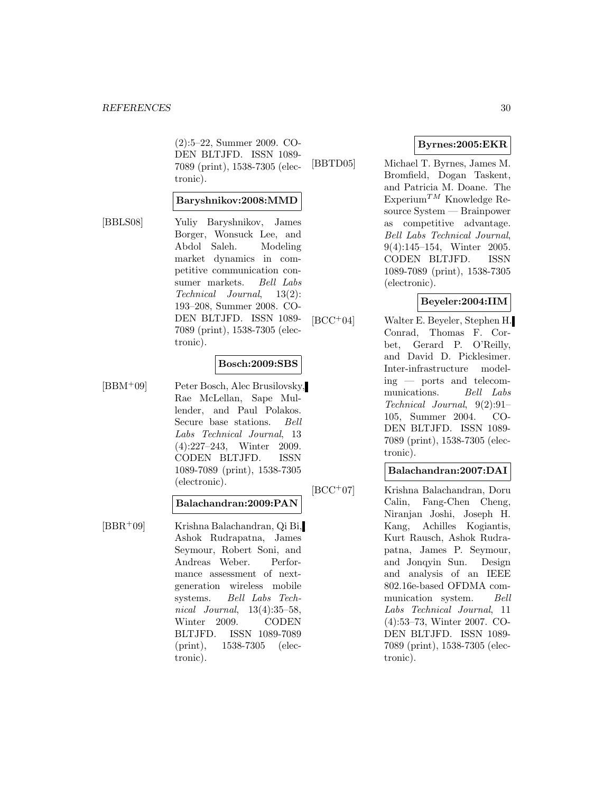(2):5–22, Summer 2009. CO-DEN BLTJFD. ISSN 1089- 7089 (print), 1538-7305 (electronic).

#### **Baryshnikov:2008:MMD**

[BBLS08] Yuliy Baryshnikov, James Borger, Wonsuck Lee, and Abdol Saleh. Modeling market dynamics in competitive communication consumer markets. Bell Labs Technical Journal, 13(2): 193–208, Summer 2008. CO-DEN BLTJFD. ISSN 1089- 7089 (print), 1538-7305 (electronic).

#### **Bosch:2009:SBS**

[BBM<sup>+</sup>09] Peter Bosch, Alec Brusilovsky, Rae McLellan, Sape Mullender, and Paul Polakos. Secure base stations. Bell Labs Technical Journal, 13 (4):227–243, Winter 2009. CODEN BLTJFD. ISSN 1089-7089 (print), 1538-7305 (electronic).

#### **Balachandran:2009:PAN**

[BBR<sup>+</sup>09] Krishna Balachandran, Qi Bi, Ashok Rudrapatna, James Seymour, Robert Soni, and Andreas Weber. Performance assessment of nextgeneration wireless mobile systems. Bell Labs Technical Journal, 13(4):35–58, Winter 2009. CODEN BLTJFD. ISSN 1089-7089 (print), 1538-7305 (electronic).

# **Byrnes:2005:EKR**

[BBTD05] Michael T. Byrnes, James M. Bromfield, Dogan Taskent, and Patricia M. Doane. The Experium<sup>TM</sup> Knowledge Resource System — Brainpower as competitive advantage. Bell Labs Technical Journal, 9(4):145–154, Winter 2005. CODEN BLTJFD. ISSN 1089-7089 (print), 1538-7305 (electronic).

## **Beyeler:2004:IIM**

[BCC<sup>+</sup>04] Walter E. Beyeler, Stephen H. Conrad, Thomas F. Corbet, Gerard P. O'Reilly, and David D. Picklesimer. Inter-infrastructure modeling — ports and telecommunications. Bell Labs Technical Journal, 9(2):91– 105, Summer 2004. CO-DEN BLTJFD. ISSN 1089- 7089 (print), 1538-7305 (electronic).

#### **Balachandran:2007:DAI**

[BCC<sup>+</sup>07] Krishna Balachandran, Doru Calin, Fang-Chen Cheng, Niranjan Joshi, Joseph H. Kang, Achilles Kogiantis, Kurt Rausch, Ashok Rudrapatna, James P. Seymour, and Jonqyin Sun. Design and analysis of an IEEE 802.16e-based OFDMA communication system. Bell Labs Technical Journal, 11 (4):53–73, Winter 2007. CO-DEN BLTJFD. ISSN 1089- 7089 (print), 1538-7305 (electronic).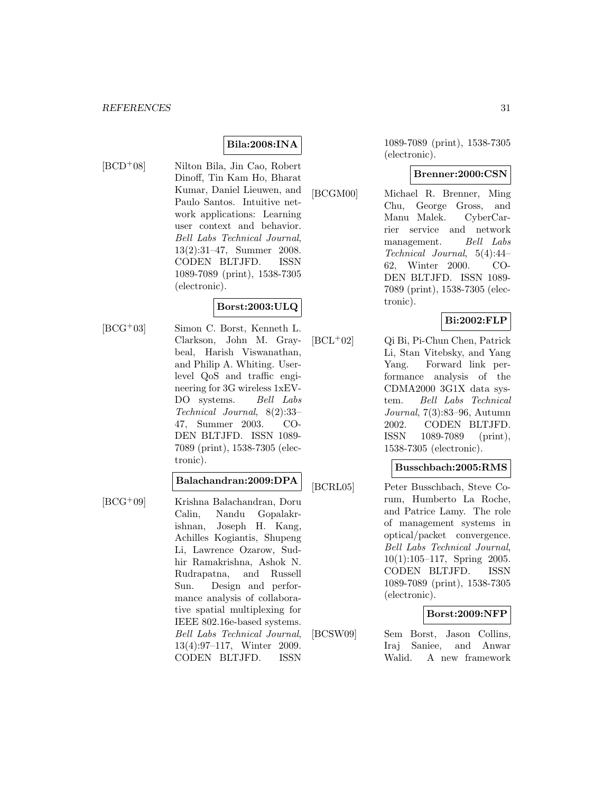# **Bila:2008:INA**

[BCD<sup>+</sup>08] Nilton Bila, Jin Cao, Robert Dinoff, Tin Kam Ho, Bharat Kumar, Daniel Lieuwen, and Paulo Santos. Intuitive network applications: Learning user context and behavior. Bell Labs Technical Journal, 13(2):31–47, Summer 2008. CODEN BLTJFD. ISSN 1089-7089 (print), 1538-7305 (electronic).

# **Borst:2003:ULQ**

[BCG<sup>+</sup>03] Simon C. Borst, Kenneth L. Clarkson, John M. Graybeal, Harish Viswanathan, and Philip A. Whiting. Userlevel QoS and traffic engineering for 3G wireless 1xEV-DO systems. Bell Labs Technical Journal, 8(2):33– 47, Summer 2003. CO-DEN BLTJFD. ISSN 1089- 7089 (print), 1538-7305 (electronic).

# **Balachandran:2009:DPA**

[BCG<sup>+</sup>09] Krishna Balachandran, Doru Calin, Nandu Gopalakrishnan, Joseph H. Kang, Achilles Kogiantis, Shupeng Li, Lawrence Ozarow, Sudhir Ramakrishna, Ashok N. Rudrapatna, and Russell Sun. Design and performance analysis of collaborative spatial multiplexing for IEEE 802.16e-based systems. Bell Labs Technical Journal, 13(4):97–117, Winter 2009. CODEN BLTJFD. ISSN

1089-7089 (print), 1538-7305 (electronic).

## **Brenner:2000:CSN**

[BCGM00] Michael R. Brenner, Ming Chu, George Gross, and Manu Malek. CyberCarrier service and network management. Bell Labs Technical Journal, 5(4):44– 62, Winter 2000. CO-DEN BLTJFD. ISSN 1089- 7089 (print), 1538-7305 (electronic).

# **Bi:2002:FLP**

[BCL<sup>+</sup>02] Qi Bi, Pi-Chun Chen, Patrick Li, Stan Vitebsky, and Yang Yang. Forward link performance analysis of the CDMA2000 3G1X data system. Bell Labs Technical Journal, 7(3):83–96, Autumn 2002. CODEN BLTJFD. ISSN 1089-7089 (print), 1538-7305 (electronic).

#### **Busschbach:2005:RMS**

[BCRL05] Peter Busschbach, Steve Corum, Humberto La Roche, and Patrice Lamy. The role of management systems in optical/packet convergence. Bell Labs Technical Journal, 10(1):105–117, Spring 2005. CODEN BLTJFD. ISSN 1089-7089 (print), 1538-7305 (electronic).

# **Borst:2009:NFP**

[BCSW09] Sem Borst, Jason Collins, Iraj Saniee, and Anwar Walid. A new framework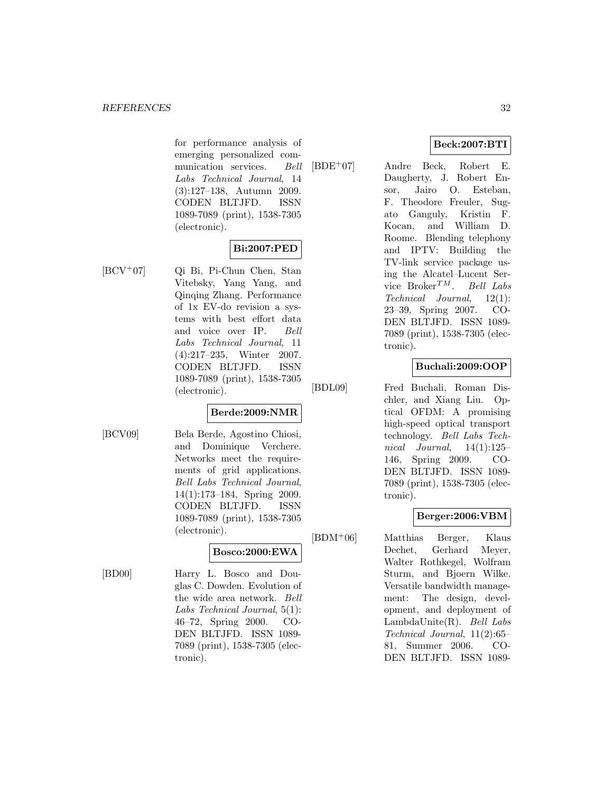for performance analysis of emerging personalized communication services. Bell Labs Technical Journal, 14 (3):127–138, Autumn 2009. CODEN BLTJFD. ISSN 1089-7089 (print), 1538-7305 (electronic).

# **Bi:2007:PED**

[BCV<sup>+</sup>07] Qi Bi, Pi-Chun Chen, Stan Vitebsky, Yang Yang, and Qinqing Zhang. Performance of 1x EV-do revision a systems with best effort data and voice over IP. Bell Labs Technical Journal, 11 (4):217–235, Winter 2007. CODEN BLTJFD. ISSN 1089-7089 (print), 1538-7305 (electronic).

# **Berde:2009:NMR**

[BCV09] Bela Berde, Agostino Chiosi, and Dominique Verchere. Networks meet the requirements of grid applications. Bell Labs Technical Journal, 14(1):173–184, Spring 2009. CODEN BLTJFD. ISSN 1089-7089 (print), 1538-7305 (electronic).

# **Bosco:2000:EWA**

[BD00] Harry L. Bosco and Douglas C. Dowden. Evolution of the wide area network. Bell Labs Technical Journal, 5(1): 46–72, Spring 2000. CO-DEN BLTJFD. ISSN 1089- 7089 (print), 1538-7305 (electronic).

# **Beck:2007:BTI**

[BDE<sup>+</sup>07] Andre Beck, Robert E. Daugherty, J. Robert Ensor, Jairo O. Esteban, F. Theodore Freuler, Sugato Ganguly, Kristin F. Kocan, and William D. Roome. Blending telephony and IPTV: Building the TV-link service package using the Alcatel–Lucent Service  $B$ roker<sup>TM</sup>. Bell Labs Technical Journal, 12(1): 23–39, Spring 2007. CO-DEN BLTJFD. ISSN 1089- 7089 (print), 1538-7305 (electronic).

# **Buchali:2009:OOP**

[BDL09] Fred Buchali, Roman Dischler, and Xiang Liu. Optical OFDM: A promising high-speed optical transport technology. Bell Labs Technical Journal,  $14(1):125-$ 146, Spring 2009. CO-DEN BLTJFD. ISSN 1089- 7089 (print), 1538-7305 (electronic).

# **Berger:2006:VBM**

[BDM<sup>+</sup>06] Matthias Berger, Klaus Dechet, Gerhard Meyer, Walter Rothkegel, Wolfram Sturm, and Bjoern Wilke. Versatile bandwidth management: The design, development, and deployment of LambdaUnite(R). Bell Labs Technical Journal, 11(2):65– 81, Summer 2006. CO-DEN BLTJFD. ISSN 1089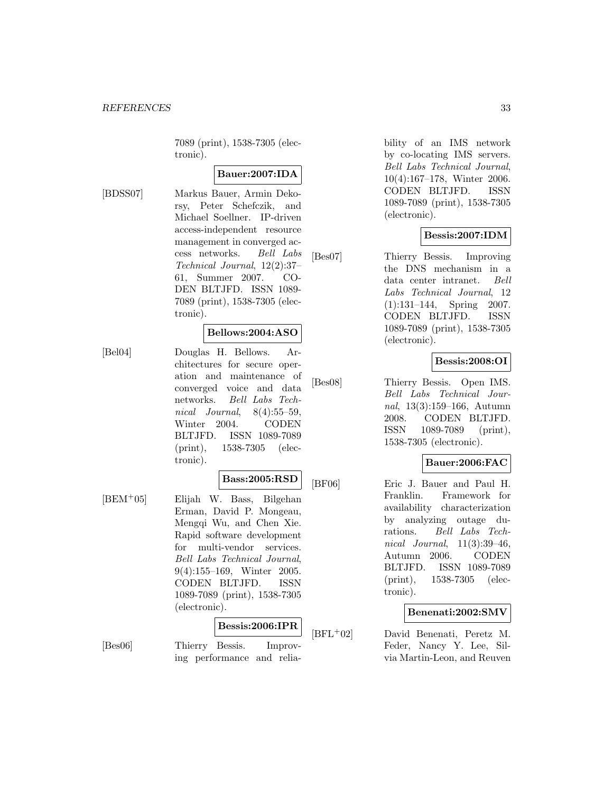7089 (print), 1538-7305 (electronic).

# **Bauer:2007:IDA**

[BDSS07] Markus Bauer, Armin Dekorsy, Peter Schefczik, and Michael Soellner. IP-driven access-independent resource management in converged access networks. Bell Labs Technical Journal, 12(2):37– 61, Summer 2007. CO-DEN BLTJFD. ISSN 1089- 7089 (print), 1538-7305 (electronic).

#### **Bellows:2004:ASO**

[Bel04] Douglas H. Bellows. Architectures for secure operation and maintenance of converged voice and data networks. Bell Labs Technical Journal, 8(4):55–59, Winter 2004. CODEN BLTJFD. ISSN 1089-7089 (print), 1538-7305 (electronic).

# **Bass:2005:RSD**

[BEM<sup>+</sup>05] Elijah W. Bass, Bilgehan Erman, David P. Mongeau, Mengqi Wu, and Chen Xie. Rapid software development for multi-vendor services. Bell Labs Technical Journal, 9(4):155–169, Winter 2005. CODEN BLTJFD. ISSN 1089-7089 (print), 1538-7305 (electronic).

## **Bessis:2006:IPR**

[Bes06] Thierry Bessis. Improving performance and reliability of an IMS network by co-locating IMS servers. Bell Labs Technical Journal, 10(4):167–178, Winter 2006. CODEN BLTJFD. ISSN 1089-7089 (print), 1538-7305 (electronic).

## **Bessis:2007:IDM**

[Bes07] Thierry Bessis. Improving the DNS mechanism in a data center intranet. Bell Labs Technical Journal, 12 (1):131–144, Spring 2007. CODEN BLTJFD. ISSN 1089-7089 (print), 1538-7305 (electronic).

#### **Bessis:2008:OI**

[Bes08] Thierry Bessis. Open IMS. Bell Labs Technical Journal, 13(3):159–166, Autumn 2008. CODEN BLTJFD. ISSN 1089-7089 (print), 1538-7305 (electronic).

## **Bauer:2006:FAC**

[BF06] Eric J. Bauer and Paul H. Franklin. Framework for availability characterization by analyzing outage durations. Bell Labs Technical Journal, 11(3):39–46, Autumn 2006. CODEN BLTJFD. ISSN 1089-7089 (print), 1538-7305 (electronic).

## **Benenati:2002:SMV**

[BFL<sup>+</sup>02] David Benenati, Peretz M. Feder, Nancy Y. Lee, Silvia Martin-Leon, and Reuven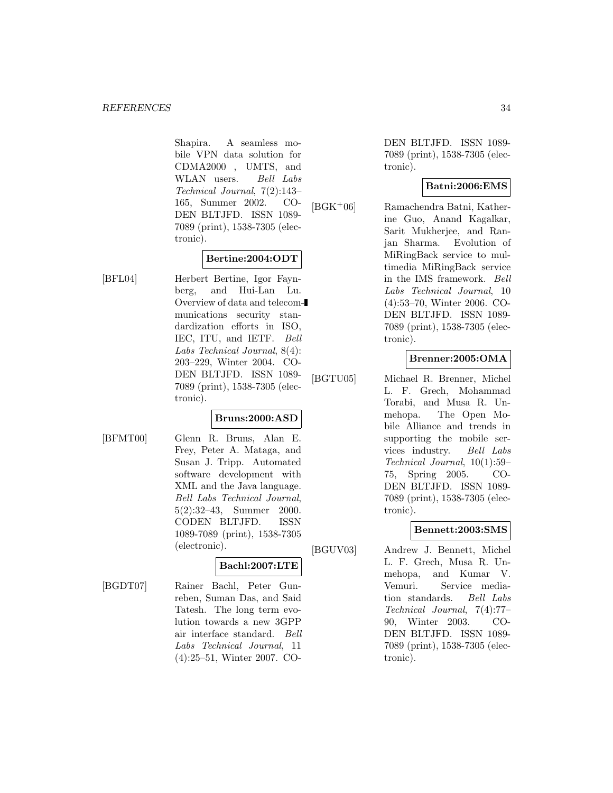Shapira. A seamless mobile VPN data solution for CDMA2000 , UMTS, and WLAN users. Bell Labs Technical Journal, 7(2):143– 165, Summer 2002. CO-DEN BLTJFD. ISSN 1089- 7089 (print), 1538-7305 (electronic).

## **Bertine:2004:ODT**

[BFL04] Herbert Bertine, Igor Faynberg, and Hui-Lan Lu. Overview of data and telecommunications security standardization efforts in ISO, IEC, ITU, and IETF. Bell Labs Technical Journal, 8(4): 203–229, Winter 2004. CO-DEN BLTJFD. ISSN 1089- 7089 (print), 1538-7305 (electronic).

# **Bruns:2000:ASD**

[BFMT00] Glenn R. Bruns, Alan E. Frey, Peter A. Mataga, and Susan J. Tripp. Automated software development with XML and the Java language. Bell Labs Technical Journal, 5(2):32–43, Summer 2000. CODEN BLTJFD. ISSN 1089-7089 (print), 1538-7305 (electronic).

# **Bachl:2007:LTE**

[BGDT07] Rainer Bachl, Peter Gunreben, Suman Das, and Said Tatesh. The long term evolution towards a new 3GPP air interface standard. Bell Labs Technical Journal, 11 (4):25–51, Winter 2007. CO-

DEN BLTJFD. ISSN 1089- 7089 (print), 1538-7305 (electronic).

## **Batni:2006:EMS**

[BGK<sup>+</sup>06] Ramachendra Batni, Katherine Guo, Anand Kagalkar, Sarit Mukherjee, and Ranjan Sharma. Evolution of MiRingBack service to multimedia MiRingBack service in the IMS framework. Bell Labs Technical Journal, 10 (4):53–70, Winter 2006. CO-DEN BLTJFD. ISSN 1089- 7089 (print), 1538-7305 (electronic).

# **Brenner:2005:OMA**

[BGTU05] Michael R. Brenner, Michel L. F. Grech, Mohammad Torabi, and Musa R. Unmehopa. The Open Mobile Alliance and trends in supporting the mobile services industry. Bell Labs Technical Journal, 10(1):59– 75, Spring 2005. CO-DEN BLTJFD. ISSN 1089- 7089 (print), 1538-7305 (electronic).

# **Bennett:2003:SMS**

[BGUV03] Andrew J. Bennett, Michel L. F. Grech, Musa R. Unmehopa, and Kumar V. Vemuri. Service mediation standards. Bell Labs Technical Journal, 7(4):77– 90, Winter 2003. CO-DEN BLTJFD. ISSN 1089- 7089 (print), 1538-7305 (electronic).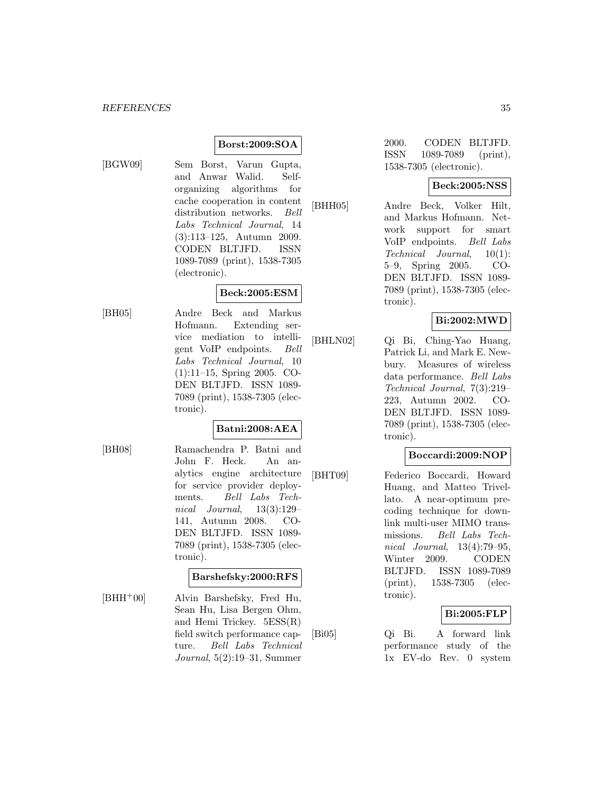## **Borst:2009:SOA**

[BGW09] Sem Borst, Varun Gupta, and Anwar Walid. Selforganizing algorithms for cache cooperation in content distribution networks. Bell Labs Technical Journal, 14 (3):113–125, Autumn 2009. CODEN BLTJFD. ISSN 1089-7089 (print), 1538-7305 (electronic).

## **Beck:2005:ESM**

[BH05] Andre Beck and Markus Hofmann. Extending service mediation to intelligent VoIP endpoints. Bell Labs Technical Journal, 10 (1):11–15, Spring 2005. CO-DEN BLTJFD. ISSN 1089- 7089 (print), 1538-7305 (electronic).

# **Batni:2008:AEA**

[BH08] Ramachendra P. Batni and John F. Heck. An analytics engine architecture for service provider deployments. Bell Labs Technical Journal, 13(3):129– 141, Autumn 2008. CO-DEN BLTJFD. ISSN 1089- 7089 (print), 1538-7305 (electronic).

# **Barshefsky:2000:RFS**

 $[BHH^+00]$  Alvin Barshefsky, Fred Hu, Sean Hu, Lisa Bergen Ohm, and Hemi Trickey. 5ESS(R) field switch performance capture. Bell Labs Technical Journal, 5(2):19–31, Summer

2000. CODEN BLTJFD. ISSN 1089-7089 (print), 1538-7305 (electronic).

# **Beck:2005:NSS**

[BHH05] Andre Beck, Volker Hilt, and Markus Hofmann. Network support for smart<br>VoIP endpoints. Bell Labs VoIP endpoints. Technical Journal, 10(1): 5–9, Spring 2005. CO-DEN BLTJFD. ISSN 1089- 7089 (print), 1538-7305 (electronic).

## **Bi:2002:MWD**

[BHLN02] Qi Bi, Ching-Yao Huang, Patrick Li, and Mark E. Newbury. Measures of wireless data performance. Bell Labs Technical Journal, 7(3):219– 223, Autumn 2002. CO-DEN BLTJFD. ISSN 1089- 7089 (print), 1538-7305 (electronic).

#### **Boccardi:2009:NOP**

[BHT09] Federico Boccardi, Howard Huang, and Matteo Trivellato. A near-optimum precoding technique for downlink multi-user MIMO transmissions. Bell Labs Technical Journal, 13(4):79–95, Winter 2009. CODEN BLTJFD. ISSN 1089-7089 (print), 1538-7305 (electronic).

# **Bi:2005:FLP**

[Bi05] Qi Bi. A forward link performance study of the 1x EV-do Rev. 0 system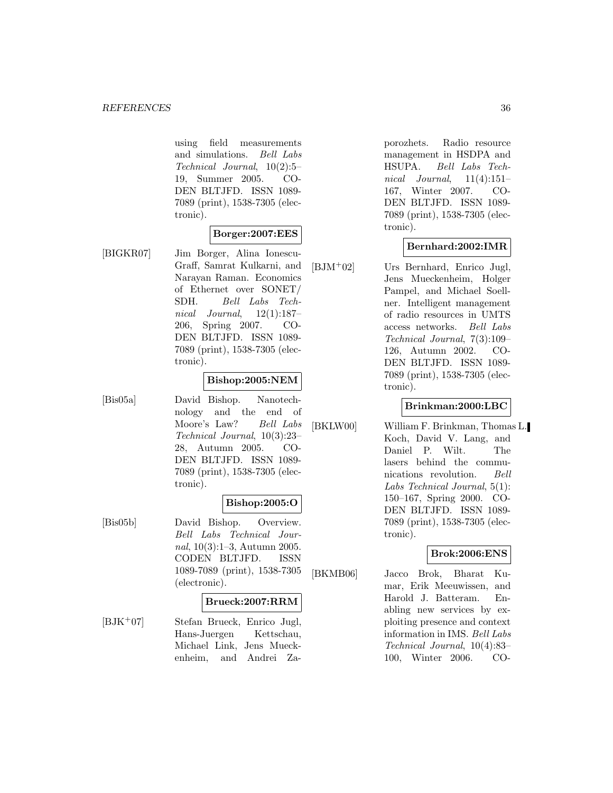using field measurements and simulations. Bell Labs Technical Journal, 10(2):5– 19, Summer 2005. CO-DEN BLTJFD. ISSN 1089- 7089 (print), 1538-7305 (electronic).

## **Borger:2007:EES**

[BIGKR07] Jim Borger, Alina Ionescu-Graff, Samrat Kulkarni, and Narayan Raman. Economics of Ethernet over SONET/ SDH. Bell Labs Technical Journal,  $12(1):187-$ 206, Spring 2007. CO-DEN BLTJFD. ISSN 1089- 7089 (print), 1538-7305 (electronic).

#### **Bishop:2005:NEM**

[Bis05a] David Bishop. Nanotechnology and the end of Moore's Law? Bell Labs Technical Journal, 10(3):23– 28, Autumn 2005. CO-DEN BLTJFD. ISSN 1089- 7089 (print), 1538-7305 (electronic).

# **Bishop:2005:O**

[Bis05b] David Bishop. Overview. Bell Labs Technical Journal, 10(3):1–3, Autumn 2005. CODEN BLTJFD. ISSN 1089-7089 (print), 1538-7305 (electronic).

#### **Brueck:2007:RRM**

[BJK<sup>+</sup>07] Stefan Brueck, Enrico Jugl, Hans-Juergen Kettschau, Michael Link, Jens Mueckenheim, and Andrei Zaporozhets. Radio resource management in HSDPA and HSUPA. Bell Labs Technical Journal,  $11(4):151-$ 167, Winter 2007. CO-DEN BLTJFD. ISSN 1089- 7089 (print), 1538-7305 (electronic).

## **Bernhard:2002:IMR**

[BJM<sup>+</sup>02] Urs Bernhard, Enrico Jugl, Jens Mueckenheim, Holger Pampel, and Michael Soellner. Intelligent management of radio resources in UMTS access networks. Bell Labs Technical Journal, 7(3):109– 126, Autumn 2002. CO-DEN BLTJFD. ISSN 1089- 7089 (print), 1538-7305 (electronic).

#### **Brinkman:2000:LBC**

[BKLW00] William F. Brinkman, Thomas L. Koch, David V. Lang, and Daniel P. Wilt. The lasers behind the communications revolution. Bell Labs Technical Journal, 5(1): 150–167, Spring 2000. CO-DEN BLTJFD. ISSN 1089- 7089 (print), 1538-7305 (electronic).

#### **Brok:2006:ENS**

[BKMB06] Jacco Brok, Bharat Kumar, Erik Meeuwissen, and Harold J. Batteram. Enabling new services by exploiting presence and context information in IMS. Bell Labs Technical Journal, 10(4):83– 100, Winter 2006. CO-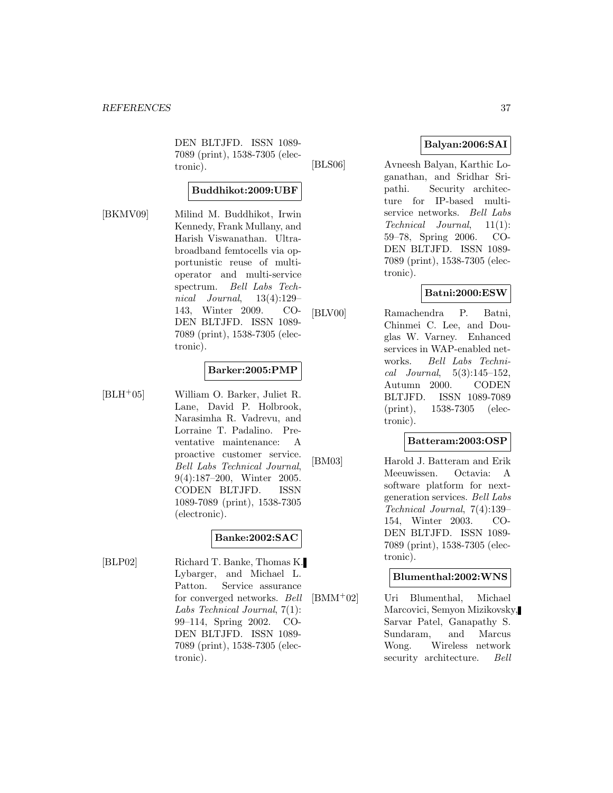DEN BLTJFD. ISSN 1089- 7089 (print), 1538-7305 (electronic).

### **Buddhikot:2009:UBF**

[BKMV09] Milind M. Buddhikot, Irwin Kennedy, Frank Mullany, and Harish Viswanathan. Ultrabroadband femtocells via opportunistic reuse of multioperator and multi-service spectrum. Bell Labs Technical Journal, 13(4):129– 143, Winter 2009. CO-DEN BLTJFD. ISSN 1089- 7089 (print), 1538-7305 (electronic).

#### **Barker:2005:PMP**

[BLH<sup>+</sup>05] William O. Barker, Juliet R. Lane, David P. Holbrook, Narasimha R. Vadrevu, and Lorraine T. Padalino. Preventative maintenance: A proactive customer service. Bell Labs Technical Journal, 9(4):187–200, Winter 2005. CODEN BLTJFD. ISSN 1089-7089 (print), 1538-7305 (electronic).

### **Banke:2002:SAC**

[BLP02] Richard T. Banke, Thomas K. Lybarger, and Michael L. Patton. Service assurance for converged networks. Bell Labs Technical Journal, 7(1): 99–114, Spring 2002. CO-DEN BLTJFD. ISSN 1089- 7089 (print), 1538-7305 (electronic).

### **Balyan:2006:SAI**

[BLS06] Avneesh Balyan, Karthic Loganathan, and Sridhar Sripathi. Security architecture for IP-based multiservice networks. Bell Labs Technical Journal, 11(1): 59–78, Spring 2006. CO-DEN BLTJFD. ISSN 1089- 7089 (print), 1538-7305 (electronic).

### **Batni:2000:ESW**

[BLV00] Ramachendra P. Batni, Chinmei C. Lee, and Douglas W. Varney. Enhanced services in WAP-enabled networks. Bell Labs Technical Journal,  $5(3):145-152$ , Autumn 2000. CODEN BLTJFD. ISSN 1089-7089 (print), 1538-7305 (electronic).

## **Batteram:2003:OSP**

[BM03] Harold J. Batteram and Erik Meeuwissen. Octavia: A software platform for nextgeneration services. Bell Labs Technical Journal, 7(4):139– 154, Winter 2003. CO-DEN BLTJFD. ISSN 1089- 7089 (print), 1538-7305 (electronic).

### **Blumenthal:2002:WNS**

[BMM<sup>+</sup>02] Uri Blumenthal, Michael Marcovici, Semyon Mizikovsky, Sarvar Patel, Ganapathy S. Sundaram, and Marcus Wong. Wireless network security architecture. *Bell*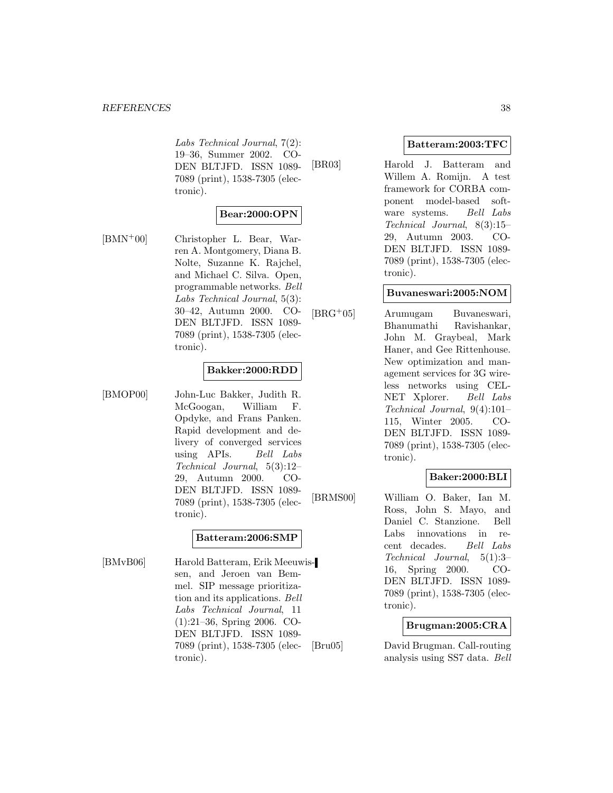#### *REFERENCES* 38

Labs Technical Journal, 7(2): 19–36, Summer 2002. CO-DEN BLTJFD. ISSN 1089- 7089 (print), 1538-7305 (electronic).

### **Bear:2000:OPN**

[BMN<sup>+</sup>00] Christopher L. Bear, Warren A. Montgomery, Diana B. Nolte, Suzanne K. Rajchel, and Michael C. Silva. Open, programmable networks. Bell Labs Technical Journal, 5(3): 30–42, Autumn 2000. CO-DEN BLTJFD. ISSN 1089- 7089 (print), 1538-7305 (electronic).

#### **Bakker:2000:RDD**

[BMOP00] John-Luc Bakker, Judith R. McGoogan, William F. Opdyke, and Frans Panken. Rapid development and delivery of converged services using APIs. Bell Labs Technical Journal, 5(3):12– 29, Autumn 2000. CO-DEN BLTJFD. ISSN 1089- 7089 (print), 1538-7305 (electronic).

#### **Batteram:2006:SMP**

[BMvB06] Harold Batteram, Erik Meeuwissen, and Jeroen van Bemmel. SIP message prioritization and its applications. Bell Labs Technical Journal, 11 (1):21–36, Spring 2006. CO-DEN BLTJFD. ISSN 1089- 7089 (print), 1538-7305 (electronic).

#### **Batteram:2003:TFC**

[BR03] Harold J. Batteram and Willem A. Romijn. A test framework for CORBA component model-based software systems. Bell Labs Technical Journal, 8(3):15– 29, Autumn 2003. CO-DEN BLTJFD. ISSN 1089- 7089 (print), 1538-7305 (electronic).

#### **Buvaneswari:2005:NOM**

[BRG<sup>+</sup>05] Arumugam Buvaneswari, Bhanumathi Ravishankar, John M. Graybeal, Mark Haner, and Gee Rittenhouse. New optimization and management services for 3G wireless networks using CEL-NET Xplorer. Bell Labs Technical Journal, 9(4):101– 115, Winter 2005. CO-DEN BLTJFD. ISSN 1089- 7089 (print), 1538-7305 (electronic).

### **Baker:2000:BLI**

[BRMS00] William O. Baker, Ian M. Ross, John S. Mayo, and Daniel C. Stanzione. Bell Labs innovations in recent decades. Bell Labs Technical Journal, 5(1):3– 16, Spring 2000. CO-DEN BLTJFD. ISSN 1089- 7089 (print), 1538-7305 (electronic).

#### **Brugman:2005:CRA**

[Bru05] David Brugman. Call-routing analysis using SS7 data. Bell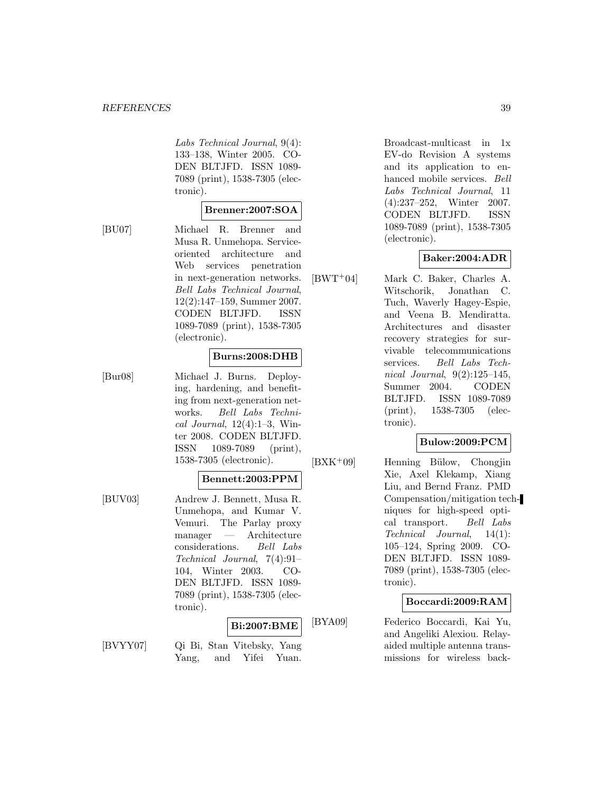#### *REFERENCES* 39

Labs Technical Journal, 9(4): 133–138, Winter 2005. CO-DEN BLTJFD. ISSN 1089- 7089 (print), 1538-7305 (electronic).

#### **Brenner:2007:SOA**

[BU07] Michael R. Brenner and Musa R. Unmehopa. Serviceoriented architecture and Web services penetration in next-generation networks. Bell Labs Technical Journal, 12(2):147–159, Summer 2007. CODEN BLTJFD. ISSN 1089-7089 (print), 1538-7305 (electronic).

#### **Burns:2008:DHB**

[Bur08] Michael J. Burns. Deploying, hardening, and benefiting from next-generation networks. Bell Labs Technical Journal, 12(4):1–3, Winter 2008. CODEN BLTJFD. ISSN 1089-7089 (print), 1538-7305 (electronic).

## **Bennett:2003:PPM**

[BUV03] Andrew J. Bennett, Musa R. Unmehopa, and Kumar V. Vemuri. The Parlay proxy manager — Architecture considerations. Bell Labs Technical Journal, 7(4):91– 104, Winter 2003. CO-DEN BLTJFD. ISSN 1089- 7089 (print), 1538-7305 (electronic).

### **Bi:2007:BME**

[BVYY07] Qi Bi, Stan Vitebsky, Yang Yang, and Yifei Yuan.

Broadcast-multicast in 1x EV-do Revision A systems and its application to enhanced mobile services. Bell Labs Technical Journal, 11 (4):237–252, Winter 2007. CODEN BLTJFD. ISSN 1089-7089 (print), 1538-7305 (electronic).

#### **Baker:2004:ADR**

[BWT<sup>+</sup>04] Mark C. Baker, Charles A. Witschorik, Jonathan C. Tuch, Waverly Hagey-Espie, and Veena B. Mendiratta. Architectures and disaster recovery strategies for survivable telecommunications services. Bell Labs Technical Journal, 9(2):125–145, Summer 2004. CODEN BLTJFD. ISSN 1089-7089 (print), 1538-7305 (electronic).

### **Bulow:2009:PCM**

[BXK<sup>+</sup>09] Henning Bülow, Chongjin Xie, Axel Klekamp, Xiang Liu, and Bernd Franz. PMD Compensation/mitigation techniques for high-speed optical transport. Bell Labs Technical Journal, 14(1): 105–124, Spring 2009. CO-DEN BLTJFD. ISSN 1089- 7089 (print), 1538-7305 (electronic).

#### **Boccardi:2009:RAM**

[BYA09] Federico Boccardi, Kai Yu, and Angeliki Alexiou. Relayaided multiple antenna transmissions for wireless back-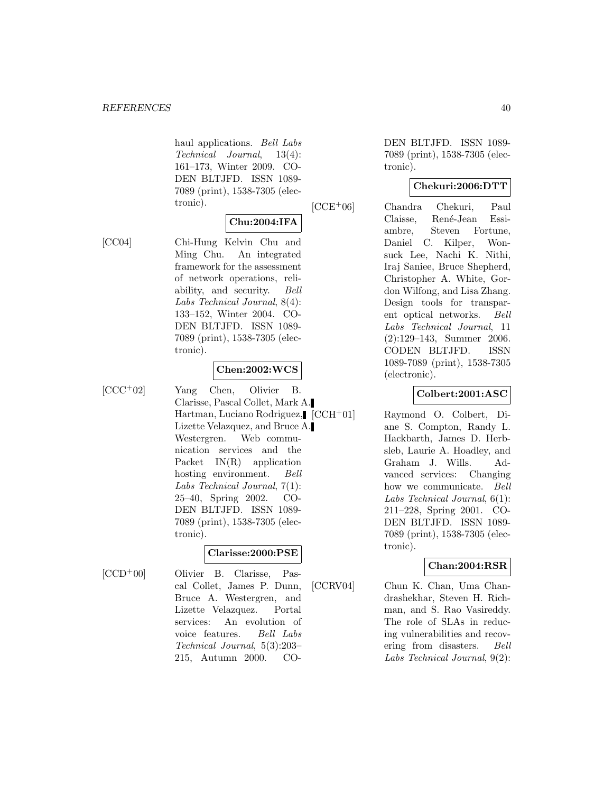haul applications. Bell Labs Technical Journal, 13(4): 161–173, Winter 2009. CO-DEN BLTJFD. ISSN 1089- 7089 (print), 1538-7305 (electronic).

# **Chu:2004:IFA**

[CC04] Chi-Hung Kelvin Chu and Ming Chu. An integrated framework for the assessment of network operations, reliability, and security. Bell Labs Technical Journal, 8(4): 133–152, Winter 2004. CO-DEN BLTJFD. ISSN 1089- 7089 (print), 1538-7305 (electronic).

#### **Chen:2002:WCS**

[CCC<sup>+</sup>02] Yang Chen, Olivier B. Clarisse, Pascal Collet, Mark A. Hartman, Luciano Rodriguez, [CCH+01] Lizette Velazquez, and Bruce A. Westergren. Web communication services and the Packet IN(R) application hosting environment. Bell Labs Technical Journal, 7(1): 25–40, Spring 2002. CO-DEN BLTJFD. ISSN 1089- 7089 (print), 1538-7305 (electronic).

### **Clarisse:2000:PSE**

[CCD<sup>+</sup>00] Olivier B. Clarisse, Pascal Collet, James P. Dunn, Bruce A. Westergren, and Lizette Velazquez. Portal services: An evolution of voice features. Bell Labs Technical Journal, 5(3):203– 215, Autumn 2000. CO-

DEN BLTJFD. ISSN 1089- 7089 (print), 1538-7305 (electronic).

### **Chekuri:2006:DTT**

[CCE<sup>+</sup>06] Chandra Chekuri, Paul Claisse, René-Jean Essiambre, Steven Fortune, Daniel C. Kilper, Wonsuck Lee, Nachi K. Nithi, Iraj Saniee, Bruce Shepherd, Christopher A. White, Gordon Wilfong, and Lisa Zhang. Design tools for transparent optical networks. Bell Labs Technical Journal, 11 (2):129–143, Summer 2006. CODEN BLTJFD. ISSN 1089-7089 (print), 1538-7305 (electronic).

## **Colbert:2001:ASC**

Raymond O. Colbert, Diane S. Compton, Randy L. Hackbarth, James D. Herbsleb, Laurie A. Hoadley, and Graham J. Wills. Advanced services: Changing how we communicate. Bell Labs Technical Journal, 6(1): 211–228, Spring 2001. CO-DEN BLTJFD. ISSN 1089- 7089 (print), 1538-7305 (electronic).

### **Chan:2004:RSR**

[CCRV04] Chun K. Chan, Uma Chandrashekhar, Steven H. Richman, and S. Rao Vasireddy. The role of SLAs in reducing vulnerabilities and recovering from disasters. Bell Labs Technical Journal, 9(2):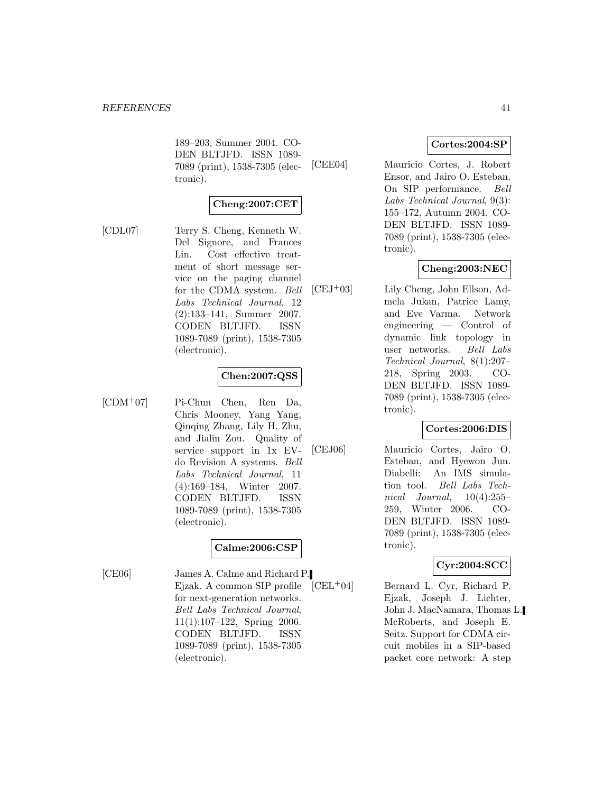189–203, Summer 2004. CO-DEN BLTJFD. ISSN 1089- 7089 (print), 1538-7305 (electronic).

### **Cheng:2007:CET**

[CDL07] Terry S. Cheng, Kenneth W. Del Signore, and Frances Lin. Cost effective treatment of short message service on the paging channel for the CDMA system. Bell Labs Technical Journal, 12 (2):133–141, Summer 2007. CODEN BLTJFD. ISSN 1089-7089 (print), 1538-7305 (electronic).

### **Chen:2007:QSS**

[CDM<sup>+</sup>07] Pi-Chun Chen, Ren Da, Chris Mooney, Yang Yang, Qinqing Zhang, Lily H. Zhu, and Jialin Zou. Quality of service support in 1x EVdo Revision A systems. Bell Labs Technical Journal, 11 (4):169–184, Winter 2007. CODEN BLTJFD. ISSN 1089-7089 (print), 1538-7305 (electronic).

### **Calme:2006:CSP**

[CE06] James A. Calme and Richard P. Ejzak. A common SIP profile for next-generation networks. Bell Labs Technical Journal, 11(1):107–122, Spring 2006. CODEN BLTJFD. ISSN 1089-7089 (print), 1538-7305 (electronic).

### **Cortes:2004:SP**

[CEE04] Mauricio Cortes, J. Robert Ensor, and Jairo O. Esteban. On SIP performance. Bell Labs Technical Journal, 9(3): 155–172, Autumn 2004. CO-DEN BLTJFD. ISSN 1089- 7089 (print), 1538-7305 (electronic).

### **Cheng:2003:NEC**

[CEJ<sup>+</sup>03] Lily Cheng, John Ellson, Admela Jukan, Patrice Lamy, and Eve Varma. Network engineering — Control of dynamic link topology in user networks. Bell Labs Technical Journal, 8(1):207– 218, Spring 2003. CO-DEN BLTJFD. ISSN 1089- 7089 (print), 1538-7305 (electronic).

### **Cortes:2006:DIS**

[CEJ06] Mauricio Cortes, Jairo O. Esteban, and Hyewon Jun. Diabelli: An IMS simulation tool. Bell Labs Technical Journal,  $10(4):255-$ 259, Winter 2006. CO-DEN BLTJFD. ISSN 1089- 7089 (print), 1538-7305 (electronic).

### **Cyr:2004:SCC**

 $[CEL<sup>+</sup>04]$  Bernard L. Cyr, Richard P. Ejzak, Joseph J. Lichter, John J. MacNamara, Thomas L. McRoberts, and Joseph E. Seitz. Support for CDMA circuit mobiles in a SIP-based packet core network: A step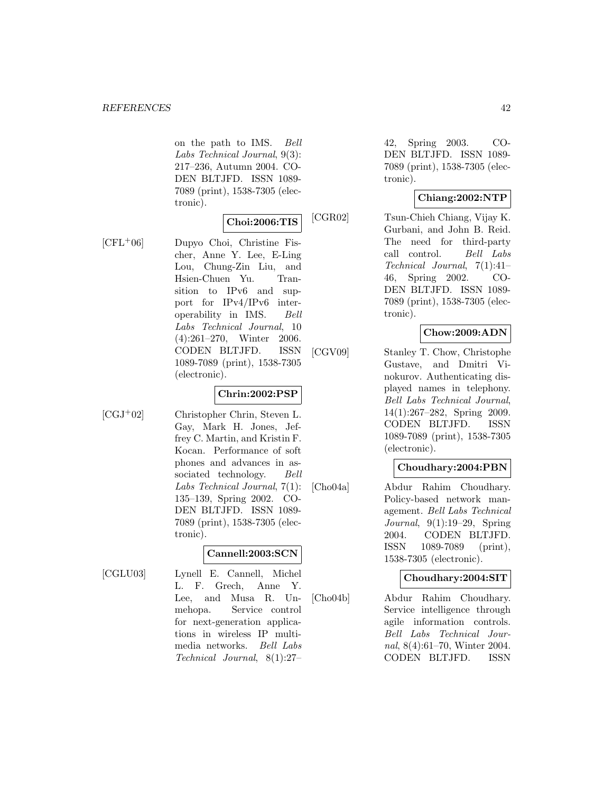on the path to IMS. Bell Labs Technical Journal, 9(3): 217–236, Autumn 2004. CO-DEN BLTJFD. ISSN 1089- 7089 (print), 1538-7305 (electronic).

## **Choi:2006:TIS**

[CFL<sup>+</sup>06] Dupyo Choi, Christine Fischer, Anne Y. Lee, E-Ling Lou, Chung-Zin Liu, and Hsien-Chuen Yu. Transition to IPv6 and support for IPv4/IPv6 interoperability in IMS. Bell Labs Technical Journal, 10 (4):261–270, Winter 2006. CODEN BLTJFD. ISSN 1089-7089 (print), 1538-7305 (electronic).

#### **Chrin:2002:PSP**

[CGJ<sup>+</sup>02] Christopher Chrin, Steven L. Gay, Mark H. Jones, Jeffrey C. Martin, and Kristin F. Kocan. Performance of soft phones and advances in associated technology. Bell Labs Technical Journal, 7(1): 135–139, Spring 2002. CO-DEN BLTJFD. ISSN 1089- 7089 (print), 1538-7305 (electronic).

### **Cannell:2003:SCN**

[CGLU03] Lynell E. Cannell, Michel L. F. Grech, Anne Y. Lee, and Musa R. Unmehopa. Service control for next-generation applications in wireless IP multimedia networks. Bell Labs Technical Journal, 8(1):27–

42, Spring 2003. CO-DEN BLTJFD. ISSN 1089- 7089 (print), 1538-7305 (electronic).

## **Chiang:2002:NTP**

[CGR02] Tsun-Chieh Chiang, Vijay K. Gurbani, and John B. Reid. The need for third-party call control. Bell Labs Technical Journal, 7(1):41– 46, Spring 2002. CO-DEN BLTJFD. ISSN 1089- 7089 (print), 1538-7305 (electronic).

### **Chow:2009:ADN**

[CGV09] Stanley T. Chow, Christophe Gustave, and Dmitri Vinokurov. Authenticating displayed names in telephony. Bell Labs Technical Journal, 14(1):267–282, Spring 2009. CODEN BLTJFD. ISSN 1089-7089 (print), 1538-7305 (electronic).

### **Choudhary:2004:PBN**

[Cho04a] Abdur Rahim Choudhary. Policy-based network management. Bell Labs Technical Journal, 9(1):19–29, Spring 2004. CODEN BLTJFD. ISSN 1089-7089 (print), 1538-7305 (electronic).

#### **Choudhary:2004:SIT**

[Cho04b] Abdur Rahim Choudhary. Service intelligence through agile information controls. Bell Labs Technical Journal, 8(4):61–70, Winter 2004. CODEN BLTJFD. ISSN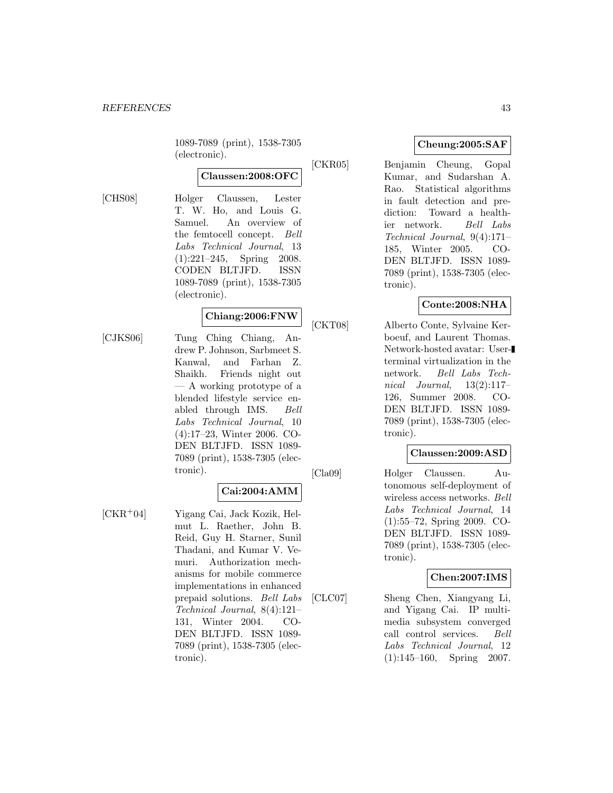1089-7089 (print), 1538-7305 (electronic).

# **Claussen:2008:OFC**

[CHS08] Holger Claussen, Lester T. W. Ho, and Louis G. Samuel. An overview of the femtocell concept. Bell Labs Technical Journal, 13 (1):221–245, Spring 2008. CODEN BLTJFD. ISSN 1089-7089 (print), 1538-7305 (electronic).

# **Chiang:2006:FNW**

[CJKS06] Tung Ching Chiang, Andrew P. Johnson, Sarbmeet S. Kanwal, and Farhan Z. Shaikh. Friends night out — A working prototype of a blended lifestyle service enabled through IMS. Bell Labs Technical Journal, 10 (4):17–23, Winter 2006. CO-DEN BLTJFD. ISSN 1089- 7089 (print), 1538-7305 (electronic).

### **Cai:2004:AMM**

[CKR<sup>+</sup>04] Yigang Cai, Jack Kozik, Helmut L. Raether, John B. Reid, Guy H. Starner, Sunil Thadani, and Kumar V. Vemuri. Authorization mechanisms for mobile commerce implementations in enhanced prepaid solutions. Bell Labs Technical Journal, 8(4):121– 131, Winter 2004. CO-DEN BLTJFD. ISSN 1089- 7089 (print), 1538-7305 (electronic).

#### **Cheung:2005:SAF**

[CKR05] Benjamin Cheung, Gopal Kumar, and Sudarshan A. Rao. Statistical algorithms in fault detection and prediction: Toward a healthier network. Bell Labs Technical Journal, 9(4):171– 185, Winter 2005. CO-DEN BLTJFD. ISSN 1089- 7089 (print), 1538-7305 (electronic).

#### **Conte:2008:NHA**

[CKT08] Alberto Conte, Sylvaine Kerboeuf, and Laurent Thomas. Network-hosted avatar: Userterminal virtualization in the network. Bell Labs Technical Journal,  $13(2):117-$ 126, Summer 2008. CO-DEN BLTJFD. ISSN 1089- 7089 (print), 1538-7305 (electronic).

#### **Claussen:2009:ASD**

[Cla09] Holger Claussen. Autonomous self-deployment of wireless access networks. Bell Labs Technical Journal, 14 (1):55–72, Spring 2009. CO-DEN BLTJFD. ISSN 1089- 7089 (print), 1538-7305 (electronic).

#### **Chen:2007:IMS**

[CLC07] Sheng Chen, Xiangyang Li, and Yigang Cai. IP multimedia subsystem converged call control services. Bell Labs Technical Journal, 12 (1):145–160, Spring 2007.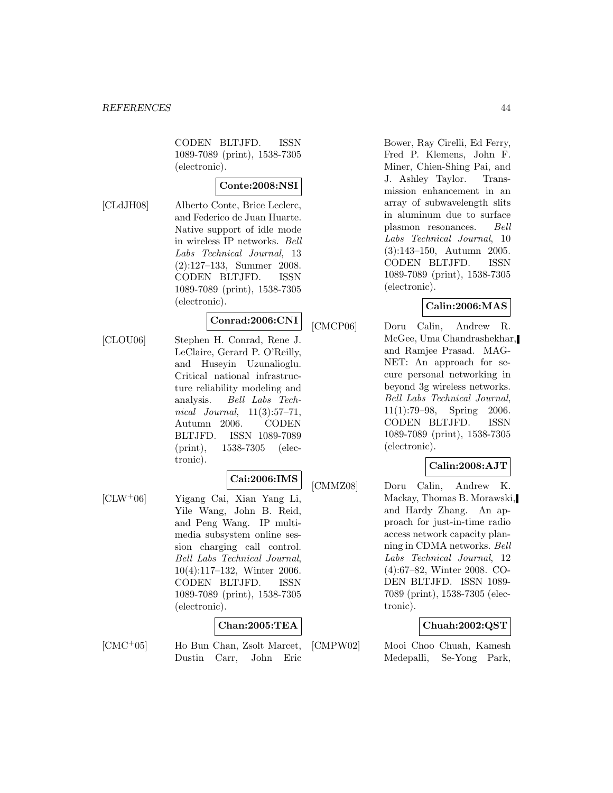CODEN BLTJFD. ISSN 1089-7089 (print), 1538-7305 (electronic).

## **Conte:2008:NSI**

[CLdJH08] Alberto Conte, Brice Leclerc, and Federico de Juan Huarte. Native support of idle mode in wireless IP networks. Bell Labs Technical Journal, 13 (2):127–133, Summer 2008. CODEN BLTJFD. ISSN 1089-7089 (print), 1538-7305 (electronic).

# **Conrad:2006:CNI**

[CLOU06] Stephen H. Conrad, Rene J. LeClaire, Gerard P. O'Reilly, and Huseyin Uzunalioglu. Critical national infrastructure reliability modeling and analysis. Bell Labs Technical Journal, 11(3):57–71, Autumn 2006. CODEN BLTJFD. ISSN 1089-7089 (print), 1538-7305 (electronic).

# **Cai:2006:IMS**

[CLW<sup>+</sup>06] Yigang Cai, Xian Yang Li, Yile Wang, John B. Reid, and Peng Wang. IP multimedia subsystem online session charging call control. Bell Labs Technical Journal, 10(4):117–132, Winter 2006. CODEN BLTJFD. ISSN 1089-7089 (print), 1538-7305 (electronic).

#### **Chan:2005:TEA**

[CMC<sup>+</sup>05] Ho Bun Chan, Zsolt Marcet, Dustin Carr, John Eric Bower, Ray Cirelli, Ed Ferry, Fred P. Klemens, John F. Miner, Chien-Shing Pai, and J. Ashley Taylor. Transmission enhancement in an array of subwavelength slits in aluminum due to surface plasmon resonances. Bell Labs Technical Journal, 10 (3):143–150, Autumn 2005. CODEN BLTJFD. ISSN 1089-7089 (print), 1538-7305 (electronic).

#### **Calin:2006:MAS**

[CMCP06] Doru Calin, Andrew R. McGee, Uma Chandrashekhar, and Ramjee Prasad. MAG-NET: An approach for secure personal networking in beyond 3g wireless networks. Bell Labs Technical Journal, 11(1):79–98, Spring 2006. CODEN BLTJFD. ISSN 1089-7089 (print), 1538-7305 (electronic).

### **Calin:2008:AJT**

[CMMZ08] Doru Calin, Andrew K. Mackay, Thomas B. Morawski, and Hardy Zhang. An approach for just-in-time radio access network capacity planning in CDMA networks. Bell Labs Technical Journal, 12 (4):67–82, Winter 2008. CO-DEN BLTJFD. ISSN 1089- 7089 (print), 1538-7305 (electronic).

### **Chuah:2002:QST**

[CMPW02] Mooi Choo Chuah, Kamesh Medepalli, Se-Yong Park,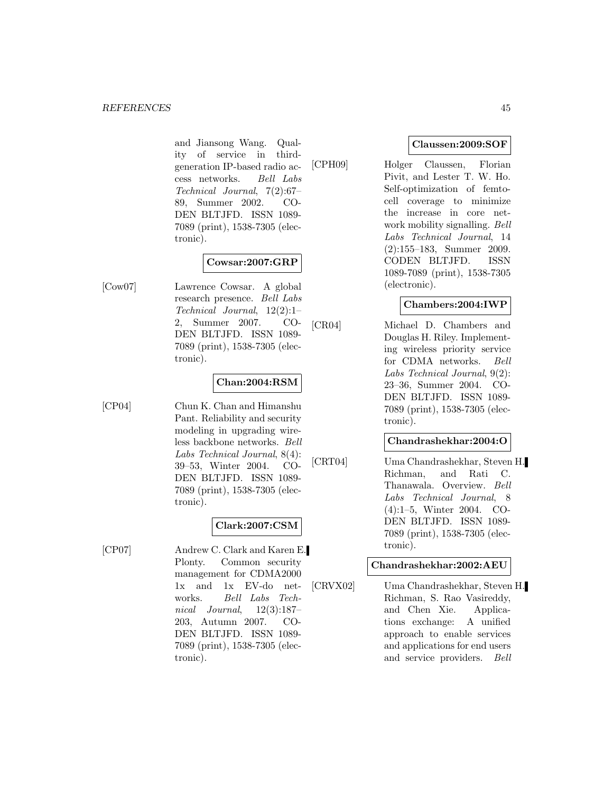and Jiansong Wang. Quality of service in thirdgeneration IP-based radio access networks. Bell Labs Technical Journal, 7(2):67– 89, Summer 2002. CO-DEN BLTJFD. ISSN 1089- 7089 (print), 1538-7305 (electronic).

#### **Cowsar:2007:GRP**

[Cow07] Lawrence Cowsar. A global research presence. Bell Labs Technical Journal, 12(2):1– 2, Summer 2007. CO-DEN BLTJFD. ISSN 1089- 7089 (print), 1538-7305 (electronic).

### **Chan:2004:RSM**

[CP04] Chun K. Chan and Himanshu Pant. Reliability and security modeling in upgrading wireless backbone networks. Bell Labs Technical Journal, 8(4): 39–53, Winter 2004. CO-DEN BLTJFD. ISSN 1089- 7089 (print), 1538-7305 (electronic).

**Clark:2007:CSM**

[CP07] Andrew C. Clark and Karen E. Plonty. Common security management for CDMA2000 1x and 1x EV-do networks. Bell Labs Technical Journal, 12(3):187– 203, Autumn 2007. CO-DEN BLTJFD. ISSN 1089- 7089 (print), 1538-7305 (electronic).

### **Claussen:2009:SOF**

[CPH09] Holger Claussen, Florian Pivit, and Lester T. W. Ho. Self-optimization of femtocell coverage to minimize the increase in core network mobility signalling. Bell Labs Technical Journal, 14 (2):155–183, Summer 2009. CODEN BLTJFD. ISSN 1089-7089 (print), 1538-7305 (electronic).

#### **Chambers:2004:IWP**

[CR04] Michael D. Chambers and Douglas H. Riley. Implementing wireless priority service for CDMA networks. Bell Labs Technical Journal, 9(2): 23–36, Summer 2004. CO-DEN BLTJFD. ISSN 1089- 7089 (print), 1538-7305 (electronic).

### **Chandrashekhar:2004:O**

[CRT04] Uma Chandrashekhar, Steven H. Richman, and Rati C. Thanawala. Overview. Bell Labs Technical Journal, 8 (4):1–5, Winter 2004. CO-DEN BLTJFD. ISSN 1089- 7089 (print), 1538-7305 (electronic).

#### **Chandrashekhar:2002:AEU**

[CRVX02] Uma Chandrashekhar, Steven H. Richman, S. Rao Vasireddy, and Chen Xie. Applications exchange: A unified approach to enable services and applications for end users and service providers. Bell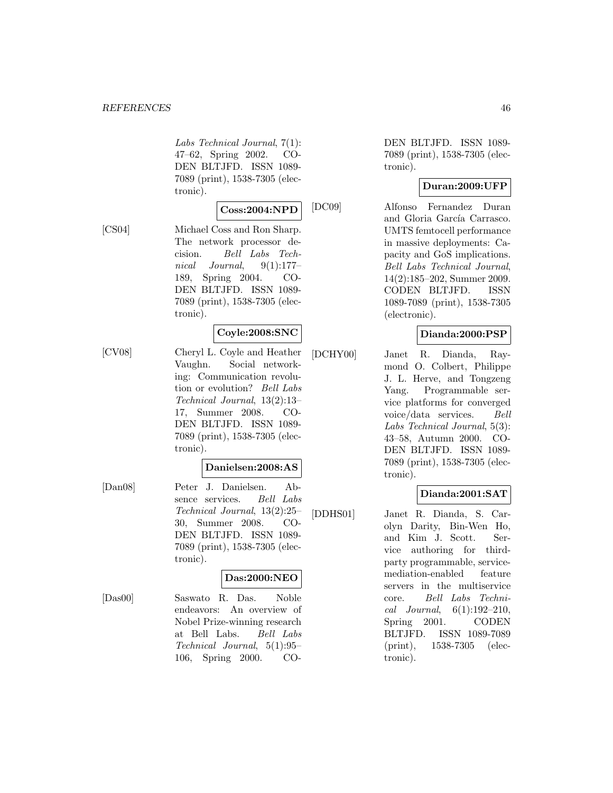Labs Technical Journal, 7(1): 47–62, Spring 2002. CO-DEN BLTJFD. ISSN 1089- 7089 (print), 1538-7305 (electronic).

#### **Coss:2004:NPD**

[CS04] Michael Coss and Ron Sharp. The network processor decision. Bell Labs Technical Journal, 9(1):177– 189, Spring 2004. CO-DEN BLTJFD. ISSN 1089- 7089 (print), 1538-7305 (electronic).

#### **Coyle:2008:SNC**

[CV08] Cheryl L. Coyle and Heather Vaughn. Social networking: Communication revolution or evolution? Bell Labs Technical Journal, 13(2):13– 17, Summer 2008. CO-DEN BLTJFD. ISSN 1089- 7089 (print), 1538-7305 (electronic).

#### **Danielsen:2008:AS**

[Dan08] Peter J. Danielsen. Absence services. Bell Labs Technical Journal, 13(2):25– 30, Summer 2008. CO-DEN BLTJFD. ISSN 1089- 7089 (print), 1538-7305 (electronic).

### **Das:2000:NEO**

[Das00] Saswato R. Das. Noble endeavors: An overview of Nobel Prize-winning research at Bell Labs. Bell Labs Technical Journal, 5(1):95– 106, Spring 2000. CO-

DEN BLTJFD. ISSN 1089- 7089 (print), 1538-7305 (electronic).

### **Duran:2009:UFP**

[DC09] Alfonso Fernandez Duran and Gloria García Carrasco. UMTS femtocell performance in massive deployments: Capacity and GoS implications. Bell Labs Technical Journal, 14(2):185–202, Summer 2009. CODEN BLTJFD. ISSN 1089-7089 (print), 1538-7305 (electronic).

### **Dianda:2000:PSP**

[DCHY00] Janet R. Dianda, Raymond O. Colbert, Philippe J. L. Herve, and Tongzeng Yang. Programmable service platforms for converged voice/data services. Bell Labs Technical Journal, 5(3): 43–58, Autumn 2000. CO-DEN BLTJFD. ISSN 1089- 7089 (print), 1538-7305 (electronic).

### **Dianda:2001:SAT**

[DDHS01] Janet R. Dianda, S. Carolyn Darity, Bin-Wen Ho, and Kim J. Scott. Service authoring for thirdparty programmable, servicemediation-enabled feature servers in the multiservice core. Bell Labs Technical Journal,  $6(1):192-210$ , Spring 2001. CODEN BLTJFD. ISSN 1089-7089 (print), 1538-7305 (electronic).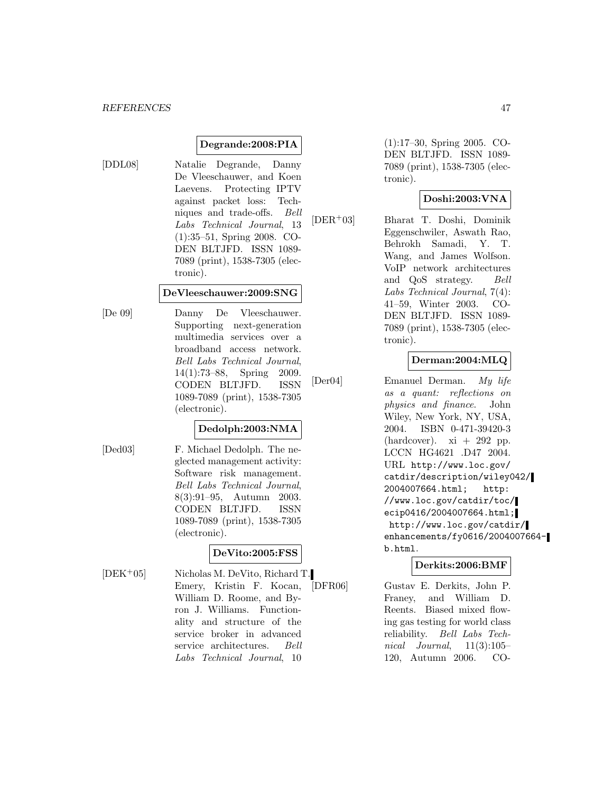#### **Degrande:2008:PIA**

[DDL08] Natalie Degrande, Danny De Vleeschauwer, and Koen Laevens. Protecting IPTV against packet loss: Techniques and trade-offs. Bell Labs Technical Journal, 13 (1):35–51, Spring 2008. CO-DEN BLTJFD. ISSN 1089- 7089 (print), 1538-7305 (electronic).

#### **DeVleeschauwer:2009:SNG**

[De 09] Danny De Vleeschauwer. Supporting next-generation multimedia services over a broadband access network. Bell Labs Technical Journal, 14(1):73–88, Spring 2009. CODEN BLTJFD. ISSN 1089-7089 (print), 1538-7305 (electronic).

## **Dedolph:2003:NMA**

[Ded03] F. Michael Dedolph. The neglected management activity: Software risk management. Bell Labs Technical Journal, 8(3):91–95, Autumn 2003. CODEN BLTJFD. ISSN 1089-7089 (print), 1538-7305 (electronic).

### **DeVito:2005:FSS**

ron J. Williams. Functionality and structure of the service broker in advanced service architectures. Bell Labs Technical Journal, 10

[DEK<sup>+</sup>05] Nicholas M. DeVito, Richard T.

Emery, Kristin F. Kocan, William D. Roome, and By(1):17–30, Spring 2005. CO-DEN BLTJFD. ISSN 1089- 7089 (print), 1538-7305 (electronic).

### **Doshi:2003:VNA**

[DER<sup>+</sup>03] Bharat T. Doshi, Dominik Eggenschwiler, Aswath Rao, Behrokh Samadi, Y. T. Wang, and James Wolfson. VoIP network architectures and QoS strategy. Bell Labs Technical Journal, 7(4): 41–59, Winter 2003. CO-DEN BLTJFD. ISSN 1089- 7089 (print), 1538-7305 (electronic).

#### **Derman:2004:MLQ**

[Der04] Emanuel Derman. My life as a quant: reflections on physics and finance. John Wiley, New York, NY, USA, 2004. ISBN 0-471-39420-3 (hardcover).  $xi + 292$  pp. LCCN HG4621 .D47 2004. URL http://www.loc.gov/ catdir/description/wiley042/ 2004007664.html; http: //www.loc.gov/catdir/toc/ ecip0416/2004007664.html; http://www.loc.gov/catdir/ enhancements/fy0616/2004007664 b.html.

#### **Derkits:2006:BMF**

[DFR06] Gustav E. Derkits, John P. Franey, and William D. Reents. Biased mixed flowing gas testing for world class reliability. Bell Labs Technical Journal,  $11(3):105-$ 120, Autumn 2006. CO-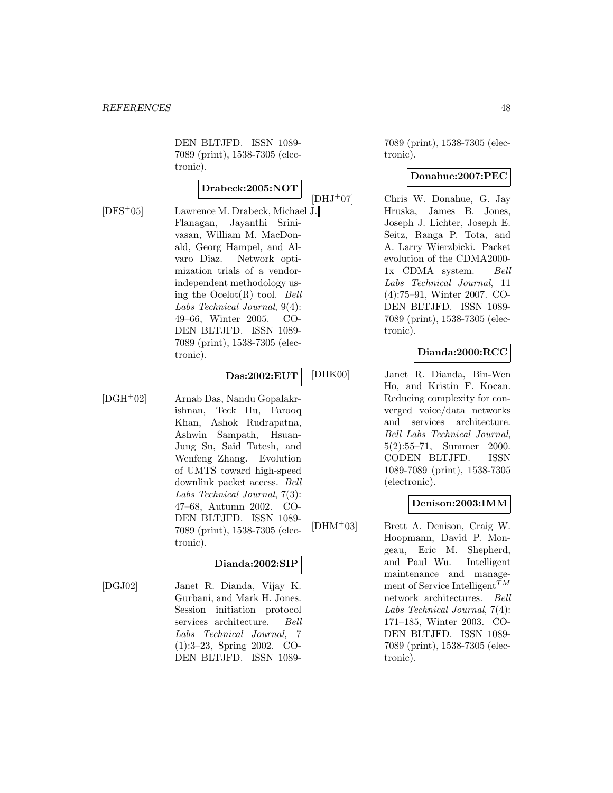DEN BLTJFD. ISSN 1089- 7089 (print), 1538-7305 (electronic).

## **Drabeck:2005:NOT**

[DFS<sup>+</sup>05] Lawrence M. Drabeck, Michael J. Flanagan, Jayanthi Srinivasan, William M. MacDonald, Georg Hampel, and Alvaro Diaz. Network optimization trials of a vendorindependent methodology using the  $Ocelot(R)$  tool. Bell Labs Technical Journal, 9(4): 49–66, Winter 2005. CO-DEN BLTJFD. ISSN 1089- 7089 (print), 1538-7305 (electronic).

#### **Das:2002:EUT**

[DGH<sup>+</sup>02] Arnab Das, Nandu Gopalakrishnan, Teck Hu, Farooq Khan, Ashok Rudrapatna, Ashwin Sampath, Hsuan-Jung Su, Said Tatesh, and Wenfeng Zhang. Evolution of UMTS toward high-speed downlink packet access. Bell Labs Technical Journal, 7(3): 47–68, Autumn 2002. CO-DEN BLTJFD. ISSN 1089- 7089 (print), 1538-7305 (electronic).

### **Dianda:2002:SIP**

[DGJ02] Janet R. Dianda, Vijay K. Gurbani, and Mark H. Jones. Session initiation protocol services architecture. Bell Labs Technical Journal, 7 (1):3–23, Spring 2002. CO-DEN BLTJFD. ISSN 10897089 (print), 1538-7305 (electronic).

#### **Donahue:2007:PEC**

[DHJ<sup>+</sup>07] Chris W. Donahue, G. Jay Hruska, James B. Jones, Joseph J. Lichter, Joseph E. Seitz, Ranga P. Tota, and A. Larry Wierzbicki. Packet evolution of the CDMA2000- 1x CDMA system. Bell Labs Technical Journal, 11 (4):75–91, Winter 2007. CO-DEN BLTJFD. ISSN 1089- 7089 (print), 1538-7305 (electronic).

## **Dianda:2000:RCC**

[DHK00] Janet R. Dianda, Bin-Wen Ho, and Kristin F. Kocan. Reducing complexity for converged voice/data networks and services architecture. Bell Labs Technical Journal, 5(2):55–71, Summer 2000. CODEN BLTJFD. ISSN 1089-7089 (print), 1538-7305 (electronic).

### **Denison:2003:IMM**

[DHM<sup>+</sup>03] Brett A. Denison, Craig W. Hoopmann, David P. Mongeau, Eric M. Shepherd, and Paul Wu. Intelligent maintenance and management of Service Intelligent  $T^M$ network architectures. Bell Labs Technical Journal, 7(4): 171–185, Winter 2003. CO-DEN BLTJFD. ISSN 1089- 7089 (print), 1538-7305 (electronic).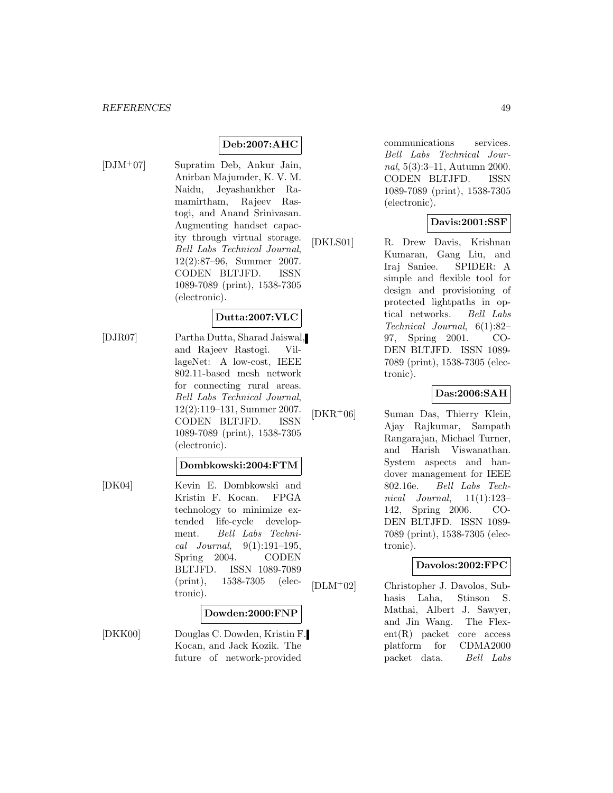## **Deb:2007:AHC**

[DJM<sup>+</sup>07] Supratim Deb, Ankur Jain, Anirban Majumder, K. V. M. Naidu, Jeyashankher Ramamirtham, Rajeev Rastogi, and Anand Srinivasan. Augmenting handset capacity through virtual storage. Bell Labs Technical Journal, 12(2):87–96, Summer 2007. CODEN BLTJFD. ISSN 1089-7089 (print), 1538-7305 (electronic).

## **Dutta:2007:VLC**

[DJR07] Partha Dutta, Sharad Jaiswal, and Rajeev Rastogi. VillageNet: A low-cost, IEEE 802.11-based mesh network for connecting rural areas. Bell Labs Technical Journal, 12(2):119–131, Summer 2007. CODEN BLTJFD. ISSN 1089-7089 (print), 1538-7305 (electronic).

#### **Dombkowski:2004:FTM**

[DK04] Kevin E. Dombkowski and Kristin F. Kocan. FPGA technology to minimize extended life-cycle development. Bell Labs Technical Journal, 9(1):191–195, Spring 2004. CODEN BLTJFD. ISSN 1089-7089 (print), 1538-7305 (electronic).

#### **Dowden:2000:FNP**

[DKK00] Douglas C. Dowden, Kristin F. Kocan, and Jack Kozik. The future of network-provided

communications services. Bell Labs Technical Journal, 5(3):3–11, Autumn 2000. CODEN BLTJFD. ISSN 1089-7089 (print), 1538-7305 (electronic).

### **Davis:2001:SSF**

[DKLS01] R. Drew Davis, Krishnan Kumaran, Gang Liu, and Iraj Saniee. SPIDER: A simple and flexible tool for design and provisioning of protected lightpaths in optical networks. Bell Labs Technical Journal, 6(1):82– 97, Spring 2001. CO-DEN BLTJFD. ISSN 1089- 7089 (print), 1538-7305 (electronic).

#### **Das:2006:SAH**

[DKR<sup>+</sup>06] Suman Das, Thierry Klein, Ajay Rajkumar, Sampath Rangarajan, Michael Turner, and Harish Viswanathan. System aspects and handover management for IEEE 802.16e. Bell Labs Technical Journal,  $11(1):123-$ 142, Spring 2006. CO-DEN BLTJFD. ISSN 1089- 7089 (print), 1538-7305 (electronic).

### **Davolos:2002:FPC**

[DLM<sup>+</sup>02] Christopher J. Davolos, Subhasis Laha, Stinson S. Mathai, Albert J. Sawyer, and Jin Wang. The Flexent(R) packet core access platform for CDMA2000 packet data. Bell Labs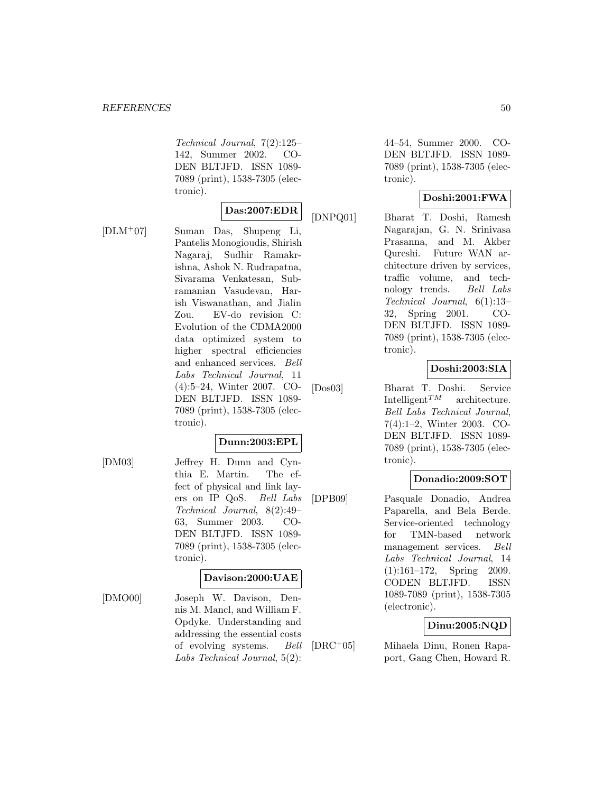Technical Journal, 7(2):125– 142, Summer 2002. CO-DEN BLTJFD. ISSN 1089- 7089 (print), 1538-7305 (electronic).

#### **Das:2007:EDR**

[DLM<sup>+</sup>07] Suman Das, Shupeng Li, Pantelis Monogioudis, Shirish Nagaraj, Sudhir Ramakrishna, Ashok N. Rudrapatna, Sivarama Venkatesan, Subramanian Vasudevan, Harish Viswanathan, and Jialin Zou. EV-do revision C: Evolution of the CDMA2000 data optimized system to higher spectral efficiencies and enhanced services. Bell Labs Technical Journal, 11 (4):5–24, Winter 2007. CO-DEN BLTJFD. ISSN 1089- 7089 (print), 1538-7305 (electronic).

### **Dunn:2003:EPL**

[DM03] Jeffrey H. Dunn and Cynthia E. Martin. The effect of physical and link layers on IP QoS. Bell Labs Technical Journal, 8(2):49– 63, Summer 2003. CO-DEN BLTJFD. ISSN 1089- 7089 (print), 1538-7305 (electronic).

#### **Davison:2000:UAE**

[DMO00] Joseph W. Davison, Dennis M. Mancl, and William F. Opdyke. Understanding and addressing the essential costs of evolving systems. Bell Labs Technical Journal, 5(2):

44–54, Summer 2000. CO-DEN BLTJFD. ISSN 1089- 7089 (print), 1538-7305 (electronic).

## **Doshi:2001:FWA**

[DNPQ01] Bharat T. Doshi, Ramesh Nagarajan, G. N. Srinivasa Prasanna, and M. Akber Qureshi. Future WAN architecture driven by services, traffic volume, and technology trends. Bell Labs Technical Journal, 6(1):13– 32, Spring 2001. CO-DEN BLTJFD. ISSN 1089- 7089 (print), 1538-7305 (electronic).

## **Doshi:2003:SIA**

[Dos03] Bharat T. Doshi. Service Intelligent<sup>TM</sup> architecture. Bell Labs Technical Journal, 7(4):1–2, Winter 2003. CO-DEN BLTJFD. ISSN 1089- 7089 (print), 1538-7305 (electronic).

### **Donadio:2009:SOT**

[DPB09] Pasquale Donadio, Andrea Paparella, and Bela Berde. Service-oriented technology for TMN-based network management services. Bell Labs Technical Journal, 14 (1):161–172, Spring 2009. CODEN BLTJFD. ISSN 1089-7089 (print), 1538-7305 (electronic).

### **Dinu:2005:NQD**

[DRC<sup>+</sup>05] Mihaela Dinu, Ronen Rapaport, Gang Chen, Howard R.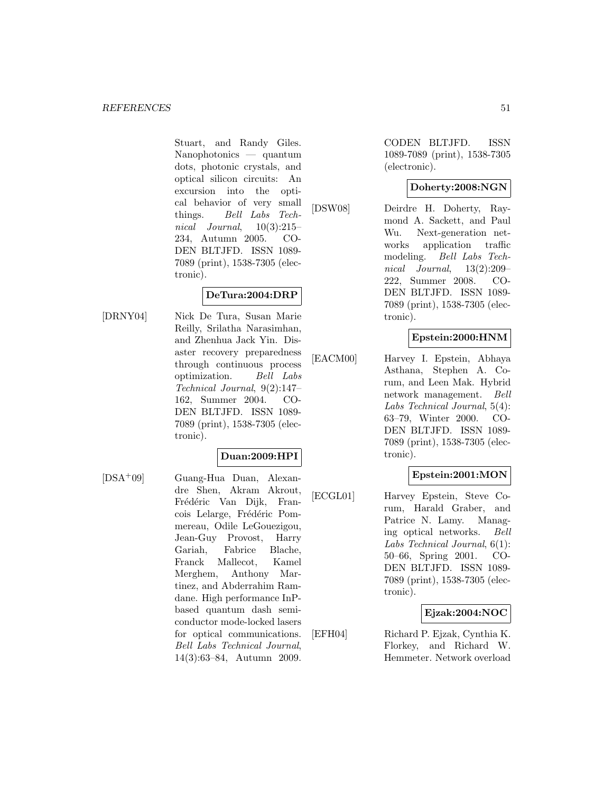Stuart, and Randy Giles. Nanophotonics — quantum dots, photonic crystals, and optical silicon circuits: An excursion into the optical behavior of very small things. Bell Labs Technical Journal,  $10(3):215-$ 234, Autumn 2005. CO-DEN BLTJFD. ISSN 1089- 7089 (print), 1538-7305 (electronic).

#### **DeTura:2004:DRP**

[DRNY04] Nick De Tura, Susan Marie Reilly, Srilatha Narasimhan, and Zhenhua Jack Yin. Disaster recovery preparedness through continuous process optimization. Bell Labs Technical Journal, 9(2):147– 162, Summer 2004. CO-DEN BLTJFD. ISSN 1089- 7089 (print), 1538-7305 (electronic).

#### **Duan:2009:HPI**

[DSA<sup>+</sup>09] Guang-Hua Duan, Alexandre Shen, Akram Akrout, Frédéric Van Dijk, Francois Lelarge, Frédéric Pommereau, Odile LeGouezigou, Jean-Guy Provost, Harry Gariah, Fabrice Blache, Franck Mallecot, Kamel Merghem, Anthony Martinez, and Abderrahim Ramdane. High performance InPbased quantum dash semiconductor mode-locked lasers for optical communications. Bell Labs Technical Journal, 14(3):63–84, Autumn 2009.

CODEN BLTJFD. ISSN 1089-7089 (print), 1538-7305 (electronic).

### **Doherty:2008:NGN**

[DSW08] Deirdre H. Doherty, Raymond A. Sackett, and Paul Wu. Next-generation networks application traffic modeling. Bell Labs Technical Journal, 13(2):209– 222, Summer 2008. CO-DEN BLTJFD. ISSN 1089- 7089 (print), 1538-7305 (electronic).

### **Epstein:2000:HNM**

[EACM00] Harvey I. Epstein, Abhaya Asthana, Stephen A. Corum, and Leen Mak. Hybrid network management. Bell Labs Technical Journal, 5(4): 63–79, Winter 2000. CO-DEN BLTJFD. ISSN 1089- 7089 (print), 1538-7305 (electronic).

### **Epstein:2001:MON**

[ECGL01] Harvey Epstein, Steve Corum, Harald Graber, and Patrice N. Lamy. Managing optical networks. Bell Labs Technical Journal, 6(1): 50–66, Spring 2001. CO-DEN BLTJFD. ISSN 1089- 7089 (print), 1538-7305 (electronic).

### **Ejzak:2004:NOC**

[EFH04] Richard P. Ejzak, Cynthia K. Florkey, and Richard W. Hemmeter. Network overload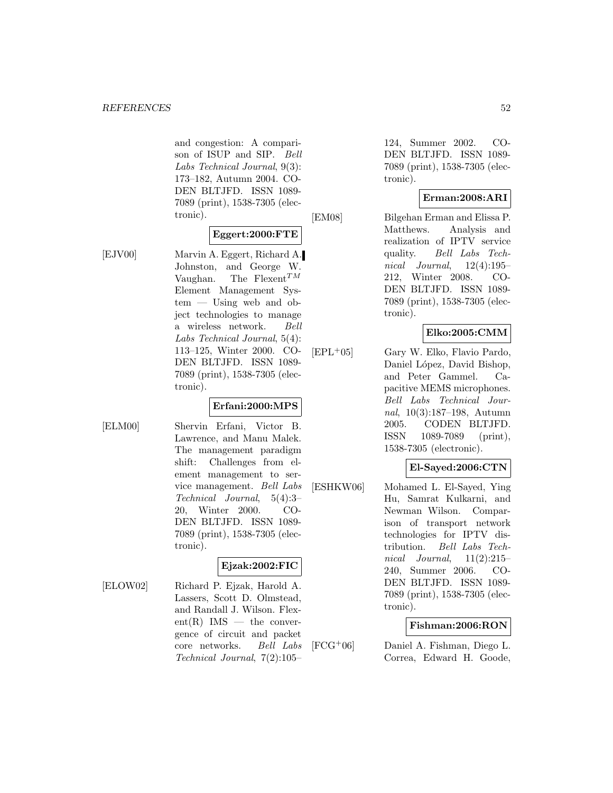and congestion: A comparison of ISUP and SIP. Bell Labs Technical Journal, 9(3): 173–182, Autumn 2004. CO-DEN BLTJFD. ISSN 1089- 7089 (print), 1538-7305 (electronic).

#### **Eggert:2000:FTE**

[EJV00] Marvin A. Eggert, Richard A. Johnston, and George W. Vaughan. The Flexent<sup>TM</sup> Element Management System — Using web and object technologies to manage a wireless network. Bell Labs Technical Journal, 5(4): 113–125, Winter 2000. CO-DEN BLTJFD. ISSN 1089- 7089 (print), 1538-7305 (electronic).

### **Erfani:2000:MPS**

[ELM00] Shervin Erfani, Victor B. Lawrence, and Manu Malek. The management paradigm shift: Challenges from element management to service management. Bell Labs Technical Journal, 5(4):3– 20, Winter 2000. CO-DEN BLTJFD. ISSN 1089- 7089 (print), 1538-7305 (electronic).

## **Ejzak:2002:FIC**

[ELOW02] Richard P. Ejzak, Harold A. Lassers, Scott D. Olmstead, and Randall J. Wilson. Flex $ent(R)$  IMS — the convergence of circuit and packet core networks. Bell Labs Technical Journal, 7(2):105–

124, Summer 2002. CO-DEN BLTJFD. ISSN 1089- 7089 (print), 1538-7305 (electronic).

### **Erman:2008:ARI**

[EM08] Bilgehan Erman and Elissa P. Matthews. Analysis and realization of IPTV service quality. Bell Labs Technical Journal,  $12(4):195-$ 212, Winter 2008. CO-DEN BLTJFD. ISSN 1089- 7089 (print), 1538-7305 (electronic).

## **Elko:2005:CMM**

[EPL<sup>+</sup>05] Gary W. Elko, Flavio Pardo, Daniel López, David Bishop, and Peter Gammel. Capacitive MEMS microphones. Bell Labs Technical Journal, 10(3):187–198, Autumn 2005. CODEN BLTJFD. ISSN 1089-7089 (print), 1538-7305 (electronic).

### **El-Sayed:2006:CTN**

[ESHKW06] Mohamed L. El-Sayed, Ying Hu, Samrat Kulkarni, and Newman Wilson. Comparison of transport network technologies for IPTV distribution. Bell Labs Technical Journal,  $11(2):215-$ 240, Summer 2006. CO-DEN BLTJFD. ISSN 1089- 7089 (print), 1538-7305 (electronic).

### **Fishman:2006:RON**

[FCG<sup>+</sup>06] Daniel A. Fishman, Diego L. Correa, Edward H. Goode,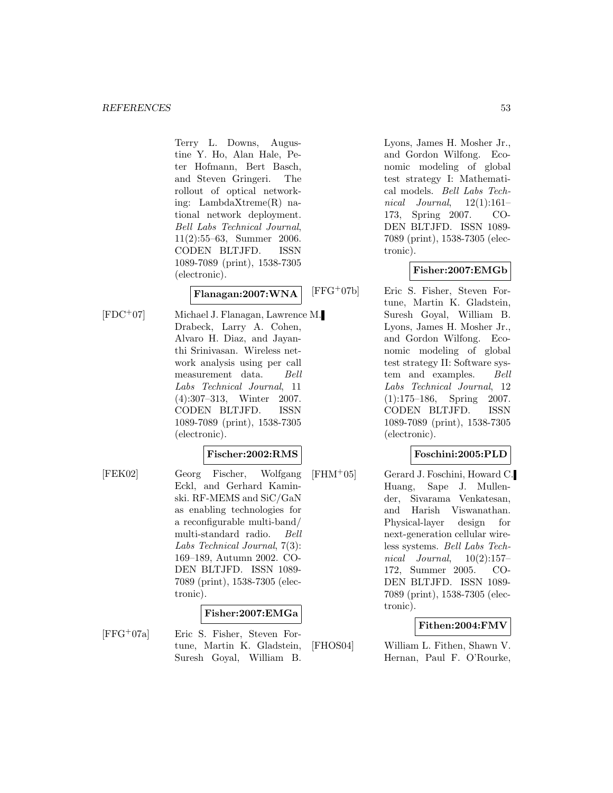Terry L. Downs, Augustine Y. Ho, Alan Hale, Peter Hofmann, Bert Basch, and Steven Gringeri. The rollout of optical networking: LambdaXtreme(R) national network deployment. Bell Labs Technical Journal, 11(2):55–63, Summer 2006. CODEN BLTJFD. ISSN 1089-7089 (print), 1538-7305 (electronic).

### **Flanagan:2007:WNA**

[FDC<sup>+</sup>07] Michael J. Flanagan, Lawrence M. Drabeck, Larry A. Cohen, Alvaro H. Diaz, and Jayanthi Srinivasan. Wireless network analysis using per call measurement data. Bell Labs Technical Journal, 11 (4):307–313, Winter 2007. CODEN BLTJFD. ISSN 1089-7089 (print), 1538-7305 (electronic).

### **Fischer:2002:RMS**

[FEK02] Georg Fischer, Wolfgang Eckl, and Gerhard Kaminski. RF-MEMS and SiC/GaN as enabling technologies for a reconfigurable multi-band/ multi-standard radio. Bell Labs Technical Journal, 7(3): 169–189, Autumn 2002. CO-DEN BLTJFD. ISSN 1089- 7089 (print), 1538-7305 (electronic).

### **Fisher:2007:EMGa**

[FFG<sup>+</sup>07a] Eric S. Fisher, Steven Fortune, Martin K. Gladstein, Suresh Goyal, William B.

Lyons, James H. Mosher Jr., and Gordon Wilfong. Economic modeling of global test strategy I: Mathematical models. Bell Labs Technical Journal,  $12(1):161-$ 173, Spring 2007. CO-DEN BLTJFD. ISSN 1089- 7089 (print), 1538-7305 (electronic).

### **Fisher:2007:EMGb**

[FFG<sup>+</sup>07b] Eric S. Fisher, Steven Fortune, Martin K. Gladstein, Suresh Goyal, William B. Lyons, James H. Mosher Jr., and Gordon Wilfong. Economic modeling of global test strategy II: Software system and examples. Bell Labs Technical Journal, 12 (1):175–186, Spring 2007. CODEN BLTJFD. ISSN 1089-7089 (print), 1538-7305 (electronic).

### **Foschini:2005:PLD**

[FHM<sup>+</sup>05] Gerard J. Foschini, Howard C. Huang, Sape J. Mullender, Sivarama Venkatesan, and Harish Viswanathan. Physical-layer design for next-generation cellular wireless systems. Bell Labs Technical Journal,  $10(2):157-$ 172, Summer 2005. CO-DEN BLTJFD. ISSN 1089- 7089 (print), 1538-7305 (electronic).

### **Fithen:2004:FMV**

[FHOS04] William L. Fithen, Shawn V. Hernan, Paul F. O'Rourke,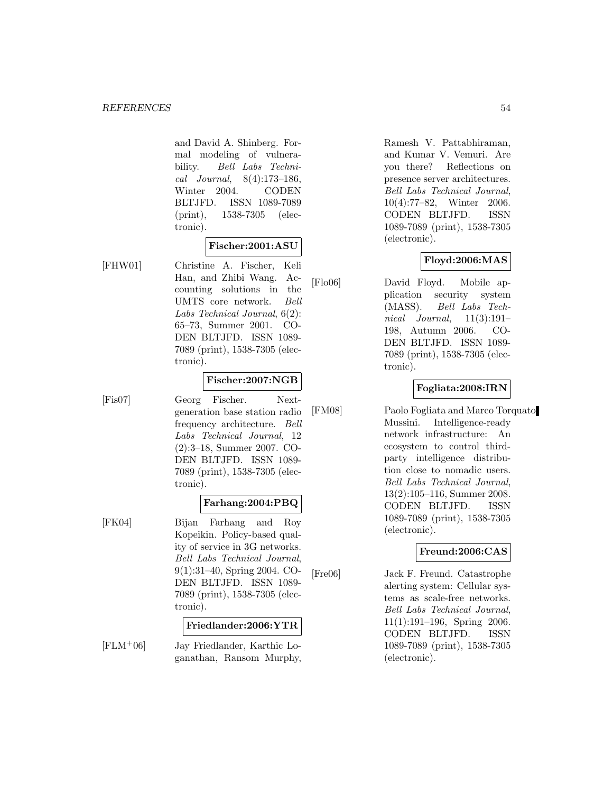and David A. Shinberg. Formal modeling of vulnerability. Bell Labs Technical Journal, 8(4):173–186, Winter 2004. CODEN BLTJFD. ISSN 1089-7089 (print), 1538-7305 (electronic).

#### **Fischer:2001:ASU**

[FHW01] Christine A. Fischer, Keli Han, and Zhibi Wang. Accounting solutions in the UMTS core network. Bell Labs Technical Journal, 6(2): 65–73, Summer 2001. CO-DEN BLTJFD. ISSN 1089- 7089 (print), 1538-7305 (electronic).

#### **Fischer:2007:NGB**

[Fis07] Georg Fischer. Nextgeneration base station radio frequency architecture. Bell Labs Technical Journal, 12 (2):3–18, Summer 2007. CO-DEN BLTJFD. ISSN 1089- 7089 (print), 1538-7305 (electronic).

#### **Farhang:2004:PBQ**

[FK04] Bijan Farhang and Roy Kopeikin. Policy-based quality of service in 3G networks. Bell Labs Technical Journal, 9(1):31–40, Spring 2004. CO-DEN BLTJFD. ISSN 1089- 7089 (print), 1538-7305 (electronic).

#### **Friedlander:2006:YTR**

[FLM<sup>+</sup>06] Jay Friedlander, Karthic Loganathan, Ransom Murphy, Ramesh V. Pattabhiraman, and Kumar V. Vemuri. Are you there? Reflections on presence server architectures. Bell Labs Technical Journal, 10(4):77–82, Winter 2006. CODEN BLTJFD. ISSN 1089-7089 (print), 1538-7305 (electronic).

#### **Floyd:2006:MAS**

[Flo06] David Floyd. Mobile application security system (MASS). Bell Labs Technical Journal,  $11(3):191-$ 198, Autumn 2006. CO-DEN BLTJFD. ISSN 1089- 7089 (print), 1538-7305 (electronic).

#### **Fogliata:2008:IRN**

[FM08] Paolo Fogliata and Marco Torquato Mussini. Intelligence-ready network infrastructure: An ecosystem to control thirdparty intelligence distribution close to nomadic users. Bell Labs Technical Journal, 13(2):105–116, Summer 2008. CODEN BLTJFD. ISSN 1089-7089 (print), 1538-7305 (electronic).

### **Freund:2006:CAS**

[Fre06] Jack F. Freund. Catastrophe alerting system: Cellular systems as scale-free networks. Bell Labs Technical Journal, 11(1):191–196, Spring 2006. CODEN BLTJFD. ISSN 1089-7089 (print), 1538-7305 (electronic).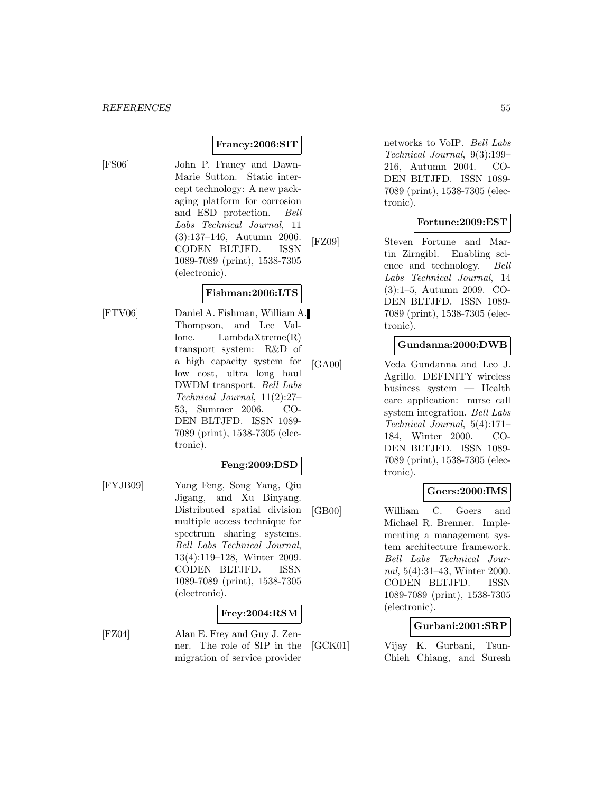### **Franey:2006:SIT**

[FS06] John P. Franey and Dawn-Marie Sutton. Static intercept technology: A new packaging platform for corrosion and ESD protection. Bell Labs Technical Journal, 11 (3):137–146, Autumn 2006. CODEN BLTJFD. ISSN 1089-7089 (print), 1538-7305 (electronic).

#### **Fishman:2006:LTS**

[FTV06] Daniel A. Fishman, William A. Thompson, and Lee Vallone. LambdaXtreme(R) transport system: R&D of a high capacity system for low cost, ultra long haul DWDM transport. Bell Labs Technical Journal, 11(2):27– 53, Summer 2006. CO-DEN BLTJFD. ISSN 1089- 7089 (print), 1538-7305 (electronic).

#### **Feng:2009:DSD**

[FYJB09] Yang Feng, Song Yang, Qiu Jigang, and Xu Binyang. Distributed spatial division multiple access technique for spectrum sharing systems. Bell Labs Technical Journal, 13(4):119–128, Winter 2009. CODEN BLTJFD. ISSN 1089-7089 (print), 1538-7305 (electronic).

### **Frey:2004:RSM**

[FZ04] Alan E. Frey and Guy J. Zenner. The role of SIP in the migration of service provider

networks to VoIP. Bell Labs Technical Journal, 9(3):199– 216, Autumn 2004. CO-DEN BLTJFD. ISSN 1089- 7089 (print), 1538-7305 (electronic).

#### **Fortune:2009:EST**

[FZ09] Steven Fortune and Martin Zirngibl. Enabling science and technology. Bell Labs Technical Journal, 14 (3):1–5, Autumn 2009. CO-DEN BLTJFD. ISSN 1089- 7089 (print), 1538-7305 (electronic).

#### **Gundanna:2000:DWB**

[GA00] Veda Gundanna and Leo J. Agrillo. DEFINITY wireless business system — Health care application: nurse call system integration. Bell Labs Technical Journal, 5(4):171– 184, Winter 2000. CO-DEN BLTJFD. ISSN 1089- 7089 (print), 1538-7305 (electronic).

### **Goers:2000:IMS**

[GB00] William C. Goers and Michael R. Brenner. Implementing a management system architecture framework. Bell Labs Technical Journal, 5(4):31–43, Winter 2000. CODEN BLTJFD. ISSN 1089-7089 (print), 1538-7305 (electronic).

### **Gurbani:2001:SRP**

[GCK01] Vijay K. Gurbani, Tsun-Chieh Chiang, and Suresh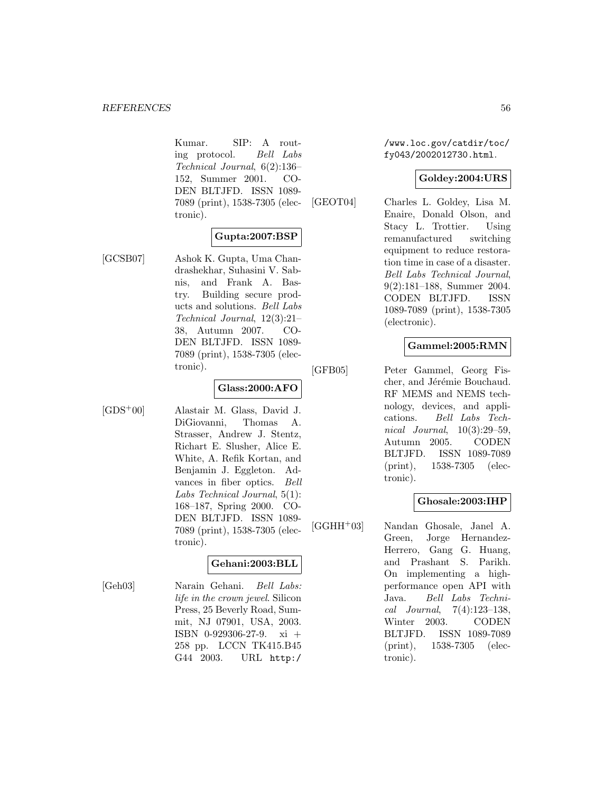Kumar. SIP: A routing protocol. Bell Labs Technical Journal, 6(2):136– 152, Summer 2001. CO-DEN BLTJFD. ISSN 1089- 7089 (print), 1538-7305 (electronic).

### **Gupta:2007:BSP**

[GCSB07] Ashok K. Gupta, Uma Chandrashekhar, Suhasini V. Sabnis, and Frank A. Bastry. Building secure products and solutions. Bell Labs Technical Journal, 12(3):21– 38, Autumn 2007. CO-DEN BLTJFD. ISSN 1089- 7089 (print), 1538-7305 (electronic).

#### **Glass:2000:AFO**

[GDS<sup>+</sup>00] Alastair M. Glass, David J. DiGiovanni, Thomas A. Strasser, Andrew J. Stentz, Richart E. Slusher, Alice E. White, A. Refik Kortan, and Benjamin J. Eggleton. Advances in fiber optics. Bell Labs Technical Journal, 5(1): 168–187, Spring 2000. CO-DEN BLTJFD. ISSN 1089- 7089 (print), 1538-7305 (electronic).

### **Gehani:2003:BLL**

[Geh03] Narain Gehani. Bell Labs: life in the crown jewel. Silicon Press, 25 Beverly Road, Summit, NJ 07901, USA, 2003. ISBN 0-929306-27-9. xi + 258 pp. LCCN TK415.B45 G44 2003. URL http:/

/www.loc.gov/catdir/toc/ fy043/2002012730.html.

### **Goldey:2004:URS**

[GEOT04] Charles L. Goldey, Lisa M. Enaire, Donald Olson, and Stacy L. Trottier. Using remanufactured switching equipment to reduce restoration time in case of a disaster. Bell Labs Technical Journal, 9(2):181–188, Summer 2004. CODEN BLTJFD. ISSN 1089-7089 (print), 1538-7305 (electronic).

## **Gammel:2005:RMN**

[GFB05] Peter Gammel, Georg Fischer, and Jérémie Bouchaud. RF MEMS and NEMS technology, devices, and applications. Bell Labs Technical Journal, 10(3):29–59, Autumn 2005. CODEN BLTJFD. ISSN 1089-7089 (print), 1538-7305 (electronic).

### **Ghosale:2003:IHP**

[GGHH<sup>+</sup>03] Nandan Ghosale, Janel A. Green, Jorge Hernandez-Herrero, Gang G. Huang, and Prashant S. Parikh. On implementing a highperformance open API with Java. Bell Labs Technical Journal, 7(4):123–138, Winter 2003. CODEN BLTJFD. ISSN 1089-7089 (print), 1538-7305 (electronic).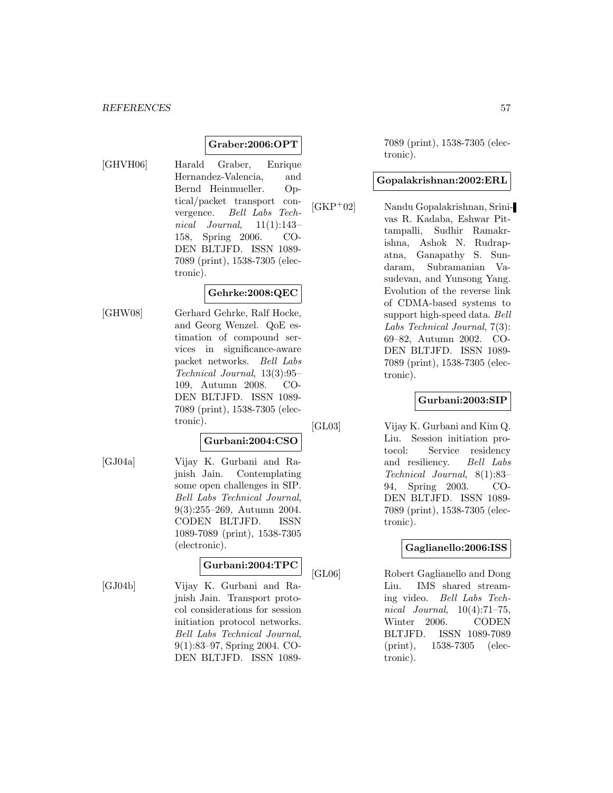## **Graber:2006:OPT**

[GHVH06] Harald Graber, Enrique Hernandez-Valencia, and Bernd Heinmueller. Optical/packet transport convergence. Bell Labs Technical Journal,  $11(1):143-$ 158, Spring 2006. CO-DEN BLTJFD. ISSN 1089- 7089 (print), 1538-7305 (electronic).

### **Gehrke:2008:QEC**

[GHW08] Gerhard Gehrke, Ralf Hocke, and Georg Wenzel. QoE estimation of compound services in significance-aware packet networks. Bell Labs Technical Journal, 13(3):95– 109, Autumn 2008. CO-DEN BLTJFD. ISSN 1089- 7089 (print), 1538-7305 (electronic).

## **Gurbani:2004:CSO**

[GJ04a] Vijay K. Gurbani and Rajnish Jain. Contemplating some open challenges in SIP. Bell Labs Technical Journal, 9(3):255–269, Autumn 2004. CODEN BLTJFD. ISSN 1089-7089 (print), 1538-7305 (electronic).

### **Gurbani:2004:TPC**

[GJ04b] Vijay K. Gurbani and Rajnish Jain. Transport protocol considerations for session initiation protocol networks. Bell Labs Technical Journal, 9(1):83–97, Spring 2004. CO-DEN BLTJFD. ISSN 10897089 (print), 1538-7305 (electronic).

#### **Gopalakrishnan:2002:ERL**

[GKP<sup>+</sup>02] Nandu Gopalakrishnan, Srinivas R. Kadaba, Eshwar Pittampalli, Sudhir Ramakrishna, Ashok N. Rudrapatna, Ganapathy S. Sundaram, Subramanian Vasudevan, and Yunsong Yang. Evolution of the reverse link of CDMA-based systems to support high-speed data. Bell Labs Technical Journal, 7(3): 69–82, Autumn 2002. CO-DEN BLTJFD. ISSN 1089- 7089 (print), 1538-7305 (electronic).

### **Gurbani:2003:SIP**

[GL03] Vijay K. Gurbani and Kim Q. Liu. Session initiation protocol: Service residency and resiliency. Bell Labs Technical Journal, 8(1):83– 94, Spring 2003. CO-DEN BLTJFD. ISSN 1089- 7089 (print), 1538-7305 (electronic).

### **Gaglianello:2006:ISS**

[GL06] Robert Gaglianello and Dong Liu. IMS shared streaming video. Bell Labs Technical Journal, 10(4):71–75, Winter 2006. CODEN BLTJFD. ISSN 1089-7089 (print), 1538-7305 (electronic).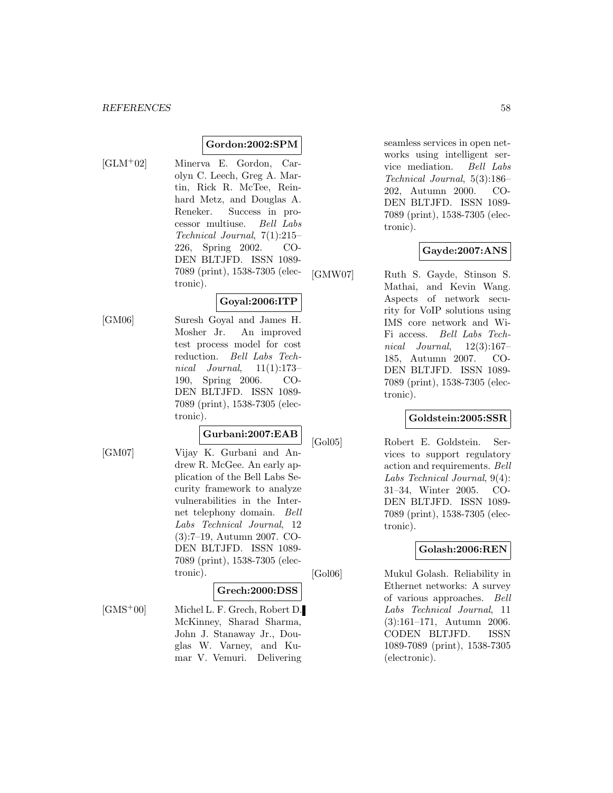#### **Gordon:2002:SPM**

- 
- [GLM<sup>+</sup>02] Minerva E. Gordon, Carolyn C. Leech, Greg A. Martin, Rick R. McTee, Reinhard Metz, and Douglas A. Reneker. Success in processor multiuse. Bell Labs Technical Journal, 7(1):215– 226, Spring 2002. CO-DEN BLTJFD. ISSN 1089- 7089 (print), 1538-7305 (electronic).

#### **Goyal:2006:ITP**

[GM06] Suresh Goyal and James H. Mosher Jr. An improved test process model for cost reduction. Bell Labs Technical Journal,  $11(1):173-$ 190, Spring 2006. CO-DEN BLTJFD. ISSN 1089- 7089 (print), 1538-7305 (electronic).

#### **Gurbani:2007:EAB**

[GM07] Vijay K. Gurbani and Andrew R. McGee. An early application of the Bell Labs Security framework to analyze vulnerabilities in the Internet telephony domain. Bell Labs Technical Journal, 12 (3):7–19, Autumn 2007. CO-DEN BLTJFD. ISSN 1089- 7089 (print), 1538-7305 (electronic).

#### **Grech:2000:DSS**

[GMS<sup>+</sup>00] Michel L. F. Grech, Robert D. McKinney, Sharad Sharma, John J. Stanaway Jr., Douglas W. Varney, and Kumar V. Vemuri. Delivering

seamless services in open networks using intelligent service mediation. Bell Labs Technical Journal, 5(3):186– 202, Autumn 2000. CO-DEN BLTJFD. ISSN 1089- 7089 (print), 1538-7305 (electronic).

### **Gayde:2007:ANS**

[GMW07] Ruth S. Gayde, Stinson S. Mathai, and Kevin Wang. Aspects of network security for VoIP solutions using IMS core network and Wi-Fi access. Bell Labs Technical Journal, 12(3):167– 185, Autumn 2007. CO-DEN BLTJFD. ISSN 1089- 7089 (print), 1538-7305 (electronic).

### **Goldstein:2005:SSR**

[Gol05] Robert E. Goldstein. Services to support regulatory action and requirements. Bell Labs Technical Journal, 9(4): 31–34, Winter 2005. CO-DEN BLTJFD. ISSN 1089- 7089 (print), 1538-7305 (electronic).

#### **Golash:2006:REN**

[Gol06] Mukul Golash. Reliability in Ethernet networks: A survey of various approaches. Bell Labs Technical Journal, 11 (3):161–171, Autumn 2006. CODEN BLTJFD. ISSN 1089-7089 (print), 1538-7305 (electronic).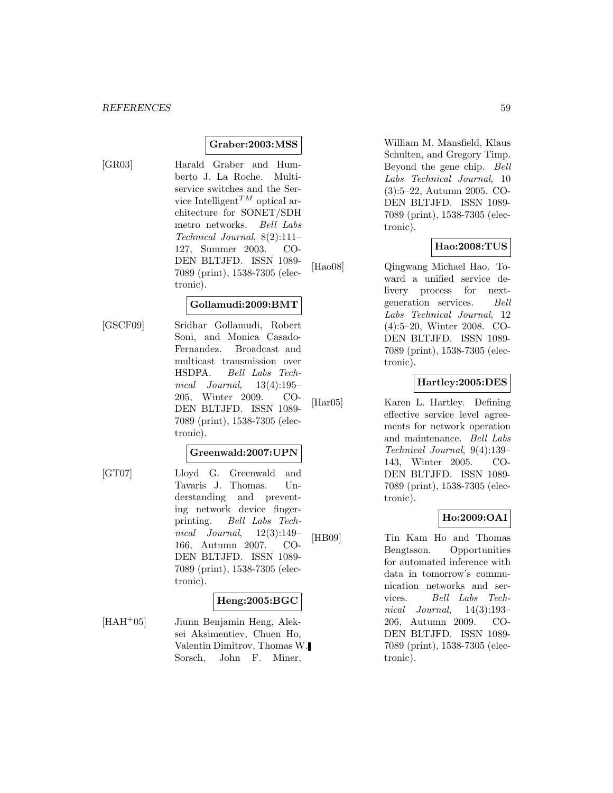### **Graber:2003:MSS**

[GR03] Harald Graber and Humberto J. La Roche. Multiservice switches and the Service Intelligent<sup>TM</sup> optical architecture for SONET/SDH metro networks. Bell Labs Technical Journal, 8(2):111– 127, Summer 2003. CO-DEN BLTJFD. ISSN 1089- 7089 (print), 1538-7305 (electronic).

#### **Gollamudi:2009:BMT**

[GSCF09] Sridhar Gollamudi, Robert Soni, and Monica Casado-Fernandez. Broadcast and multicast transmission over HSDPA. Bell Labs Technical Journal, 13(4):195– 205, Winter 2009. CO-DEN BLTJFD. ISSN 1089- 7089 (print), 1538-7305 (electronic).

### **Greenwald:2007:UPN**

[GT07] Lloyd G. Greenwald and Tavaris J. Thomas. Understanding and preventing network device fingerprinting. Bell Labs Technical Journal, 12(3):149– 166, Autumn 2007. CO-DEN BLTJFD. ISSN 1089- 7089 (print), 1538-7305 (electronic).

#### **Heng:2005:BGC**

[HAH<sup>+</sup>05] Jiunn Benjamin Heng, Aleksei Aksimentiev, Chuen Ho, Valentin Dimitrov, Thomas W. Sorsch, John F. Miner,

William M. Mansfield, Klaus Schulten, and Gregory Timp. Beyond the gene chip. Bell Labs Technical Journal, 10 (3):5–22, Autumn 2005. CO-DEN BLTJFD. ISSN 1089- 7089 (print), 1538-7305 (electronic).

#### **Hao:2008:TUS**

[Hao08] Qingwang Michael Hao. Toward a unified service delivery process for nextgeneration services. Bell Labs Technical Journal, 12 (4):5–20, Winter 2008. CO-DEN BLTJFD. ISSN 1089- 7089 (print), 1538-7305 (electronic).

#### **Hartley:2005:DES**

[Har05] Karen L. Hartley. Defining effective service level agreements for network operation and maintenance. Bell Labs Technical Journal, 9(4):139– 143, Winter 2005. CO-DEN BLTJFD. ISSN 1089- 7089 (print), 1538-7305 (electronic).

### **Ho:2009:OAI**

[HB09] Tin Kam Ho and Thomas Bengtsson. Opportunities for automated inference with data in tomorrow's communication networks and services. Bell Labs Technical Journal, 14(3):193– 206, Autumn 2009. CO-DEN BLTJFD. ISSN 1089- 7089 (print), 1538-7305 (electronic).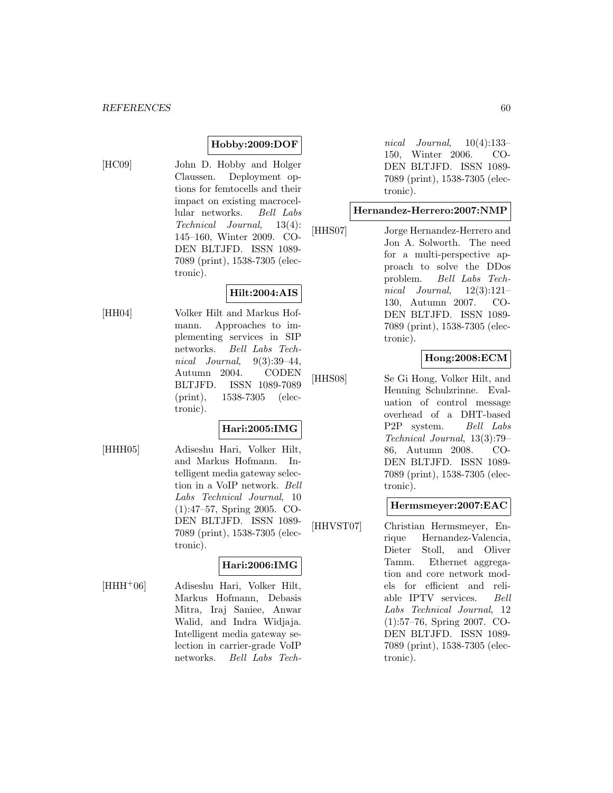## **Hobby:2009:DOF**

- 
- [HC09] John D. Hobby and Holger Claussen. Deployment options for femtocells and their impact on existing macrocellular networks. Bell Labs Technical Journal, 13(4): 145–160, Winter 2009. CO-DEN BLTJFD. ISSN 1089- 7089 (print), 1538-7305 (electronic).

# **Hilt:2004:AIS**

[HH04] Volker Hilt and Markus Hofmann. Approaches to implementing services in SIP networks. Bell Labs Technical Journal, 9(3):39–44, Autumn 2004. CODEN BLTJFD. ISSN 1089-7089 (print), 1538-7305 (electronic).

## **Hari:2005:IMG**

[HHH05] Adiseshu Hari, Volker Hilt, and Markus Hofmann. Intelligent media gateway selection in a VoIP network. Bell Labs Technical Journal, 10 (1):47–57, Spring 2005. CO-DEN BLTJFD. ISSN 1089- 7089 (print), 1538-7305 (electronic).

## **Hari:2006:IMG**

[HHH<sup>+</sup>06] Adiseshu Hari, Volker Hilt, Markus Hofmann, Debasis Mitra, Iraj Saniee, Anwar Walid, and Indra Widjaja. Intelligent media gateway selection in carrier-grade VoIP networks. Bell Labs Technical Journal, 10(4):133– 150, Winter 2006. CO-DEN BLTJFD. ISSN 1089- 7089 (print), 1538-7305 (electronic).

#### **Hernandez-Herrero:2007:NMP**

[HHS07] Jorge Hernandez-Herrero and Jon A. Solworth. The need for a multi-perspective approach to solve the DDos problem. Bell Labs Technical Journal,  $12(3):121-$ 130, Autumn 2007. CO-DEN BLTJFD. ISSN 1089- 7089 (print), 1538-7305 (electronic).

## **Hong:2008:ECM**

[HHS08] Se Gi Hong, Volker Hilt, and Henning Schulzrinne. Evaluation of control message overhead of a DHT-based P2P system. Bell Labs Technical Journal, 13(3):79– 86, Autumn 2008. CO-DEN BLTJFD. ISSN 1089- 7089 (print), 1538-7305 (electronic).

### **Hermsmeyer:2007:EAC**

[HHVST07] Christian Hermsmeyer, Enrique Hernandez-Valencia, Dieter Stoll, and Oliver Tamm. Ethernet aggregation and core network models for efficient and reliable IPTV services. Bell Labs Technical Journal, 12 (1):57–76, Spring 2007. CO-DEN BLTJFD. ISSN 1089- 7089 (print), 1538-7305 (electronic).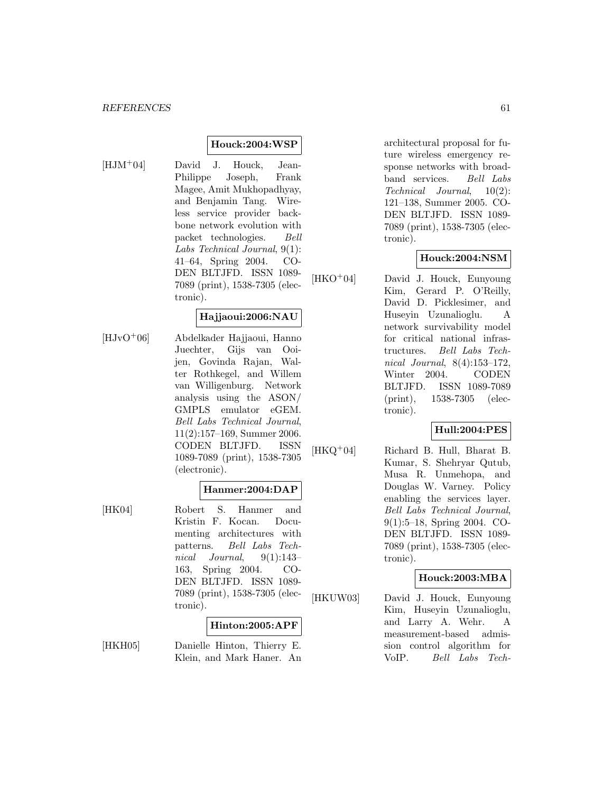#### **Houck:2004:WSP**

[HJM<sup>+</sup>04] David J. Houck, Jean-Philippe Joseph, Frank Magee, Amit Mukhopadhyay, and Benjamin Tang. Wireless service provider backbone network evolution with packet technologies. Bell Labs Technical Journal, 9(1): 41–64, Spring 2004. CO-DEN BLTJFD. ISSN 1089- 7089 (print), 1538-7305 (electronic).

### **Hajjaoui:2006:NAU**

[HJvO<sup>+</sup>06] Abdelkader Hajjaoui, Hanno Juechter, Gijs van Ooijen, Govinda Rajan, Walter Rothkegel, and Willem van Willigenburg. Network analysis using the ASON/ GMPLS emulator eGEM. Bell Labs Technical Journal, 11(2):157–169, Summer 2006. CODEN BLTJFD. ISSN 1089-7089 (print), 1538-7305 (electronic).

#### **Hanmer:2004:DAP**

[HK04] Robert S. Hanmer and Kristin F. Kocan. Documenting architectures with patterns. Bell Labs Technical Journal, 9(1):143– 163, Spring 2004. CO-DEN BLTJFD. ISSN 1089- 7089 (print), 1538-7305 (electronic).

#### **Hinton:2005:APF**

[HKH05] Danielle Hinton, Thierry E. Klein, and Mark Haner. An architectural proposal for future wireless emergency response networks with broadband services. Bell Labs Technical Journal, 10(2): 121–138, Summer 2005. CO-DEN BLTJFD. ISSN 1089- 7089 (print), 1538-7305 (electronic).

#### **Houck:2004:NSM**

[HKO<sup>+</sup>04] David J. Houck, Eunyoung Kim, Gerard P. O'Reilly, David D. Picklesimer, and Huseyin Uzunalioglu. A network survivability model for critical national infrastructures. Bell Labs Technical Journal, 8(4):153–172, Winter 2004. CODEN BLTJFD. ISSN 1089-7089 (print), 1538-7305 (electronic).

### **Hull:2004:PES**

[HKQ<sup>+</sup>04] Richard B. Hull, Bharat B. Kumar, S. Shehryar Qutub, Musa R. Unmehopa, and Douglas W. Varney. Policy enabling the services layer. Bell Labs Technical Journal, 9(1):5–18, Spring 2004. CO-DEN BLTJFD. ISSN 1089- 7089 (print), 1538-7305 (electronic).

#### **Houck:2003:MBA**

[HKUW03] David J. Houck, Eunyoung Kim, Huseyin Uzunalioglu, and Larry A. Wehr. A measurement-based admission control algorithm for VoIP. Bell Labs Tech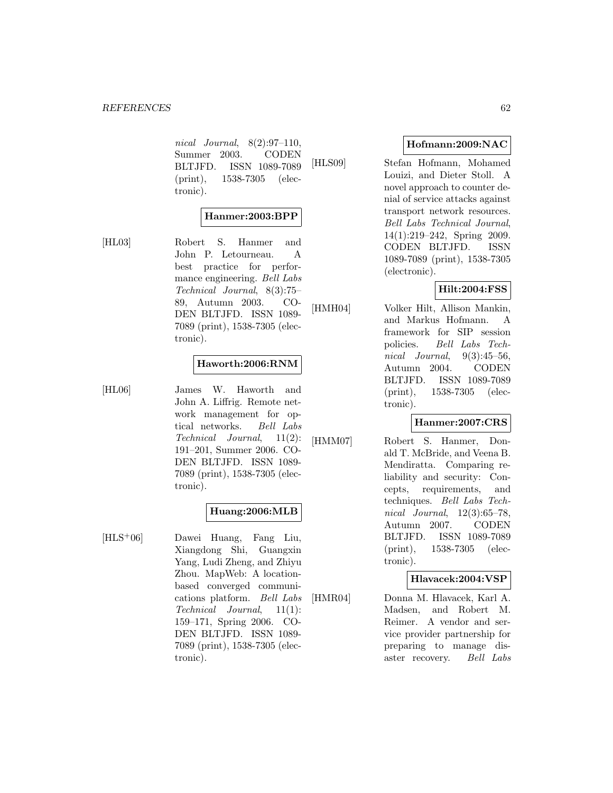nical Journal, 8(2):97–110, Summer 2003. CODEN BLTJFD. ISSN 1089-7089 (print), 1538-7305 (electronic).

## **Hanmer:2003:BPP**

[HL03] Robert S. Hanmer and John P. Letourneau. A best practice for performance engineering. Bell Labs Technical Journal, 8(3):75– 89, Autumn 2003. CO-DEN BLTJFD. ISSN 1089- 7089 (print), 1538-7305 (electronic).

#### **Haworth:2006:RNM**

[HL06] James W. Haworth and John A. Liffrig. Remote network management for optical networks. Bell Labs Technical Journal, 11(2): 191–201, Summer 2006. CO-DEN BLTJFD. ISSN 1089- 7089 (print), 1538-7305 (electronic).

## **Huang:2006:MLB**

[HLS<sup>+</sup>06] Dawei Huang, Fang Liu, Xiangdong Shi, Guangxin Yang, Ludi Zheng, and Zhiyu Zhou. MapWeb: A locationbased converged communications platform. Bell Labs Technical Journal, 11(1): 159–171, Spring 2006. CO-DEN BLTJFD. ISSN 1089- 7089 (print), 1538-7305 (electronic).

#### **Hofmann:2009:NAC**

[HLS09] Stefan Hofmann, Mohamed Louizi, and Dieter Stoll. A novel approach to counter denial of service attacks against transport network resources. Bell Labs Technical Journal, 14(1):219–242, Spring 2009. CODEN BLTJFD. ISSN 1089-7089 (print), 1538-7305 (electronic).

#### **Hilt:2004:FSS**

[HMH04] Volker Hilt, Allison Mankin,

and Markus Hofmann. A framework for SIP session policies. Bell Labs Technical Journal,  $9(3):45-56$ , Autumn 2004. CODEN BLTJFD. ISSN 1089-7089 (print), 1538-7305 (electronic).

### **Hanmer:2007:CRS**

[HMM07] Robert S. Hanmer, Donald T. McBride, and Veena B. Mendiratta. Comparing reliability and security: Concepts, requirements, and techniques. Bell Labs Technical Journal, 12(3):65–78, Autumn 2007. CODEN BLTJFD. ISSN 1089-7089 (print), 1538-7305 (electronic).

#### **Hlavacek:2004:VSP**

[HMR04] Donna M. Hlavacek, Karl A. Madsen, and Robert M. Reimer. A vendor and service provider partnership for preparing to manage disaster recovery. Bell Labs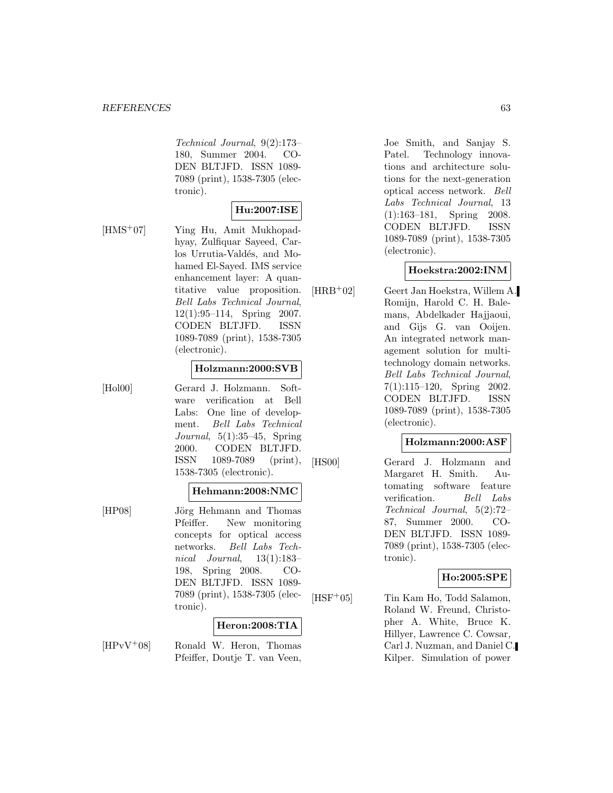Technical Journal, 9(2):173– 180, Summer 2004. CO-DEN BLTJFD. ISSN 1089- 7089 (print), 1538-7305 (electronic).

## **Hu:2007:ISE**

[HMS<sup>+</sup>07] Ying Hu, Amit Mukhopadhyay, Zulfiquar Sayeed, Carlos Urrutia-Valdés, and Mohamed El-Sayed. IMS service enhancement layer: A quantitative value proposition. Bell Labs Technical Journal, 12(1):95–114, Spring 2007. CODEN BLTJFD. ISSN 1089-7089 (print), 1538-7305 (electronic).

#### **Holzmann:2000:SVB**

[Hol00] Gerard J. Holzmann. Software verification at Bell Labs: One line of development. Bell Labs Technical Journal,  $5(1):35-45$ , Spring 2000. CODEN BLTJFD. ISSN 1089-7089 (print), 1538-7305 (electronic).

#### **Hehmann:2008:NMC**

[HP08] Jörg Hehmann and Thomas Pfeiffer. New monitoring concepts for optical access networks. Bell Labs Technical Journal, 13(1):183– 198, Spring 2008. CO-DEN BLTJFD. ISSN 1089- 7089 (print), 1538-7305 (electronic).

#### **Heron:2008:TIA**

 $[HPvV^+08]$  Ronald W. Heron, Thomas Pfeiffer, Doutje T. van Veen,

Joe Smith, and Sanjay S. Patel. Technology innovations and architecture solutions for the next-generation optical access network. Bell Labs Technical Journal, 13 (1):163–181, Spring 2008. CODEN BLTJFD. ISSN 1089-7089 (print), 1538-7305 (electronic).

#### **Hoekstra:2002:INM**

[HRB<sup>+</sup>02] Geert Jan Hoekstra, Willem A. Romijn, Harold C. H. Balemans, Abdelkader Hajjaoui, and Gijs G. van Ooijen. An integrated network management solution for multitechnology domain networks. Bell Labs Technical Journal, 7(1):115–120, Spring 2002. CODEN BLTJFD. ISSN 1089-7089 (print), 1538-7305 (electronic).

#### **Holzmann:2000:ASF**

[HS00] Gerard J. Holzmann and Margaret H. Smith. Automating software feature verification. Bell Labs Technical Journal, 5(2):72– 87, Summer 2000. CO-DEN BLTJFD. ISSN 1089- 7089 (print), 1538-7305 (electronic).

#### **Ho:2005:SPE**

[HSF<sup>+</sup>05] Tin Kam Ho, Todd Salamon, Roland W. Freund, Christopher A. White, Bruce K. Hillyer, Lawrence C. Cowsar, Carl J. Nuzman, and Daniel C. Kilper. Simulation of power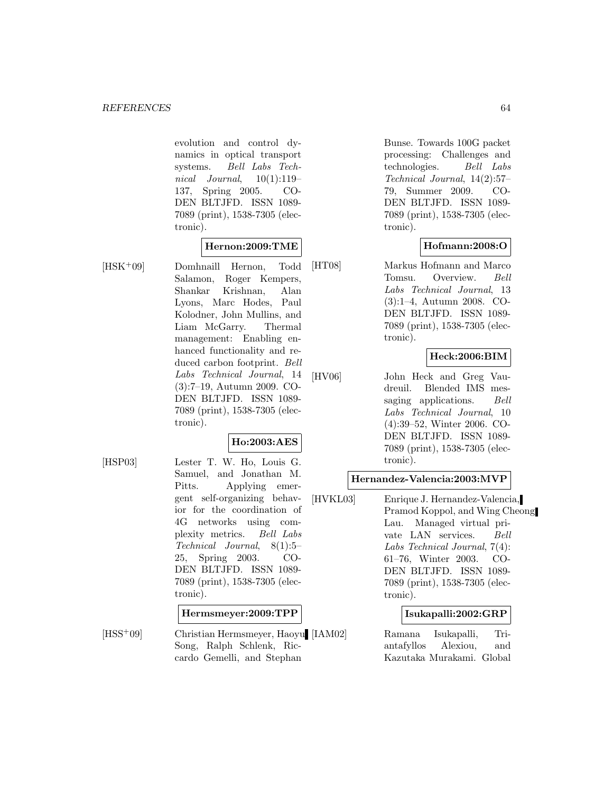evolution and control dynamics in optical transport systems. Bell Labs Technical Journal,  $10(1):119-$ 137, Spring 2005. CO-DEN BLTJFD. ISSN 1089- 7089 (print), 1538-7305 (electronic).

### **Hernon:2009:TME**

[HSK<sup>+</sup>09] Domhnaill Hernon, Todd Salamon, Roger Kempers, Shankar Krishnan, Alan Lyons, Marc Hodes, Paul Kolodner, John Mullins, and Liam McGarry. Thermal management: Enabling enhanced functionality and reduced carbon footprint. Bell Labs Technical Journal, 14 (3):7–19, Autumn 2009. CO-DEN BLTJFD. ISSN 1089- 7089 (print), 1538-7305 (electronic).

### **Ho:2003:AES**

[HSP03] Lester T. W. Ho, Louis G. Samuel, and Jonathan M. Pitts. Applying emergent self-organizing behavior for the coordination of 4G networks using complexity metrics. Bell Labs Technical Journal, 8(1):5– 25, Spring 2003. CO-DEN BLTJFD. ISSN 1089- 7089 (print), 1538-7305 (electronic).

#### **Hermsmeyer:2009:TPP**

[HSS<sup>+</sup>09] Christian Hermsmeyer, Haoyu [IAM02] Song, Ralph Schlenk, Riccardo Gemelli, and Stephan

Bunse. Towards 100G packet processing: Challenges and technologies. Bell Labs Technical Journal, 14(2):57– 79, Summer 2009. CO-DEN BLTJFD. ISSN 1089- 7089 (print), 1538-7305 (electronic).

### **Hofmann:2008:O**

[HT08] Markus Hofmann and Marco Tomsu. Overview. Bell Labs Technical Journal, 13 (3):1–4, Autumn 2008. CO-DEN BLTJFD. ISSN 1089- 7089 (print), 1538-7305 (electronic).

#### **Heck:2006:BIM**

[HV06] John Heck and Greg Vaudreuil. Blended IMS messaging applications. Bell Labs Technical Journal, 10 (4):39–52, Winter 2006. CO-DEN BLTJFD. ISSN 1089- 7089 (print), 1538-7305 (electronic).

### **Hernandez-Valencia:2003:MVP**

[HVKL03] Enrique J. Hernandez-Valencia, Pramod Koppol, and Wing Cheong Lau. Managed virtual private LAN services. Bell Labs Technical Journal, 7(4): 61–76, Winter 2003. CO-DEN BLTJFD. ISSN 1089- 7089 (print), 1538-7305 (electronic).

#### **Isukapalli:2002:GRP**

Ramana Isukapalli, Triantafyllos Alexiou, and Kazutaka Murakami. Global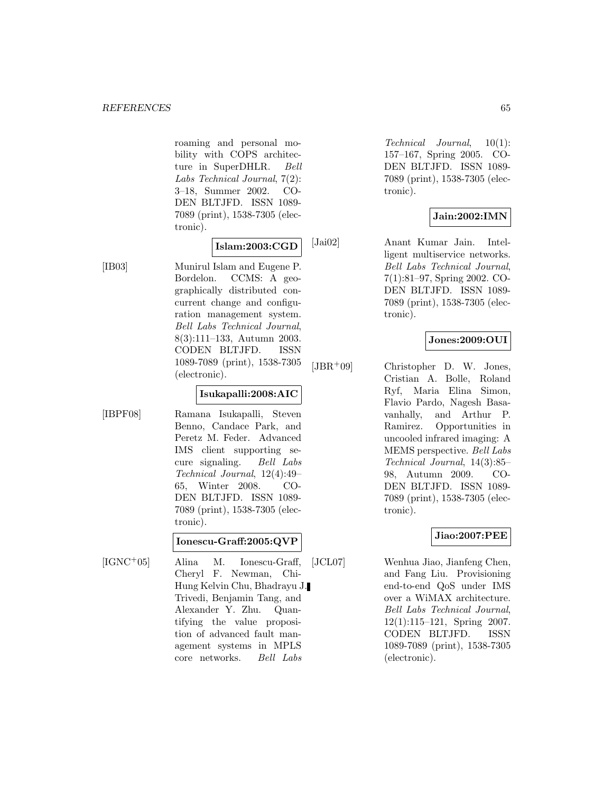roaming and personal mobility with COPS architecture in SuperDHLR. Bell Labs Technical Journal, 7(2): 3–18, Summer 2002. CO-DEN BLTJFD. ISSN 1089- 7089 (print), 1538-7305 (electronic).

#### **Islam:2003:CGD**

[IB03] Munirul Islam and Eugene P. Bordelon. CCMS: A geographically distributed concurrent change and configuration management system. Bell Labs Technical Journal, 8(3):111–133, Autumn 2003. CODEN BLTJFD. ISSN 1089-7089 (print), 1538-7305 (electronic).

#### **Isukapalli:2008:AIC**

[IBPF08] Ramana Isukapalli, Steven Benno, Candace Park, and Peretz M. Feder. Advanced IMS client supporting secure signaling. Bell Labs Technical Journal, 12(4):49– 65, Winter 2008. CO-DEN BLTJFD. ISSN 1089- 7089 (print), 1538-7305 (electronic).

### **Ionescu-Graff:2005:QVP**

[IGNC<sup>+</sup>05] Alina M. Ionescu-Graff, Cheryl F. Newman, Chi-Hung Kelvin Chu, Bhadrayu J. Trivedi, Benjamin Tang, and Alexander Y. Zhu. Quantifying the value proposition of advanced fault management systems in MPLS core networks. Bell Labs

Technical Journal, 10(1): 157–167, Spring 2005. CO-DEN BLTJFD. ISSN 1089- 7089 (print), 1538-7305 (electronic).

# **Jain:2002:IMN**

[Jai02] Anant Kumar Jain. Intelligent multiservice networks. Bell Labs Technical Journal, 7(1):81–97, Spring 2002. CO-DEN BLTJFD. ISSN 1089- 7089 (print), 1538-7305 (electronic).

## **Jones:2009:OUI**

[JBR<sup>+</sup>09] Christopher D. W. Jones, Cristian A. Bolle, Roland Ryf, Maria Elina Simon, Flavio Pardo, Nagesh Basavanhally, and Arthur P. Ramirez. Opportunities in uncooled infrared imaging: A MEMS perspective. Bell Labs Technical Journal, 14(3):85– 98, Autumn 2009. CO-DEN BLTJFD. ISSN 1089- 7089 (print), 1538-7305 (electronic).

### **Jiao:2007:PEE**

[JCL07] Wenhua Jiao, Jianfeng Chen, and Fang Liu. Provisioning end-to-end QoS under IMS over a WiMAX architecture. Bell Labs Technical Journal, 12(1):115–121, Spring 2007. CODEN BLTJFD. ISSN 1089-7089 (print), 1538-7305 (electronic).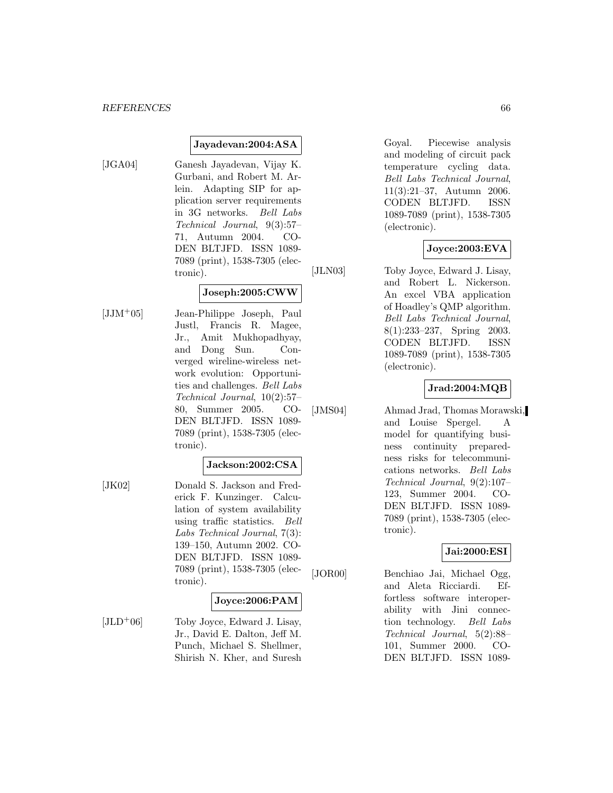#### **Jayadevan:2004:ASA**

- 
- [JGA04] Ganesh Jayadevan, Vijay K. Gurbani, and Robert M. Arlein. Adapting SIP for application server requirements in 3G networks. Bell Labs Technical Journal, 9(3):57– 71, Autumn 2004. CO-DEN BLTJFD. ISSN 1089- 7089 (print), 1538-7305 (electronic).

#### **Joseph:2005:CWW**

[JJM<sup>+</sup>05] Jean-Philippe Joseph, Paul Justl, Francis R. Magee, Jr., Amit Mukhopadhyay, and Dong Sun. Converged wireline-wireless network evolution: Opportunities and challenges. Bell Labs Technical Journal, 10(2):57– 80, Summer 2005. CO-DEN BLTJFD. ISSN 1089- 7089 (print), 1538-7305 (electronic).

#### **Jackson:2002:CSA**

[JK02] Donald S. Jackson and Frederick F. Kunzinger. Calculation of system availability using traffic statistics. Bell Labs Technical Journal, 7(3): 139–150, Autumn 2002. CO-DEN BLTJFD. ISSN 1089- 7089 (print), 1538-7305 (electronic).

#### **Joyce:2006:PAM**

 $[JLD+06]$  Toby Joyce, Edward J. Lisay, Jr., David E. Dalton, Jeff M. Punch, Michael S. Shellmer, Shirish N. Kher, and Suresh Goyal. Piecewise analysis and modeling of circuit pack temperature cycling data. Bell Labs Technical Journal, 11(3):21–37, Autumn 2006. CODEN BLTJFD. ISSN 1089-7089 (print), 1538-7305 (electronic).

### **Joyce:2003:EVA**

[JLN03] Toby Joyce, Edward J. Lisay, and Robert L. Nickerson. An excel VBA application of Hoadley's QMP algorithm. Bell Labs Technical Journal, 8(1):233–237, Spring 2003. CODEN BLTJFD. ISSN 1089-7089 (print), 1538-7305 (electronic).

#### **Jrad:2004:MQB**

[JMS04] Ahmad Jrad, Thomas Morawski, and Louise Spergel. A model for quantifying business continuity preparedness risks for telecommunications networks. Bell Labs Technical Journal, 9(2):107– 123, Summer 2004. CO-DEN BLTJFD. ISSN 1089- 7089 (print), 1538-7305 (electronic).

#### **Jai:2000:ESI**

[JOR00] Benchiao Jai, Michael Ogg, and Aleta Ricciardi. Effortless software interoperability with Jini connection technology. Bell Labs Technical Journal, 5(2):88– 101, Summer 2000. CO-DEN BLTJFD. ISSN 1089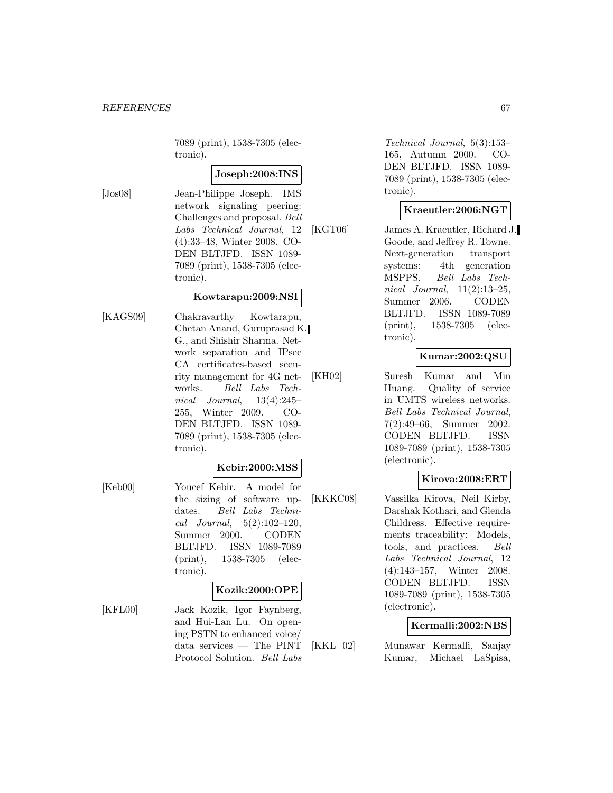7089 (print), 1538-7305 (electronic).

### **Joseph:2008:INS**

[Jos08] Jean-Philippe Joseph. IMS network signaling peering: Challenges and proposal. Bell Labs Technical Journal, 12 (4):33–48, Winter 2008. CO-DEN BLTJFD. ISSN 1089- 7089 (print), 1538-7305 (electronic).

#### **Kowtarapu:2009:NSI**

[KAGS09] Chakravarthy Kowtarapu, Chetan Anand, Guruprasad K. G., and Shishir Sharma. Network separation and IPsec CA certificates-based security management for 4G networks. Bell Labs Technical Journal, 13(4):245– 255, Winter 2009. CO-DEN BLTJFD. ISSN 1089- 7089 (print), 1538-7305 (electronic).

#### **Kebir:2000:MSS**

[Keb00] Youcef Kebir. A model for the sizing of software updates. Bell Labs Techni $cal Journal, 5(2):102-120,$ Summer 2000. CODEN BLTJFD. ISSN 1089-7089 (print), 1538-7305 (electronic).

#### **Kozik:2000:OPE**

[KFL00] Jack Kozik, Igor Faynberg, and Hui-Lan Lu. On opening PSTN to enhanced voice/ data services — The PINT Protocol Solution. Bell Labs

Technical Journal, 5(3):153– 165, Autumn 2000. CO-DEN BLTJFD. ISSN 1089- 7089 (print), 1538-7305 (electronic).

### **Kraeutler:2006:NGT**

[KGT06] James A. Kraeutler, Richard J. Goode, and Jeffrey R. Towne. Next-generation transport systems: 4th generation MSPPS. Bell Labs Technical Journal, 11(2):13–25, Summer 2006. CODEN BLTJFD. ISSN 1089-7089 (print), 1538-7305 (electronic).

### **Kumar:2002:QSU**

[KH02] Suresh Kumar and Min Huang. Quality of service in UMTS wireless networks. Bell Labs Technical Journal, 7(2):49–66, Summer 2002. CODEN BLTJFD. ISSN 1089-7089 (print), 1538-7305 (electronic).

#### **Kirova:2008:ERT**

[KKKC08] Vassilka Kirova, Neil Kirby, Darshak Kothari, and Glenda Childress. Effective requirements traceability: Models, tools, and practices. Bell Labs Technical Journal, 12 (4):143–157, Winter 2008. CODEN BLTJFD. ISSN 1089-7089 (print), 1538-7305 (electronic).

#### **Kermalli:2002:NBS**

[KKL<sup>+</sup>02] Munawar Kermalli, Sanjay Kumar, Michael LaSpisa,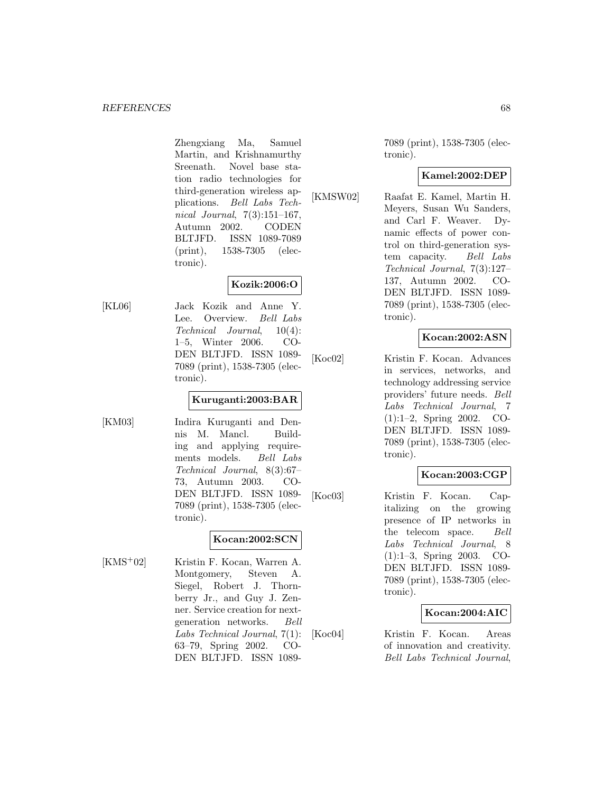Zhengxiang Ma, Samuel Martin, and Krishnamurthy Sreenath. Novel base station radio technologies for third-generation wireless applications. Bell Labs Technical Journal, 7(3):151–167, Autumn 2002. CODEN BLTJFD. ISSN 1089-7089 (print), 1538-7305 (electronic).

## **Kozik:2006:O**

[KL06] Jack Kozik and Anne Y. Lee. Overview. Bell Labs Technical Journal, 10(4): 1–5, Winter 2006. CO-DEN BLTJFD. ISSN 1089- 7089 (print), 1538-7305 (electronic).

### **Kuruganti:2003:BAR**

[KM03] Indira Kuruganti and Dennis M. Mancl. Building and applying requirements models. Bell Labs Technical Journal, 8(3):67– 73, Autumn 2003. CO-DEN BLTJFD. ISSN 1089- 7089 (print), 1538-7305 (electronic).

### **Kocan:2002:SCN**

[KMS<sup>+</sup>02] Kristin F. Kocan, Warren A. Montgomery, Steven A. Siegel, Robert J. Thornberry Jr., and Guy J. Zenner. Service creation for nextgeneration networks. Bell Labs Technical Journal, 7(1): 63–79, Spring 2002. CO-DEN BLTJFD. ISSN 10897089 (print), 1538-7305 (electronic).

### **Kamel:2002:DEP**

[KMSW02] Raafat E. Kamel, Martin H. Meyers, Susan Wu Sanders, and Carl F. Weaver. Dynamic effects of power control on third-generation system capacity. Bell Labs Technical Journal, 7(3):127– 137, Autumn 2002. CO-DEN BLTJFD. ISSN 1089- 7089 (print), 1538-7305 (electronic).

## **Kocan:2002:ASN**

[Koc02] Kristin F. Kocan. Advances in services, networks, and technology addressing service providers' future needs. Bell Labs Technical Journal, 7 (1):1–2, Spring 2002. CO-DEN BLTJFD. ISSN 1089- 7089 (print), 1538-7305 (electronic).

### **Kocan:2003:CGP**

[Koc03] Kristin F. Kocan. Capitalizing on the growing presence of IP networks in the telecom space. Bell Labs Technical Journal, 8 (1):1–3, Spring 2003. CO-DEN BLTJFD. ISSN 1089- 7089 (print), 1538-7305 (electronic).

### **Kocan:2004:AIC**

[Koc04] Kristin F. Kocan. Areas of innovation and creativity. Bell Labs Technical Journal,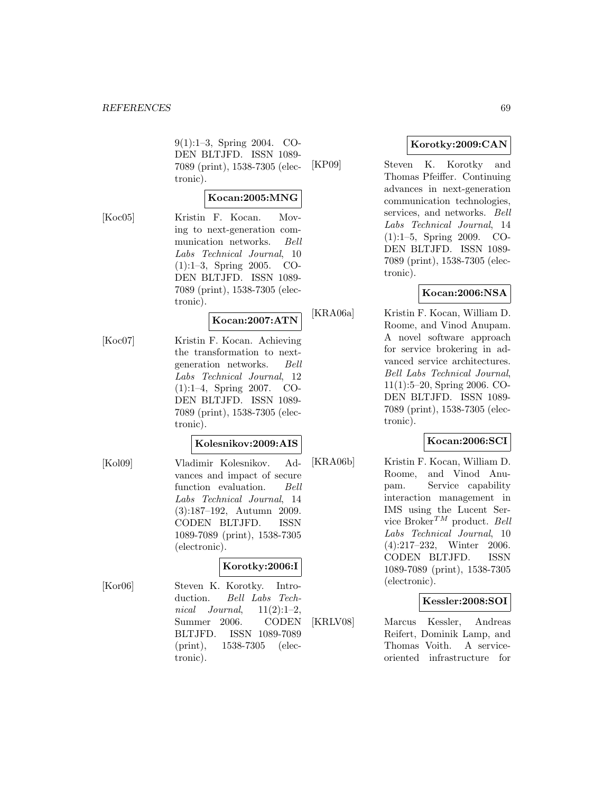#### *REFERENCES* 69

9(1):1–3, Spring 2004. CO-DEN BLTJFD. ISSN 1089- 7089 (print), 1538-7305 (electronic).

### **Kocan:2005:MNG**

[Koc05] Kristin F. Kocan. Moving to next-generation communication networks. Bell Labs Technical Journal, 10 (1):1–3, Spring 2005. CO-DEN BLTJFD. ISSN 1089- 7089 (print), 1538-7305 (electronic).

## **Kocan:2007:ATN**

[Koc07] Kristin F. Kocan. Achieving the transformation to nextgeneration networks. Bell Labs Technical Journal, 12 (1):1–4, Spring 2007. CO-DEN BLTJFD. ISSN 1089- 7089 (print), 1538-7305 (electronic).

#### **Kolesnikov:2009:AIS**

[Kol09] Vladimir Kolesnikov. Advances and impact of secure function evaluation. Bell Labs Technical Journal, 14 (3):187–192, Autumn 2009. CODEN BLTJFD. ISSN 1089-7089 (print), 1538-7305 (electronic).

#### **Korotky:2006:I**

[Kor06] Steven K. Korotky. Introduction. Bell Labs Technical Journal,  $11(2):1-2$ , Summer 2006. CODEN BLTJFD. ISSN 1089-7089 (print), 1538-7305 (electronic).

#### **Korotky:2009:CAN**

[KP09] Steven K. Korotky and Thomas Pfeiffer. Continuing advances in next-generation communication technologies, services, and networks. Bell Labs Technical Journal, 14 (1):1–5, Spring 2009. CO-DEN BLTJFD. ISSN 1089- 7089 (print), 1538-7305 (electronic).

#### **Kocan:2006:NSA**

[KRA06a] Kristin F. Kocan, William D. Roome, and Vinod Anupam. A novel software approach for service brokering in advanced service architectures. Bell Labs Technical Journal, 11(1):5–20, Spring 2006. CO-DEN BLTJFD. ISSN 1089- 7089 (print), 1538-7305 (electronic).

### **Kocan:2006:SCI**

[KRA06b] Kristin F. Kocan, William D. Roome, and Vinod Anupam. Service capability interaction management in IMS using the Lucent Service Broker<sup>TM</sup> product. Bell Labs Technical Journal, 10 (4):217–232, Winter 2006. CODEN BLTJFD. ISSN 1089-7089 (print), 1538-7305 (electronic).

#### **Kessler:2008:SOI**

[KRLV08] Marcus Kessler, Andreas Reifert, Dominik Lamp, and Thomas Voith. A serviceoriented infrastructure for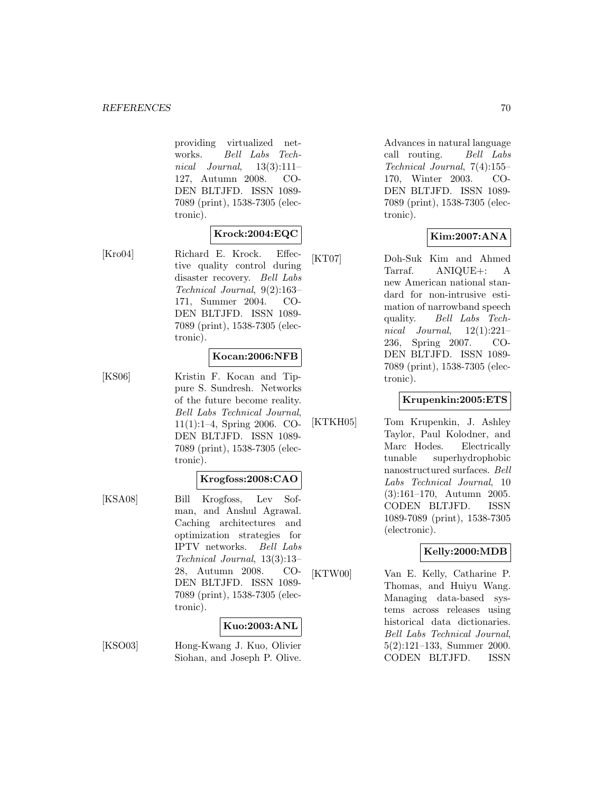providing virtualized networks. Bell Labs Technical Journal,  $13(3):111-$ 127, Autumn 2008. CO-DEN BLTJFD. ISSN 1089- 7089 (print), 1538-7305 (electronic).

### **Krock:2004:EQC**

[Kro04] Richard E. Krock. Effective quality control during disaster recovery. Bell Labs Technical Journal, 9(2):163– 171, Summer 2004. CO-DEN BLTJFD. ISSN 1089- 7089 (print), 1538-7305 (electronic).

#### **Kocan:2006:NFB**

[KS06] Kristin F. Kocan and Tippure S. Sundresh. Networks of the future become reality. Bell Labs Technical Journal, 11(1):1–4, Spring 2006. CO-DEN BLTJFD. ISSN 1089- 7089 (print), 1538-7305 (electronic).

#### **Krogfoss:2008:CAO**

[KSA08] Bill Krogfoss, Lev Sofman, and Anshul Agrawal. Caching architectures and optimization strategies for IPTV networks. Bell Labs Technical Journal, 13(3):13– 28, Autumn 2008. CO-DEN BLTJFD. ISSN 1089- 7089 (print), 1538-7305 (electronic).

### **Kuo:2003:ANL**

[KSO03] Hong-Kwang J. Kuo, Olivier Siohan, and Joseph P. Olive.

Advances in natural language call routing. Bell Labs Technical Journal, 7(4):155– 170, Winter 2003. CO-DEN BLTJFD. ISSN 1089- 7089 (print), 1538-7305 (electronic).

### **Kim:2007:ANA**

[KT07] Doh-Suk Kim and Ahmed Tarraf. ANIQUE+: A new American national standard for non-intrusive estimation of narrowband speech quality. Bell Labs Technical Journal,  $12(1):221-$ 236, Spring 2007. CO-DEN BLTJFD. ISSN 1089- 7089 (print), 1538-7305 (electronic).

#### **Krupenkin:2005:ETS**

[KTKH05] Tom Krupenkin, J. Ashley Taylor, Paul Kolodner, and Marc Hodes. Electrically tunable superhydrophobic nanostructured surfaces. Bell Labs Technical Journal, 10 (3):161–170, Autumn 2005. CODEN BLTJFD. ISSN 1089-7089 (print), 1538-7305 (electronic).

### **Kelly:2000:MDB**

[KTW00] Van E. Kelly, Catharine P. Thomas, and Huiyu Wang. Managing data-based systems across releases using historical data dictionaries. Bell Labs Technical Journal, 5(2):121–133, Summer 2000. CODEN BLTJFD. ISSN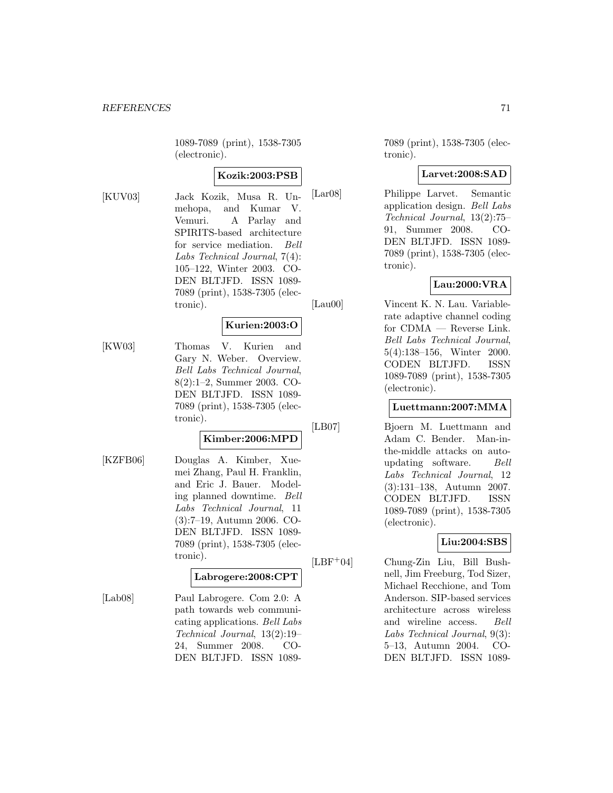1089-7089 (print), 1538-7305 (electronic).

#### **Kozik:2003:PSB**

[KUV03] Jack Kozik, Musa R. Unmehopa, and Kumar V. Vemuri. A Parlay and SPIRITS-based architecture for service mediation. Bell Labs Technical Journal, 7(4): 105–122, Winter 2003. CO-DEN BLTJFD. ISSN 1089- 7089 (print), 1538-7305 (electronic).

#### **Kurien:2003:O**

[KW03] Thomas V. Kurien and Gary N. Weber. Overview. Bell Labs Technical Journal, 8(2):1–2, Summer 2003. CO-DEN BLTJFD. ISSN 1089- 7089 (print), 1538-7305 (electronic).

### **Kimber:2006:MPD**

[KZFB06] Douglas A. Kimber, Xuemei Zhang, Paul H. Franklin, and Eric J. Bauer. Modeling planned downtime. Bell Labs Technical Journal, 11 (3):7–19, Autumn 2006. CO-DEN BLTJFD. ISSN 1089- 7089 (print), 1538-7305 (electronic).

#### **Labrogere:2008:CPT**

[Lab08] Paul Labrogere. Com 2.0: A path towards web communicating applications. Bell Labs Technical Journal, 13(2):19– 24, Summer 2008. CO-DEN BLTJFD. ISSN 10897089 (print), 1538-7305 (electronic).

#### **Larvet:2008:SAD**

[Lar08] Philippe Larvet. Semantic application design. Bell Labs Technical Journal, 13(2):75– 91, Summer 2008. CO-DEN BLTJFD. ISSN 1089- 7089 (print), 1538-7305 (electronic).

## **Lau:2000:VRA**

[Lau00] Vincent K. N. Lau. Variable-

rate adaptive channel coding for CDMA — Reverse Link. Bell Labs Technical Journal, 5(4):138–156, Winter 2000. CODEN BLTJFD. ISSN 1089-7089 (print), 1538-7305 (electronic).

#### **Luettmann:2007:MMA**

[LB07] Bjoern M. Luettmann and Adam C. Bender. Man-inthe-middle attacks on autoupdating software. Bell Labs Technical Journal, 12 (3):131–138, Autumn 2007. CODEN BLTJFD. ISSN 1089-7089 (print), 1538-7305 (electronic).

### **Liu:2004:SBS**

[LBF<sup>+</sup>04] Chung-Zin Liu, Bill Bushnell, Jim Freeburg, Tod Sizer, Michael Recchione, and Tom Anderson. SIP-based services architecture across wireless and wireline access. Bell Labs Technical Journal, 9(3): 5–13, Autumn 2004. CO-DEN BLTJFD. ISSN 1089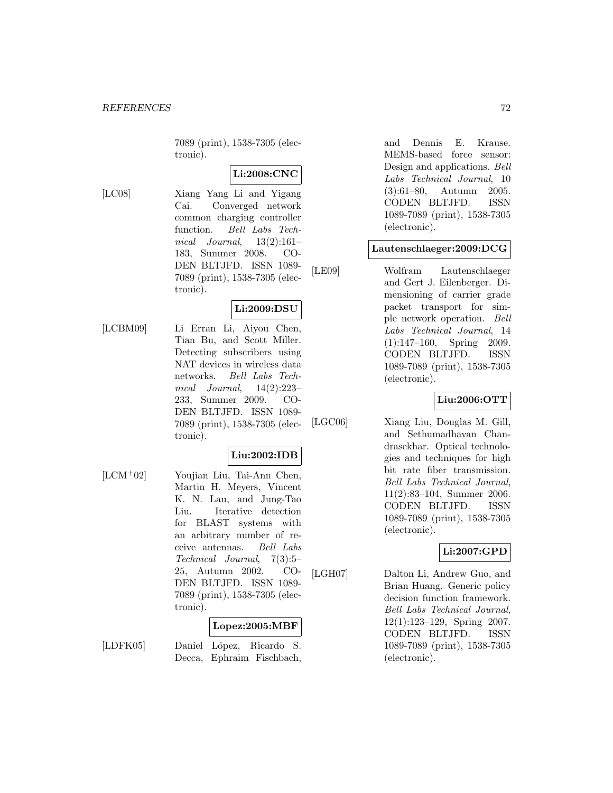7089 (print), 1538-7305 (electronic).

## **Li:2008:CNC**

[LC08] Xiang Yang Li and Yigang Cai. Converged network common charging controller function. Bell Labs Technical Journal,  $13(2):161-$ 183, Summer 2008. CO-DEN BLTJFD. ISSN 1089- 7089 (print), 1538-7305 (electronic).

## **Li:2009:DSU**

[LCBM09] Li Erran Li, Aiyou Chen, Tian Bu, and Scott Miller. Detecting subscribers using NAT devices in wireless data networks. Bell Labs Technical Journal, 14(2):223– 233, Summer 2009. CO-DEN BLTJFD. ISSN 1089- 7089 (print), 1538-7305 (electronic).

### **Liu:2002:IDB**

[LCM<sup>+</sup>02] Youjian Liu, Tai-Ann Chen, Martin H. Meyers, Vincent K. N. Lau, and Jung-Tao Liu. Iterative detection for BLAST systems with an arbitrary number of receive antennas. Bell Labs Technical Journal, 7(3):5– 25, Autumn 2002. CO-DEN BLTJFD. ISSN 1089- 7089 (print), 1538-7305 (electronic).

### **Lopez:2005:MBF**

[LDFK05] Daniel López, Ricardo S. Decca, Ephraim Fischbach, and Dennis E. Krause. MEMS-based force sensor: Design and applications. Bell Labs Technical Journal, 10 (3):61–80, Autumn 2005. CODEN BLTJFD. ISSN 1089-7089 (print), 1538-7305 (electronic).

#### **Lautenschlaeger:2009:DCG**

[LE09] Wolfram Lautenschlaeger and Gert J. Eilenberger. Dimensioning of carrier grade packet transport for simple network operation. Bell Labs Technical Journal, 14 (1):147–160, Spring 2009. CODEN BLTJFD. ISSN 1089-7089 (print), 1538-7305 (electronic).

#### **Liu:2006:OTT**

[LGC06] Xiang Liu, Douglas M. Gill, and Sethumadhavan Chandrasekhar. Optical technologies and techniques for high bit rate fiber transmission. Bell Labs Technical Journal, 11(2):83–104, Summer 2006. CODEN BLTJFD. ISSN 1089-7089 (print), 1538-7305 (electronic).

### **Li:2007:GPD**

[LGH07] Dalton Li, Andrew Guo, and Brian Huang. Generic policy decision function framework. Bell Labs Technical Journal, 12(1):123–129, Spring 2007. CODEN BLTJFD. ISSN 1089-7089 (print), 1538-7305 (electronic).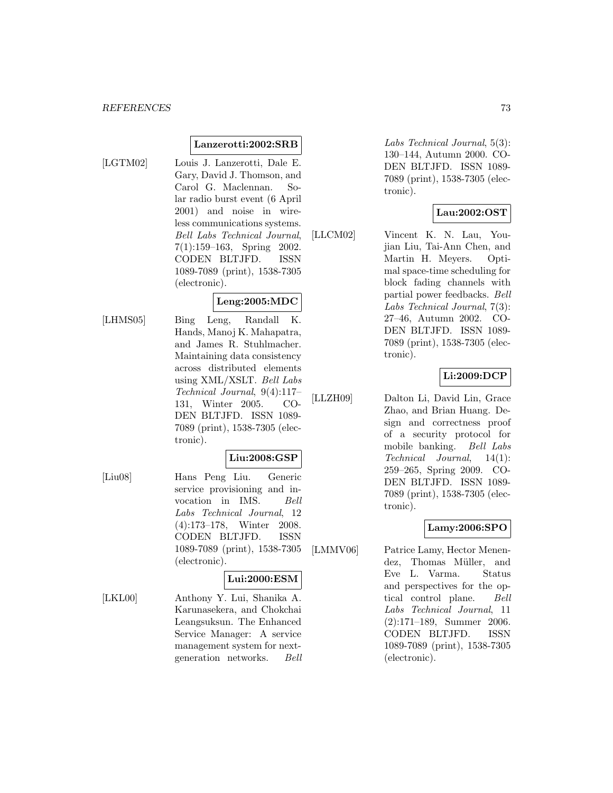#### **REFERENCES** 73

#### **Lanzerotti:2002:SRB**

- 
- [LGTM02] Louis J. Lanzerotti, Dale E. Gary, David J. Thomson, and Carol G. Maclennan. Solar radio burst event (6 April 2001) and noise in wireless communications systems. Bell Labs Technical Journal, 7(1):159–163, Spring 2002. CODEN BLTJFD. ISSN 1089-7089 (print), 1538-7305 (electronic).

#### **Leng:2005:MDC**

[LHMS05] Bing Leng, Randall K. Hands, Manoj K. Mahapatra, and James R. Stuhlmacher. Maintaining data consistency across distributed elements using XML/XSLT. Bell Labs Technical Journal, 9(4):117– 131, Winter 2005. CO-DEN BLTJFD. ISSN 1089- 7089 (print), 1538-7305 (electronic).

#### **Liu:2008:GSP**

[Liu08] Hans Peng Liu. Generic service provisioning and invocation in IMS. Bell Labs Technical Journal, 12 (4):173–178, Winter 2008. CODEN BLTJFD. ISSN 1089-7089 (print), 1538-7305 (electronic).

### **Lui:2000:ESM**

[LKL00] Anthony Y. Lui, Shanika A. Karunasekera, and Chokchai Leangsuksun. The Enhanced Service Manager: A service management system for nextgeneration networks. Bell Labs Technical Journal, 5(3): 130–144, Autumn 2000. CO-DEN BLTJFD. ISSN 1089- 7089 (print), 1538-7305 (electronic).

#### **Lau:2002:OST**

[LLCM02] Vincent K. N. Lau, Youjian Liu, Tai-Ann Chen, and Martin H. Meyers. Optimal space-time scheduling for block fading channels with partial power feedbacks. Bell Labs Technical Journal, 7(3): 27–46, Autumn 2002. CO-DEN BLTJFD. ISSN 1089- 7089 (print), 1538-7305 (electronic).

### **Li:2009:DCP**

[LLZH09] Dalton Li, David Lin, Grace Zhao, and Brian Huang. Design and correctness proof of a security protocol for mobile banking. Bell Labs Technical Journal, 14(1): 259–265, Spring 2009. CO-DEN BLTJFD. ISSN 1089- 7089 (print), 1538-7305 (electronic).

### **Lamy:2006:SPO**

[LMMV06] Patrice Lamy, Hector Menendez, Thomas Müller, and Eve L. Varma. Status and perspectives for the optical control plane. Bell Labs Technical Journal, 11 (2):171–189, Summer 2006. CODEN BLTJFD. ISSN 1089-7089 (print), 1538-7305 (electronic).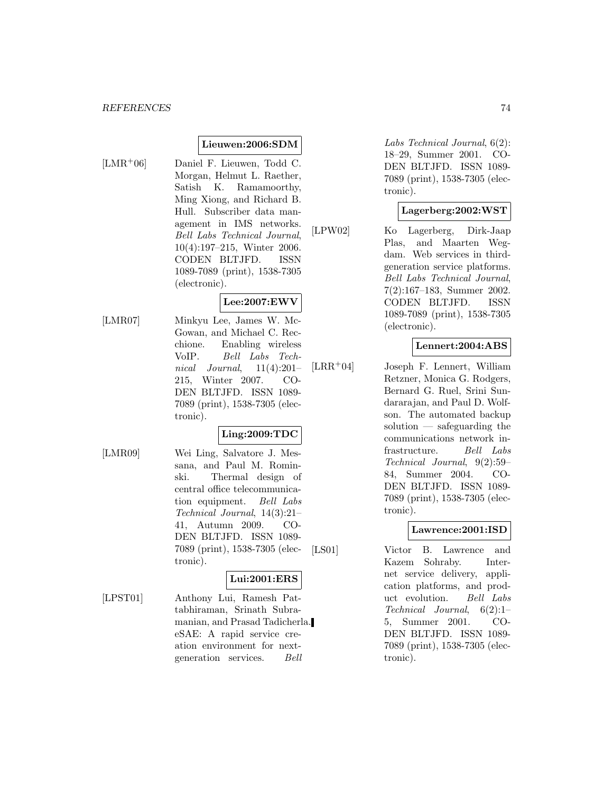### **Lieuwen:2006:SDM**

[LMR<sup>+</sup>06] Daniel F. Lieuwen, Todd C. Morgan, Helmut L. Raether, Satish K. Ramamoorthy, Ming Xiong, and Richard B. Hull. Subscriber data management in IMS networks. Bell Labs Technical Journal, 10(4):197–215, Winter 2006. CODEN BLTJFD. ISSN 1089-7089 (print), 1538-7305 (electronic).

## **Lee:2007:EWV**

[LMR07] Minkyu Lee, James W. Mc-Gowan, and Michael C. Recchione. Enabling wireless VoIP. Bell Labs Technical Journal,  $11(4):201-$ 215, Winter 2007. CO-DEN BLTJFD. ISSN 1089- 7089 (print), 1538-7305 (electronic).

### **Ling:2009:TDC**

[LMR09] Wei Ling, Salvatore J. Messana, and Paul M. Rominski. Thermal design of central office telecommunication equipment. Bell Labs Technical Journal, 14(3):21– 41, Autumn 2009. CO-DEN BLTJFD. ISSN 1089- 7089 (print), 1538-7305 (electronic).

### **Lui:2001:ERS**

[LPST01] Anthony Lui, Ramesh Pattabhiraman, Srinath Subramanian, and Prasad Tadicherla. eSAE: A rapid service creation environment for nextgeneration services. Bell

Labs Technical Journal, 6(2): 18–29, Summer 2001. CO-DEN BLTJFD. ISSN 1089- 7089 (print), 1538-7305 (electronic).

### **Lagerberg:2002:WST**

[LPW02] Ko Lagerberg, Dirk-Jaap Plas, and Maarten Wegdam. Web services in thirdgeneration service platforms. Bell Labs Technical Journal, 7(2):167–183, Summer 2002. CODEN BLTJFD. ISSN 1089-7089 (print), 1538-7305 (electronic).

### **Lennert:2004:ABS**

[LRR<sup>+</sup>04] Joseph F. Lennert, William Retzner, Monica G. Rodgers, Bernard G. Ruel, Srini Sundararajan, and Paul D. Wolfson. The automated backup solution — safeguarding the communications network infrastructure. Bell Labs Technical Journal, 9(2):59– 84, Summer 2004. CO-DEN BLTJFD. ISSN 1089- 7089 (print), 1538-7305 (electronic).

### **Lawrence:2001:ISD**

[LS01] Victor B. Lawrence and Kazem Sohraby. Internet service delivery, application platforms, and product evolution. Bell Labs Technical Journal, 6(2):1– 5, Summer 2001. CO-DEN BLTJFD. ISSN 1089- 7089 (print), 1538-7305 (electronic).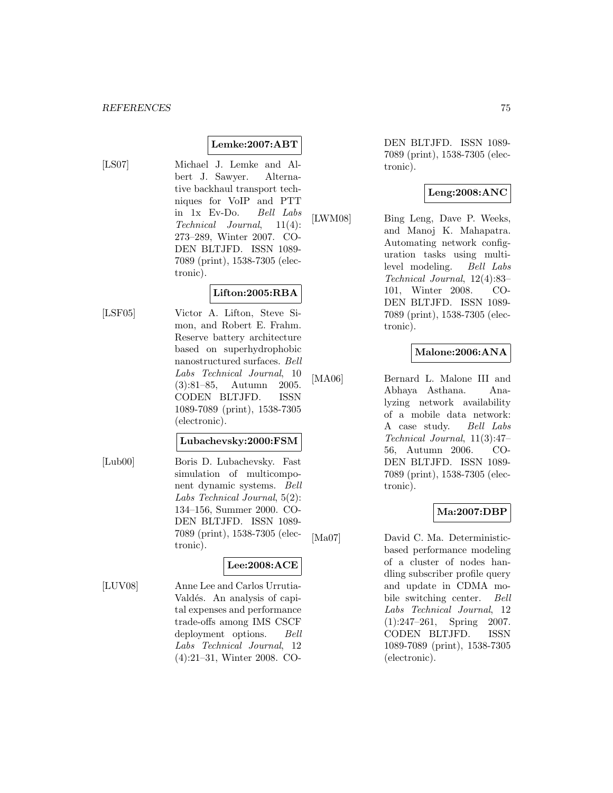# **Lemke:2007:ABT**

[LS07] Michael J. Lemke and Albert J. Sawyer. Alternative backhaul transport techniques for VoIP and PTT in 1x Ev-Do. Bell Labs Technical Journal, 11(4): 273–289, Winter 2007. CO-DEN BLTJFD. ISSN 1089- 7089 (print), 1538-7305 (electronic).

## **Lifton:2005:RBA**

[LSF05] Victor A. Lifton, Steve Simon, and Robert E. Frahm. Reserve battery architecture based on superhydrophobic nanostructured surfaces. Bell Labs Technical Journal, 10 (3):81–85, Autumn 2005. CODEN BLTJFD. ISSN 1089-7089 (print), 1538-7305

(electronic).

### **Lubachevsky:2000:FSM**

[Lub00] Boris D. Lubachevsky. Fast simulation of multicomponent dynamic systems. Bell Labs Technical Journal, 5(2): 134–156, Summer 2000. CO-DEN BLTJFD. ISSN 1089- 7089 (print), 1538-7305 (electronic).

# **Lee:2008:ACE**

[LUV08] Anne Lee and Carlos Urrutia-Valdés. An analysis of capital expenses and performance trade-offs among IMS CSCF deployment options. Bell Labs Technical Journal, 12 (4):21–31, Winter 2008. CO-

DEN BLTJFD. ISSN 1089- 7089 (print), 1538-7305 (electronic).

# **Leng:2008:ANC**

[LWM08] Bing Leng, Dave P. Weeks, and Manoj K. Mahapatra. Automating network configuration tasks using multilevel modeling. Bell Labs Technical Journal, 12(4):83– 101, Winter 2008. CO-DEN BLTJFD. ISSN 1089- 7089 (print), 1538-7305 (electronic).

# **Malone:2006:ANA**

[MA06] Bernard L. Malone III and Abhaya Asthana. Analyzing network availability of a mobile data network: A case study. Bell Labs Technical Journal, 11(3):47– 56, Autumn 2006. CO-DEN BLTJFD. ISSN 1089- 7089 (print), 1538-7305 (electronic).

### **Ma:2007:DBP**

[Ma07] David C. Ma. Deterministicbased performance modeling of a cluster of nodes handling subscriber profile query and update in CDMA mobile switching center. Bell Labs Technical Journal, 12 (1):247–261, Spring 2007. CODEN BLTJFD. ISSN 1089-7089 (print), 1538-7305 (electronic).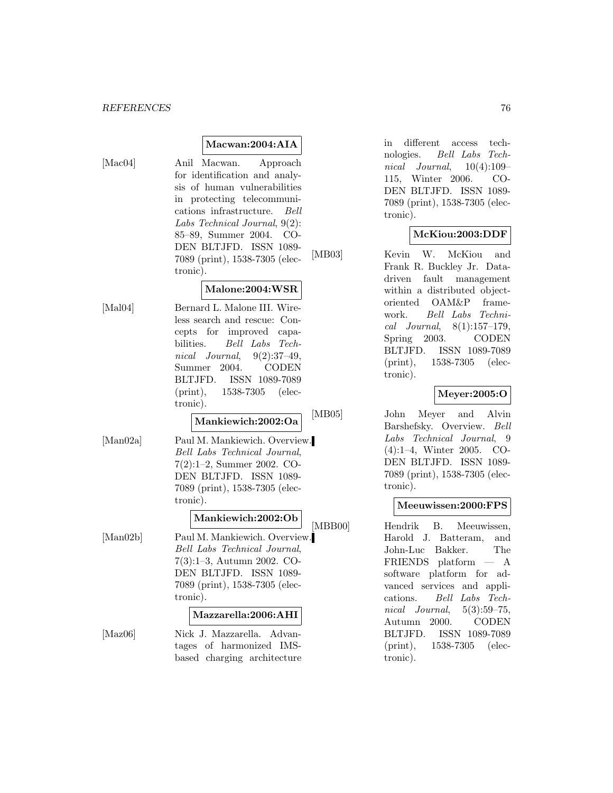### **Macwan:2004:AIA**

[Mac04] Anil Macwan. Approach for identification and analysis of human vulnerabilities in protecting telecommunications infrastructure. Bell Labs Technical Journal, 9(2): 85–89, Summer 2004. CO-DEN BLTJFD. ISSN 1089- 7089 (print), 1538-7305 (electronic).

### **Malone:2004:WSR**

[Mal04] Bernard L. Malone III. Wireless search and rescue: Concepts for improved capabilities. Bell Labs Technical Journal,  $9(2):37-49$ , Summer 2004. CODEN BLTJFD. ISSN 1089-7089 (print), 1538-7305 (electronic).

# **Mankiewich:2002:Oa**

[Man02a] Paul M. Mankiewich. Overview. Bell Labs Technical Journal, 7(2):1–2, Summer 2002. CO-DEN BLTJFD. ISSN 1089- 7089 (print), 1538-7305 (electronic).

# **Mankiewich:2002:Ob**

[Man02b] Paul M. Mankiewich. Overview. Bell Labs Technical Journal, 7(3):1–3, Autumn 2002. CO-DEN BLTJFD. ISSN 1089- 7089 (print), 1538-7305 (electronic).

#### **Mazzarella:2006:AHI**

[Maz06] Nick J. Mazzarella. Advantages of harmonized IMSbased charging architecture

in different access technologies. Bell Labs Technical Journal,  $10(4):109-$ 115, Winter 2006. CO-DEN BLTJFD. ISSN 1089- 7089 (print), 1538-7305 (electronic).

### **McKiou:2003:DDF**

[MB03] Kevin W. McKiou and Frank R. Buckley Jr. Datadriven fault management within a distributed objectoriented OAM&P framework. Bell Labs Technical Journal, 8(1):157–179, Spring 2003. CODEN BLTJFD. ISSN 1089-7089 (print), 1538-7305 (electronic).

### **Meyer:2005:O**

[MB05] John Meyer and Alvin Barshefsky. Overview. Bell Labs Technical Journal, 9 (4):1–4, Winter 2005. CO-DEN BLTJFD. ISSN 1089- 7089 (print), 1538-7305 (electronic).

#### **Meeuwissen:2000:FPS**

[MBB00] Hendrik B. Meeuwissen, Harold J. Batteram, and John-Luc Bakker. The FRIENDS platform — A software platform for advanced services and applications. Bell Labs Technical Journal, 5(3):59–75, Autumn 2000. CODEN BLTJFD. ISSN 1089-7089 (print), 1538-7305 (electronic).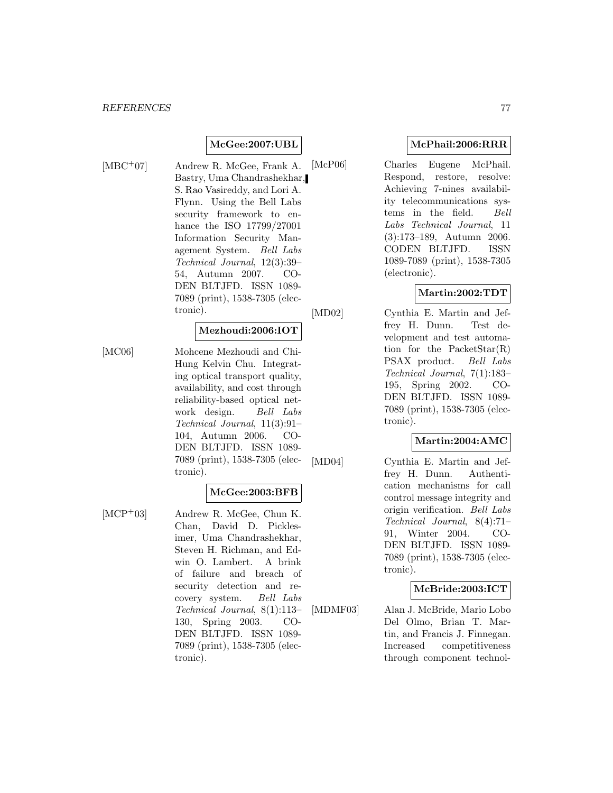## **McGee:2007:UBL**

[MBC<sup>+</sup>07] Andrew R. McGee, Frank A. Bastry, Uma Chandrashekhar, S. Rao Vasireddy, and Lori A. Flynn. Using the Bell Labs security framework to enhance the ISO 17799/27001 Information Security Management System. Bell Labs Technical Journal, 12(3):39– 54, Autumn 2007. CO-DEN BLTJFD. ISSN 1089- 7089 (print), 1538-7305 (electronic).

### **Mezhoudi:2006:IOT**

[MC06] Mohcene Mezhoudi and Chi-Hung Kelvin Chu. Integrating optical transport quality, availability, and cost through reliability-based optical network design. Bell Labs Technical Journal, 11(3):91– 104, Autumn 2006. CO-DEN BLTJFD. ISSN 1089- 7089 (print), 1538-7305 (electronic).

### **McGee:2003:BFB**

[MCP<sup>+</sup>03] Andrew R. McGee, Chun K. Chan, David D. Picklesimer, Uma Chandrashekhar, Steven H. Richman, and Edwin O. Lambert. A brink of failure and breach of security detection and recovery system. Bell Labs Technical Journal, 8(1):113– 130, Spring 2003. CO-DEN BLTJFD. ISSN 1089- 7089 (print), 1538-7305 (electronic).

### **McPhail:2006:RRR**

[McP06] Charles Eugene McPhail. Respond, restore, resolve: Achieving 7-nines availability telecommunications systems in the field. Bell Labs Technical Journal, 11 (3):173–189, Autumn 2006. CODEN BLTJFD. ISSN 1089-7089 (print), 1538-7305 (electronic).

### **Martin:2002:TDT**

[MD02] Cynthia E. Martin and Jeffrey H. Dunn. Test development and test automation for the PacketStar(R) PSAX product. Bell Labs Technical Journal, 7(1):183– 195, Spring 2002. CO-DEN BLTJFD. ISSN 1089- 7089 (print), 1538-7305 (electronic).

# **Martin:2004:AMC**

[MD04] Cynthia E. Martin and Jeffrey H. Dunn. Authentication mechanisms for call control message integrity and origin verification. Bell Labs Technical Journal, 8(4):71– 91, Winter 2004. CO-DEN BLTJFD. ISSN 1089- 7089 (print), 1538-7305 (electronic).

### **McBride:2003:ICT**

[MDMF03] Alan J. McBride, Mario Lobo Del Olmo, Brian T. Martin, and Francis J. Finnegan. Increased competitiveness through component technol-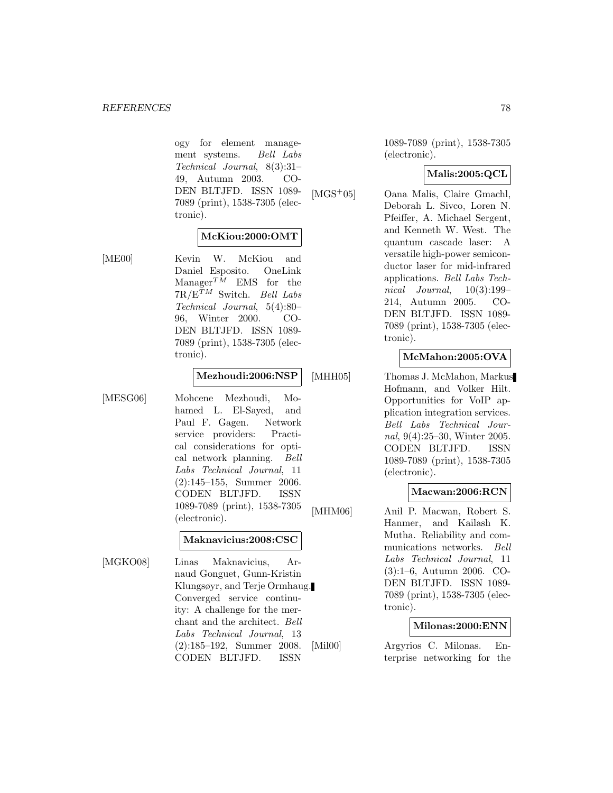ogy for element management systems. Bell Labs Technical Journal, 8(3):31– 49, Autumn 2003. CO-DEN BLTJFD. ISSN 1089- 7089 (print), 1538-7305 (electronic).

#### **McKiou:2000:OMT**

[ME00] Kevin W. McKiou and Daniel Esposito. OneLink Manager<sup>TM</sup> EMS for the  $7R/E^{\tilde{T}M}$  Switch. Bell Labs Technical Journal, 5(4):80– 96, Winter 2000. CO-DEN BLTJFD. ISSN 1089- 7089 (print), 1538-7305 (electronic).

#### **Mezhoudi:2006:NSP**

[MESG06] Mohcene Mezhoudi, Mohamed L. El-Sayed, and Paul F. Gagen. Network service providers: Practical considerations for optical network planning. Bell Labs Technical Journal, 11 (2):145–155, Summer 2006. CODEN BLTJFD. ISSN 1089-7089 (print), 1538-7305 (electronic).

#### **Maknavicius:2008:CSC**

[MGKO08] Linas Maknavicius, Arnaud Gonguet, Gunn-Kristin Klungsøyr, and Terje Ormhaug. Converged service continuity: A challenge for the merchant and the architect. Bell Labs Technical Journal, 13 (2):185–192, Summer 2008. CODEN BLTJFD. ISSN

1089-7089 (print), 1538-7305 (electronic).

### **Malis:2005:QCL**

[MGS<sup>+</sup>05] Oana Malis, Claire Gmachl, Deborah L. Sivco, Loren N. Pfeiffer, A. Michael Sergent, and Kenneth W. West. The quantum cascade laser: A versatile high-power semiconductor laser for mid-infrared applications. Bell Labs Technical Journal, 10(3):199– 214, Autumn 2005. CO-DEN BLTJFD. ISSN 1089- 7089 (print), 1538-7305 (electronic).

# **McMahon:2005:OVA**

[MHH05] Thomas J. McMahon, Markus Hofmann, and Volker Hilt. Opportunities for VoIP application integration services. Bell Labs Technical Journal, 9(4):25–30, Winter 2005. CODEN BLTJFD. ISSN 1089-7089 (print), 1538-7305 (electronic).

#### **Macwan:2006:RCN**

[MHM06] Anil P. Macwan, Robert S. Hanmer, and Kailash K. Mutha. Reliability and communications networks. Bell Labs Technical Journal, 11 (3):1–6, Autumn 2006. CO-DEN BLTJFD. ISSN 1089- 7089 (print), 1538-7305 (electronic).

#### **Milonas:2000:ENN**

[Mil00] Argyrios C. Milonas. Enterprise networking for the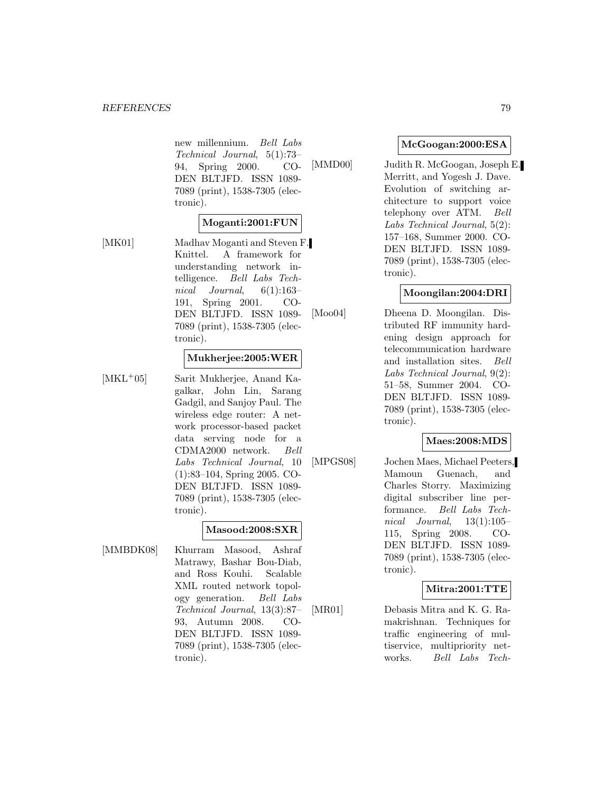new millennium. Bell Labs Technical Journal, 5(1):73– 94, Spring 2000. CO-DEN BLTJFD. ISSN 1089- 7089 (print), 1538-7305 (electronic).

### **Moganti:2001:FUN**

[MK01] Madhav Moganti and Steven F. Knittel. A framework for understanding network intelligence. Bell Labs Technical Journal, 6(1):163– 191, Spring 2001. CO-DEN BLTJFD. ISSN 1089- 7089 (print), 1538-7305 (electronic).

### **Mukherjee:2005:WER**

[MKL<sup>+</sup>05] Sarit Mukherjee, Anand Kagalkar, John Lin, Sarang Gadgil, and Sanjoy Paul. The wireless edge router: A network processor-based packet data serving node for a CDMA2000 network. Bell Labs Technical Journal, 10 (1):83–104, Spring 2005. CO-DEN BLTJFD. ISSN 1089- 7089 (print), 1538-7305 (electronic).

#### **Masood:2008:SXR**

[MMBDK08] Khurram Masood, Ashraf Matrawy, Bashar Bou-Diab, and Ross Kouhi. Scalable XML routed network topology generation. Bell Labs Technical Journal, 13(3):87– 93, Autumn 2008. CO-DEN BLTJFD. ISSN 1089- 7089 (print), 1538-7305 (electronic).

### **McGoogan:2000:ESA**

[MMD00] Judith R. McGoogan, Joseph E. Merritt, and Yogesh J. Dave. Evolution of switching architecture to support voice telephony over ATM. Bell Labs Technical Journal, 5(2): 157–168, Summer 2000. CO-DEN BLTJFD. ISSN 1089- 7089 (print), 1538-7305 (electronic).

### **Moongilan:2004:DRI**

[Moo04] Dheena D. Moongilan. Distributed RF immunity hardening design approach for telecommunication hardware and installation sites. Bell Labs Technical Journal, 9(2): 51–58, Summer 2004. CO-DEN BLTJFD. ISSN 1089- 7089 (print), 1538-7305 (electronic).

#### **Maes:2008:MDS**

[MPGS08] Jochen Maes, Michael Peeters, Mamoun Guenach, and Charles Storry. Maximizing digital subscriber line performance. Bell Labs Technical Journal,  $13(1):105-$ 115, Spring 2008. CO-DEN BLTJFD. ISSN 1089- 7089 (print), 1538-7305 (electronic).

### **Mitra:2001:TTE**

[MR01] Debasis Mitra and K. G. Ramakrishnan. Techniques for traffic engineering of multiservice, multipriority networks. Bell Labs Tech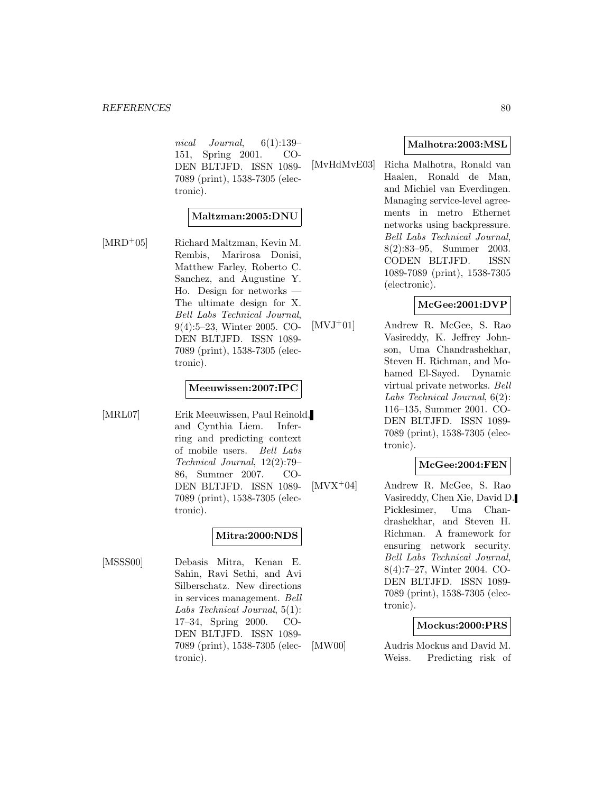nical Journal, 6(1):139– 151, Spring 2001. CO-DEN BLTJFD. ISSN 1089- 7089 (print), 1538-7305 (electronic).

### **Maltzman:2005:DNU**

[MRD<sup>+</sup>05] Richard Maltzman, Kevin M. Rembis, Marirosa Donisi, Matthew Farley, Roberto C. Sanchez, and Augustine Y. Ho. Design for networks — The ultimate design for X. Bell Labs Technical Journal, 9(4):5–23, Winter 2005. CO-DEN BLTJFD. ISSN 1089- 7089 (print), 1538-7305 (electronic).

#### **Meeuwissen:2007:IPC**

[MRL07] Erik Meeuwissen, Paul Reinold, and Cynthia Liem. Inferring and predicting context of mobile users. Bell Labs Technical Journal, 12(2):79– 86, Summer 2007. CO-DEN BLTJFD. ISSN 1089- 7089 (print), 1538-7305 (electronic).

### **Mitra:2000:NDS**

[MSSS00] Debasis Mitra, Kenan E. Sahin, Ravi Sethi, and Avi Silberschatz. New directions in services management. Bell Labs Technical Journal, 5(1): 17–34, Spring 2000. CO-DEN BLTJFD. ISSN 1089- 7089 (print), 1538-7305 (electronic).

### **Malhotra:2003:MSL**

[MvHdMvE03] Richa Malhotra, Ronald van Haalen, Ronald de Man, and Michiel van Everdingen. Managing service-level agreements in metro Ethernet networks using backpressure. Bell Labs Technical Journal, 8(2):83–95, Summer 2003. CODEN BLTJFD. ISSN 1089-7089 (print), 1538-7305 (electronic).

### **McGee:2001:DVP**

[MVJ<sup>+</sup>01] Andrew R. McGee, S. Rao Vasireddy, K. Jeffrey Johnson, Uma Chandrashekhar, Steven H. Richman, and Mohamed El-Sayed. Dynamic virtual private networks. Bell Labs Technical Journal, 6(2): 116–135, Summer 2001. CO-DEN BLTJFD. ISSN 1089- 7089 (print), 1538-7305 (electronic).

### **McGee:2004:FEN**

[MVX<sup>+</sup>04] Andrew R. McGee, S. Rao Vasireddy, Chen Xie, David D. Picklesimer, Uma Chandrashekhar, and Steven H. Richman. A framework for ensuring network security. Bell Labs Technical Journal, 8(4):7–27, Winter 2004. CO-DEN BLTJFD. ISSN 1089- 7089 (print), 1538-7305 (electronic).

### **Mockus:2000:PRS**

[MW00] Audris Mockus and David M. Weiss. Predicting risk of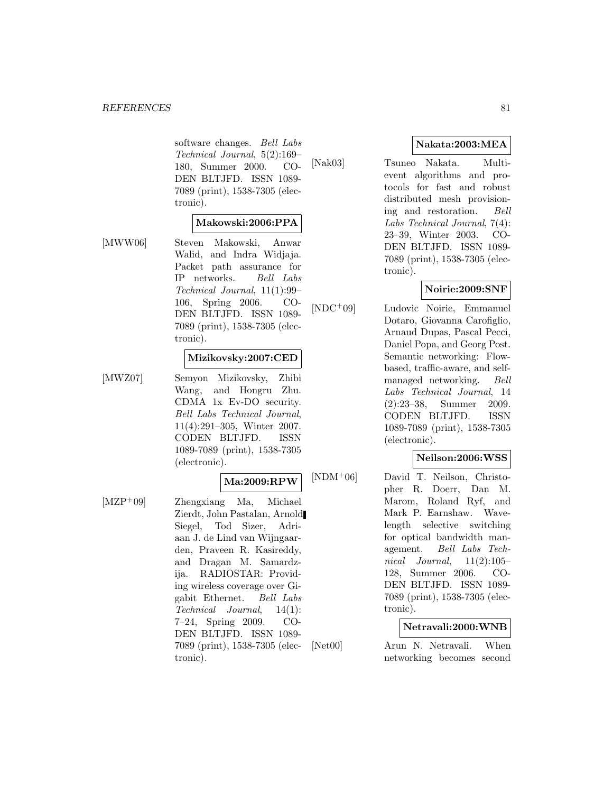software changes. Bell Labs Technical Journal, 5(2):169– 180, Summer 2000. CO-DEN BLTJFD. ISSN 1089- 7089 (print), 1538-7305 (electronic).

#### **Makowski:2006:PPA**

[MWW06] Steven Makowski, Anwar Walid, and Indra Widjaja. Packet path assurance for IP networks. Bell Labs Technical Journal, 11(1):99– 106, Spring 2006. CO-

tronic).

### **Mizikovsky:2007:CED**

DEN BLTJFD. ISSN 1089- 7089 (print), 1538-7305 (elec-

[MWZ07] Semyon Mizikovsky, Zhibi Wang, and Hongru Zhu. CDMA 1x Ev-DO security. Bell Labs Technical Journal, 11(4):291–305, Winter 2007. CODEN BLTJFD. ISSN 1089-7089 (print), 1538-7305 (electronic).

#### **Ma:2009:RPW**

[MZP<sup>+</sup>09] Zhengxiang Ma, Michael Zierdt, John Pastalan, Arnold Siegel, Tod Sizer, Adriaan J. de Lind van Wijngaarden, Praveen R. Kasireddy, and Dragan M. Samardzija. RADIOSTAR: Providing wireless coverage over Gigabit Ethernet. Bell Labs Technical Journal, 14(1): 7–24, Spring 2009. CO-DEN BLTJFD. ISSN 1089- 7089 (print), 1538-7305 (electronic).

### **Nakata:2003:MEA**

[Nak03] Tsuneo Nakata. Multievent algorithms and protocols for fast and robust distributed mesh provisioning and restoration. Bell Labs Technical Journal, 7(4): 23–39, Winter 2003. CO-DEN BLTJFD. ISSN 1089- 7089 (print), 1538-7305 (electronic).

### **Noirie:2009:SNF**

[NDC<sup>+</sup>09] Ludovic Noirie, Emmanuel

Dotaro, Giovanna Carofiglio, Arnaud Dupas, Pascal Pecci, Daniel Popa, and Georg Post. Semantic networking: Flowbased, traffic-aware, and selfmanaged networking. Bell Labs Technical Journal, 14 (2):23–38, Summer 2009. CODEN BLTJFD. ISSN 1089-7089 (print), 1538-7305 (electronic).

### **Neilson:2006:WSS**

[NDM<sup>+</sup>06] David T. Neilson, Christopher R. Doerr, Dan M. Marom, Roland Ryf, and Mark P. Earnshaw. Wavelength selective switching for optical bandwidth management. Bell Labs Technical Journal,  $11(2):105-$ 128, Summer 2006. CO-DEN BLTJFD. ISSN 1089- 7089 (print), 1538-7305 (electronic).

### **Netravali:2000:WNB**

[Net00] Arun N. Netravali. When networking becomes second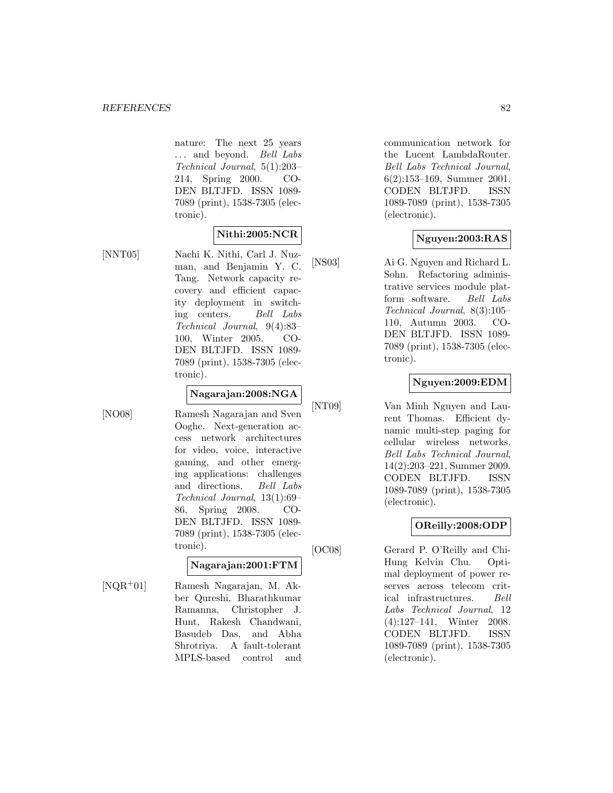nature: The next 25 years ... and beyond. Bell Labs Technical Journal, 5(1):203– 214, Spring 2000. CO-DEN BLTJFD. ISSN 1089- 7089 (print), 1538-7305 (electronic).

### **Nithi:2005:NCR**

[NNT05] Nachi K. Nithi, Carl J. Nuzman, and Benjamin Y. C. Tang. Network capacity recovery and efficient capacity deployment in switching centers. Bell Labs Technical Journal, 9(4):83– 100, Winter 2005. CO-DEN BLTJFD. ISSN 1089- 7089 (print), 1538-7305 (electronic).

# **Nagarajan:2008:NGA**

[NO08] Ramesh Nagarajan and Sven Ooghe. Next-generation access network architectures for video, voice, interactive gaming, and other emerging applications: challenges and directions. Bell Labs Technical Journal, 13(1):69– 86, Spring 2008. CO-DEN BLTJFD. ISSN 1089- 7089 (print), 1538-7305 (electronic).

# **Nagarajan:2001:FTM**

[NQR<sup>+</sup>01] Ramesh Nagarajan, M. Akber Qureshi, Bharathkumar Ramanna, Christopher J. Hunt, Rakesh Chandwani, Basudeb Das, and Abha Shrotriya. A fault-tolerant MPLS-based control and

communication network for the Lucent LambdaRouter. Bell Labs Technical Journal, 6(2):153–169, Summer 2001. CODEN BLTJFD. ISSN 1089-7089 (print), 1538-7305 (electronic).

### **Nguyen:2003:RAS**

[NS03] Ai G. Nguyen and Richard L. Sohn. Refactoring administrative services module platform software. Bell Labs Technical Journal, 8(3):105– 110, Autumn 2003. CO-DEN BLTJFD. ISSN 1089- 7089 (print), 1538-7305 (electronic).

## **Nguyen:2009:EDM**

[NT09] Van Minh Nguyen and Laurent Thomas. Efficient dynamic multi-step paging for cellular wireless networks. Bell Labs Technical Journal, 14(2):203–221, Summer 2009. CODEN BLTJFD. ISSN 1089-7089 (print), 1538-7305 (electronic).

# **OReilly:2008:ODP**

[OC08] Gerard P. O'Reilly and Chi-Hung Kelvin Chu. Optimal deployment of power reserves across telecom critical infrastructures. Bell Labs Technical Journal, 12 (4):127–141, Winter 2008. CODEN BLTJFD. ISSN 1089-7089 (print), 1538-7305 (electronic).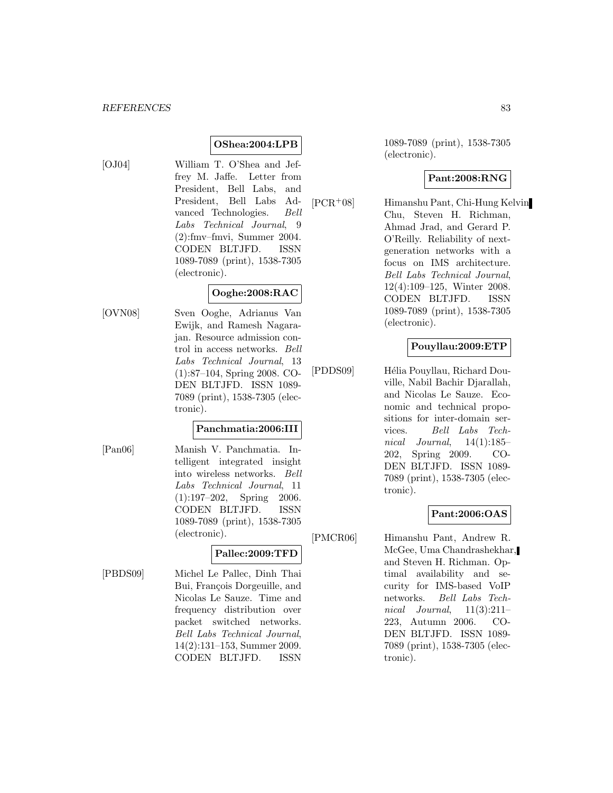# **OShea:2004:LPB**

[OJ04] William T. O'Shea and Jeffrey M. Jaffe. Letter from President, Bell Labs, and President, Bell Labs Advanced Technologies. Bell Labs Technical Journal, 9 (2):fmv–fmvi, Summer 2004. CODEN BLTJFD. ISSN 1089-7089 (print), 1538-7305 (electronic).

## **Ooghe:2008:RAC**

[OVN08] Sven Ooghe, Adrianus Van Ewijk, and Ramesh Nagarajan. Resource admission control in access networks. Bell Labs Technical Journal, 13 (1):87–104, Spring 2008. CO-DEN BLTJFD. ISSN 1089- 7089 (print), 1538-7305 (electronic).

### **Panchmatia:2006:III**

[Pan06] Manish V. Panchmatia. Intelligent integrated insight into wireless networks. Bell Labs Technical Journal, 11 (1):197–202, Spring 2006. CODEN BLTJFD. ISSN 1089-7089 (print), 1538-7305 (electronic).

### **Pallec:2009:TFD**

[PBDS09] Michel Le Pallec, Dinh Thai Bui, François Dorgeuille, and Nicolas Le Sauze. Time and frequency distribution over packet switched networks. Bell Labs Technical Journal, 14(2):131–153, Summer 2009. CODEN BLTJFD. ISSN 1089-7089 (print), 1538-7305 (electronic).

### **Pant:2008:RNG**

[PCR<sup>+</sup>08] Himanshu Pant, Chi-Hung Kelvin Chu, Steven H. Richman, Ahmad Jrad, and Gerard P. O'Reilly. Reliability of nextgeneration networks with a focus on IMS architecture. Bell Labs Technical Journal, 12(4):109–125, Winter 2008. CODEN BLTJFD. ISSN 1089-7089 (print), 1538-7305 (electronic).

## **Pouyllau:2009:ETP**

[PDDS09] Hélia Pouyllau, Richard Douville, Nabil Bachir Djarallah, and Nicolas Le Sauze. Economic and technical propositions for inter-domain services. Bell Labs Technical Journal,  $14(1):185-$ 202, Spring 2009. CO-DEN BLTJFD. ISSN 1089- 7089 (print), 1538-7305 (electronic).

### **Pant:2006:OAS**

[PMCR06] Himanshu Pant, Andrew R. McGee, Uma Chandrashekhar, and Steven H. Richman. Optimal availability and security for IMS-based VoIP networks. Bell Labs Technical Journal,  $11(3):211-$ 223, Autumn 2006. CO-DEN BLTJFD. ISSN 1089- 7089 (print), 1538-7305 (electronic).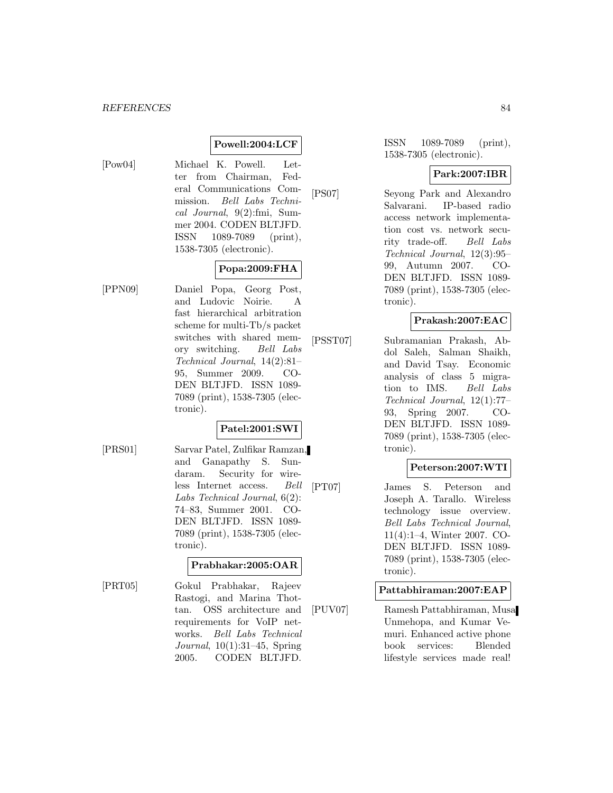# **Powell:2004:LCF**

- 
- [Pow04] Michael K. Powell. Letter from Chairman, Federal Communications Commission. Bell Labs Technical Journal, 9(2):fmi, Summer 2004. CODEN BLTJFD. ISSN 1089-7089 (print), 1538-7305 (electronic).

## **Popa:2009:FHA**

[PPN09] Daniel Popa, Georg Post, and Ludovic Noirie. A fast hierarchical arbitration scheme for multi-Tb/s packet switches with shared memory switching. Bell Labs Technical Journal, 14(2):81– 95, Summer 2009. CO-DEN BLTJFD. ISSN 1089- 7089 (print), 1538-7305 (electronic).

# **Patel:2001:SWI**

[PRS01] Sarvar Patel, Zulfikar Ramzan, and Ganapathy S. Sundaram. Security for wireless Internet access. Bell Labs Technical Journal, 6(2): 74–83, Summer 2001. CO-DEN BLTJFD. ISSN 1089- 7089 (print), 1538-7305 (electronic).

#### **Prabhakar:2005:OAR**

[PRT05] Gokul Prabhakar, Rajeev Rastogi, and Marina Thottan. OSS architecture and requirements for VoIP networks. Bell Labs Technical Journal, 10(1):31–45, Spring 2005. CODEN BLTJFD.

ISSN 1089-7089 (print), 1538-7305 (electronic).

### **Park:2007:IBR**

[PS07] Seyong Park and Alexandro Salvarani. IP-based radio access network implementation cost vs. network security trade-off. Bell Labs Technical Journal, 12(3):95– 99, Autumn 2007. CO-DEN BLTJFD. ISSN 1089- 7089 (print), 1538-7305 (electronic).

### **Prakash:2007:EAC**

[PSST07] Subramanian Prakash, Abdol Saleh, Salman Shaikh, and David Tsay. Economic analysis of class 5 migration to IMS. Bell Labs Technical Journal, 12(1):77– 93, Spring 2007. CO-DEN BLTJFD. ISSN 1089- 7089 (print), 1538-7305 (electronic).

### **Peterson:2007:WTI**

[PT07] James S. Peterson and Joseph A. Tarallo. Wireless technology issue overview. Bell Labs Technical Journal, 11(4):1–4, Winter 2007. CO-DEN BLTJFD. ISSN 1089- 7089 (print), 1538-7305 (electronic).

#### **Pattabhiraman:2007:EAP**

[PUV07] Ramesh Pattabhiraman, Musa Unmehopa, and Kumar Vemuri. Enhanced active phone book services: Blended lifestyle services made real!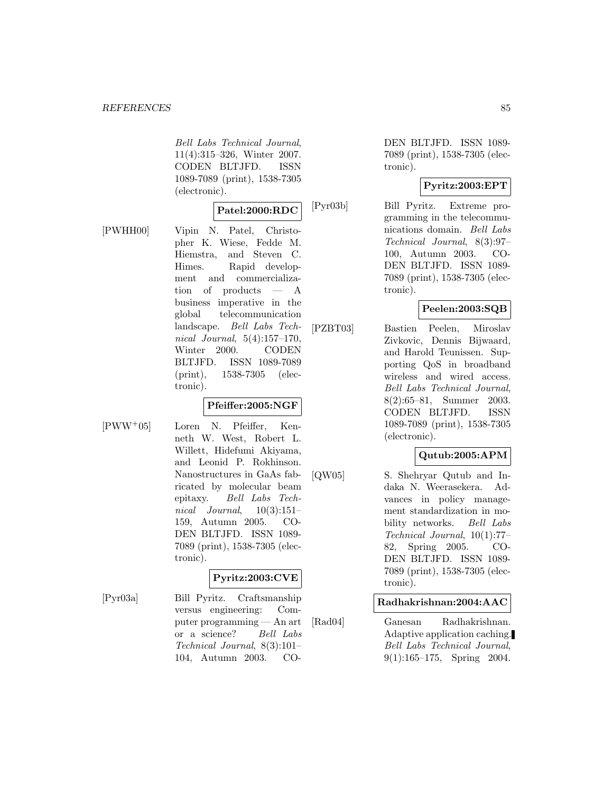Bell Labs Technical Journal, 11(4):315–326, Winter 2007. CODEN BLTJFD. ISSN 1089-7089 (print), 1538-7305 (electronic).

### **Patel:2000:RDC**

[PWHH00] Vipin N. Patel, Christopher K. Wiese, Fedde M. Hiemstra, and Steven C. Himes. Rapid development and commercialization of products — A business imperative in the global telecommunication landscape. Bell Labs Technical Journal, 5(4):157–170, Winter 2000. CODEN BLTJFD. ISSN 1089-7089 (print), 1538-7305 (electronic).

#### **Pfeiffer:2005:NGF**

[PWW<sup>+</sup>05] Loren N. Pfeiffer, Kenneth W. West, Robert L. Willett, Hidefumi Akiyama, and Leonid P. Rokhinson. Nanostructures in GaAs fabricated by molecular beam epitaxy. Bell Labs Technical Journal,  $10(3):151-$ 159, Autumn 2005. CO-DEN BLTJFD. ISSN 1089- 7089 (print), 1538-7305 (electronic).

# **Pyritz:2003:CVE**

[Pyr03a] Bill Pyritz. Craftsmanship versus engineering: Computer programming — An art or a science? Bell Labs Technical Journal, 8(3):101– 104, Autumn 2003. CO-

DEN BLTJFD. ISSN 1089- 7089 (print), 1538-7305 (electronic).

### **Pyritz:2003:EPT**

[Pyr03b] Bill Pyritz. Extreme programming in the telecommunications domain. Bell Labs Technical Journal, 8(3):97– 100, Autumn 2003. CO-DEN BLTJFD. ISSN 1089- 7089 (print), 1538-7305 (electronic).

### **Peelen:2003:SQB**

[PZBT03] Bastien Peelen, Miroslav Zivkovic, Dennis Bijwaard, and Harold Teunissen. Supporting QoS in broadband wireless and wired access. Bell Labs Technical Journal, 8(2):65–81, Summer 2003. CODEN BLTJFD. ISSN 1089-7089 (print), 1538-7305 (electronic).

### **Qutub:2005:APM**

[QW05] S. Shehryar Qutub and Indaka N. Weerasekera. Advances in policy management standardization in mobility networks. Bell Labs Technical Journal, 10(1):77– 82, Spring 2005. CO-DEN BLTJFD. ISSN 1089- 7089 (print), 1538-7305 (electronic).

#### **Radhakrishnan:2004:AAC**

[Rad04] Ganesan Radhakrishnan. Adaptive application caching. Bell Labs Technical Journal, 9(1):165–175, Spring 2004.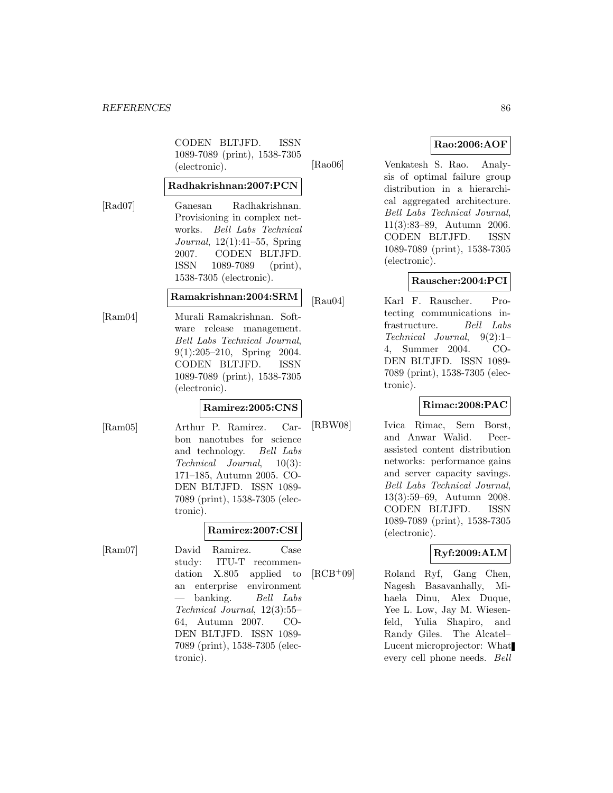CODEN BLTJFD. ISSN 1089-7089 (print), 1538-7305 (electronic).

#### **Radhakrishnan:2007:PCN**

[Rad07] Ganesan Radhakrishnan. Provisioning in complex networks. Bell Labs Technical Journal, 12(1):41–55, Spring 2007. CODEN BLTJFD. ISSN 1089-7089 (print), 1538-7305 (electronic).

### **Ramakrishnan:2004:SRM**

[Ram04] Murali Ramakrishnan. Software release management. Bell Labs Technical Journal, 9(1):205–210, Spring 2004. CODEN BLTJFD. ISSN 1089-7089 (print), 1538-7305 (electronic).

### **Ramirez:2005:CNS**

[Ram05] Arthur P. Ramirez. Carbon nanotubes for science and technology. Bell Labs Technical Journal, 10(3): 171–185, Autumn 2005. CO-DEN BLTJFD. ISSN 1089- 7089 (print), 1538-7305 (electronic).

### **Ramirez:2007:CSI**

[Ram07] David Ramirez. Case study: ITU-T recommendation X.805 applied to an enterprise environment banking. Bell Labs Technical Journal, 12(3):55– 64, Autumn 2007. CO-DEN BLTJFD. ISSN 1089- 7089 (print), 1538-7305 (electronic).

### **Rao:2006:AOF**

[Rao06] Venkatesh S. Rao. Analysis of optimal failure group distribution in a hierarchical aggregated architecture. Bell Labs Technical Journal, 11(3):83–89, Autumn 2006. CODEN BLTJFD. ISSN 1089-7089 (print), 1538-7305 (electronic).

# **Rauscher:2004:PCI**

[Rau04] Karl F. Rauscher. Protecting communications infrastructure. Bell Labs Technical Journal, 9(2):1– 4, Summer 2004. CO-DEN BLTJFD. ISSN 1089- 7089 (print), 1538-7305 (electronic).

#### **Rimac:2008:PAC**

[RBW08] Ivica Rimac, Sem Borst, and Anwar Walid. Peerassisted content distribution networks: performance gains and server capacity savings. Bell Labs Technical Journal, 13(3):59–69, Autumn 2008. CODEN BLTJFD. ISSN 1089-7089 (print), 1538-7305 (electronic).

# **Ryf:2009:ALM**

[RCB<sup>+</sup>09] Roland Ryf, Gang Chen, Nagesh Basavanhally, Mihaela Dinu, Alex Duque, Yee L. Low, Jay M. Wiesenfeld, Yulia Shapiro, and Randy Giles. The Alcatel– Lucent microprojector: What every cell phone needs. Bell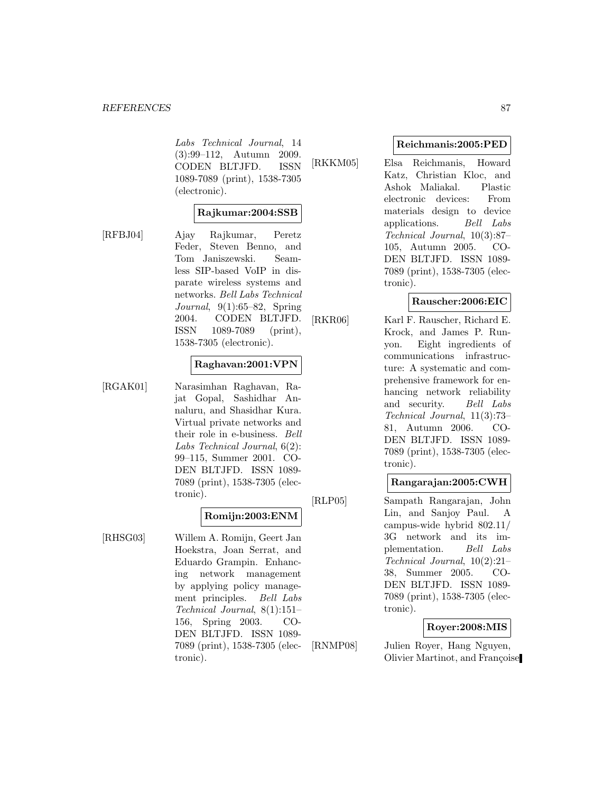Labs Technical Journal, 14 (3):99–112, Autumn 2009. CODEN BLTJFD. ISSN 1089-7089 (print), 1538-7305 (electronic).

#### **Rajkumar:2004:SSB**

[RFBJ04] Ajay Rajkumar, Peretz Feder, Steven Benno, and Tom Janiszewski. Seamless SIP-based VoIP in disparate wireless systems and networks. Bell Labs Technical Journal, 9(1):65–82, Spring 2004. CODEN BLTJFD. ISSN 1089-7089 (print), 1538-7305 (electronic).

### **Raghavan:2001:VPN**

[RGAK01] Narasimhan Raghavan, Rajat Gopal, Sashidhar Annaluru, and Shasidhar Kura. Virtual private networks and their role in e-business. Bell Labs Technical Journal, 6(2): 99–115, Summer 2001. CO-DEN BLTJFD. ISSN 1089- 7089 (print), 1538-7305 (electronic).

#### **Romijn:2003:ENM**

[RHSG03] Willem A. Romijn, Geert Jan Hoekstra, Joan Serrat, and Eduardo Grampin. Enhancing network management by applying policy management principles. Bell Labs Technical Journal, 8(1):151– 156, Spring 2003. CO-DEN BLTJFD. ISSN 1089- 7089 (print), 1538-7305 (electronic).

#### **Reichmanis:2005:PED**

[RKKM05] Elsa Reichmanis, Howard Katz, Christian Kloc, and Ashok Maliakal. Plastic electronic devices: From materials design to device applications. Bell Labs Technical Journal, 10(3):87– 105, Autumn 2005. CO-DEN BLTJFD. ISSN 1089- 7089 (print), 1538-7305 (electronic).

### **Rauscher:2006:EIC**

[RKR06] Karl F. Rauscher, Richard E. Krock, and James P. Runyon. Eight ingredients of communications infrastructure: A systematic and comprehensive framework for enhancing network reliability and security. Bell Labs Technical Journal, 11(3):73– 81, Autumn 2006. CO-DEN BLTJFD. ISSN 1089- 7089 (print), 1538-7305 (electronic).

### **Rangarajan:2005:CWH**

[RLP05] Sampath Rangarajan, John Lin, and Sanjoy Paul. A campus-wide hybrid 802.11/ 3G network and its implementation. Bell Labs Technical Journal, 10(2):21– 38, Summer 2005. CO-DEN BLTJFD. ISSN 1089- 7089 (print), 1538-7305 (electronic).

### **Royer:2008:MIS**

[RNMP08] Julien Royer, Hang Nguyen, Olivier Martinot, and Françoise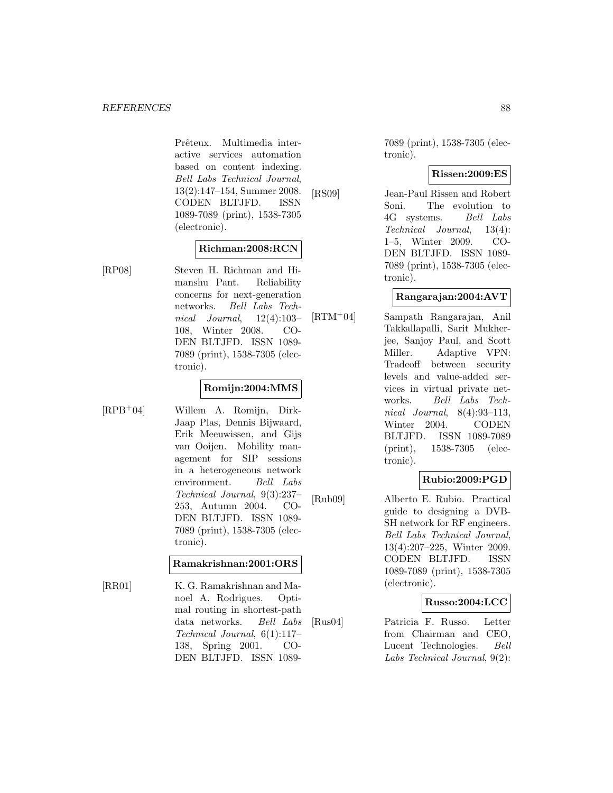Prêteux. Multimedia interactive services automation based on content indexing. Bell Labs Technical Journal, 13(2):147–154, Summer 2008. CODEN BLTJFD. ISSN 1089-7089 (print), 1538-7305 (electronic).

#### **Richman:2008:RCN**

[RP08] Steven H. Richman and Himanshu Pant. Reliability concerns for next-generation networks. Bell Labs Technical Journal, 12(4):103– 108, Winter 2008. CO-DEN BLTJFD. ISSN 1089- 7089 (print), 1538-7305 (electronic).

#### **Romijn:2004:MMS**

[RPB<sup>+</sup>04] Willem A. Romijn, Dirk-Jaap Plas, Dennis Bijwaard, Erik Meeuwissen, and Gijs van Ooijen. Mobility management for SIP sessions in a heterogeneous network environment. Bell Labs Technical Journal, 9(3):237– 253, Autumn 2004. CO-DEN BLTJFD. ISSN 1089- 7089 (print), 1538-7305 (electronic).

#### **Ramakrishnan:2001:ORS**

[RR01] K. G. Ramakrishnan and Manoel A. Rodrigues. Optimal routing in shortest-path data networks. Bell Labs Technical Journal, 6(1):117– 138, Spring 2001. CO-DEN BLTJFD. ISSN 10897089 (print), 1538-7305 (electronic).

#### **Rissen:2009:ES**

[RS09] Jean-Paul Rissen and Robert Soni. The evolution to 4G systems. Bell Labs Technical Journal, 13(4): 1–5, Winter 2009. CO-DEN BLTJFD. ISSN 1089- 7089 (print), 1538-7305 (electronic).

### **Rangarajan:2004:AVT**

[RTM<sup>+</sup>04] Sampath Rangarajan, Anil Takkallapalli, Sarit Mukherjee, Sanjoy Paul, and Scott Miller. Adaptive VPN: Tradeoff between security levels and value-added services in virtual private networks. Bell Labs Technical Journal, 8(4):93–113, Winter 2004. CODEN BLTJFD. ISSN 1089-7089 (print), 1538-7305 (electronic).

### **Rubio:2009:PGD**

[Rub09] Alberto E. Rubio. Practical guide to designing a DVB-SH network for RF engineers. Bell Labs Technical Journal, 13(4):207–225, Winter 2009. CODEN BLTJFD. ISSN 1089-7089 (print), 1538-7305 (electronic).

### **Russo:2004:LCC**

[Rus04] Patricia F. Russo. Letter from Chairman and CEO, Lucent Technologies. Bell Labs Technical Journal, 9(2):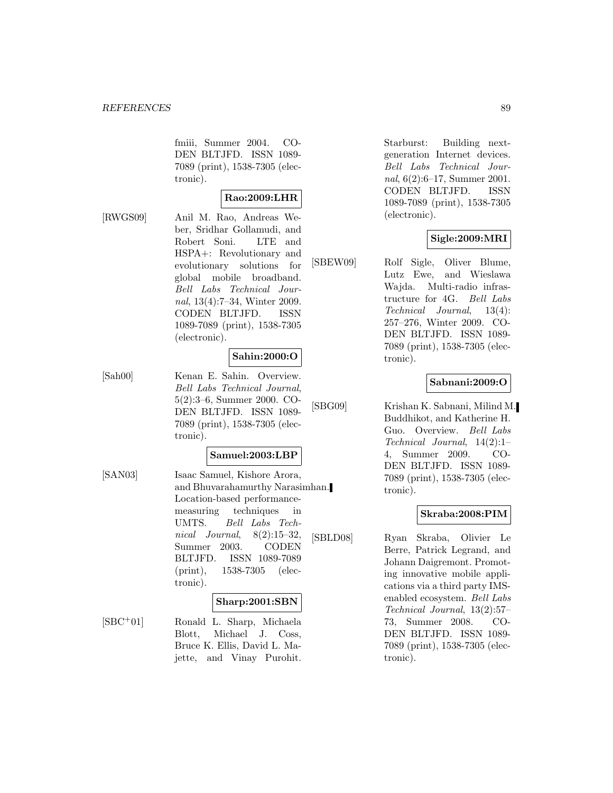fmiii, Summer 2004. CO-DEN BLTJFD. ISSN 1089- 7089 (print), 1538-7305 (electronic).

$$
{\rm Rao:} 2009{:}{\rm LHR}
$$

[RWGS09] Anil M. Rao, Andreas Weber, Sridhar Gollamudi, and Robert Soni. LTE and HSPA+: Revolutionary and evolutionary solutions for global mobile broadband. Bell Labs Technical Journal, 13(4):7–34, Winter 2009. CODEN BLTJFD. ISSN 1089-7089 (print), 1538-7305 (electronic).

### **Sahin:2000:O**

[Sah00] Kenan E. Sahin. Overview. Bell Labs Technical Journal, 5(2):3–6, Summer 2000. CO-DEN BLTJFD. ISSN 1089- 7089 (print), 1538-7305 (electronic).

#### **Samuel:2003:LBP**

[SAN03] Isaac Samuel, Kishore Arora, and Bhuvarahamurthy Narasimhan. Location-based performancemeasuring techniques in UMTS. Bell Labs Technical Journal, 8(2):15–32, Summer 2003. CODEN BLTJFD. ISSN 1089-7089 (print), 1538-7305 (electronic).

#### **Sharp:2001:SBN**

[SBC<sup>+</sup>01] Ronald L. Sharp, Michaela Blott, Michael J. Coss, Bruce K. Ellis, David L. Majette, and Vinay Purohit.

Starburst: Building nextgeneration Internet devices. Bell Labs Technical Journal, 6(2):6–17, Summer 2001. CODEN BLTJFD. ISSN 1089-7089 (print), 1538-7305 (electronic).

### **Sigle:2009:MRI**

[SBEW09] Rolf Sigle, Oliver Blume, Lutz Ewe, and Wieslawa Wajda. Multi-radio infrastructure for 4G. Bell Labs Technical Journal, 13(4): 257–276, Winter 2009. CO-DEN BLTJFD. ISSN 1089- 7089 (print), 1538-7305 (electronic).

### **Sabnani:2009:O**

[SBG09] Krishan K. Sabnani, Milind M. Buddhikot, and Katherine H. Guo. Overview. Bell Labs Technical Journal, 14(2):1– 4, Summer 2009. CO-DEN BLTJFD. ISSN 1089- 7089 (print), 1538-7305 (electronic).

#### **Skraba:2008:PIM**

[SBLD08] Ryan Skraba, Olivier Le Berre, Patrick Legrand, and Johann Daigremont. Promoting innovative mobile applications via a third party IMSenabled ecosystem. Bell Labs Technical Journal, 13(2):57– 73, Summer 2008. CO-DEN BLTJFD. ISSN 1089- 7089 (print), 1538-7305 (electronic).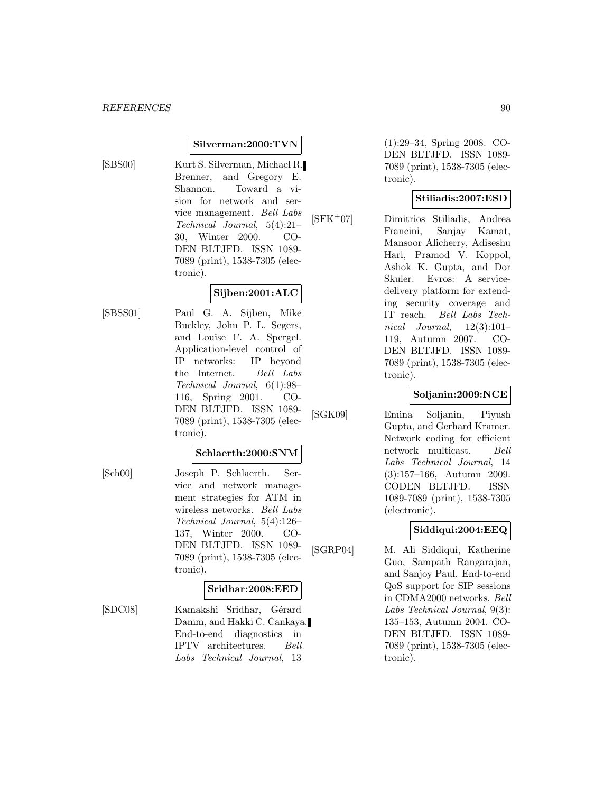#### **Silverman:2000:TVN**

[SBS00] Kurt S. Silverman, Michael R. Brenner, and Gregory E. Shannon. Toward a vision for network and service management. Bell Labs Technical Journal, 5(4):21– 30, Winter 2000. CO-DEN BLTJFD. ISSN 1089- 7089 (print), 1538-7305 (electronic).

# **Sijben:2001:ALC**

[SBSS01] Paul G. A. Sijben, Mike Buckley, John P. L. Segers, and Louise F. A. Spergel. Application-level control of IP networks: IP beyond the Internet. Bell Labs Technical Journal, 6(1):98– 116, Spring 2001. CO-DEN BLTJFD. ISSN 1089- 7089 (print), 1538-7305 (electronic).

#### **Schlaerth:2000:SNM**

[Sch00] Joseph P. Schlaerth. Service and network management strategies for ATM in wireless networks. Bell Labs Technical Journal, 5(4):126– 137, Winter 2000. CO-DEN BLTJFD. ISSN 1089- 7089 (print), 1538-7305 (electronic).

### **Sridhar:2008:EED**

[SDC08] Kamakshi Sridhar, Gérard Damm, and Hakki C. Cankaya. End-to-end diagnostics in IPTV architectures. Bell Labs Technical Journal, 13

(1):29–34, Spring 2008. CO-DEN BLTJFD. ISSN 1089- 7089 (print), 1538-7305 (electronic).

### **Stiliadis:2007:ESD**

[SFK<sup>+</sup>07] Dimitrios Stiliadis, Andrea Francini, Sanjay Kamat, Mansoor Alicherry, Adiseshu Hari, Pramod V. Koppol, Ashok K. Gupta, and Dor Skuler. Evros: A servicedelivery platform for extending security coverage and IT reach. Bell Labs Technical Journal,  $12(3):101-$ 119, Autumn 2007. CO-DEN BLTJFD. ISSN 1089- 7089 (print), 1538-7305 (electronic).

### **Soljanin:2009:NCE**

[SGK09] Emina Soljanin, Piyush Gupta, and Gerhard Kramer. Network coding for efficient network multicast. Bell Labs Technical Journal, 14 (3):157–166, Autumn 2009. CODEN BLTJFD. ISSN 1089-7089 (print), 1538-7305 (electronic).

### **Siddiqui:2004:EEQ**

[SGRP04] M. Ali Siddiqui, Katherine Guo, Sampath Rangarajan, and Sanjoy Paul. End-to-end QoS support for SIP sessions in CDMA2000 networks. Bell Labs Technical Journal, 9(3): 135–153, Autumn 2004. CO-DEN BLTJFD. ISSN 1089- 7089 (print), 1538-7305 (electronic).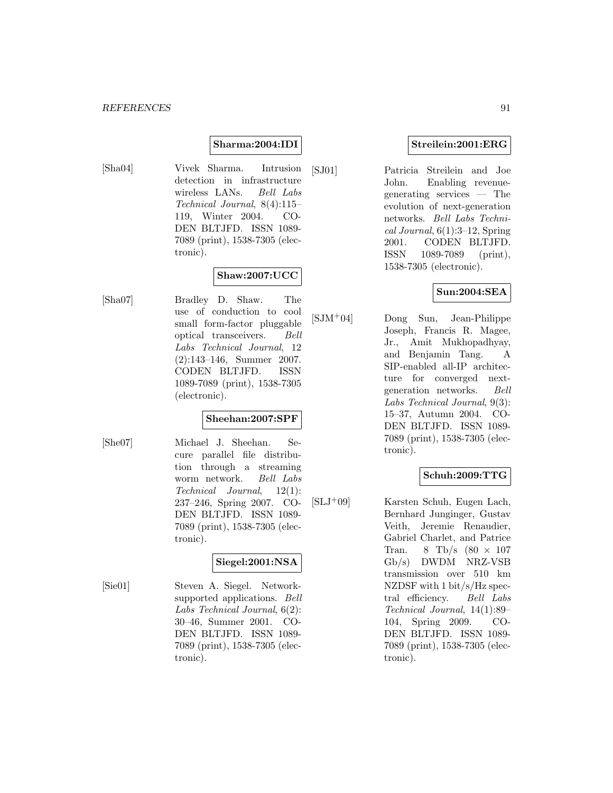#### **Sharma:2004:IDI**

[Sha04] Vivek Sharma. Intrusion detection in infrastructure wireless LANs. Bell Labs Technical Journal, 8(4):115– 119, Winter 2004. CO-DEN BLTJFD. ISSN 1089- 7089 (print), 1538-7305 (electronic).

## **Shaw:2007:UCC**

[Sha07] Bradley D. Shaw. The use of conduction to cool small form-factor pluggable optical transceivers. Bell Labs Technical Journal, 12 (2):143–146, Summer 2007. CODEN BLTJFD. ISSN 1089-7089 (print), 1538-7305 (electronic).

### **Sheehan:2007:SPF**

[She07] Michael J. Sheehan. Secure parallel file distribution through a streaming worm network. Bell Labs Technical Journal, 12(1): 237–246, Spring 2007. CO-DEN BLTJFD. ISSN 1089- 7089 (print), 1538-7305 (electronic).

### **Siegel:2001:NSA**

[Sie01] Steven A. Siegel. Networksupported applications. Bell Labs Technical Journal, 6(2): 30–46, Summer 2001. CO-DEN BLTJFD. ISSN 1089- 7089 (print), 1538-7305 (electronic).

#### **Streilein:2001:ERG**

[SJ01] Patricia Streilein and Joe John. Enabling revenuegenerating services — The evolution of next-generation networks. Bell Labs Techni $cal Journal, 6(1):3-12, Spring$ 2001. CODEN BLTJFD. ISSN 1089-7089 (print), 1538-7305 (electronic).

### **Sun:2004:SEA**

[SJM<sup>+</sup>04] Dong Sun, Jean-Philippe Joseph, Francis R. Magee, Jr., Amit Mukhopadhyay, and Benjamin Tang. A SIP-enabled all-IP architecture for converged nextgeneration networks. Bell Labs Technical Journal, 9(3): 15–37, Autumn 2004. CO-DEN BLTJFD. ISSN 1089- 7089 (print), 1538-7305 (electronic).

### **Schuh:2009:TTG**

 $[SLJ^+09]$  Karsten Schuh, Eugen Lach, Bernhard Junginger, Gustav Veith, Jeremie Renaudier, Gabriel Charlet, and Patrice Tran. 8 Tb/s  $(80 \times 107)$ Gb/s) DWDM NRZ-VSB transmission over 510 km NZDSF with 1 bit/s/Hz spectral efficiency. Bell Labs Technical Journal, 14(1):89– 104, Spring 2009. CO-DEN BLTJFD. ISSN 1089- 7089 (print), 1538-7305 (electronic).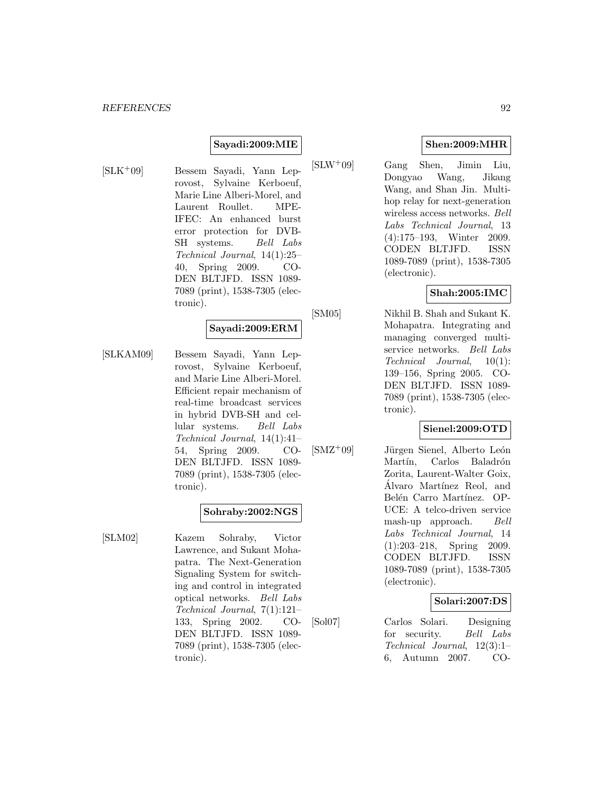#### **Sayadi:2009:MIE**

- 
- [SLK<sup>+</sup>09] Bessem Sayadi, Yann Leprovost, Sylvaine Kerboeuf, Marie Line Alberi-Morel, and Laurent Roullet. MPE-IFEC: An enhanced burst error protection for DVB-SH systems. Bell Labs Technical Journal, 14(1):25– 40, Spring 2009. CO-DEN BLTJFD. ISSN 1089- 7089 (print), 1538-7305 (electronic).

### **Sayadi:2009:ERM**

[SLKAM09] Bessem Sayadi, Yann Leprovost, Sylvaine Kerboeuf, and Marie Line Alberi-Morel. Efficient repair mechanism of real-time broadcast services in hybrid DVB-SH and cellular systems. Bell Labs Technical Journal, 14(1):41– 54, Spring 2009. CO-DEN BLTJFD. ISSN 1089- 7089 (print), 1538-7305 (electronic).

#### **Sohraby:2002:NGS**

[SLM02] Kazem Sohraby, Victor Lawrence, and Sukant Mohapatra. The Next-Generation Signaling System for switching and control in integrated optical networks. Bell Labs Technical Journal, 7(1):121– 133, Spring 2002. CO-DEN BLTJFD. ISSN 1089- 7089 (print), 1538-7305 (electronic).

### **Shen:2009:MHR**

[SLW<sup>+</sup>09] Gang Shen, Jimin Liu, Dongyao Wang, Jikang Wang, and Shan Jin. Multihop relay for next-generation wireless access networks. Bell Labs Technical Journal, 13 (4):175–193, Winter 2009. CODEN BLTJFD. ISSN 1089-7089 (print), 1538-7305 (electronic).

### **Shah:2005:IMC**

[SM05] Nikhil B. Shah and Sukant K. Mohapatra. Integrating and managing converged multiservice networks. Bell Labs Technical Journal, 10(1): 139–156, Spring 2005. CO-DEN BLTJFD. ISSN 1089- 7089 (print), 1538-7305 (electronic).

### **Sienel:2009:OTD**

 $[SMZ<sup>+</sup>09]$  Jürgen Sienel, Alberto León Martín, Carlos Baladrón Zorita, Laurent-Walter Goix, Álvaro Martínez Reol, and Belén Carro Martínez. OP-UCE: A telco-driven service mash-up approach. Bell Labs Technical Journal, 14 (1):203–218, Spring 2009. CODEN BLTJFD. ISSN 1089-7089 (print), 1538-7305 (electronic).

# **Solari:2007:DS**

[Sol07] Carlos Solari. Designing for security. Bell Labs Technical Journal, 12(3):1– 6, Autumn 2007. CO-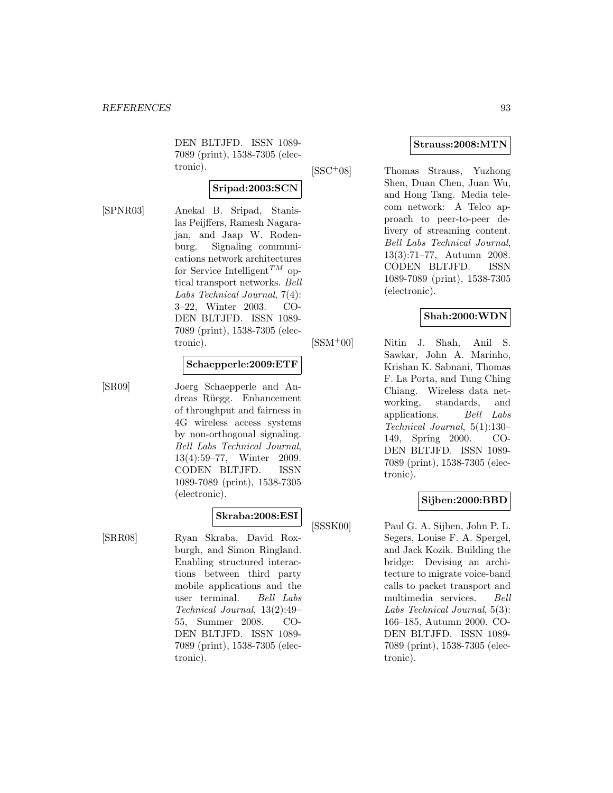DEN BLTJFD. ISSN 1089- 7089 (print), 1538-7305 (electronic).

### **Sripad:2003:SCN**

[SPNR03] Anekal B. Sripad, Stanislas Peijffers, Ramesh Nagarajan, and Jaap W. Rodenburg. Signaling communications network architectures for Service Intelligent<sup>TM</sup> optical transport networks. Bell Labs Technical Journal, 7(4): 3–22, Winter 2003. CO-DEN BLTJFD. ISSN 1089- 7089 (print), 1538-7305 (electronic).

#### **Schaepperle:2009:ETF**

[SR09] Joerg Schaepperle and Andreas R¨uegg. Enhancement of throughput and fairness in 4G wireless access systems by non-orthogonal signaling. Bell Labs Technical Journal, 13(4):59–77, Winter 2009. CODEN BLTJFD. ISSN 1089-7089 (print), 1538-7305 (electronic).

### **Skraba:2008:ESI**

[SRR08] Ryan Skraba, David Roxburgh, and Simon Ringland. Enabling structured interactions between third party mobile applications and the user terminal. Bell Labs Technical Journal, 13(2):49– 55, Summer 2008. CO-DEN BLTJFD. ISSN 1089- 7089 (print), 1538-7305 (electronic).

### **Strauss:2008:MTN**

[SSC<sup>+</sup>08] Thomas Strauss, Yuzhong

Shen, Duan Chen, Juan Wu, and Hong Tang. Media telecom network: A Telco approach to peer-to-peer delivery of streaming content. Bell Labs Technical Journal, 13(3):71–77, Autumn 2008. CODEN BLTJFD. ISSN 1089-7089 (print), 1538-7305 (electronic).

### **Shah:2000:WDN**

[SSM<sup>+</sup>00] Nitin J. Shah, Anil S. Sawkar, John A. Marinho, Krishan K. Sabnani, Thomas F. La Porta, and Tung Ching Chiang. Wireless data networking, standards, and applications. Bell Labs Technical Journal, 5(1):130– 149, Spring 2000. CO-DEN BLTJFD. ISSN 1089- 7089 (print), 1538-7305 (electronic).

### **Sijben:2000:BBD**

[SSSK00] Paul G. A. Sijben, John P. L. Segers, Louise F. A. Spergel, and Jack Kozik. Building the bridge: Devising an architecture to migrate voice-band calls to packet transport and multimedia services. Bell Labs Technical Journal, 5(3): 166–185, Autumn 2000. CO-DEN BLTJFD. ISSN 1089- 7089 (print), 1538-7305 (electronic).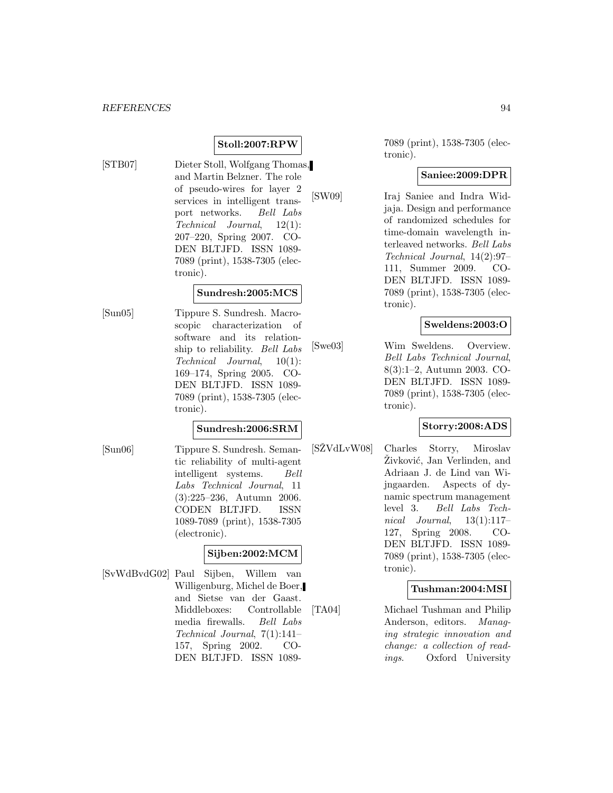**Stoll:2007:RPW**

- 
- [STB07] Dieter Stoll, Wolfgang Thomas, and Martin Belzner. The role of pseudo-wires for layer 2 services in intelligent transport networks. Bell Labs Technical Journal, 12(1): 207–220, Spring 2007. CO-DEN BLTJFD. ISSN 1089- 7089 (print), 1538-7305 (electronic).

### **Sundresh:2005:MCS**

[Sun05] Tippure S. Sundresh. Macroscopic characterization of software and its relationship to reliability. Bell Labs Technical Journal, 10(1): 169–174, Spring 2005. CO-DEN BLTJFD. ISSN 1089- 7089 (print), 1538-7305 (electronic).

#### **Sundresh:2006:SRM**

[Sun06] Tippure S. Sundresh. Semantic reliability of multi-agent intelligent systems. Bell Labs Technical Journal, 11 (3):225–236, Autumn 2006. CODEN BLTJFD. ISSN 1089-7089 (print), 1538-7305 (electronic).

### **Sijben:2002:MCM**

[SvWdBvdG02] Paul Sijben, Willem van Willigenburg, Michel de Boer, and Sietse van der Gaast. Middleboxes: Controllable media firewalls. Bell Labs Technical Journal, 7(1):141– 157, Spring 2002. CO-DEN BLTJFD. ISSN 10897089 (print), 1538-7305 (electronic).

### **Saniee:2009:DPR**

[SW09] Iraj Saniee and Indra Widjaja. Design and performance of randomized schedules for time-domain wavelength interleaved networks. Bell Labs Technical Journal, 14(2):97– 111, Summer 2009. CO-DEN BLTJFD. ISSN 1089- 7089 (print), 1538-7305 (electronic).

### **Sweldens:2003:O**

[Swe03] Wim Sweldens. Overview. Bell Labs Technical Journal, 8(3):1–2, Autumn 2003. CO-DEN BLTJFD. ISSN 1089- 7089 (print), 1538-7305 (electronic).

### **Storry:2008:ADS**

[SZVdLvW08] Charles Storry, Miroslav Zivković, Jan Verlinden, and Adriaan J. de Lind van Wijngaarden. Aspects of dynamic spectrum management level 3. Bell Labs Technical Journal,  $13(1):117-$ 127, Spring 2008. CO-DEN BLTJFD. ISSN 1089- 7089 (print), 1538-7305 (electronic).

### **Tushman:2004:MSI**

[TA04] Michael Tushman and Philip Anderson, editors. Managing strategic innovation and change: a collection of readings. Oxford University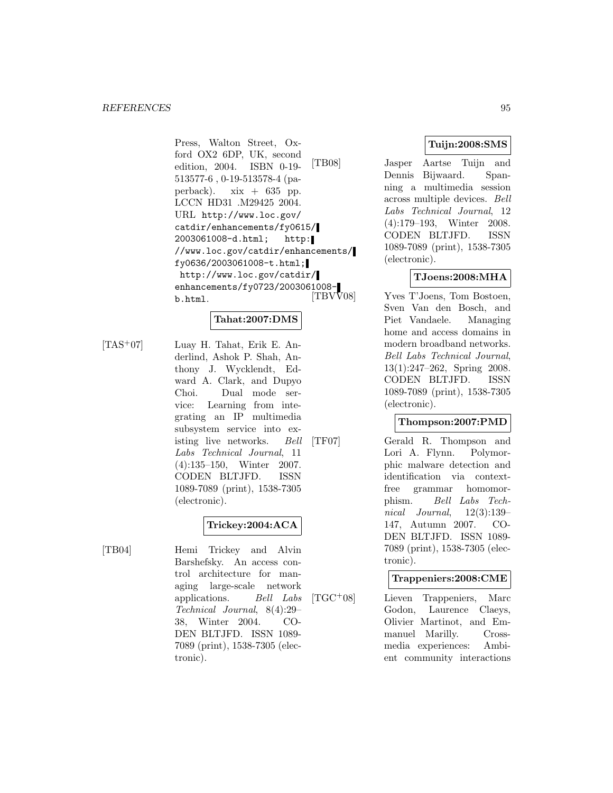Press, Walton Street, Oxford OX2 6DP, UK, second edition, 2004. ISBN 0-19- 513577-6 , 0-19-513578-4 (paperback).  $xix + 635$  pp. LCCN HD31 .M29425 2004. URL http://www.loc.gov/ catdir/enhancements/fy0615/ 2003061008-d.html; http: //www.loc.gov/catdir/enhancements/ fy0636/2003061008-t.html; http://www.loc.gov/catdir/ enhancements/fy0723/2003061008-<br>b.html. [TBVV08] b.html.

# **Tahat:2007:DMS**

[TAS<sup>+</sup>07] Luay H. Tahat, Erik E. Anderlind, Ashok P. Shah, Anthony J. Wycklendt, Edward A. Clark, and Dupyo Choi. Dual mode service: Learning from integrating an IP multimedia subsystem service into existing live networks. Bell Labs Technical Journal, 11 (4):135–150, Winter 2007. CODEN BLTJFD. ISSN 1089-7089 (print), 1538-7305 (electronic).

# **Trickey:2004:ACA**

[TB04] Hemi Trickey and Alvin Barshefsky. An access control architecture for managing large-scale network applications. Bell Labs Technical Journal, 8(4):29– 38, Winter 2004. CO-DEN BLTJFD. ISSN 1089- 7089 (print), 1538-7305 (electronic).

## **Tuijn:2008:SMS**

[TB08] Jasper Aartse Tuijn and Dennis Bijwaard. Spanning a multimedia session across multiple devices. Bell Labs Technical Journal, 12 (4):179–193, Winter 2008. CODEN BLTJFD. ISSN 1089-7089 (print), 1538-7305 (electronic).

### **TJoens:2008:MHA**

Yves T'Joens, Tom Bostoen, Sven Van den Bosch, and Piet Vandaele. Managing home and access domains in modern broadband networks. Bell Labs Technical Journal, 13(1):247–262, Spring 2008. CODEN BLTJFD. ISSN 1089-7089 (print), 1538-7305 (electronic).

### **Thompson:2007:PMD**

[TF07] Gerald R. Thompson and Lori A. Flynn. Polymorphic malware detection and identification via contextfree grammar homomorphism. Bell Labs Technical Journal, 12(3):139– 147, Autumn 2007. CO-DEN BLTJFD. ISSN 1089- 7089 (print), 1538-7305 (electronic).

# **Trappeniers:2008:CME**

[TGC<sup>+</sup>08] Lieven Trappeniers, Marc Godon, Laurence Claeys, Olivier Martinot, and Emmanuel Marilly. Crossmedia experiences: Ambient community interactions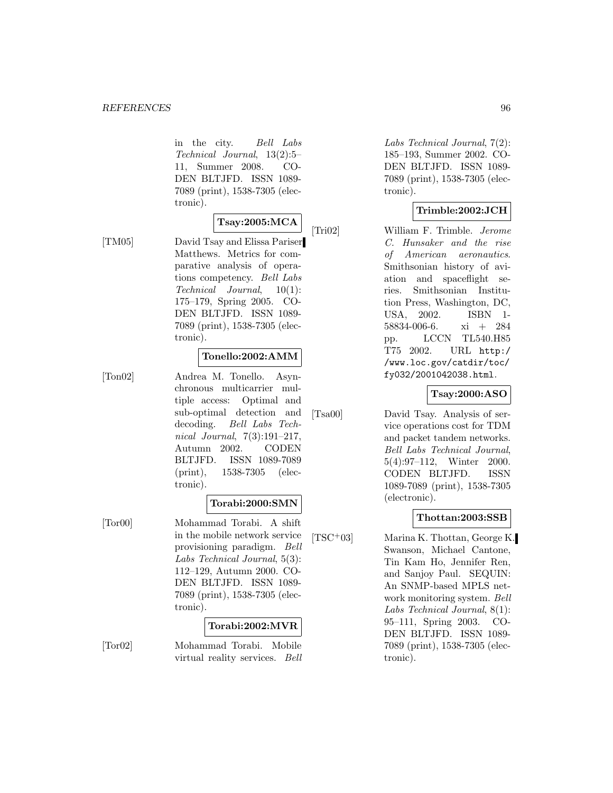in the city. Bell Labs Technical Journal, 13(2):5– 11, Summer 2008. CO-DEN BLTJFD. ISSN 1089- 7089 (print), 1538-7305 (electronic).

# **Tsay:2005:MCA**

[TM05] David Tsay and Elissa Pariser Matthews. Metrics for comparative analysis of operations competency. Bell Labs Technical Journal, 10(1): 175–179, Spring 2005. CO-DEN BLTJFD. ISSN 1089- 7089 (print), 1538-7305 (electronic).

#### **Tonello:2002:AMM**

[Ton02] Andrea M. Tonello. Asynchronous multicarrier multiple access: Optimal and sub-optimal detection and decoding. Bell Labs Technical Journal, 7(3):191–217, Autumn 2002. CODEN BLTJFD. ISSN 1089-7089 (print), 1538-7305 (electronic).

#### **Torabi:2000:SMN**

[Tor00] Mohammad Torabi. A shift in the mobile network service provisioning paradigm. Bell Labs Technical Journal, 5(3): 112–129, Autumn 2000. CO-DEN BLTJFD. ISSN 1089- 7089 (print), 1538-7305 (electronic).

### **Torabi:2002:MVR**

[Tor02] Mohammad Torabi. Mobile virtual reality services. Bell

Labs Technical Journal, 7(2): 185–193, Summer 2002. CO-DEN BLTJFD. ISSN 1089- 7089 (print), 1538-7305 (electronic).

## **Trimble:2002:JCH**

[Tri02] William F. Trimble. Jerome C. Hunsaker and the rise of American aeronautics. Smithsonian history of aviation and spaceflight series. Smithsonian Institution Press, Washington, DC, USA, 2002. ISBN 1- 58834-006-6. xi + 284 pp. LCCN TL540.H85 T75 2002. URL http:/ /www.loc.gov/catdir/toc/ fy032/2001042038.html.

### **Tsay:2000:ASO**

[Tsa00] David Tsay. Analysis of service operations cost for TDM and packet tandem networks. Bell Labs Technical Journal, 5(4):97–112, Winter 2000. CODEN BLTJFD. ISSN 1089-7089 (print), 1538-7305 (electronic).

#### **Thottan:2003:SSB**

[TSC<sup>+</sup>03] Marina K. Thottan, George K. Swanson, Michael Cantone, Tin Kam Ho, Jennifer Ren, and Sanjoy Paul. SEQUIN: An SNMP-based MPLS network monitoring system. Bell Labs Technical Journal, 8(1): 95–111, Spring 2003. CO-DEN BLTJFD. ISSN 1089- 7089 (print), 1538-7305 (electronic).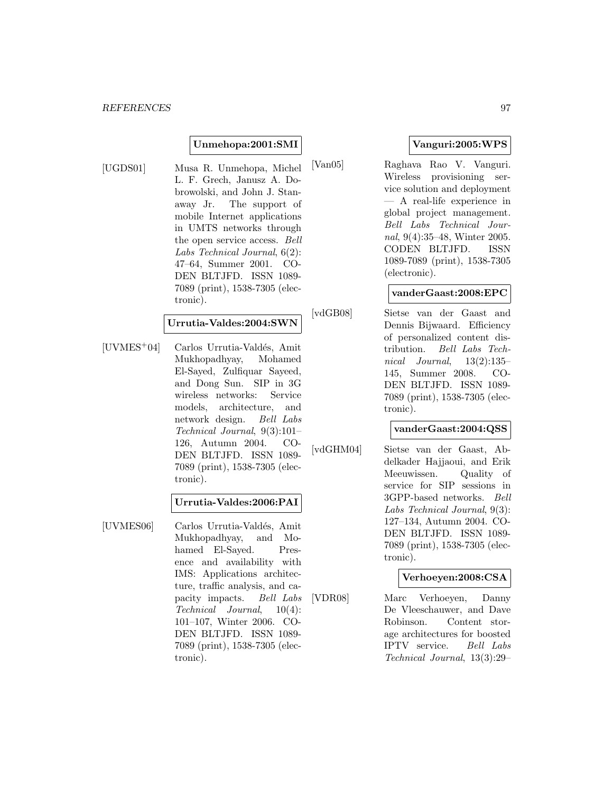#### **Unmehopa:2001:SMI**

[UGDS01] Musa R. Unmehopa, Michel L. F. Grech, Janusz A. Dobrowolski, and John J. Stanaway Jr. The support of mobile Internet applications in UMTS networks through the open service access. Bell Labs Technical Journal, 6(2): 47–64, Summer 2001. CO-DEN BLTJFD. ISSN 1089- 7089 (print), 1538-7305 (electronic).

#### **Urrutia-Valdes:2004:SWN**

[UVMES<sup>+</sup>04] Carlos Urrutia-Valdés, Amit Mukhopadhyay, Mohamed El-Sayed, Zulfiquar Sayeed, and Dong Sun. SIP in 3G wireless networks: Service models, architecture, and network design. Bell Labs Technical Journal, 9(3):101– 126, Autumn 2004. CO-DEN BLTJFD. ISSN 1089- 7089 (print), 1538-7305 (electronic).

#### **Urrutia-Valdes:2006:PAI**

[UVMES06] Carlos Urrutia-Valdés, Amit Mukhopadhyay, and Mohamed El-Sayed. Presence and availability with IMS: Applications architecture, traffic analysis, and capacity impacts. Bell Labs Technical Journal, 10(4): 101–107, Winter 2006. CO-DEN BLTJFD. ISSN 1089- 7089 (print), 1538-7305 (electronic).

## **Vanguri:2005:WPS**

[Van05] Raghava Rao V. Vanguri. Wireless provisioning service solution and deployment — A real-life experience in global project management. Bell Labs Technical Journal, 9(4):35–48, Winter 2005. CODEN BLTJFD. ISSN 1089-7089 (print), 1538-7305 (electronic).

#### **vanderGaast:2008:EPC**

[vdGB08] Sietse van der Gaast and Dennis Bijwaard. Efficiency of personalized content distribution. Bell Labs Technical Journal,  $13(2):135-$ 145, Summer 2008. CO-DEN BLTJFD. ISSN 1089- 7089 (print), 1538-7305 (electronic).

### **vanderGaast:2004:QSS**

[vdGHM04] Sietse van der Gaast, Abdelkader Hajjaoui, and Erik Meeuwissen. Quality of service for SIP sessions in 3GPP-based networks. Bell Labs Technical Journal, 9(3): 127–134, Autumn 2004. CO-DEN BLTJFD. ISSN 1089- 7089 (print), 1538-7305 (electronic).

### **Verhoeyen:2008:CSA**

[VDR08] Marc Verhoeyen, Danny De Vleeschauwer, and Dave Robinson. Content storage architectures for boosted IPTV service. Bell Labs Technical Journal, 13(3):29–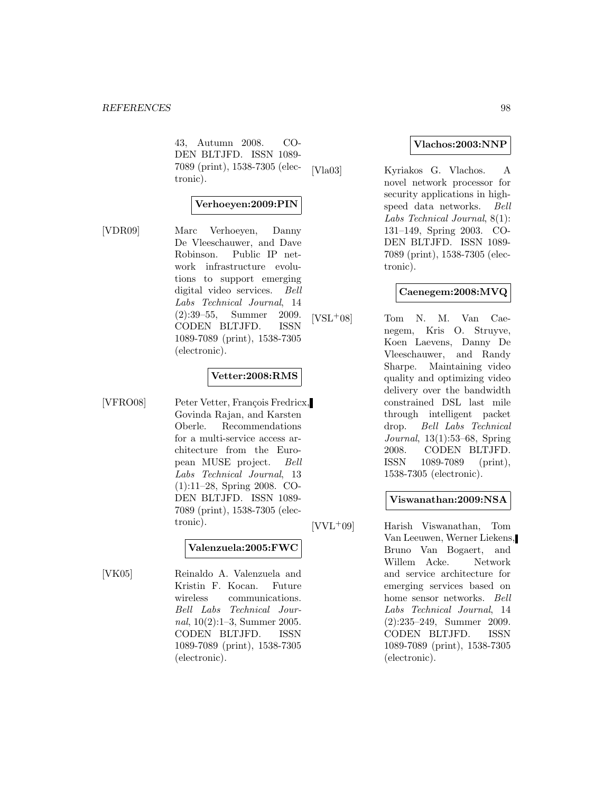43, Autumn 2008. CO-DEN BLTJFD. ISSN 1089- 7089 (print), 1538-7305 (electronic).

#### **Verhoeyen:2009:PIN**

[VDR09] Marc Verhoeyen, Danny De Vleeschauwer, and Dave Robinson. Public IP network infrastructure evolutions to support emerging digital video services. Bell Labs Technical Journal, 14 (2):39–55, Summer 2009. CODEN BLTJFD. ISSN 1089-7089 (print), 1538-7305 (electronic).

#### **Vetter:2008:RMS**

[VFRO08] Peter Vetter, François Fredricx, Govinda Rajan, and Karsten Oberle. Recommendations for a multi-service access architecture from the European MUSE project. Bell Labs Technical Journal, 13 (1):11–28, Spring 2008. CO-DEN BLTJFD. ISSN 1089- 7089 (print), 1538-7305 (electronic).

### **Valenzuela:2005:FWC**

[VK05] Reinaldo A. Valenzuela and Kristin F. Kocan. Future wireless communications. Bell Labs Technical Journal, 10(2):1–3, Summer 2005. CODEN BLTJFD. ISSN 1089-7089 (print), 1538-7305 (electronic).

#### **Vlachos:2003:NNP**

[Vla03] Kyriakos G. Vlachos. A novel network processor for security applications in highspeed data networks. Bell Labs Technical Journal, 8(1): 131–149, Spring 2003. CO-DEN BLTJFD. ISSN 1089- 7089 (print), 1538-7305 (electronic).

### **Caenegem:2008:MVQ**

[VSL<sup>+</sup>08] Tom N. M. Van Caenegem, Kris O. Struyve, Koen Laevens, Danny De Vleeschauwer, and Randy Sharpe. Maintaining video quality and optimizing video delivery over the bandwidth constrained DSL last mile through intelligent packet drop. Bell Labs Technical Journal, 13(1):53–68, Spring 2008. CODEN BLTJFD. ISSN 1089-7089 (print), 1538-7305 (electronic).

### **Viswanathan:2009:NSA**

[VVL<sup>+</sup>09] Harish Viswanathan, Tom Van Leeuwen, Werner Liekens, Bruno Van Bogaert, and Willem Acke. Network and service architecture for emerging services based on home sensor networks. Bell Labs Technical Journal, 14 (2):235–249, Summer 2009. CODEN BLTJFD. ISSN 1089-7089 (print), 1538-7305 (electronic).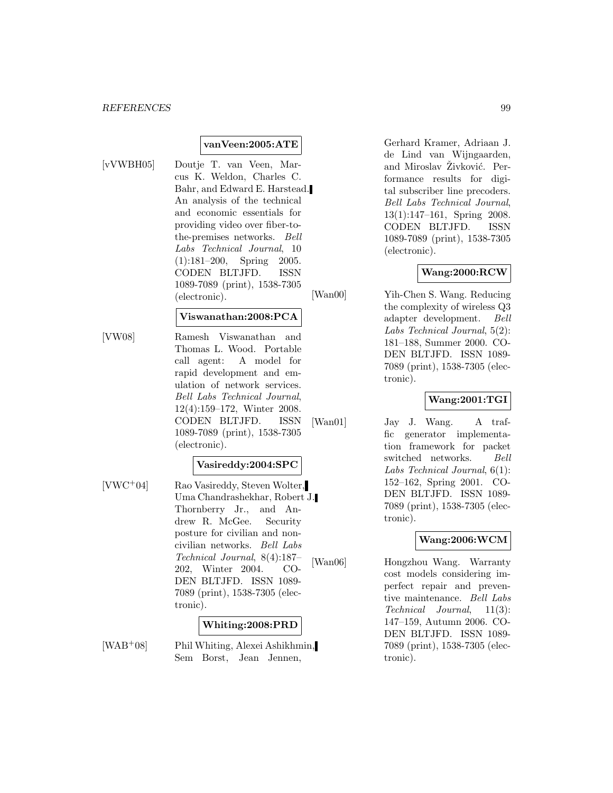#### *REFERENCES* 99

#### **vanVeen:2005:ATE**

- 
- [vVWBH05] Doutje T. van Veen, Marcus K. Weldon, Charles C. Bahr, and Edward E. Harstead. An analysis of the technical and economic essentials for providing video over fiber-tothe-premises networks. Bell Labs Technical Journal, 10 (1):181–200, Spring 2005. CODEN BLTJFD. ISSN 1089-7089 (print), 1538-7305 (electronic).

#### **Viswanathan:2008:PCA**

[VW08] Ramesh Viswanathan and Thomas L. Wood. Portable call agent: A model for rapid development and emulation of network services. Bell Labs Technical Journal, 12(4):159–172, Winter 2008. CODEN BLTJFD. ISSN 1089-7089 (print), 1538-7305 (electronic).

#### **Vasireddy:2004:SPC**

[VWC<sup>+</sup>04] Rao Vasireddy, Steven Wolter, Uma Chandrashekhar, Robert J. Thornberry Jr., and Andrew R. McGee. Security posture for civilian and noncivilian networks. Bell Labs Technical Journal, 8(4):187– 202, Winter 2004. CO-DEN BLTJFD. ISSN 1089- 7089 (print), 1538-7305 (electronic).

#### **Whiting:2008:PRD**

[WAB<sup>+</sup>08] Phil Whiting, Alexei Ashikhmin, Sem Borst, Jean Jennen,

Gerhard Kramer, Adriaan J. de Lind van Wijngaarden, and Miroslav Živković. Performance results for digital subscriber line precoders. Bell Labs Technical Journal, 13(1):147–161, Spring 2008. CODEN BLTJFD. ISSN 1089-7089 (print), 1538-7305 (electronic).

#### **Wang:2000:RCW**

[Wan00] Yih-Chen S. Wang. Reducing the complexity of wireless Q3 adapter development. Bell Labs Technical Journal, 5(2): 181–188, Summer 2000. CO-DEN BLTJFD. ISSN 1089- 7089 (print), 1538-7305 (electronic).

#### **Wang:2001:TGI**

[Wan01] Jay J. Wang. A traffic generator implementation framework for packet switched networks. Bell Labs Technical Journal, 6(1): 152–162, Spring 2001. CO-DEN BLTJFD. ISSN 1089- 7089 (print), 1538-7305 (electronic).

### **Wang:2006:WCM**

[Wan06] Hongzhou Wang. Warranty cost models considering imperfect repair and preventive maintenance. Bell Labs Technical Journal, 11(3): 147–159, Autumn 2006. CO-DEN BLTJFD. ISSN 1089- 7089 (print), 1538-7305 (electronic).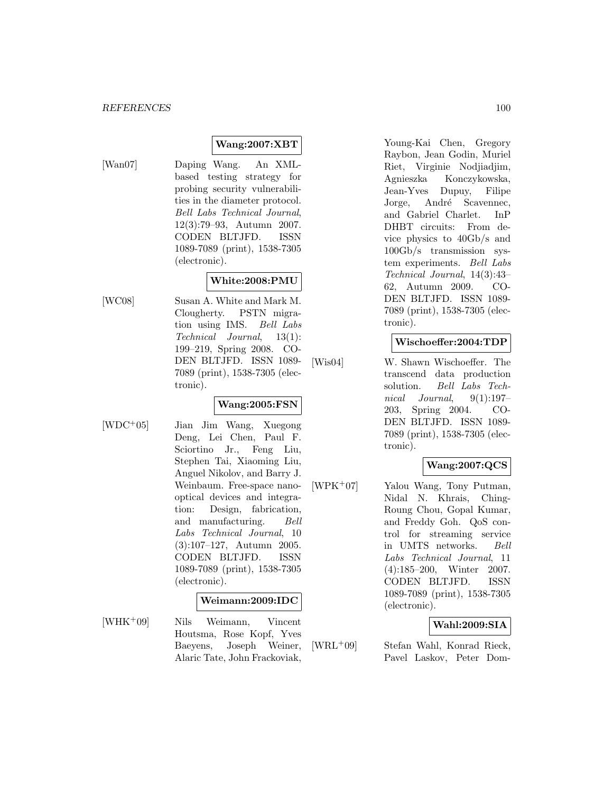### **Wang:2007:XBT**

[Wan07] Daping Wang. An XMLbased testing strategy for probing security vulnerabilities in the diameter protocol. Bell Labs Technical Journal, 12(3):79–93, Autumn 2007. CODEN BLTJFD. ISSN 1089-7089 (print), 1538-7305 (electronic).

# **White:2008:PMU**

[WC08] Susan A. White and Mark M. Clougherty. PSTN migration using IMS. Bell Labs Technical Journal, 13(1): 199–219, Spring 2008. CO-DEN BLTJFD. ISSN 1089- 7089 (print), 1538-7305 (electronic).

#### **Wang:2005:FSN**

[WDC<sup>+</sup>05] Jian Jim Wang, Xuegong Deng, Lei Chen, Paul F. Sciortino Jr., Feng Liu, Stephen Tai, Xiaoming Liu, Anguel Nikolov, and Barry J. Weinbaum. Free-space nanooptical devices and integration: Design, fabrication, and manufacturing. Bell Labs Technical Journal, 10 (3):107–127, Autumn 2005. CODEN BLTJFD. ISSN 1089-7089 (print), 1538-7305 (electronic).

#### **Weimann:2009:IDC**

[WHK<sup>+</sup>09] Nils Weimann, Vincent Houtsma, Rose Kopf, Yves Baeyens, Joseph Weiner, Alaric Tate, John Frackoviak,

Young-Kai Chen, Gregory Raybon, Jean Godin, Muriel Riet, Virginie Nodjiadjim, Agnieszka Konczykowska, Jean-Yves Dupuy, Filipe Jorge, André Scavennec, and Gabriel Charlet. InP DHBT circuits: From device physics to 40Gb/s and 100Gb/s transmission system experiments. Bell Labs Technical Journal, 14(3):43– 62, Autumn 2009. CO-DEN BLTJFD. ISSN 1089- 7089 (print), 1538-7305 (electronic).

#### **Wischoeffer:2004:TDP**

[Wis04] W. Shawn Wischoeffer. The transcend data production solution. Bell Labs Technical Journal, 9(1):197– 203, Spring 2004. CO-DEN BLTJFD. ISSN 1089- 7089 (print), 1538-7305 (electronic).

### **Wang:2007:QCS**

[WPK<sup>+</sup>07] Yalou Wang, Tony Putman, Nidal N. Khrais, Ching-Roung Chou, Gopal Kumar, and Freddy Goh. QoS control for streaming service in UMTS networks. Bell Labs Technical Journal, 11 (4):185–200, Winter 2007. CODEN BLTJFD. ISSN 1089-7089 (print), 1538-7305 (electronic).

### **Wahl:2009:SIA**

[WRL<sup>+</sup>09] Stefan Wahl, Konrad Rieck, Pavel Laskov, Peter Dom-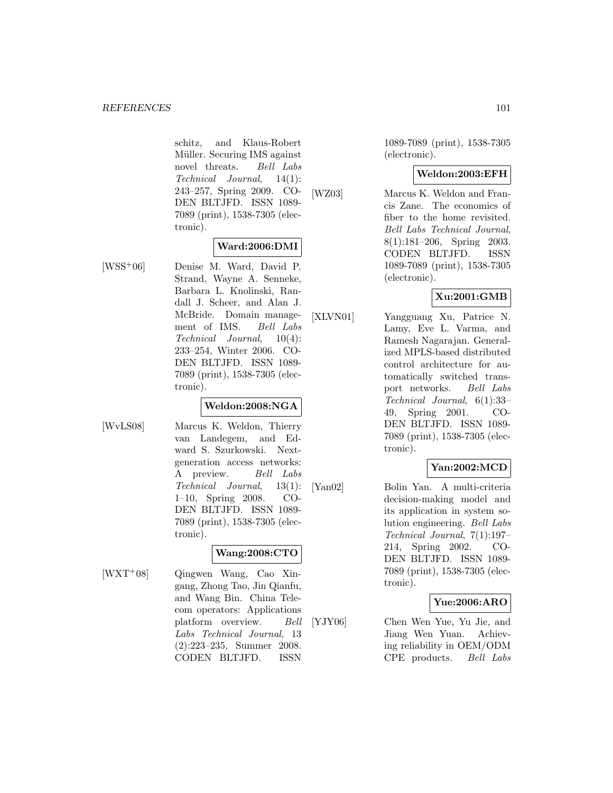schitz, and Klaus-Robert Müller. Securing IMS against novel threats. Bell Labs Technical Journal, 14(1): 243–257, Spring 2009. CO-DEN BLTJFD. ISSN 1089- 7089 (print), 1538-7305 (electronic).

### **Ward:2006:DMI**

[WSS<sup>+</sup>06] Denise M. Ward, David P. Strand, Wayne A. Senneke, Barbara L. Knolinski, Randall J. Scheer, and Alan J. McBride. Domain management of IMS. Bell Labs Technical Journal, 10(4): 233–254, Winter 2006. CO-DEN BLTJFD. ISSN 1089- 7089 (print), 1538-7305 (electronic).

#### **Weldon:2008:NGA**

- 
- [WvLS08] Marcus K. Weldon, Thierry van Landegem, and Edward S. Szurkowski. Nextgeneration access networks: A preview. Bell Labs Technical Journal, 13(1): 1–10, Spring 2008. CO-DEN BLTJFD. ISSN 1089- 7089 (print), 1538-7305 (electronic).

# **Wang:2008:CTO**

- 
- [WXT<sup>+</sup>08] Qingwen Wang, Cao Xingang, Zhong Tao, Jin Qianfu, and Wang Bin. China Telecom operators: Applications platform overview. Bell Labs Technical Journal, 13 (2):223–235, Summer 2008. CODEN BLTJFD. ISSN

1089-7089 (print), 1538-7305 (electronic).

### **Weldon:2003:EFH**

[WZ03] Marcus K. Weldon and Francis Zane. The economics of fiber to the home revisited. Bell Labs Technical Journal, 8(1):181–206, Spring 2003. CODEN BLTJFD. ISSN 1089-7089 (print), 1538-7305 (electronic).

## **Xu:2001:GMB**

[XLVN01] Yangguang Xu, Patrice N. Lamy, Eve L. Varma, and Ramesh Nagarajan. Generalized MPLS-based distributed control architecture for automatically switched transport networks. Bell Labs Technical Journal, 6(1):33– 49, Spring 2001. CO-DEN BLTJFD. ISSN 1089- 7089 (print), 1538-7305 (electronic).

# **Yan:2002:MCD**

[Yan02] Bolin Yan. A multi-criteria decision-making model and its application in system solution engineering. Bell Labs Technical Journal, 7(1):197– 214, Spring 2002. CO-DEN BLTJFD. ISSN 1089- 7089 (print), 1538-7305 (electronic).

### **Yue:2006:ARO**

[YJY06] Chen Wen Yue, Yu Jie, and Jiang Wen Yuan. Achieving reliability in OEM/ODM CPE products. Bell Labs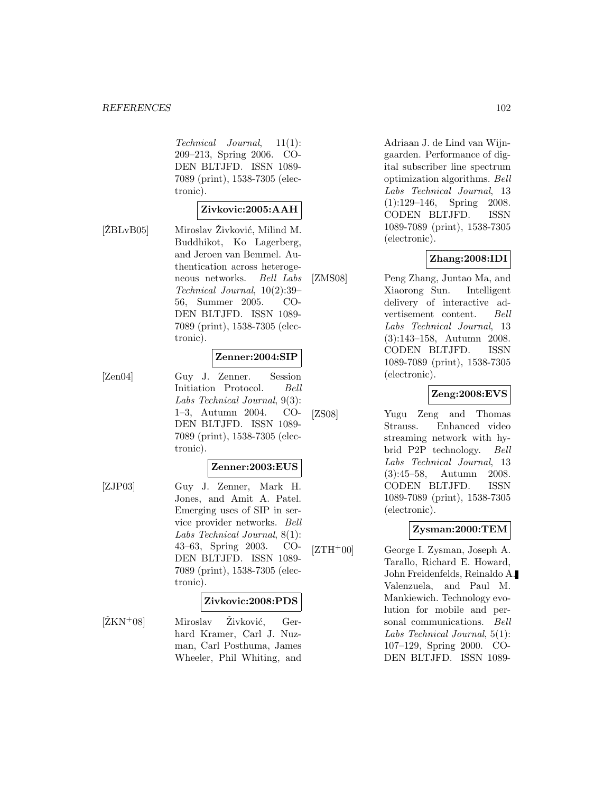#### *REFERENCES* 102

Technical Journal, 11(1): 209–213, Spring 2006. CO-DEN BLTJFD. ISSN 1089- 7089 (print), 1538-7305 (electronic).

### **Zivkovic:2005:AAH**

 $[\text{ZBLvB05}]$  Miroslav Živković, Milind M. Buddhikot, Ko Lagerberg, and Jeroen van Bemmel. Authentication across heterogeneous networks. Bell Labs Technical Journal, 10(2):39– 56, Summer 2005. CO-DEN BLTJFD. ISSN 1089- 7089 (print), 1538-7305 (electronic).

## **Zenner:2004:SIP**

[Zen04] Guy J. Zenner. Session Initiation Protocol. Bell Labs Technical Journal, 9(3): 1–3, Autumn 2004. CO-DEN BLTJFD. ISSN 1089- 7089 (print), 1538-7305 (electronic).

#### **Zenner:2003:EUS**

[ZJP03] Guy J. Zenner, Mark H. Jones, and Amit A. Patel. Emerging uses of SIP in service provider networks. Bell Labs Technical Journal, 8(1): 43–63, Spring 2003. CO-DEN BLTJFD. ISSN 1089- 7089 (print), 1538-7305 (electronic).

#### **Zivkovic:2008:PDS**

 $[\text{ŽKN}^{+}08]$  Miroslav Živković, Gerhard Kramer, Carl J. Nuzman, Carl Posthuma, James Wheeler, Phil Whiting, and

Adriaan J. de Lind van Wijngaarden. Performance of digital subscriber line spectrum optimization algorithms. Bell Labs Technical Journal, 13 (1):129–146, Spring 2008. CODEN BLTJFD. ISSN 1089-7089 (print), 1538-7305 (electronic).

### **Zhang:2008:IDI**

[ZMS08] Peng Zhang, Juntao Ma, and Xiaorong Sun. Intelligent delivery of interactive advertisement content. Bell Labs Technical Journal, 13 (3):143–158, Autumn 2008. CODEN BLTJFD. ISSN 1089-7089 (print), 1538-7305 (electronic).

### **Zeng:2008:EVS**

[ZS08] Yugu Zeng and Thomas Strauss. Enhanced video streaming network with hybrid P2P technology. Bell Labs Technical Journal, 13 (3):45–58, Autumn 2008. CODEN BLTJFD. ISSN 1089-7089 (print), 1538-7305 (electronic).

# **Zysman:2000:TEM**

 $[ZTH^+00]$  George I. Zysman, Joseph A. Tarallo, Richard E. Howard, John Freidenfelds, Reinaldo A. Valenzuela, and Paul M. Mankiewich. Technology evolution for mobile and personal communications. Bell Labs Technical Journal, 5(1): 107–129, Spring 2000. CO-DEN BLTJFD. ISSN 1089-